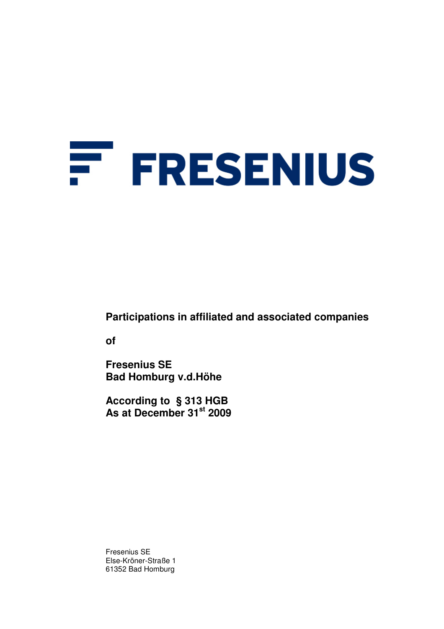# F. **FRESENIUS**

**Participations in affiliated and associated companies** 

**of** 

**Fresenius SE Bad Homburg v.d.Höhe** 

**According to § 313 HGB As at December 31st 2009** 

Fresenius SE Else-Kröner-Straße 1 61352 Bad Homburg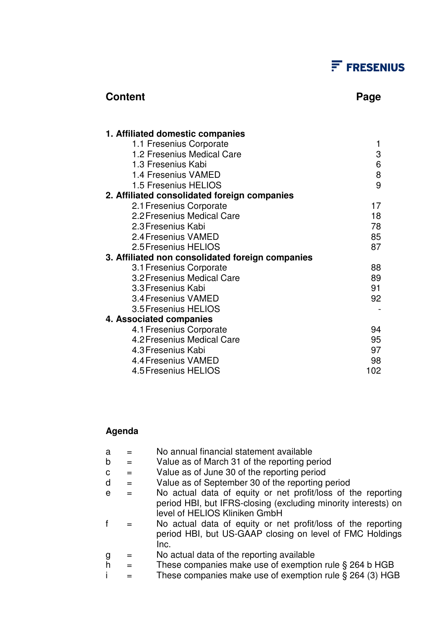## $F$  FRESENIUS

### **Content Page 2018**

| 1. Affiliated domestic companies                 |     |
|--------------------------------------------------|-----|
| 1.1 Fresenius Corporate                          |     |
| 1.2 Fresenius Medical Care                       | 3   |
| 1.3 Fresenius Kabi                               | 6   |
| 1.4 Fresenius VAMED                              | 8   |
| 1.5 Fresenius HELIOS                             | 9   |
| 2. Affiliated consolidated foreign companies     |     |
| 2.1 Fresenius Corporate                          | 17  |
| 2.2 Fresenius Medical Care                       | 18  |
| 2.3 Fresenius Kabi                               | 78  |
| 2.4 Fresenius VAMED                              | 85  |
| 2.5 Fresenius HELIOS                             | 87  |
| 3. Affiliated non consolidated foreign companies |     |
| 3.1 Fresenius Corporate                          | 88  |
| 3.2 Fresenius Medical Care                       | 89  |
| 3.3 Fresenius Kabi                               | 91  |
| 3.4 Fresenius VAMED                              | 92  |
| 3.5 Fresenius HELIOS                             |     |
| 4. Associated companies                          |     |
| 4.1 Fresenius Corporate                          | 94  |
| 4.2 Fresenius Medical Care                       | 95  |
| 4.3 Fresenius Kabi                               | 97  |
| 4.4 Fresenius VAMED                              | 98  |
| 4.5 Fresenius HELIOS                             | 102 |

### **Agenda**

| a |     | No annual financial statement available                                                                                                                         |
|---|-----|-----------------------------------------------------------------------------------------------------------------------------------------------------------------|
| b | $=$ | Value as of March 31 of the reporting period                                                                                                                    |
| C | $=$ | Value as of June 30 of the reporting period                                                                                                                     |
| d | $=$ | Value as of September 30 of the reporting period                                                                                                                |
| e | $=$ | No actual data of equity or net profit/loss of the reporting                                                                                                    |
|   |     | period HBI, but IFRS-closing (excluding minority interests) on<br>level of HELIOS Kliniken GmbH<br>No actual data of equity or net profit/loss of the reporting |
|   |     | period HBI, but US-GAAP closing on level of FMC Holdings<br>Inc.                                                                                                |
|   | $=$ | No actual data of the reporting available                                                                                                                       |
|   | $=$ | These companies make use of exemption rule § 264 b HGB                                                                                                          |
|   |     | These companies make use of exemption rule $\S$ 264 (3) HGB                                                                                                     |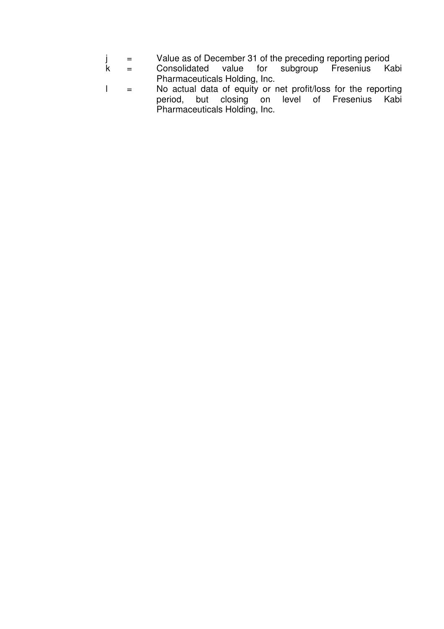- j = Value as of December 31 of the preceding reporting period<br>k = Consolidated value for subgroup Fresenius Ka
- = Consolidated value for subgroup Fresenius Kabi Pharmaceuticals Holding, Inc.
- l = No actual data of equity or net profit/loss for the reporting period, but closing on level of Fresenius Kabi Pharmaceuticals Holding, Inc.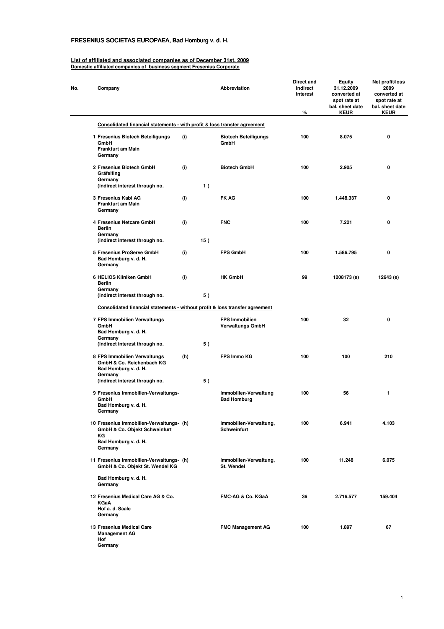### FRESENIUS SOCIETAS EUROPAEA, Bad Homburg v. d. H.

#### **List of affiliated and associated companies as of December 31st, 2009 Domestic affiliated companies of business segment Fresenius Corporate**

| No. | Company                                                                                      |     |     | Abbreviation                                     | Direct and<br>indirect<br>interest<br>% | <b>Equity</b><br>31.12.2009<br>converted at<br>spot rate at<br>bal. sheet date<br><b>KEUR</b> | Net profit/loss<br>2009<br>converted at<br>spot rate at<br>bal. sheet date<br><b>KEUR</b> |
|-----|----------------------------------------------------------------------------------------------|-----|-----|--------------------------------------------------|-----------------------------------------|-----------------------------------------------------------------------------------------------|-------------------------------------------------------------------------------------------|
|     | Consolidated financial statements - with profit & loss transfer agreement                    |     |     |                                                  |                                         |                                                                                               |                                                                                           |
|     | 1 Fresenius Biotech Beteiligungs<br>GmbH<br><b>Frankfurt am Main</b><br>Germany              | (i) |     | <b>Biotech Beteiligungs</b><br>GmbH              | 100                                     | 8.075                                                                                         | 0                                                                                         |
|     | 2 Fresenius Biotech GmbH<br>Gräfelfing<br>Germany                                            | (i) |     | <b>Biotech GmbH</b>                              | 100                                     | 2.905                                                                                         | 0                                                                                         |
|     | (indirect interest through no.                                                               |     | 1)  |                                                  |                                         |                                                                                               |                                                                                           |
|     | 3 Fresenius Kabi AG<br>Frankfurt am Main<br>Germany                                          | (i) |     | <b>FK AG</b>                                     | 100                                     | 1.448.337                                                                                     | 0                                                                                         |
|     | 4 Fresenius Netcare GmbH<br><b>Berlin</b><br>Germany                                         | (i) |     | <b>FNC</b>                                       | 100                                     | 7.221                                                                                         | 0                                                                                         |
|     | (indirect interest through no.                                                               |     | 15) |                                                  |                                         |                                                                                               |                                                                                           |
|     | 5 Fresenius ProServe GmbH<br>Bad Homburg v. d. H.<br>Germany                                 | (i) |     | <b>FPS GmbH</b>                                  | 100                                     | 1.586.795                                                                                     | 0                                                                                         |
|     | 6 HELIOS Kliniken GmbH<br>Berlin<br>Germany                                                  | (i) |     | <b>HK GmbH</b>                                   | 99                                      | 1208173 (e)                                                                                   | 12643 (e)                                                                                 |
|     | (indirect interest through no.                                                               |     | 5)  |                                                  |                                         |                                                                                               |                                                                                           |
|     | Consolidated financial statements - without profit & loss transfer agreement                 |     |     |                                                  |                                         |                                                                                               |                                                                                           |
|     | 7 FPS Immobilien Verwaltungs<br>GmbH<br>Bad Homburg v. d. H.<br>Germany                      |     |     | <b>FPS Immobilien</b><br><b>Verwaltungs GmbH</b> | 100                                     | 32                                                                                            | 0                                                                                         |
|     | (indirect interest through no.                                                               |     | 5)  |                                                  |                                         |                                                                                               |                                                                                           |
|     | 8 FPS Immobilien Verwaltungs<br>GmbH & Co. Reichenbach KG<br>Bad Homburg v. d. H.<br>Germany | (h) |     | <b>FPS Immo KG</b>                               | 100                                     | 100                                                                                           | 210                                                                                       |
|     | (indirect interest through no.                                                               |     | 5)  |                                                  |                                         |                                                                                               |                                                                                           |
|     | 9 Fresenius Immobilien-Verwaltungs-<br>GmbH<br>Bad Homburg v. d. H.<br>Germany               |     |     | Immobilien-Verwaltung<br><b>Bad Homburg</b>      | 100                                     | 56                                                                                            | 1                                                                                         |
|     | 10 Fresenius Immobilien-Verwaltungs- (h)<br>GmbH & Co. Objekt Schweinfurt<br>ΚG              |     |     | Immobilien-Verwaltung,<br><b>Schweinfurt</b>     | 100                                     | 6.941                                                                                         | 4.103                                                                                     |
|     | Bad Homburg v. d. H.<br>Germany                                                              |     |     |                                                  |                                         |                                                                                               |                                                                                           |
|     | 11 Fresenius Immobilien-Verwaltungs- (h)<br>GmbH & Co. Objekt St. Wendel KG                  |     |     | Immobilien-Verwaltung,<br>St. Wendel             | 100                                     | 11.248                                                                                        | 6.075                                                                                     |
|     | Bad Homburg v. d. H.<br>Germany                                                              |     |     |                                                  |                                         |                                                                                               |                                                                                           |
|     | 12 Fresenius Medical Care AG & Co.<br><b>KGaA</b><br>Hof a. d. Saale<br>Germany              |     |     | FMC-AG & Co. KGaA                                | 36                                      | 2.716.577                                                                                     | 159.404                                                                                   |
|     | 13 Fresenius Medical Care<br><b>Management AG</b><br>Hof<br>Germany                          |     |     | <b>FMC Management AG</b>                         | 100                                     | 1.897                                                                                         | 67                                                                                        |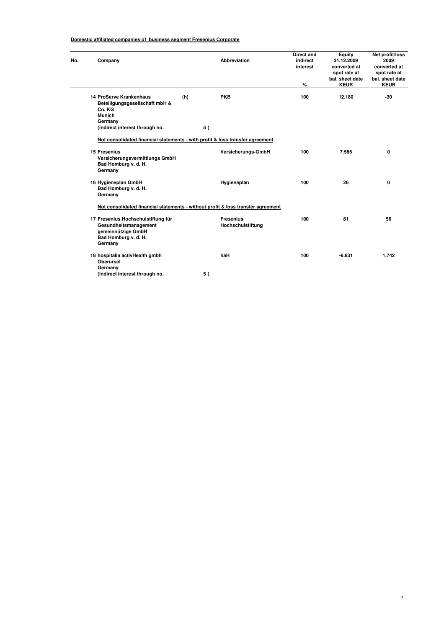#### **Domestic affiliated companies of business segment Fresenius Corporate**

| 14 ProServe Krankenhaus<br>Beteiligungsgesellschaft mbH &<br>Co. KG<br><b>Munich</b><br>Germany<br>(indirect interest through no.<br>Not consolidated financial statements - with profit & loss transfer agreement | (h)<br>5)                   | <b>PKB</b>                            | %<br>100 | <b>KEUR</b><br>12.180                | <b>KEUR</b><br>$-30$ |
|--------------------------------------------------------------------------------------------------------------------------------------------------------------------------------------------------------------------|-----------------------------|---------------------------------------|----------|--------------------------------------|----------------------|
|                                                                                                                                                                                                                    |                             |                                       |          |                                      |                      |
|                                                                                                                                                                                                                    |                             |                                       |          |                                      |                      |
|                                                                                                                                                                                                                    |                             |                                       |          |                                      |                      |
| 15 Fresenius<br>Versicherungsvermittlungs GmbH<br>Bad Homburg v. d. H.<br>Germany                                                                                                                                  |                             | Versicherungs-GmbH                    | 100      | 7.585                                | 0                    |
| 16 Hygieneplan GmbH<br>Bad Homburg v. d. H.<br>Germany                                                                                                                                                             |                             | Hygieneplan                           | 100      | 26                                   | 0                    |
| Not consolidated financial statements - without profit & loss transfer agreement                                                                                                                                   |                             |                                       |          |                                      |                      |
| 17 Fresenius Hochschulstiftung für<br>Gesundheitsmanagement<br>gemeinnützige GmbH<br>Bad Homburg v. d. H.<br>Germany                                                                                               |                             | <b>Fresenius</b><br>Hochschulstiftung | 100      | 81                                   | 56                   |
| 18 hospitalia activHealth gmbh                                                                                                                                                                                     |                             | haH                                   | 100      | $-6.831$                             | 1.742                |
|                                                                                                                                                                                                                    | <b>Oberursel</b><br>Germany |                                       |          | (indirect interest through no.<br>5) |                      |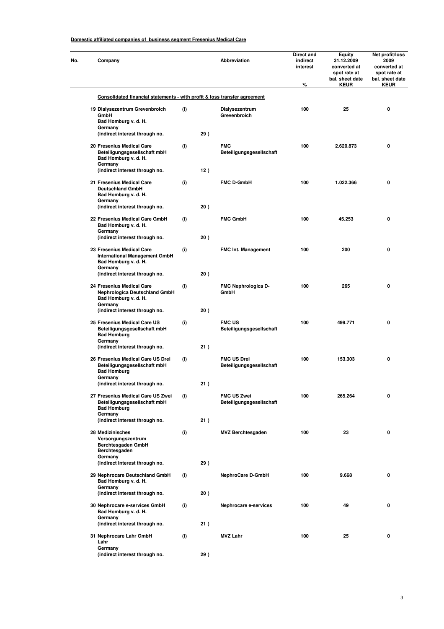#### **Domestic affiliated companies of business segment Fresenius Medical Care**

| No. | Company                                                                                              |     |     | <b>Abbreviation</b>                            | Direct and<br>indirect<br>interest<br>% | Equity<br>31.12.2009<br>converted at<br>spot rate at<br>bal. sheet date<br><b>KEUR</b> | Net profit/loss<br>2009<br>converted at<br>spot rate at<br>bal. sheet date<br><b>KEUR</b> |
|-----|------------------------------------------------------------------------------------------------------|-----|-----|------------------------------------------------|-----------------------------------------|----------------------------------------------------------------------------------------|-------------------------------------------------------------------------------------------|
|     | Consolidated financial statements - with profit & loss transfer agreement                            |     |     |                                                |                                         |                                                                                        |                                                                                           |
|     | 19 Dialysezentrum Grevenbroich<br>GmbH<br>Bad Homburg v. d. H.<br>Germany                            | (i) |     | Dialysezentrum<br>Grevenbroich                 | 100                                     | 25                                                                                     | 0                                                                                         |
|     | (indirect interest through no.                                                                       |     | 29) |                                                |                                         |                                                                                        |                                                                                           |
|     | 20 Fresenius Medical Care<br>Beteiligungsgesellschaft mbH<br>Bad Homburg v. d. H.<br>Germany         | (i) |     | <b>FMC</b><br>Beteiligungsgesellschaft         | 100                                     | 2.620.873                                                                              | 0                                                                                         |
|     | (indirect interest through no.                                                                       |     | 12) |                                                |                                         |                                                                                        |                                                                                           |
|     | 21 Fresenius Medical Care<br><b>Deutschland GmbH</b><br>Bad Homburg v. d. H.<br>Germany              | (i) |     | <b>FMC D-GmbH</b>                              | 100                                     | 1.022.366                                                                              | 0                                                                                         |
|     | (indirect interest through no.                                                                       |     | 20) |                                                |                                         |                                                                                        |                                                                                           |
|     | 22 Fresenius Medical Care GmbH<br>Bad Homburg v. d. H.<br>Germany<br>(indirect interest through no.  | (i) | 20) | <b>FMC GmbH</b>                                | 100                                     | 45.253                                                                                 | 0                                                                                         |
|     | 23 Fresenius Medical Care<br><b>International Management GmbH</b><br>Bad Homburg v. d. H.            | (i) |     | <b>FMC Int. Management</b>                     | 100                                     | 200                                                                                    | 0                                                                                         |
|     | Germany<br>(indirect interest through no.                                                            |     | 20) |                                                |                                         |                                                                                        |                                                                                           |
|     | 24 Fresenius Medical Care<br><b>Nephrologica Deutschland GmbH</b><br>Bad Homburg v. d. H.<br>Germany | (i) |     | FMC Nephrologica D-<br>GmbH                    | 100                                     | 265                                                                                    | 0                                                                                         |
|     | (indirect interest through no.                                                                       |     | 20) |                                                |                                         |                                                                                        |                                                                                           |
|     | 25 Fresenius Medical Care US<br>Beteiligungsgesellschaft mbH<br><b>Bad Homburg</b><br>Germany        | (i) |     | <b>FMC US</b><br>Beteiligungsgesellschaft      | 100                                     | 499.771                                                                                | 0                                                                                         |
|     | (indirect interest through no.                                                                       |     | 21) |                                                |                                         |                                                                                        |                                                                                           |
|     | 26 Fresenius Medical Care US Drei<br>Beteiligungsgesellschaft mbH<br><b>Bad Homburg</b><br>Germany   | (i) |     | <b>FMC US Drei</b><br>Beteiligungsgesellschaft | 100                                     | 153.303                                                                                | 0                                                                                         |
|     | (indirect interest through no.                                                                       |     | 21) |                                                |                                         |                                                                                        |                                                                                           |
|     | 27 Fresenius Medical Care US Zwei<br>Beteiligungsgesellschaft mbH<br><b>Bad Homburg</b><br>Germany   | (i) |     | <b>FMC US Zwei</b><br>Beteiligungsgesellschaft | 100                                     | 265.264                                                                                | 0                                                                                         |
|     | (indirect interest through no.                                                                       |     | 21) |                                                |                                         |                                                                                        |                                                                                           |
|     | 28 Medizinisches<br>Versorgungszentrum<br>Berchtesgaden GmbH<br>Berchtesgaden<br>Germany             | (i) |     | <b>MVZ Berchtesgaden</b>                       | 100                                     | 23                                                                                     | 0                                                                                         |
|     | (indirect interest through no.                                                                       |     | 29) |                                                |                                         |                                                                                        |                                                                                           |
|     | 29 Nephrocare Deutschland GmbH<br>Bad Homburg v. d. H.<br>Germany                                    | (i) |     | <b>NephroCare D-GmbH</b>                       | 100                                     | 9.668                                                                                  | 0                                                                                         |
|     | (indirect interest through no.<br>30 Nephrocare e-services GmbH                                      | (i) | 20) | Nephrocare e-services                          | 100                                     | 49                                                                                     | 0                                                                                         |
|     | Bad Homburg v. d. H.<br>Germany<br>(indirect interest through no.                                    |     | 21) |                                                |                                         |                                                                                        |                                                                                           |
|     | 31 Nephrocare Lahr GmbH<br>Lahr                                                                      | (i) |     | <b>MVZ Lahr</b>                                | 100                                     | 25                                                                                     | 0                                                                                         |
|     | Germany<br>(indirect interest through no.                                                            |     | 29) |                                                |                                         |                                                                                        |                                                                                           |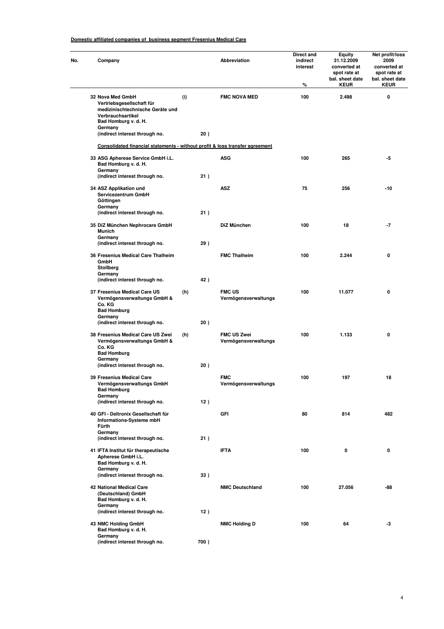#### **Domestic affiliated companies of business segment Fresenius Medical Care**

| No. | Company                                                                                                                                   |     |      | Abbreviation                               | Direct and<br>indirect<br>interest<br>% | <b>Equity</b><br>31.12.2009<br>converted at<br>spot rate at<br>bal. sheet date<br><b>KEUR</b> | Net profit/loss<br>2009<br>converted at<br>spot rate at<br>bal. sheet date<br><b>KEUR</b> |
|-----|-------------------------------------------------------------------------------------------------------------------------------------------|-----|------|--------------------------------------------|-----------------------------------------|-----------------------------------------------------------------------------------------------|-------------------------------------------------------------------------------------------|
|     | 32 Nova Med GmbH<br>Vertriebsgesellschaft für<br>medizinischtechnische Geräte und<br>Verbrauchsartikel<br>Bad Homburg v. d. H.<br>Germany | (i) |      | <b>FMC NOVA MED</b>                        | 100                                     | 2.498                                                                                         | 0                                                                                         |
|     | (indirect interest through no.<br>Consolidated financial statements - without profit & loss transfer agreement                            |     | 20)  |                                            |                                         |                                                                                               |                                                                                           |
|     | 33 ASG Apherese Service GmbH i.L.                                                                                                         |     |      | <b>ASG</b>                                 | 100                                     | 265                                                                                           | -5                                                                                        |
|     | Bad Homburg v. d. H.<br>Germany<br>(indirect interest through no.                                                                         |     | 21)  |                                            |                                         |                                                                                               |                                                                                           |
|     | 34 ASZ Applikation und<br>Servicezentrum GmbH<br>Göttingen<br>Germany                                                                     |     |      | <b>ASZ</b>                                 | 75                                      | 256                                                                                           | -10                                                                                       |
|     | (indirect interest through no.                                                                                                            |     | 21)  |                                            |                                         |                                                                                               |                                                                                           |
|     | 35 DiZ München Nephrocare GmbH<br><b>Munich</b><br>Germany                                                                                |     |      | DiZ München                                | 100                                     | 18                                                                                            | $-7$                                                                                      |
|     | (indirect interest through no.                                                                                                            |     | 29)  |                                            |                                         |                                                                                               |                                                                                           |
|     | 36 Fresenius Medical Care Thalheim<br>GmbH<br>Stollberg<br>Germany                                                                        |     |      | <b>FMC Thalheim</b>                        | 100                                     | 2.244                                                                                         | 0                                                                                         |
|     | (indirect interest through no.                                                                                                            |     | 42)  |                                            |                                         |                                                                                               |                                                                                           |
|     | 37 Fresenius Medical Care US<br>Vermögensverwaltungs GmbH &<br>Co. KG<br><b>Bad Homburg</b>                                               | (h) |      | <b>FMC US</b><br>Vermögensverwaltungs      | 100                                     | 11.077                                                                                        | 0                                                                                         |
|     | Germany<br>(indirect interest through no.                                                                                                 |     | 20)  |                                            |                                         |                                                                                               |                                                                                           |
|     | 38 Fresenius Medical Care US Zwei<br>Vermögensverwaltungs GmbH &<br>Co. KG<br><b>Bad Homburg</b>                                          | (h) |      | <b>FMC US Zwei</b><br>Vermögensverwaltungs | 100                                     | 1.133                                                                                         | 0                                                                                         |
|     | Germany<br>(indirect interest through no.                                                                                                 |     | 20)  |                                            |                                         |                                                                                               |                                                                                           |
|     | 39 Fresenius Medical Care<br>Vermögensverwaltungs GmbH<br><b>Bad Homburg</b><br>Germany                                                   |     |      | <b>FMC</b><br>Vermögensverwaltungs         | 100                                     | 197                                                                                           | 18                                                                                        |
|     | (indirect interest through no.                                                                                                            |     | 12)  |                                            |                                         |                                                                                               |                                                                                           |
|     | 40 GFI - Deltronix Gesellschaft für<br>Informations-Systeme mbH<br>Fürth                                                                  |     |      | GFI                                        | 80                                      | 814                                                                                           | 482                                                                                       |
|     | Germany<br>(indirect interest through no.                                                                                                 |     | 21)  |                                            |                                         |                                                                                               |                                                                                           |
|     | 41 IFTA Institut für therapeutische<br>Apherese GmbH i.L.<br>Bad Homburg v. d. H.<br>Germany                                              |     |      | <b>IFTA</b>                                | 100                                     | 0                                                                                             | 0                                                                                         |
|     | (indirect interest through no.                                                                                                            |     | 33)  |                                            |                                         |                                                                                               |                                                                                           |
|     | <b>42 National Medical Care</b><br>(Deutschland) GmbH<br>Bad Homburg v. d. H.<br>Germany                                                  |     |      | <b>NMC Deutschland</b>                     | 100                                     | 27.056                                                                                        | -88                                                                                       |
|     | (indirect interest through no.                                                                                                            |     | 12)  |                                            |                                         |                                                                                               |                                                                                           |
|     | 43 NMC Holding GmbH<br>Bad Homburg v. d. H.<br>Germany                                                                                    |     |      | <b>NMC Holding D</b>                       | 100                                     | 64                                                                                            | -3                                                                                        |
|     | (indirect interest through no.                                                                                                            |     | 700) |                                            |                                         |                                                                                               |                                                                                           |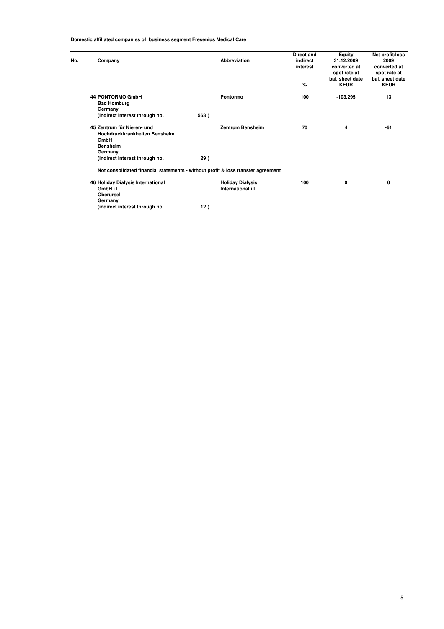#### **Domestic affiliated companies of business segment Fresenius Medical Care**

| No. | Company                                                                                                                             | Abbreviation                                                                                                                             | Direct and<br>indirect<br>interest<br>% | Equity<br>31.12.2009<br>converted at<br>spot rate at<br>bal. sheet date<br><b>KEUR</b> | Net profit/loss<br>2009<br>converted at<br>spot rate at<br>bal. sheet date<br><b>KEUR</b> |
|-----|-------------------------------------------------------------------------------------------------------------------------------------|------------------------------------------------------------------------------------------------------------------------------------------|-----------------------------------------|----------------------------------------------------------------------------------------|-------------------------------------------------------------------------------------------|
|     | <b>44 PONTORMO GmbH</b><br><b>Bad Homburg</b><br>Germany<br>(indirect interest through no.                                          | Pontormo<br>563)                                                                                                                         | 100                                     | $-103.295$                                                                             | 13                                                                                        |
|     | 45 Zentrum für Nieren- und<br>Hochdruckkrankheiten Bensheim<br>GmbH<br><b>Bensheim</b><br>Germany<br>(indirect interest through no. | <b>Zentrum Bensheim</b><br>29)                                                                                                           | 70                                      | 4                                                                                      | -61                                                                                       |
|     | 46 Holiday Dialysis International<br>GmbH i.L.<br><b>Oberursel</b><br>Germany<br>(indirect interest through no.                     | Not consolidated financial statements - without profit & loss transfer agreement<br><b>Holiday Dialysis</b><br>International i.L.<br>12) | 100                                     | 0                                                                                      | 0                                                                                         |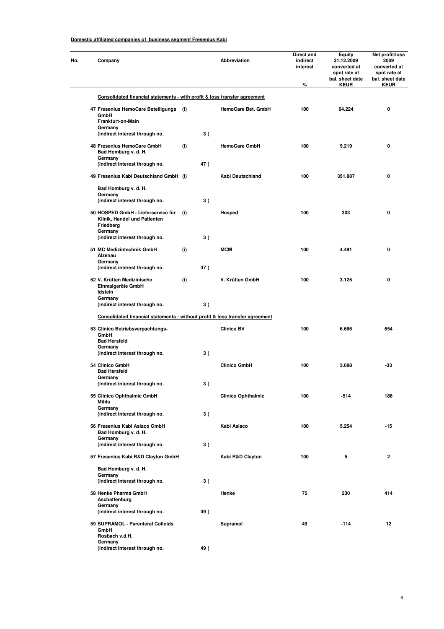÷

|  | Company                                                                                    |     |     | Abbreviation              | Direct and<br>indirect<br>interest | <b>Equity</b><br>31.12.2009<br>converted at<br>spot rate at<br>bal. sheet date | Net profit/loss<br>2009<br>converted at<br>spot rate at<br>bal. sheet date |
|--|--------------------------------------------------------------------------------------------|-----|-----|---------------------------|------------------------------------|--------------------------------------------------------------------------------|----------------------------------------------------------------------------|
|  |                                                                                            |     |     |                           | %                                  | <b>KEUR</b>                                                                    | <b>KEUR</b>                                                                |
|  | Consolidated financial statements - with profit & loss transfer agreement                  |     |     |                           |                                    |                                                                                |                                                                            |
|  | 47 Fresenius HemoCare Beteiligungs<br>GmbH<br>Frankfurt-on-Main<br>Germany                 | (i) |     | HemoCare Bet. GmbH        | 100                                | 64.224                                                                         | 0                                                                          |
|  | (indirect interest through no.                                                             |     | 3)  |                           |                                    |                                                                                |                                                                            |
|  | 48 Fresenius HemoCare GmbH<br>Bad Homburg v. d. H.<br>Germany                              | (i) |     | <b>HemoCare GmbH</b>      | 100                                | 9.219                                                                          | 0                                                                          |
|  | (indirect interest through no.                                                             |     | 47) |                           |                                    |                                                                                |                                                                            |
|  | 49 Fresenius Kabi Deutschland GmbH (i)                                                     |     |     | Kabi Deutschland          | 100                                | 351.887                                                                        | 0                                                                          |
|  | Bad Homburg v. d. H.<br>Germany                                                            |     |     |                           |                                    |                                                                                |                                                                            |
|  | (indirect interest through no.                                                             |     | 3)  |                           |                                    |                                                                                |                                                                            |
|  | 50 HOSPED GmbH - Lieferservice für<br>Klinik, Handel und Patienten<br>Friedberg<br>Germany | (i) |     | Hosped                    | 100                                | 303                                                                            | 0                                                                          |
|  | (indirect interest through no.                                                             |     | 3)  |                           |                                    |                                                                                |                                                                            |
|  | 51 MC Medizintechnik GmbH<br>Alzenau<br>Germany                                            | (i) |     | <b>MCM</b>                | 100                                | 4.491                                                                          | 0                                                                          |
|  | (indirect interest through no.                                                             |     | 47) |                           |                                    |                                                                                |                                                                            |
|  | 52 V. Krütten Medizinische<br>Einmalgeräte GmbH<br>Idstein                                 | (i) |     | V. Krütten GmbH           | 100                                | 3.125                                                                          | 0                                                                          |
|  | Germany                                                                                    |     | 3)  |                           |                                    |                                                                                |                                                                            |
|  | (indirect interest through no.                                                             |     |     |                           |                                    |                                                                                |                                                                            |
|  | Consolidated financial statements - without profit & loss transfer agreement               |     |     |                           |                                    |                                                                                |                                                                            |
|  | 53 Clinico Betriebsverpachtungs-<br>GmbH<br><b>Bad Hersfeld</b><br>Germany                 |     |     | <b>Clinico BV</b>         | 100                                | 6.686                                                                          | 654                                                                        |
|  | (indirect interest through no.                                                             |     | 3)  |                           |                                    |                                                                                |                                                                            |
|  | 54 Clinico GmbH<br><b>Bad Hersfeld</b>                                                     |     |     | <b>Clinico GmbH</b>       | 100                                | 3.088                                                                          | -33                                                                        |
|  | Germany<br>(indirect interest through no.                                                  |     | 3)  |                           |                                    |                                                                                |                                                                            |
|  | 55 Clinico Ophthalmic GmbH<br>Mihla                                                        |     |     | <b>Clinico Ophthalmic</b> | 100                                | $-514$                                                                         | 188                                                                        |
|  | Germany<br>(indirect interest through no.                                                  |     | 3)  |                           |                                    |                                                                                |                                                                            |
|  | 56 Fresenius Kabi Asiaco GmbH<br>Bad Homburg v. d. H.                                      |     |     | Kabi Asiaco               | 100                                | 5.254                                                                          | $-15$                                                                      |
|  | Germany<br>(indirect interest through no.                                                  |     | 3)  |                           |                                    |                                                                                |                                                                            |
|  | 57 Fresenius Kabi R&D Clayton GmbH                                                         |     |     | Kabi R&D Clayton          | 100                                | 5                                                                              | $\mathbf{2}$                                                               |
|  | Bad Homburg v. d. H.                                                                       |     |     |                           |                                    |                                                                                |                                                                            |
|  | Germany<br>(indirect interest through no.                                                  |     | 3)  |                           |                                    |                                                                                |                                                                            |
|  | 58 Henke Pharma GmbH<br>Aschaffenburg                                                      |     |     | Henke                     | 75                                 | 230                                                                            | 414                                                                        |
|  | Germany<br>(indirect interest through no.                                                  |     | 49) |                           |                                    |                                                                                |                                                                            |
|  | 59 SUPRAMOL - Parenteral Colloids<br>GmbH                                                  |     |     | Supramol                  | 49                                 | $-114$                                                                         | 12                                                                         |
|  | Rosbach v.d.H.<br>Germany<br>(indirect interest through no.                                |     | 49) |                           |                                    |                                                                                |                                                                            |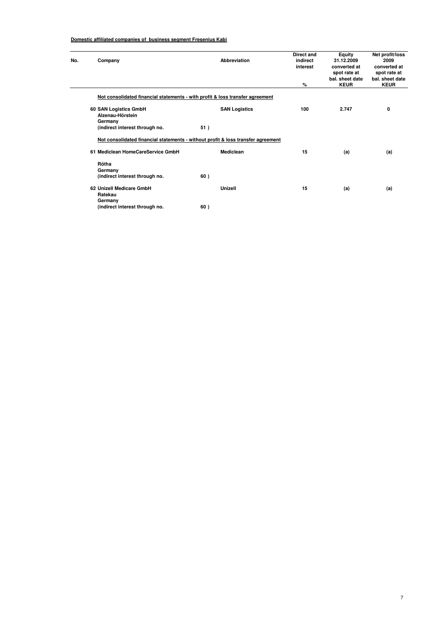| No. | Company                                   | Abbreviation                                                                     | Direct and<br>indirect<br>interest | Equity<br>31.12.2009<br>converted at<br>spot rate at<br>bal. sheet date | Net profit/loss<br>2009<br>converted at<br>spot rate at<br>bal, sheet date |  |  |  |  |  |  |  |  |
|-----|-------------------------------------------|----------------------------------------------------------------------------------|------------------------------------|-------------------------------------------------------------------------|----------------------------------------------------------------------------|--|--|--|--|--|--|--|--|
|     |                                           |                                                                                  | %                                  | <b>KEUR</b>                                                             | <b>KEUR</b>                                                                |  |  |  |  |  |  |  |  |
|     |                                           | Not consolidated financial statements - with profit & loss transfer agreement    |                                    |                                                                         |                                                                            |  |  |  |  |  |  |  |  |
|     | 60 SAN Logistics GmbH<br>Alzenau-Hörstein | <b>SAN Logistics</b>                                                             | 100                                | 2.747                                                                   | 0                                                                          |  |  |  |  |  |  |  |  |
|     | Germany                                   |                                                                                  |                                    |                                                                         |                                                                            |  |  |  |  |  |  |  |  |
|     | (indirect interest through no.            | 51)                                                                              |                                    |                                                                         |                                                                            |  |  |  |  |  |  |  |  |
|     |                                           | Not consolidated financial statements - without profit & loss transfer agreement |                                    |                                                                         |                                                                            |  |  |  |  |  |  |  |  |
|     | 61 Mediclean HomeCareService GmbH         | Mediclean                                                                        | 15                                 | (a)                                                                     | (a)                                                                        |  |  |  |  |  |  |  |  |
|     | Rötha<br>Germany                          |                                                                                  |                                    |                                                                         |                                                                            |  |  |  |  |  |  |  |  |
|     | (indirect interest through no.            | 60)                                                                              |                                    |                                                                         |                                                                            |  |  |  |  |  |  |  |  |
|     | 62 Unizell Medicare GmbH<br>Ratekau       | Unizell                                                                          | 15                                 | (a)                                                                     | (a)                                                                        |  |  |  |  |  |  |  |  |
|     | Germany                                   |                                                                                  |                                    |                                                                         |                                                                            |  |  |  |  |  |  |  |  |
|     | (indirect interest through no.            | 60)                                                                              |                                    |                                                                         |                                                                            |  |  |  |  |  |  |  |  |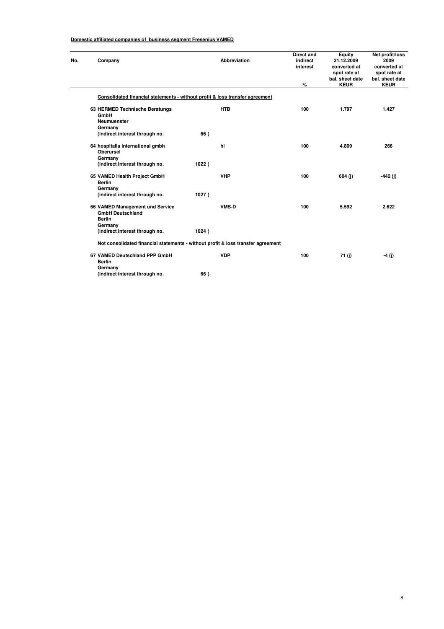$\mathcal{L}$ 

| Company                  |                                                                                  |       | Abbreviation | <b>Direct and</b><br>indirect<br>interest | Equity<br>31.12.2009<br>converted at<br>spot rate at<br>bal. sheet date | Net profit/loss<br>2009<br>converted at<br>spot rate at<br>bal. sheet date |
|--------------------------|----------------------------------------------------------------------------------|-------|--------------|-------------------------------------------|-------------------------------------------------------------------------|----------------------------------------------------------------------------|
|                          |                                                                                  |       |              | %                                         | <b>KEUR</b>                                                             | <b>KEUR</b>                                                                |
|                          | Consolidated financial statements - without profit & loss transfer agreement     |       |              |                                           |                                                                         |                                                                            |
| GmbH<br>Germany          | 63 HERMED Technische Beratungs<br><b>Neumuenster</b>                             |       | <b>HTB</b>   | 100                                       | 1.797                                                                   | 1.427                                                                      |
|                          | (indirect interest through no.                                                   | 66)   |              |                                           |                                                                         |                                                                            |
| <b>Oberursel</b>         | 64 hospitalia international gmbh                                                 |       | hi           | 100                                       | 4.809                                                                   | 266                                                                        |
| Germany                  | (indirect interest through no.                                                   | 1022) |              |                                           |                                                                         |                                                                            |
| <b>Berlin</b>            | 65 VAMED Health Project GmbH                                                     |       | <b>VHP</b>   | 100                                       | 604 (j)                                                                 | $-442(j)$                                                                  |
| Germany                  | (indirect interest through no.                                                   | 1027) |              |                                           |                                                                         |                                                                            |
| <b>Berlin</b><br>Germany | 66 VAMED Management und Service<br><b>GmbH Deutschland</b>                       |       | <b>VMS-D</b> | 100                                       | 5.592                                                                   | 2.622                                                                      |
|                          | (indirect interest through no.                                                   | 1024) |              |                                           |                                                                         |                                                                            |
|                          | Not consolidated financial statements - without profit & loss transfer agreement |       |              |                                           |                                                                         |                                                                            |
| <b>Berlin</b><br>Germany | 67 VAMED Deutschland PPP GmbH                                                    |       | <b>VDP</b>   | 100                                       | 71 (j)                                                                  | $-4(j)$                                                                    |
|                          | (indirect interest through no.                                                   | 66)   |              |                                           |                                                                         |                                                                            |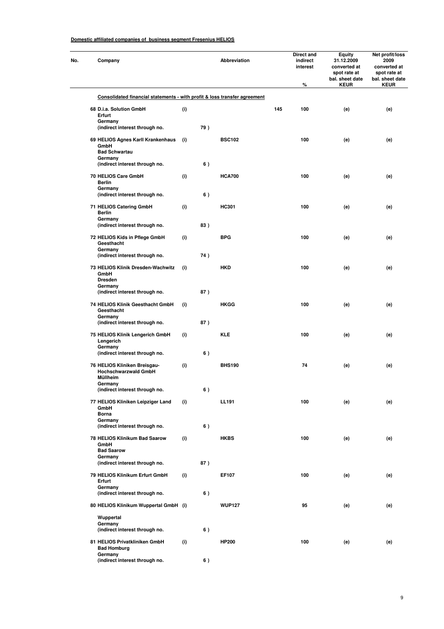| No. | Company                                                                                                        |     |     | <b>Abbreviation</b> |     | Direct and<br>indirect<br>interest<br>% | <b>Equity</b><br>31.12.2009<br>converted at<br>spot rate at<br>bal. sheet date<br><b>KEUR</b> | Net profit/loss<br>2009<br>converted at<br>spot rate at<br>bal. sheet date<br><b>KEUR</b> |
|-----|----------------------------------------------------------------------------------------------------------------|-----|-----|---------------------|-----|-----------------------------------------|-----------------------------------------------------------------------------------------------|-------------------------------------------------------------------------------------------|
|     | Consolidated financial statements - with profit & loss transfer agreement                                      |     |     |                     |     |                                         |                                                                                               |                                                                                           |
|     | 68 D.i.a. Solution GmbH<br>Erfurt                                                                              | (i) |     |                     | 145 | 100                                     | (e)                                                                                           | (e)                                                                                       |
|     | Germany<br>(indirect interest through no.                                                                      |     | 79) |                     |     |                                         |                                                                                               |                                                                                           |
|     | 69 HELIOS Agnes Karll Krankenhaus<br>GmbH<br><b>Bad Schwartau</b><br>Germany<br>(indirect interest through no. | (i) | 6)  | <b>BSC102</b>       |     | 100                                     | (e)                                                                                           | (e)                                                                                       |
|     | 70 HELIOS Care GmbH<br><b>Berlin</b><br>Germany                                                                | (i) |     | <b>HCA700</b>       |     | 100                                     | (e)                                                                                           | (e)                                                                                       |
|     | (indirect interest through no.                                                                                 |     | 6)  |                     |     |                                         |                                                                                               |                                                                                           |
|     | 71 HELIOS Catering GmbH<br><b>Berlin</b><br>Germany                                                            | (i) |     | <b>HC301</b>        |     | 100                                     | (e)                                                                                           | (e)                                                                                       |
|     | (indirect interest through no.<br>72 HELIOS Kids in Pflege GmbH<br>Geesthacht                                  | (i) | 83) | <b>BPG</b>          |     | 100                                     | (e)                                                                                           | (e)                                                                                       |
|     | Germany<br>(indirect interest through no.                                                                      |     | 74) |                     |     |                                         |                                                                                               |                                                                                           |
|     | 73 HELIOS Klinik Dresden-Wachwitz<br>GmbH<br><b>Dresden</b>                                                    | (i) |     | <b>HKD</b>          |     | 100                                     | (e)                                                                                           | (e)                                                                                       |
|     | Germany<br>(indirect interest through no.                                                                      |     | 87) |                     |     |                                         |                                                                                               |                                                                                           |
|     | 74 HELIOS Klinik Geesthacht GmbH<br>Geesthacht<br>Germany                                                      | (i) |     | HKGG                |     | 100                                     | (e)                                                                                           | (e)                                                                                       |
|     | (indirect interest through no.<br>75 HELIOS Klinik Lengerich GmbH                                              | (i) | 87) | <b>KLE</b>          |     | 100                                     | (e)                                                                                           | (e)                                                                                       |
|     | Lengerich<br>Germany<br>(indirect interest through no.                                                         |     | 6)  |                     |     |                                         |                                                                                               |                                                                                           |
|     | 76 HELIOS Kliniken Breisgau-<br><b>Hochschwarzwald GmbH</b><br>Müllheim<br>Germany                             | (i) |     | <b>BHS190</b>       |     | 74                                      | (e)                                                                                           | (e)                                                                                       |
|     | (indirect interest through no.<br>77 HELIOS Kliniken Leipziger Land<br>GmbH                                    | (i) | 6)  | <b>LL191</b>        |     | 100                                     | (e)                                                                                           | (e)                                                                                       |
|     | <b>Borna</b><br>Germany<br>(indirect interest through no.                                                      |     | 6)  |                     |     |                                         |                                                                                               |                                                                                           |
|     | 78 HELIOS Klinikum Bad Saarow<br>GmbH<br><b>Bad Saarow</b>                                                     | (i) |     | <b>HKBS</b>         |     | 100                                     | (e)                                                                                           | (e)                                                                                       |
|     | Germany<br>(indirect interest through no.                                                                      |     | 87) |                     |     |                                         |                                                                                               |                                                                                           |
|     | 79 HELIOS Klinikum Erfurt GmbH<br>Erfurt                                                                       | (i) |     | EF107               |     | 100                                     | (e)                                                                                           | (e)                                                                                       |
|     | Germany<br>(indirect interest through no.                                                                      |     | 6)  |                     |     |                                         |                                                                                               |                                                                                           |
|     | 80 HELIOS Klinikum Wuppertal GmbH (i)                                                                          |     |     | <b>WUP127</b>       |     | 95                                      | (e)                                                                                           | (e)                                                                                       |
|     | Wuppertal<br>Germany<br>(indirect interest through no.                                                         |     | 6)  |                     |     |                                         |                                                                                               |                                                                                           |
|     | 81 HELIOS Privatkliniken GmbH<br><b>Bad Homburg</b>                                                            | (i) |     | <b>HP200</b>        |     | 100                                     | (e)                                                                                           | (e)                                                                                       |
|     | Germany<br>(indirect interest through no.                                                                      |     | 6)  |                     |     |                                         |                                                                                               |                                                                                           |

9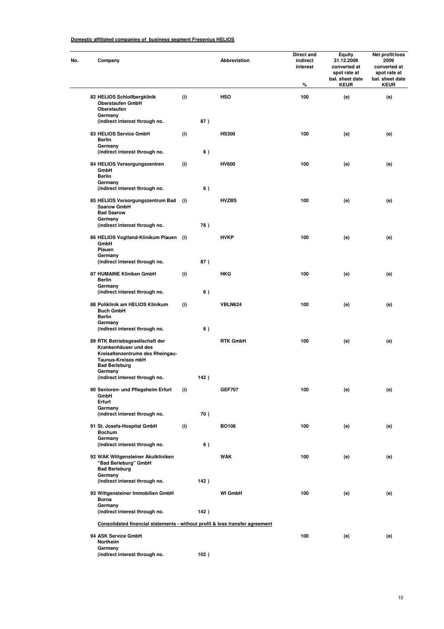| Company                                                                                                                                    |     |      | <b>Abbreviation</b> | Direct and<br>indirect<br>interest<br>% | Equity<br>31.12.2009<br>converted at<br>spot rate at<br>bal. sheet date<br><b>KEUR</b> | Net profit/loss<br>2009<br>converted at<br>spot rate at<br>bal. sheet date<br><b>KEUR</b> |
|--------------------------------------------------------------------------------------------------------------------------------------------|-----|------|---------------------|-----------------------------------------|----------------------------------------------------------------------------------------|-------------------------------------------------------------------------------------------|
| 82 HELIOS Schloßbergklinik<br><b>Oberstaufen GmbH</b><br>Oberstaufen                                                                       | (i) |      | <b>HSO</b>          | 100                                     | (e)                                                                                    | (e)                                                                                       |
| Germany<br>(indirect interest through no.                                                                                                  |     | 87)  |                     |                                         |                                                                                        |                                                                                           |
| 83 HELIOS Service GmbH<br><b>Berlin</b><br>Germany                                                                                         | (i) |      | <b>HS300</b>        | 100                                     | (e)                                                                                    | (e)                                                                                       |
| (indirect interest through no.                                                                                                             |     | 6)   |                     |                                         |                                                                                        |                                                                                           |
| 84 HELIOS Versorgungszentren<br>GmbH<br><b>Berlin</b>                                                                                      | (i) |      | <b>HV600</b>        | 100                                     | (e)                                                                                    | (e)                                                                                       |
| Germany<br>(indirect interest through no.                                                                                                  |     | 6)   |                     |                                         |                                                                                        |                                                                                           |
| 85 HELIOS Versorgungszentrum Bad<br><b>Saarow GmbH</b><br><b>Bad Saarow</b>                                                                | (i) |      | <b>HVZBS</b>        | 100                                     | (e)                                                                                    | (e)                                                                                       |
| Germany<br>(indirect interest through no.                                                                                                  |     | 78)  |                     |                                         |                                                                                        |                                                                                           |
| 86 HELIOS Vogtland-Klinikum Plauen (i)<br>GmbH<br>Plauen                                                                                   |     |      | <b>HVKP</b>         | 100                                     | (e)                                                                                    | (e)                                                                                       |
| Germany<br>(indirect interest through no.                                                                                                  |     | 87)  |                     |                                         |                                                                                        |                                                                                           |
| 87 HUMAINE Kliniken GmbH<br>Berlin<br>Germany                                                                                              | (i) |      | <b>HKG</b>          | 100                                     | (e)                                                                                    | (e)                                                                                       |
| (indirect interest through no.                                                                                                             |     | 6)   |                     |                                         |                                                                                        |                                                                                           |
| 88 Poliklinik am HELIOS Klinikum<br><b>Buch GmbH</b><br>Berlin<br>Germany                                                                  | (i) |      | <b>VBLN624</b>      | 100                                     | (e)                                                                                    | (e)                                                                                       |
| (indirect interest through no.                                                                                                             |     | 6)   |                     |                                         |                                                                                        |                                                                                           |
| 89 RTK Betriebsgesellschaft der<br>Krankenhäuser und des<br>Kreisaltenzentrums des Rheingau-<br>Taunus-Kreises mbH<br><b>Bad Berleburg</b> |     |      | <b>RTK GmbH</b>     | 100                                     | (e)                                                                                    | (e)                                                                                       |
| Germany<br>(indirect interest through no.                                                                                                  |     | 142) |                     |                                         |                                                                                        |                                                                                           |
| 90 Senioren- und Pflegeheim Erfurt<br>GmbH<br>Erfurt                                                                                       | (i) |      | <b>GEF707</b>       | 100                                     | (e)                                                                                    | (e)                                                                                       |
| Germany<br>(indirect interest through no.                                                                                                  |     | 70)  |                     |                                         |                                                                                        |                                                                                           |
| 91 St. Josefs-Hospital GmbH<br><b>Bochum</b>                                                                                               | (i) |      | BO106               | 100                                     | (e)                                                                                    | (e)                                                                                       |
| Germany<br>(indirect interest through no.                                                                                                  |     | 6)   |                     |                                         |                                                                                        |                                                                                           |
| 92 WAK Wittgensteiner Akutkliniken<br>"Bad Berleburg" GmbH<br><b>Bad Berleburg</b>                                                         |     |      | <b>WAK</b>          | 100                                     | (e)                                                                                    | (e)                                                                                       |
| Germany<br>(indirect interest through no.                                                                                                  |     | 142) |                     |                                         |                                                                                        |                                                                                           |
| 93 Wittgensteiner Immobilien GmbH<br>Borna<br>Germany                                                                                      |     |      | <b>WI GmbH</b>      | 100                                     | (e)                                                                                    | (e)                                                                                       |
| (indirect interest through no.                                                                                                             |     | 142) |                     |                                         |                                                                                        |                                                                                           |
| Consolidated financial statements - without profit & loss transfer agreement                                                               |     |      |                     |                                         |                                                                                        |                                                                                           |
| 94 ASK Service GmbH<br>Northeim<br>Germany                                                                                                 |     |      |                     | 100                                     | (e)                                                                                    | (e)                                                                                       |
| (indirect interest through no.                                                                                                             |     | 102) |                     |                                         |                                                                                        |                                                                                           |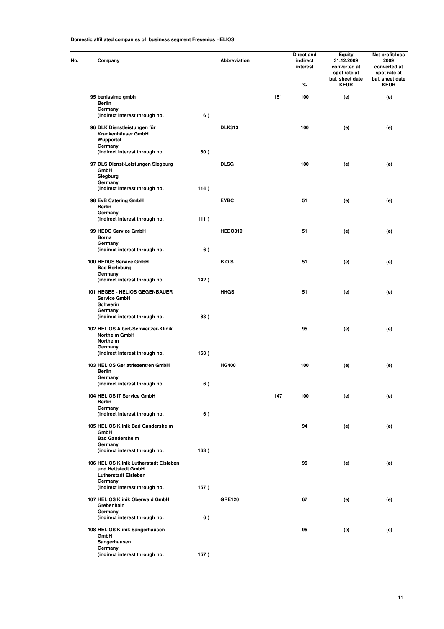| Company                                                                   |      | Abbreviation   |     | Direct and<br>indirect<br>interest<br>% | <b>Equity</b><br>31.12.2009<br>converted at<br>spot rate at<br>bal. sheet date<br><b>KEUR</b> | Net profit/loss<br>2009<br>converted at<br>spot rate at<br>bal. sheet date<br><b>KEUR</b> |
|---------------------------------------------------------------------------|------|----------------|-----|-----------------------------------------|-----------------------------------------------------------------------------------------------|-------------------------------------------------------------------------------------------|
| 95 benissimo gmbh                                                         |      |                | 151 | 100                                     | (e)                                                                                           | (e)                                                                                       |
| <b>Berlin</b><br>Germany                                                  |      |                |     |                                         |                                                                                               |                                                                                           |
| (indirect interest through no.                                            | 6)   |                |     |                                         |                                                                                               |                                                                                           |
| 96 DLK Dienstleistungen für<br>Krankenhäuser GmbH<br>Wuppertal<br>Germany |      | <b>DLK313</b>  |     | 100                                     | (e)                                                                                           | (e)                                                                                       |
| (indirect interest through no.                                            | 80)  |                |     |                                         |                                                                                               |                                                                                           |
| 97 DLS Dienst-Leistungen Siegburg<br>GmbH<br>Siegburg                     |      | <b>DLSG</b>    |     | 100                                     | (e)                                                                                           | (e)                                                                                       |
| Germany<br>(indirect interest through no.                                 | 114) |                |     |                                         |                                                                                               |                                                                                           |
| 98 EvB Catering GmbH                                                      |      | <b>EVBC</b>    |     | 51                                      | (e)                                                                                           | (e)                                                                                       |
| <b>Berlin</b><br>Germany                                                  |      |                |     |                                         |                                                                                               |                                                                                           |
| (indirect interest through no.                                            | 111) |                |     |                                         |                                                                                               |                                                                                           |
| 99 HEDO Service GmbH<br><b>Borna</b>                                      |      | <b>HEDO319</b> |     | 51                                      | (e)                                                                                           | (e)                                                                                       |
| Germany<br>(indirect interest through no.                                 | 6)   |                |     |                                         |                                                                                               |                                                                                           |
| 100 HEDUS Service GmbH<br><b>Bad Berleburg</b>                            |      | <b>B.O.S.</b>  |     | 51                                      | (e)                                                                                           | (e)                                                                                       |
| Germany<br>(indirect interest through no.                                 | 142) |                |     |                                         |                                                                                               |                                                                                           |
| 101 HEGES - HELIOS GEGENBAUER<br>Service GmbH<br>Schwerin                 |      | <b>HHGS</b>    |     | 51                                      | (e)                                                                                           | (e)                                                                                       |
| Germany<br>(indirect interest through no.                                 | 83)  |                |     |                                         |                                                                                               |                                                                                           |
| 102 HELIOS Albert-Schweitzer-Klinik<br><b>Northeim GmbH</b><br>Northeim   |      |                |     | 95                                      | (e)                                                                                           | (e)                                                                                       |
| Germany<br>(indirect interest through no.                                 | 163) |                |     |                                         |                                                                                               |                                                                                           |
| 103 HELIOS Geriatriezentren GmbH<br><b>Berlin</b><br>Germany              |      | <b>HG400</b>   |     | 100                                     | (e)                                                                                           | (e)                                                                                       |
| (indirect interest through no.                                            | 6)   |                |     |                                         |                                                                                               |                                                                                           |
| 104 HELIOS IT Service GmbH<br><b>Berlin</b>                               |      |                | 147 | 100                                     | (e)                                                                                           | (e)                                                                                       |
| Germany<br>(indirect interest through no.                                 | 6)   |                |     |                                         |                                                                                               |                                                                                           |
| 105 HELIOS Klinik Bad Gandersheim<br>GmbH<br><b>Bad Gandersheim</b>       |      |                |     | 94                                      | (e)                                                                                           | (e)                                                                                       |
| Germany<br>(indirect interest through no.                                 | 163) |                |     |                                         |                                                                                               |                                                                                           |
| 106 HELIOS Klinik Lutherstadt Eisleben<br>und Hettstedt GmbH              |      |                |     | 95                                      | (e)                                                                                           | (e)                                                                                       |
| <b>Lutherstadt Eisleben</b><br>Germany                                    |      |                |     |                                         |                                                                                               |                                                                                           |
| (indirect interest through no.                                            | 157) |                |     |                                         |                                                                                               |                                                                                           |
| 107 HELIOS Klinik Oberwald GmbH<br>Grebenhain                             |      | <b>GRE120</b>  |     | 67                                      | (e)                                                                                           | (e)                                                                                       |
| Germany                                                                   |      |                |     |                                         |                                                                                               |                                                                                           |
| (indirect interest through no.                                            | 6)   |                |     |                                         |                                                                                               |                                                                                           |
| 108 HELIOS Klinik Sangerhausen<br>GmbH<br>Sangerhausen                    |      |                |     | 95                                      | (e)                                                                                           | (e)                                                                                       |
| Germany<br>(indirect interest through no.                                 | 157) |                |     |                                         |                                                                                               |                                                                                           |
|                                                                           |      |                |     |                                         |                                                                                               |                                                                                           |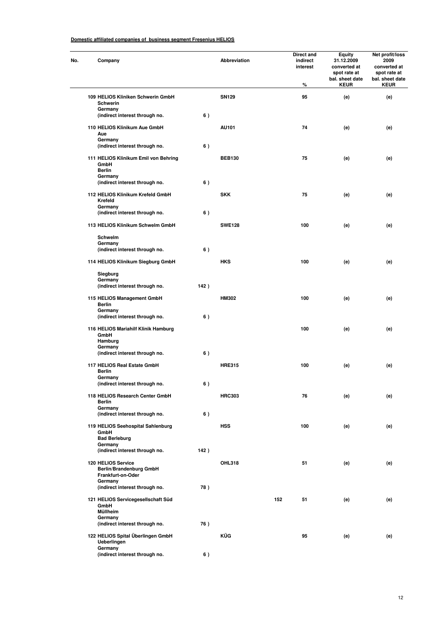| Company                                                            |       | Abbreviation  |     | Direct and<br>indirect<br>interest<br>% | Equity<br>31.12.2009<br>converted at<br>spot rate at<br>bal. sheet date<br><b>KEUR</b> | Net profit/loss<br>2009<br>converted at<br>spot rate at<br>bal. sheet date<br><b>KEUR</b> |
|--------------------------------------------------------------------|-------|---------------|-----|-----------------------------------------|----------------------------------------------------------------------------------------|-------------------------------------------------------------------------------------------|
| 109 HELIOS Kliniken Schwerin GmbH                                  |       | <b>SN129</b>  |     | 95                                      | (e)                                                                                    | (e)                                                                                       |
| Schwerin<br>Germany                                                |       |               |     |                                         |                                                                                        |                                                                                           |
| (indirect interest through no.                                     | 6)    |               |     |                                         |                                                                                        |                                                                                           |
| 110 HELIOS Klinikum Aue GmbH<br>Aue<br>Germany                     |       | AU101         |     | 74                                      | (e)                                                                                    | (e)                                                                                       |
| (indirect interest through no.                                     | 6)    |               |     |                                         |                                                                                        |                                                                                           |
| 111 HELIOS Klinikum Emil von Behring<br>GmbH<br><b>Berlin</b>      |       | <b>BEB130</b> |     | 75                                      | (e)                                                                                    | (e)                                                                                       |
| Germany<br>(indirect interest through no.                          | 6)    |               |     |                                         |                                                                                        |                                                                                           |
| 112 HELIOS Klinikum Krefeld GmbH<br>Krefeld<br>Germany             |       | <b>SKK</b>    |     | 75                                      | (e)                                                                                    | (e)                                                                                       |
| (indirect interest through no.                                     | 6)    |               |     |                                         |                                                                                        |                                                                                           |
| 113 HELIOS Klinikum Schwelm GmbH                                   |       | <b>SWE128</b> |     | 100                                     | (e)                                                                                    | (e)                                                                                       |
| Schwelm<br>Germany<br>(indirect interest through no.               | 6)    |               |     |                                         |                                                                                        |                                                                                           |
| 114 HELIOS Klinikum Siegburg GmbH                                  |       | <b>HKS</b>    |     | 100                                     | (e)                                                                                    | (e)                                                                                       |
| Siegburg                                                           |       |               |     |                                         |                                                                                        |                                                                                           |
| Germany<br>(indirect interest through no.                          | 142)  |               |     |                                         |                                                                                        |                                                                                           |
| 115 HELIOS Management GmbH<br>Berlin                               |       | <b>HM302</b>  |     | 100                                     | (e)                                                                                    | (e)                                                                                       |
| Germany<br>(indirect interest through no.                          | 6)    |               |     |                                         |                                                                                        |                                                                                           |
| 116 HELIOS Mariahilf Klinik Hamburg<br>GmbH<br>Hamburg             |       |               |     | 100                                     | (e)                                                                                    | (e)                                                                                       |
| Germany<br>(indirect interest through no.                          | 6)    |               |     |                                         |                                                                                        |                                                                                           |
| 117 HELIOS Real Estate GmbH<br>Berlin<br>Germany                   |       | <b>HRE315</b> |     | 100                                     | (e)                                                                                    | (e)                                                                                       |
| (indirect interest through no.                                     | $6$ ) |               |     |                                         |                                                                                        |                                                                                           |
| 118 HELIOS Research Center GmbH<br>Berlin<br>Germany               |       | <b>HRC303</b> |     | 76                                      | (e)                                                                                    | (e)                                                                                       |
| (indirect interest through no.                                     | 6)    |               |     |                                         |                                                                                        |                                                                                           |
| 119 HELIOS Seehospital Sahlenburg<br>GmbH<br><b>Bad Berleburg</b>  |       | <b>HSS</b>    |     | 100                                     | (e)                                                                                    | (e)                                                                                       |
| Germany<br>(indirect interest through no.                          | 142)  |               |     |                                         |                                                                                        |                                                                                           |
| 120 HELIOS Service<br>Berlin/Brandenburg GmbH<br>Frankfurt-on-Oder |       | <b>OHL318</b> |     | 51                                      | (e)                                                                                    | (e)                                                                                       |
| Germany<br>(indirect interest through no.                          | 78)   |               |     |                                         |                                                                                        |                                                                                           |
| 121 HELIOS Servicegesellschaft Süd<br>GmbH<br>Müllheim             |       |               | 152 | 51                                      | (e)                                                                                    | (e)                                                                                       |
| Germany<br>(indirect interest through no.                          | 76)   |               |     |                                         |                                                                                        |                                                                                           |
| 122 HELIOS Spital Überlingen GmbH<br>Ueberlingen                   |       | KÜG           |     | 95                                      | (e)                                                                                    | (e)                                                                                       |
| Germany<br>(indirect interest through no.                          | 6)    |               |     |                                         |                                                                                        |                                                                                           |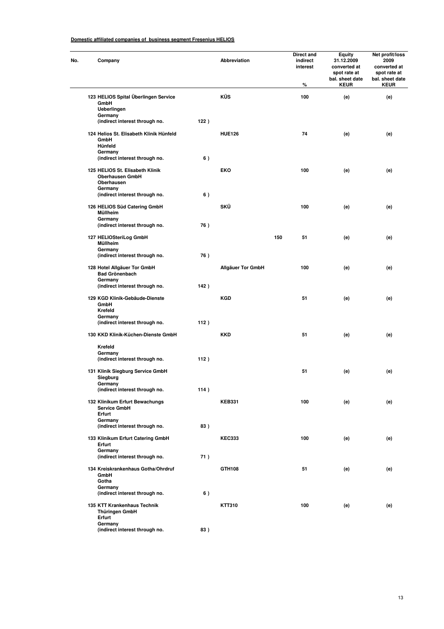| No. | Company                                                                            |      | <b>Abbreviation</b>      |     | Direct and<br>indirect<br>interest<br>% | <b>Equity</b><br>31.12.2009<br>converted at<br>spot rate at<br>bal. sheet date<br><b>KEUR</b> | Net profit/loss<br>2009<br>converted at<br>spot rate at<br>bal. sheet date<br><b>KEUR</b> |
|-----|------------------------------------------------------------------------------------|------|--------------------------|-----|-----------------------------------------|-----------------------------------------------------------------------------------------------|-------------------------------------------------------------------------------------------|
|     | 123 HELIOS Spital Überlingen Service<br>GmbH<br>Ueberlingen                        |      | KÜS                      |     | 100                                     | (e)                                                                                           | (e)                                                                                       |
|     | Germany<br>(indirect interest through no.                                          | 122) |                          |     |                                         |                                                                                               |                                                                                           |
|     | 124 Helios St. Elisabeth Klinik Hünfeld<br>GmbH<br>Hünfeld<br>Germany              |      | <b>HUE126</b>            |     | 74                                      | (e)                                                                                           | (e)                                                                                       |
|     | (indirect interest through no.                                                     | 6)   |                          |     |                                         |                                                                                               |                                                                                           |
|     | 125 HELIOS St. Elisabeth Klinik<br><b>Oberhausen GmbH</b><br>Oberhausen<br>Germany |      | EKO                      |     | 100                                     | (e)                                                                                           | (e)                                                                                       |
|     | (indirect interest through no.                                                     | 6)   |                          |     |                                         |                                                                                               |                                                                                           |
|     | 126 HELIOS Süd Catering GmbH<br>Müllheim<br>Germany                                |      | SKÜ                      |     | 100                                     | (e)                                                                                           | (e)                                                                                       |
|     | (indirect interest through no.                                                     | 76)  |                          |     |                                         |                                                                                               |                                                                                           |
|     | 127 HELIOSteriLog GmbH<br>Müllheim                                                 |      |                          | 150 | 51                                      | (e)                                                                                           | (e)                                                                                       |
|     | Germany<br>(indirect interest through no.                                          | 76)  |                          |     |                                         |                                                                                               |                                                                                           |
|     | 128 Hotel Allgäuer Tor GmbH<br><b>Bad Grönenbach</b>                               |      | <b>Allgäuer Tor GmbH</b> |     | 100                                     | (e)                                                                                           | (e)                                                                                       |
|     | Germany<br>(indirect interest through no.                                          | 142) |                          |     |                                         |                                                                                               |                                                                                           |
|     | 129 KGD Klinik-Gebäude-Dienste<br>GmbH<br>Krefeld                                  |      | <b>KGD</b>               |     | 51                                      | (e)                                                                                           | (e)                                                                                       |
|     | Germany<br>(indirect interest through no.                                          | 112) |                          |     |                                         |                                                                                               |                                                                                           |
|     | 130 KKD Klinik-Küchen-Dienste GmbH                                                 |      | <b>KKD</b>               |     | 51                                      | (e)                                                                                           | (e)                                                                                       |
|     | Krefeld                                                                            |      |                          |     |                                         |                                                                                               |                                                                                           |
|     | Germany<br>(indirect interest through no.                                          | 112) |                          |     |                                         |                                                                                               |                                                                                           |
|     | 131 Klinik Siegburg Service GmbH<br>Siegburg<br>Germany                            |      |                          |     | 51                                      | (e)                                                                                           | (e)                                                                                       |
|     | (indirect interest through no.                                                     | 114) |                          |     |                                         |                                                                                               |                                                                                           |
|     | 132 Klinikum Erfurt Bewachungs<br><b>Service GmbH</b><br>Erfurt                    |      | <b>KEB331</b>            |     | 100                                     | (e)                                                                                           | (e)                                                                                       |
|     | Germany<br>(indirect interest through no.                                          | 83)  |                          |     |                                         |                                                                                               |                                                                                           |
|     | 133 Klinikum Erfurt Catering GmbH<br>Erfurt                                        |      | <b>KEC333</b>            |     | 100                                     | (e)                                                                                           | (e)                                                                                       |
|     | Germany<br>(indirect interest through no.                                          | 71)  |                          |     |                                         |                                                                                               |                                                                                           |
|     | 134 Kreiskrankenhaus Gotha/Ohrdruf<br>GmbH<br>Gotha                                |      | GTH108                   |     | 51                                      | (e)                                                                                           | (e)                                                                                       |
|     | Germany<br>(indirect interest through no.                                          | 6)   |                          |     |                                         |                                                                                               |                                                                                           |
|     | 135 KTT Krankenhaus Technik<br>Thüringen GmbH<br>Erfurt                            |      | KTT310                   |     | 100                                     | (e)                                                                                           | (e)                                                                                       |
|     | Germany<br>(indirect interest through no.                                          | 83)  |                          |     |                                         |                                                                                               |                                                                                           |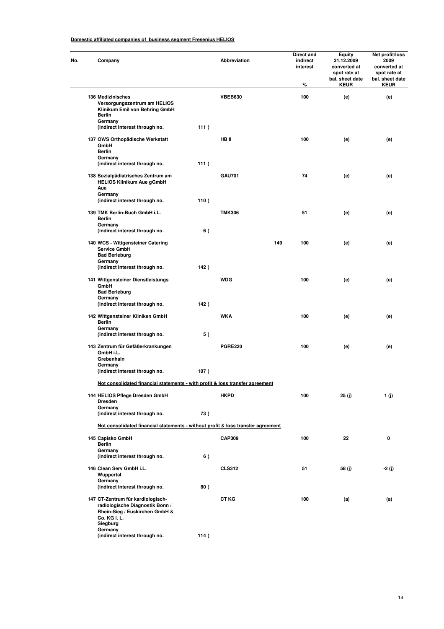| Company                                                                                                                |      | <b>Abbreviation</b> |     | Direct and<br>indirect<br>interest<br>% | <b>Equity</b><br>31.12.2009<br>converted at<br>spot rate at<br>bal. sheet date<br><b>KEUR</b> | Net profit/loss<br>2009<br>converted at<br>spot rate at<br>bal. sheet date<br><b>KEUR</b> |
|------------------------------------------------------------------------------------------------------------------------|------|---------------------|-----|-----------------------------------------|-----------------------------------------------------------------------------------------------|-------------------------------------------------------------------------------------------|
| 136 Medizinisches<br>Versorgungszentrum am HELIOS<br>Klinikum Emil von Behring GmbH<br>Berlin<br>Germany               |      | <b>VBEB630</b>      |     | 100                                     | (e)                                                                                           | (e)                                                                                       |
| (indirect interest through no.                                                                                         | 111) |                     |     |                                         |                                                                                               |                                                                                           |
| 137 OWS Orthopädische Werkstatt<br>GmbH<br><b>Berlin</b><br>Germany                                                    |      | HB II               |     | 100                                     | (e)                                                                                           | (e)                                                                                       |
| (indirect interest through no.                                                                                         | 111) |                     |     |                                         |                                                                                               |                                                                                           |
| 138 Sozialpädiatrisches Zentrum am<br><b>HELIOS Klinikum Aue gGmbH</b><br>Aue                                          |      | <b>GAU701</b>       |     | 74                                      | (e)                                                                                           | (e)                                                                                       |
| Germany<br>(indirect interest through no.                                                                              | 110) |                     |     |                                         |                                                                                               |                                                                                           |
| 139 TMK Berlin-Buch GmbH i.L.<br><b>Berlin</b>                                                                         |      | <b>TMK306</b>       |     | 51                                      | (e)                                                                                           | (e)                                                                                       |
| Germany<br>(indirect interest through no.                                                                              | 6)   |                     |     |                                         |                                                                                               |                                                                                           |
| 140 WCS - Wittgensteiner Catering<br>Service GmbH<br><b>Bad Berleburg</b>                                              |      |                     | 149 | 100                                     | (e)                                                                                           | (e)                                                                                       |
| Germany<br>(indirect interest through no.                                                                              | 142) |                     |     |                                         |                                                                                               |                                                                                           |
| 141 Wittgensteiner Dienstleistungs<br>GmbH<br><b>Bad Berleburg</b>                                                     |      | <b>WDG</b>          |     | 100                                     | (e)                                                                                           | (e)                                                                                       |
| Germany<br>(indirect interest through no.                                                                              | 142) |                     |     |                                         |                                                                                               |                                                                                           |
| 142 Wittgensteiner Kliniken GmbH<br><b>Berlin</b>                                                                      |      | <b>WKA</b>          |     | 100                                     | (e)                                                                                           | (e)                                                                                       |
| Germany<br>(indirect interest through no.                                                                              | 5)   |                     |     |                                         |                                                                                               |                                                                                           |
| 143 Zentrum für Gefäßerkrankungen<br>GmbH i.L.<br>Grebenhain                                                           |      | <b>PGRE220</b>      |     | 100                                     | (e)                                                                                           | (e)                                                                                       |
| Germany<br>(indirect interest through no.                                                                              | 107) |                     |     |                                         |                                                                                               |                                                                                           |
| Not consolidated financial statements - with profit & loss transfer agreement                                          |      |                     |     |                                         |                                                                                               |                                                                                           |
| 144 HELIOS Pflege Dresden GmbH<br><b>Dresden</b><br>Germany                                                            |      | <b>HKPD</b>         |     | 100                                     | 25 (j)                                                                                        | 1 (j)                                                                                     |
| (indirect interest through no.                                                                                         | 73)  |                     |     |                                         |                                                                                               |                                                                                           |
| Not consolidated financial statements - without profit & loss transfer agreement                                       |      |                     |     |                                         |                                                                                               |                                                                                           |
| 145 Capisko GmbH<br><b>Berlin</b>                                                                                      |      | <b>CAP309</b>       |     | 100                                     | 22                                                                                            | 0                                                                                         |
| Germany<br>(indirect interest through no.                                                                              | 6)   |                     |     |                                         |                                                                                               |                                                                                           |
| 146 Clean Serv GmbH i.L.<br>Wuppertal                                                                                  |      | <b>CLS312</b>       |     | 51                                      | 58 (j)                                                                                        | -2 (j)                                                                                    |
| Germany<br>(indirect interest through no.                                                                              | 80)  |                     |     |                                         |                                                                                               |                                                                                           |
| 147 CT-Zentrum für kardiologisch-<br>radiologische Diagnostik Bonn /<br>Rhein-Sieg / Euskirchen GmbH &<br>Co. KG i. L. |      | <b>CT KG</b>        |     | 100                                     | (a)                                                                                           | (a)                                                                                       |
| Siegburg<br>Germany<br>(indirect interest through no.                                                                  | 114) |                     |     |                                         |                                                                                               |                                                                                           |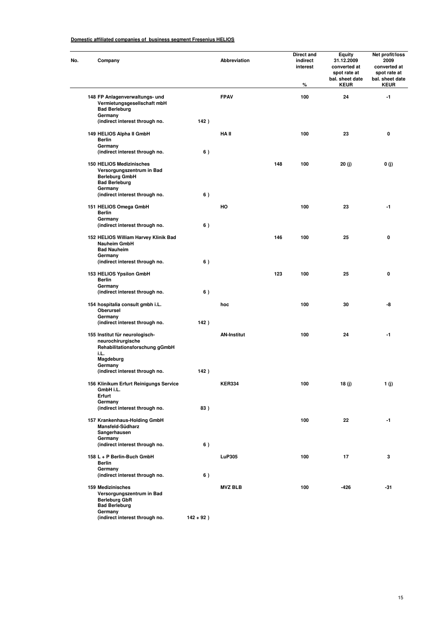| No. | Company                                                                                                           |              | Abbreviation       |     | Direct and<br>indirect<br>interest<br>% | <b>Equity</b><br>31.12.2009<br>converted at<br>spot rate at<br>bal. sheet date<br><b>KEUR</b> | Net profit/loss<br>2009<br>converted at<br>spot rate at<br>bal. sheet date<br><b>KEUR</b> |
|-----|-------------------------------------------------------------------------------------------------------------------|--------------|--------------------|-----|-----------------------------------------|-----------------------------------------------------------------------------------------------|-------------------------------------------------------------------------------------------|
|     | 148 FP Anlagenverwaltungs- und<br>Vermietungsgesellschaft mbH<br><b>Bad Berleburg</b>                             |              | <b>FPAV</b>        |     | 100                                     | 24                                                                                            | -1                                                                                        |
|     | Germany<br>(indirect interest through no.                                                                         | 142)         |                    |     |                                         |                                                                                               |                                                                                           |
|     | 149 HELIOS Alpha II GmbH<br><b>Berlin</b>                                                                         |              | HA II              |     | 100                                     | 23                                                                                            | 0                                                                                         |
|     | Germany<br>(indirect interest through no.                                                                         | 6)           |                    |     |                                         |                                                                                               |                                                                                           |
|     | 150 HELIOS Medizinisches<br>Versorgungszentrum in Bad<br><b>Berleburg GmbH</b><br><b>Bad Berleburg</b><br>Germany |              |                    | 148 | 100                                     | 20 (j)                                                                                        | 0 (j)                                                                                     |
|     | (indirect interest through no.                                                                                    | 6)           |                    |     |                                         |                                                                                               |                                                                                           |
|     | 151 HELIOS Omega GmbH<br><b>Berlin</b><br>Germany<br>(indirect interest through no.                               | 6)           | HO                 |     | 100                                     | 23                                                                                            | -1                                                                                        |
|     | 152 HELIOS William Harvey Klinik Bad<br><b>Nauheim GmbH</b><br><b>Bad Nauheim</b>                                 |              |                    | 146 | 100                                     | 25                                                                                            | 0                                                                                         |
|     | Germany<br>(indirect interest through no.                                                                         | 6)           |                    |     |                                         |                                                                                               |                                                                                           |
|     | 153 HELIOS Ypsilon GmbH<br><b>Berlin</b>                                                                          |              |                    | 123 | 100                                     | 25                                                                                            | 0                                                                                         |
|     | Germany<br>(indirect interest through no.                                                                         | 6)           |                    |     |                                         |                                                                                               |                                                                                           |
|     | 154 hospitalia consult gmbh i.L.<br>Oberursel<br>Germany                                                          |              | hoc                |     | 100                                     | 30                                                                                            | -8                                                                                        |
|     | (indirect interest through no.                                                                                    | 142)         |                    |     |                                         |                                                                                               |                                                                                           |
|     | 155 Institut für neurologisch-<br>neurochirurgische<br>Rehabilitationsforschung gGmbH<br>i.L.                     |              | <b>AN-Institut</b> |     | 100                                     | 24                                                                                            | -1                                                                                        |
|     | Magdeburg<br>Germany                                                                                              |              |                    |     |                                         |                                                                                               |                                                                                           |
|     | (indirect interest through no.                                                                                    | 142)         |                    |     |                                         |                                                                                               |                                                                                           |
|     | 156 Klinikum Erfurt Reinigungs Service<br>GmbH i.L.<br>Erfurt                                                     |              | <b>KER334</b>      |     | 100                                     | 18 (j)                                                                                        | 1 (j)                                                                                     |
|     | Germany<br>(indirect interest through no.                                                                         | 83)          |                    |     |                                         |                                                                                               |                                                                                           |
|     | 157 Krankenhaus-Holding GmbH<br>Mansfeld-Südharz<br>Sangerhausen<br>Germany                                       |              |                    |     | 100                                     | 22                                                                                            | $-1$                                                                                      |
|     | (indirect interest through no.                                                                                    | 6)           |                    |     |                                         |                                                                                               |                                                                                           |
|     | 158 L + P Berlin-Buch GmbH<br>Berlin<br>Germany                                                                   |              | LuP305             |     | 100                                     | 17                                                                                            | 3                                                                                         |
|     | (indirect interest through no.                                                                                    | 6)           |                    |     |                                         |                                                                                               |                                                                                           |
|     | 159 Medizinisches<br>Versorgungszentrum in Bad<br><b>Berleburg GbR</b><br><b>Bad Berleburg</b>                    |              | <b>MVZ BLB</b>     |     | 100                                     | $-426$                                                                                        | -31                                                                                       |
|     | Germany<br>(indirect interest through no.                                                                         | $142 + 92$ ) |                    |     |                                         |                                                                                               |                                                                                           |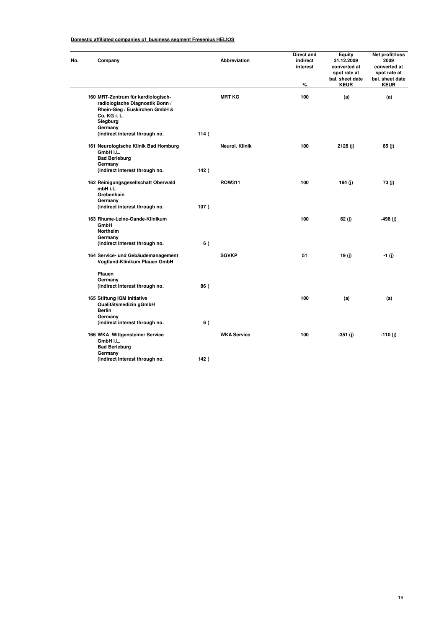| No. | Company                                                                                                                                        |      | <b>Abbreviation</b> | Direct and<br>indirect<br>interest<br>% | Equity<br>31.12.2009<br>converted at<br>spot rate at<br>bal. sheet date<br><b>KEUR</b> | Net profit/loss<br>2009<br>converted at<br>spot rate at<br>bal. sheet date<br><b>KEUR</b> |
|-----|------------------------------------------------------------------------------------------------------------------------------------------------|------|---------------------|-----------------------------------------|----------------------------------------------------------------------------------------|-------------------------------------------------------------------------------------------|
|     | 160 MRT-Zentrum für kardiologisch-<br>radiologische Diagnostik Bonn /<br>Rhein-Sieg / Euskirchen GmbH &<br>Co. KG i. L.<br>Siegburg<br>Germany |      | <b>MRT KG</b>       | 100                                     | (a)                                                                                    | (a)                                                                                       |
|     | (indirect interest through no.                                                                                                                 | 114) |                     |                                         |                                                                                        |                                                                                           |
|     | 161 Neurologische Klinik Bad Homburg<br>GmbH i.L.<br><b>Bad Berleburg</b><br>Germany                                                           |      | Neurol. Klinik      | 100                                     | 2128(j)                                                                                | 85(j)                                                                                     |
|     | (indirect interest through no.                                                                                                                 | 142) |                     |                                         |                                                                                        |                                                                                           |
|     | 162 Reinigungsgesellschaft Oberwald<br>mbH i.L.<br>Grebenhain<br>Germany                                                                       |      | <b>ROW311</b>       | 100                                     | 184 (j)                                                                                | 73(j)                                                                                     |
|     | (indirect interest through no.                                                                                                                 | 107) |                     |                                         |                                                                                        |                                                                                           |
|     | 163 Rhume-Leine-Gande-Klinikum<br>GmbH<br>Northeim<br>Germany                                                                                  |      |                     | 100                                     | 62 (j)                                                                                 | -498 (j)                                                                                  |
|     | (indirect interest through no.                                                                                                                 | 6)   |                     |                                         |                                                                                        |                                                                                           |
|     | 164 Service- und Gebäudemanagement<br>Vogtland-Klinikum Plauen GmbH                                                                            |      | <b>SGVKP</b>        | 51                                      | 19(j)                                                                                  | -1 (j)                                                                                    |
|     | Plauen<br>Germany<br>(indirect interest through no.                                                                                            | 86)  |                     |                                         |                                                                                        |                                                                                           |
|     | 165 Stiftung IQM Initiative<br>Qualitätsmedizin gGmbH<br><b>Berlin</b><br>Germany                                                              |      |                     | 100                                     | (a)                                                                                    | (a)                                                                                       |
|     | (indirect interest through no.                                                                                                                 | 6)   |                     |                                         |                                                                                        |                                                                                           |
|     | 166 WKA Wittgensteiner Service<br>GmbH i.L.<br><b>Bad Berleburg</b>                                                                            |      | <b>WKA Service</b>  | 100                                     | $-351(j)$                                                                              | $-110(j)$                                                                                 |
|     | Germany<br>(indirect interest through no.                                                                                                      | 142) |                     |                                         |                                                                                        |                                                                                           |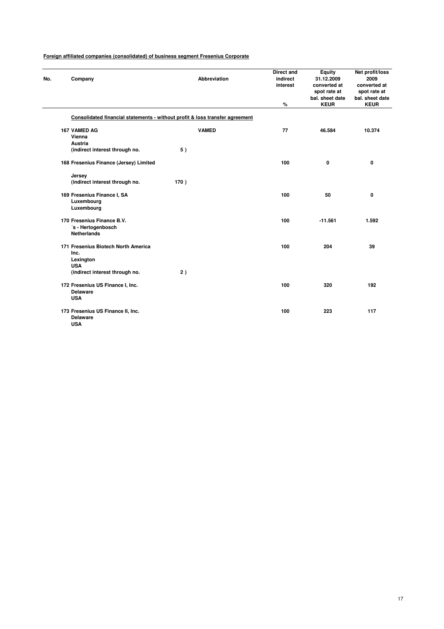| No. | Company                                                                      | <b>Abbreviation</b> | <b>Direct and</b><br>indirect<br>interest | <b>Equity</b><br>31.12.2009<br>converted at<br>spot rate at<br>bal. sheet date | Net profit/loss<br>2009<br>converted at<br>spot rate at<br>bal. sheet date |
|-----|------------------------------------------------------------------------------|---------------------|-------------------------------------------|--------------------------------------------------------------------------------|----------------------------------------------------------------------------|
|     |                                                                              |                     | %                                         | <b>KEUR</b>                                                                    | <b>KEUR</b>                                                                |
|     | Consolidated financial statements - without profit & loss transfer agreement |                     |                                           |                                                                                |                                                                            |
|     | 167 VAMED AG<br>Vienna                                                       | <b>VAMED</b>        | 77                                        | 46.584                                                                         | 10.374                                                                     |
|     | <b>Austria</b>                                                               |                     |                                           |                                                                                |                                                                            |
|     | (indirect interest through no.                                               | 5)                  |                                           |                                                                                |                                                                            |
|     | 168 Fresenius Finance (Jersey) Limited                                       |                     | 100                                       | 0                                                                              | 0                                                                          |
|     | Jersey                                                                       |                     |                                           |                                                                                |                                                                            |
|     | (indirect interest through no.                                               | 170)                |                                           |                                                                                |                                                                            |
|     | 169 Fresenius Finance I, SA<br>Luxembourg                                    |                     | 100                                       | 50                                                                             | 0                                                                          |
|     | Luxembourg                                                                   |                     |                                           |                                                                                |                                                                            |
|     | 170 Fresenius Finance B.V.                                                   |                     | 100                                       | $-11.561$                                                                      | 1.592                                                                      |
|     | 's - Hertogenbosch                                                           |                     |                                           |                                                                                |                                                                            |
|     | <b>Netherlands</b>                                                           |                     |                                           |                                                                                |                                                                            |
|     | 171 Fresenius Biotech North America                                          |                     | 100                                       | 204                                                                            | 39                                                                         |
|     | Inc.                                                                         |                     |                                           |                                                                                |                                                                            |
|     | Lexington<br><b>USA</b>                                                      |                     |                                           |                                                                                |                                                                            |
|     | (indirect interest through no.                                               | 2)                  |                                           |                                                                                |                                                                            |
|     | 172 Fresenius US Finance I, Inc.                                             |                     | 100                                       | 320                                                                            | 192                                                                        |
|     | <b>Delaware</b>                                                              |                     |                                           |                                                                                |                                                                            |
|     | <b>USA</b>                                                                   |                     |                                           |                                                                                |                                                                            |
|     | 173 Fresenius US Finance II, Inc.                                            |                     | 100                                       | 223                                                                            | 117                                                                        |
|     | <b>Delaware</b>                                                              |                     |                                           |                                                                                |                                                                            |
|     | <b>USA</b>                                                                   |                     |                                           |                                                                                |                                                                            |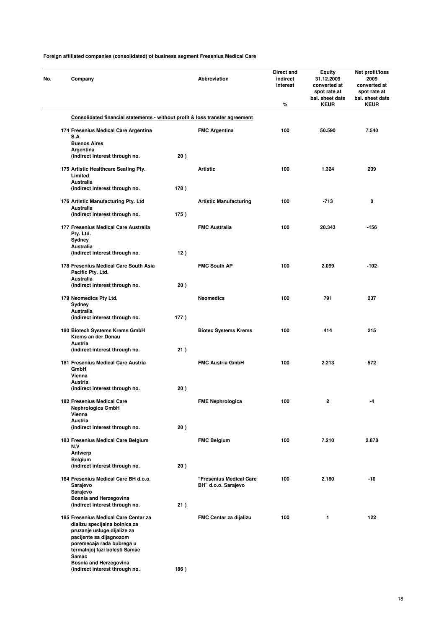| No. | Company                                                                                                                                                                                       |      | Abbreviation                  | Direct and<br>indirect<br>interest<br>% | <b>Equity</b><br>31.12.2009<br>converted at<br>spot rate at<br>bal. sheet date<br><b>KEUR</b> | Net profit/loss<br>2009<br>converted at<br>spot rate at<br>bal. sheet date<br><b>KEUR</b> |
|-----|-----------------------------------------------------------------------------------------------------------------------------------------------------------------------------------------------|------|-------------------------------|-----------------------------------------|-----------------------------------------------------------------------------------------------|-------------------------------------------------------------------------------------------|
|     | Consolidated financial statements - without profit & loss transfer agreement                                                                                                                  |      |                               |                                         |                                                                                               |                                                                                           |
|     |                                                                                                                                                                                               |      |                               |                                         |                                                                                               |                                                                                           |
|     | 174 Fresenius Medical Care Argentina<br>S.A.                                                                                                                                                  |      | <b>FMC Argentina</b>          | 100                                     | 50.590                                                                                        | 7.540                                                                                     |
|     | <b>Buenos Aires</b>                                                                                                                                                                           |      |                               |                                         |                                                                                               |                                                                                           |
|     | Argentina<br>(indirect interest through no.                                                                                                                                                   | 20)  |                               |                                         |                                                                                               |                                                                                           |
|     |                                                                                                                                                                                               |      |                               |                                         |                                                                                               |                                                                                           |
|     | 175 Artistic Healthcare Seating Pty.<br>Limited<br>Australia                                                                                                                                  |      | <b>Artistic</b>               | 100                                     | 1.324                                                                                         | 239                                                                                       |
|     | (indirect interest through no.                                                                                                                                                                | 178) |                               |                                         |                                                                                               |                                                                                           |
|     | 176 Artistic Manufacturing Pty. Ltd<br>Australia                                                                                                                                              |      | <b>Artistic Manufacturing</b> | 100                                     | -713                                                                                          | 0                                                                                         |
|     | (indirect interest through no.                                                                                                                                                                | 175) |                               |                                         |                                                                                               |                                                                                           |
|     | 177 Fresenius Medical Care Australia<br>Pty. Ltd.                                                                                                                                             |      | <b>FMC Australia</b>          | 100                                     | 20.343                                                                                        | -156                                                                                      |
|     | Sydney<br>Australia                                                                                                                                                                           |      |                               |                                         |                                                                                               |                                                                                           |
|     | (indirect interest through no.                                                                                                                                                                | 12)  |                               |                                         |                                                                                               |                                                                                           |
|     | 178 Fresenius Medical Care South Asia<br>Pacific Pty. Ltd.                                                                                                                                    |      | <b>FMC South AP</b>           | 100                                     | 2.099                                                                                         | $-102$                                                                                    |
|     | Australia                                                                                                                                                                                     |      |                               |                                         |                                                                                               |                                                                                           |
|     | (indirect interest through no.                                                                                                                                                                | 20)  |                               |                                         |                                                                                               |                                                                                           |
|     | 179 Neomedics Pty Ltd.<br>Sydney<br>Australia                                                                                                                                                 |      | <b>Neomedics</b>              | 100                                     | 791                                                                                           | 237                                                                                       |
|     | (indirect interest through no.                                                                                                                                                                | 177) |                               |                                         |                                                                                               |                                                                                           |
|     | 180 Biotech Systems Krems GmbH<br>Krems an der Donau                                                                                                                                          |      | <b>Biotec Systems Krems</b>   | 100                                     | 414                                                                                           | 215                                                                                       |
|     | Austria<br>(indirect interest through no.                                                                                                                                                     | 21)  |                               |                                         |                                                                                               |                                                                                           |
|     |                                                                                                                                                                                               |      |                               |                                         |                                                                                               |                                                                                           |
|     | 181 Fresenius Medical Care Austria<br>GmbH<br>Vienna                                                                                                                                          |      | <b>FMC Austria GmbH</b>       | 100                                     | 2.213                                                                                         | 572                                                                                       |
|     | Austria                                                                                                                                                                                       |      |                               |                                         |                                                                                               |                                                                                           |
|     | (indirect interest through no.                                                                                                                                                                | 20)  |                               |                                         |                                                                                               |                                                                                           |
|     | 182 Fresenius Medical Care<br>Nephrologica GmbH<br>Vienna                                                                                                                                     |      | <b>FME Nephrologica</b>       | 100                                     | 2                                                                                             |                                                                                           |
|     | Austria                                                                                                                                                                                       |      |                               |                                         |                                                                                               |                                                                                           |
|     | (indirect interest through no.                                                                                                                                                                | 20)  |                               |                                         |                                                                                               |                                                                                           |
|     | 183 Fresenius Medical Care Belgium<br>N.V                                                                                                                                                     |      | <b>FMC Belgium</b>            | 100                                     | 7.210                                                                                         | 2.878                                                                                     |
|     | Antwerp                                                                                                                                                                                       |      |                               |                                         |                                                                                               |                                                                                           |
|     | Belgium<br>(indirect interest through no.                                                                                                                                                     | 20)  |                               |                                         |                                                                                               |                                                                                           |
|     | 184 Fresenius Medical Care BH d.o.o.                                                                                                                                                          |      | "Fresenius Medical Care       | 100                                     | 2.180                                                                                         | $-10$                                                                                     |
|     | Sarajevo<br>Sarajevo<br><b>Bosnia and Herzegovina</b>                                                                                                                                         |      | BH" d.o.o. Sarajevo           |                                         |                                                                                               |                                                                                           |
|     | (indirect interest through no.                                                                                                                                                                | 21)  |                               |                                         |                                                                                               |                                                                                           |
|     | 185 Fresenius Medical Care Centar za<br>dializu specijalna bolnica za<br>pruzanje usluge dijalize za<br>pacijente sa dijagnozom<br>poremecaja rada bubrega u<br>termalnjoj fazi bolesti Samac |      | FMC Centar za dijalizu        | 100                                     | 1                                                                                             | 122                                                                                       |
|     | Samac<br>Bosnia and Herzegovina                                                                                                                                                               |      |                               |                                         |                                                                                               |                                                                                           |
|     | (indirect interest through no.                                                                                                                                                                | 186) |                               |                                         |                                                                                               |                                                                                           |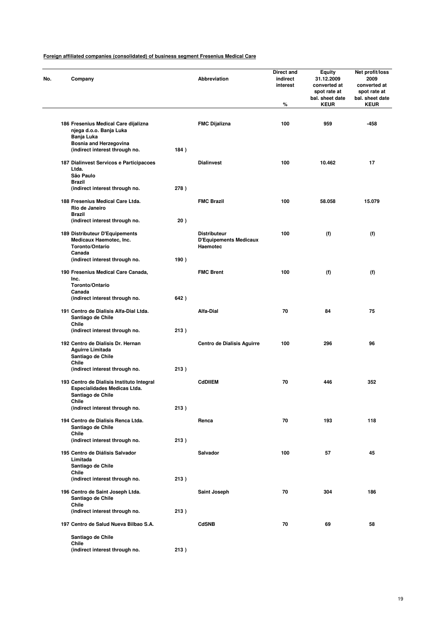| No. | Company                                                                                        |      | <b>Abbreviation</b>                                              | Direct and<br>indirect<br>interest<br>$\%$ | Equity<br>31.12.2009<br>converted at<br>spot rate at<br>bal. sheet date<br><b>KEUR</b> | Net profit/loss<br>2009<br>converted at<br>spot rate at<br>bal. sheet date<br><b>KEUR</b> |
|-----|------------------------------------------------------------------------------------------------|------|------------------------------------------------------------------|--------------------------------------------|----------------------------------------------------------------------------------------|-------------------------------------------------------------------------------------------|
|     | 186 Fresenius Medical Care dijalizna<br>njega d.o.o. Banja Luka                                |      | <b>FMC Dijalizna</b>                                             | 100                                        | 959                                                                                    | -458                                                                                      |
|     | Banja Luka<br><b>Bosnia and Herzegovina</b><br>(indirect interest through no.                  | 184) |                                                                  |                                            |                                                                                        |                                                                                           |
|     | 187 Dialinvest Servicos e Participacoes<br>Ltda.<br>São Paulo                                  |      | <b>Dialinvest</b>                                                | 100                                        | 10.462                                                                                 | 17                                                                                        |
|     | <b>Brazil</b><br>(indirect interest through no.                                                | 278) |                                                                  |                                            |                                                                                        |                                                                                           |
|     | 188 Fresenius Medical Care Ltda.<br>Rio de Janeiro<br><b>Brazil</b>                            |      | <b>FMC Brazil</b>                                                | 100                                        | 58.058                                                                                 | 15.079                                                                                    |
|     | (indirect interest through no.                                                                 | 20)  |                                                                  |                                            |                                                                                        |                                                                                           |
|     | 189 Distributeur D'Equipements<br>Medicaux Haemotec, Inc.<br>Toronto/Ontario<br>Canada         |      | <b>Distributeur</b><br><b>D'Equipements Medicaux</b><br>Haemotec | 100                                        | (f)                                                                                    | (f)                                                                                       |
|     | (indirect interest through no.                                                                 | 190) |                                                                  |                                            |                                                                                        |                                                                                           |
|     | 190 Fresenius Medical Care Canada,<br>Inc.<br>Toronto/Ontario                                  |      | <b>FMC Brent</b>                                                 | 100                                        | (f)                                                                                    | (f)                                                                                       |
|     | Canada<br>(indirect interest through no.                                                       | 642) |                                                                  |                                            |                                                                                        |                                                                                           |
|     | 191 Centro de Dialisis Alfa-Dial Ltda.<br>Santiago de Chile                                    |      | <b>Alfa-Dial</b>                                                 | 70                                         | 84                                                                                     | 75                                                                                        |
|     | <b>Chile</b><br>(indirect interest through no.                                                 | 213) |                                                                  |                                            |                                                                                        |                                                                                           |
|     | 192 Centro de Dialisis Dr. Hernan<br><b>Aguirre Limitada</b><br>Santiago de Chile<br>Chile     |      | Centro de Dialisis Aguirre                                       | 100                                        | 296                                                                                    | 96                                                                                        |
|     | (indirect interest through no.                                                                 | 213) |                                                                  |                                            |                                                                                        |                                                                                           |
|     | 193 Centro de Dialisis Instituto Integral<br>Especialidades Medicas Ltda.<br>Santiago de Chile |      | <b>CdDIIEM</b>                                                   | 70                                         | 446                                                                                    | 352                                                                                       |
|     | Chile<br>(indirect interest through no.                                                        | 213) |                                                                  |                                            |                                                                                        |                                                                                           |
|     | 194 Centro de Dialisis Renca Ltda.<br>Santiago de Chile<br>Chile                               |      | Renca                                                            | 70                                         | 193                                                                                    | 118                                                                                       |
|     | (indirect interest through no.                                                                 | 213) |                                                                  |                                            |                                                                                        |                                                                                           |
|     | 195 Centro de Diálisis Salvador<br>Limitada<br>Santiago de Chile                               |      | <b>Salvador</b>                                                  | 100                                        | 57                                                                                     | 45                                                                                        |
|     | Chile<br>(indirect interest through no.                                                        | 213) |                                                                  |                                            |                                                                                        |                                                                                           |
|     | 196 Centro de Saint Joseph Ltda.<br>Santiago de Chile                                          |      | Saint Joseph                                                     | 70                                         | 304                                                                                    | 186                                                                                       |
|     | Chile<br>(indirect interest through no.                                                        | 213) |                                                                  |                                            |                                                                                        |                                                                                           |
|     | 197 Centro de Salud Nueva Bilbao S.A.                                                          |      | <b>CdSNB</b>                                                     | 70                                         | 69                                                                                     | 58                                                                                        |
|     | Santiago de Chile<br>Chile                                                                     |      |                                                                  |                                            |                                                                                        |                                                                                           |
|     | (indirect interest through no.                                                                 | 213) |                                                                  |                                            |                                                                                        |                                                                                           |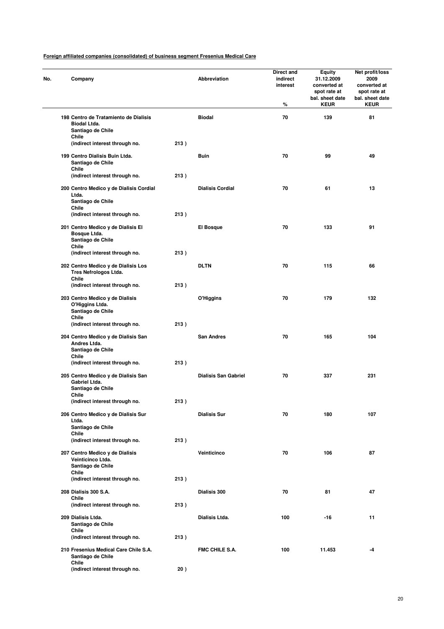| No. | Company                                                                                  |      | Abbreviation                | Direct and<br>indirect<br>interest<br>℅ | <b>Equity</b><br>31.12.2009<br>converted at<br>spot rate at<br>bal. sheet date<br><b>KEUR</b> | Net profit/loss<br>2009<br>converted at<br>spot rate at<br>bal. sheet date<br><b>KEUR</b> |
|-----|------------------------------------------------------------------------------------------|------|-----------------------------|-----------------------------------------|-----------------------------------------------------------------------------------------------|-------------------------------------------------------------------------------------------|
|     | 198 Centro de Tratamiento de Dialisis<br>Biodal Ltda.<br>Santiago de Chile               |      | <b>Biodal</b>               | 70                                      | 139                                                                                           | 81                                                                                        |
|     | Chile<br>(indirect interest through no.                                                  | 213) |                             |                                         |                                                                                               |                                                                                           |
|     | 199 Centro Dialisis Buin Ltda.<br>Santiago de Chile<br>Chile                             |      | Buin                        | 70                                      | 99                                                                                            | 49                                                                                        |
|     | (indirect interest through no.                                                           | 213) |                             |                                         |                                                                                               |                                                                                           |
|     | 200 Centro Medico y de Dialisis Cordial<br>Ltda.<br>Santiago de Chile<br>Chile           |      | <b>Dialisis Cordial</b>     | 70                                      | 61                                                                                            | 13                                                                                        |
|     | (indirect interest through no.                                                           | 213) |                             |                                         |                                                                                               |                                                                                           |
|     | 201 Centro Medico y de Dialisis El<br>Bosque Ltda.<br>Santiago de Chile                  |      | El Bosque                   | 70                                      | 133                                                                                           | 91                                                                                        |
|     | Chile<br>(indirect interest through no.                                                  | 213) |                             |                                         |                                                                                               |                                                                                           |
|     | 202 Centro Medico y de Dialisis Los<br>Tres Nefrologos Ltda.<br>Chile                    |      | <b>DLTN</b>                 | 70                                      | 115                                                                                           | 66                                                                                        |
|     | (indirect interest through no.                                                           | 213) |                             |                                         |                                                                                               |                                                                                           |
|     | 203 Centro Medico y de Dialisis<br>O'Higgins Ltda.<br>Santiago de Chile<br>Chile         |      | O'Higgins                   | 70                                      | 179                                                                                           | 132                                                                                       |
|     | (indirect interest through no.                                                           | 213) |                             |                                         |                                                                                               |                                                                                           |
|     | 204 Centro Medico y de Dialisis San<br>Andres Ltda.<br>Santiago de Chile<br><b>Chile</b> |      | <b>San Andres</b>           | 70                                      | 165                                                                                           | 104                                                                                       |
|     | (indirect interest through no.                                                           | 213) |                             |                                         |                                                                                               |                                                                                           |
|     | 205 Centro Medico y de Dialisis San<br>Gabriel Ltda.<br>Santiago de Chile                |      | <b>Dialisis San Gabriel</b> | 70                                      | 337                                                                                           | 231                                                                                       |
|     | Chile<br>(indirect interest through no.                                                  | 213) |                             |                                         |                                                                                               |                                                                                           |
|     | 206 Centro Medico y de Dialisis Sur<br>Ltda.<br>Santiago de Chile                        |      | <b>Dialisis Sur</b>         | 70                                      | 180                                                                                           | 107                                                                                       |
|     | Chile<br>(indirect interest through no.                                                  | 213) |                             |                                         |                                                                                               |                                                                                           |
|     | 207 Centro Medico y de Dialisis<br>Veinticinco Ltda.<br>Santiago de Chile                |      | Veinticinco                 | 70                                      | 106                                                                                           | 87                                                                                        |
|     | Chile<br>(indirect interest through no.                                                  | 213) |                             |                                         |                                                                                               |                                                                                           |
|     | 208 Dialisis 300 S.A.                                                                    |      | Dialisis 300                | 70                                      | 81                                                                                            | 47                                                                                        |
|     | Chile<br>(indirect interest through no.                                                  | 213) |                             |                                         |                                                                                               |                                                                                           |
|     | 209 Dialisis Ltda.<br>Santiago de Chile                                                  |      | Dialisis Ltda.              | 100                                     | -16                                                                                           | 11                                                                                        |
|     | Chile<br>(indirect interest through no.                                                  | 213) |                             |                                         |                                                                                               |                                                                                           |
|     | 210 Fresenius Medical Care Chile S.A.<br>Santiago de Chile                               |      | <b>FMC CHILE S.A.</b>       | 100                                     | 11.453                                                                                        | -4                                                                                        |
|     | Chile<br>(indirect interest through no.                                                  | 20)  |                             |                                         |                                                                                               |                                                                                           |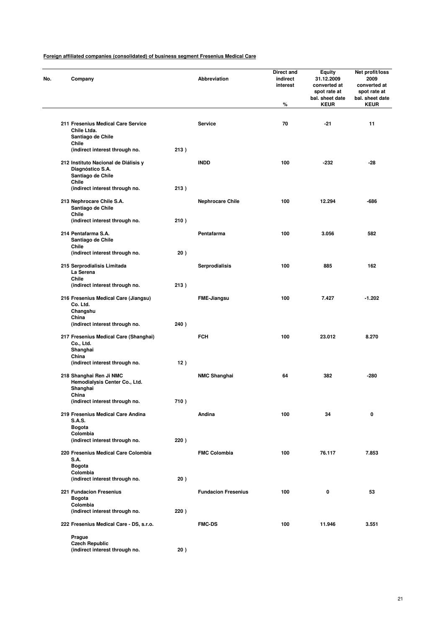| No. | Company                                                                                                                  |      | Abbreviation               | <b>Direct and</b><br>indirect<br>interest<br>% | Equity<br>31.12.2009<br>converted at<br>spot rate at<br>bal. sheet date<br><b>KEUR</b> | Net profit/loss<br>2009<br>converted at<br>spot rate at<br>bal. sheet date<br><b>KEUR</b> |
|-----|--------------------------------------------------------------------------------------------------------------------------|------|----------------------------|------------------------------------------------|----------------------------------------------------------------------------------------|-------------------------------------------------------------------------------------------|
|     |                                                                                                                          |      |                            |                                                |                                                                                        |                                                                                           |
|     | 211 Fresenius Medical Care Service<br>Chile Ltda.<br>Santiago de Chile                                                   |      | <b>Service</b>             | 70                                             | $-21$                                                                                  | 11                                                                                        |
|     | Chile<br>(indirect interest through no.                                                                                  | 213) |                            |                                                |                                                                                        |                                                                                           |
|     | 212 Instituto Nacional de Diálisis y<br>Diagnóstico S.A.<br>Santiago de Chile<br>Chile<br>(indirect interest through no. | 213) | <b>INDD</b>                | 100                                            | -232                                                                                   | -28                                                                                       |
|     | 213 Nephrocare Chile S.A.<br>Santiago de Chile                                                                           |      | <b>Nephrocare Chile</b>    | 100                                            | 12.294                                                                                 | $-686$                                                                                    |
|     | Chile<br>(indirect interest through no.                                                                                  | 210) |                            |                                                |                                                                                        |                                                                                           |
|     | 214 Pentafarma S.A.<br>Santiago de Chile<br>Chile                                                                        |      | Pentafarma                 | 100                                            | 3.056                                                                                  | 582                                                                                       |
|     | (indirect interest through no.                                                                                           | 20)  |                            |                                                |                                                                                        |                                                                                           |
|     | 215 Serprodialisis Limitada<br>La Serena<br>Chile                                                                        |      | <b>Serprodialisis</b>      | 100                                            | 885                                                                                    | 162                                                                                       |
|     | (indirect interest through no.                                                                                           | 213) |                            |                                                |                                                                                        |                                                                                           |
|     | 216 Fresenius Medical Care (Jiangsu)<br>Co. Ltd.<br>Changshu<br>China                                                    |      | <b>FME-Jiangsu</b>         | 100                                            | 7.427                                                                                  | $-1.202$                                                                                  |
|     | (indirect interest through no.                                                                                           | 240) |                            |                                                |                                                                                        |                                                                                           |
|     | 217 Fresenius Medical Care (Shanghai)<br>Co., Ltd.<br>Shanghai<br>China                                                  |      | <b>FCH</b>                 | 100                                            | 23.012                                                                                 | 8.270                                                                                     |
|     | (indirect interest through no.                                                                                           | 12)  |                            |                                                |                                                                                        |                                                                                           |
|     | 218 Shanghai Ren Ji NMC<br>Hemodialysis Center Co., Ltd.<br>Shanghai<br>China                                            |      | <b>NMC Shanghai</b>        | 64                                             | 382                                                                                    | $-280$                                                                                    |
|     | (indirect interest through no.                                                                                           | 710) |                            |                                                |                                                                                        |                                                                                           |
|     | 219 Fresenius Medical Care Andina<br><b>S.A.S.</b><br><b>Bogota</b>                                                      |      | Andina                     | 100                                            | 34                                                                                     | 0                                                                                         |
|     | Colombia                                                                                                                 |      |                            |                                                |                                                                                        |                                                                                           |
|     | (indirect interest through no.                                                                                           | 220) |                            |                                                |                                                                                        |                                                                                           |
|     | 220 Fresenius Medical Care Colombia<br><b>S.A.</b><br><b>Bogota</b>                                                      |      | <b>FMC Colombia</b>        | 100                                            | 76.117                                                                                 | 7.853                                                                                     |
|     | Colombia<br>(indirect interest through no.                                                                               | 20)  |                            |                                                |                                                                                        |                                                                                           |
|     | <b>221 Fundacion Fresenius</b><br><b>Bogota</b>                                                                          |      | <b>Fundacion Fresenius</b> | 100                                            | 0                                                                                      | 53                                                                                        |
|     | Colombia<br>(indirect interest through no.                                                                               | 220) |                            |                                                |                                                                                        |                                                                                           |
|     | 222 Fresenius Medical Care - DS, s.r.o.                                                                                  |      | <b>FMC-DS</b>              | 100                                            | 11.946                                                                                 | 3.551                                                                                     |
|     | Prague<br><b>Czech Republic</b>                                                                                          |      |                            |                                                |                                                                                        |                                                                                           |
|     | (indirect interest through no.                                                                                           | 20)  |                            |                                                |                                                                                        |                                                                                           |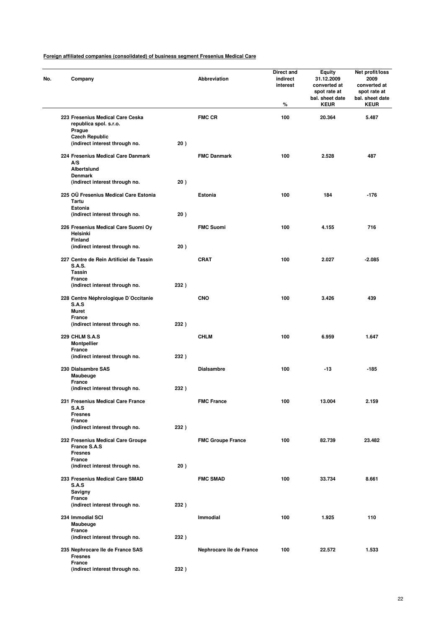| Company                                                                             |      | Abbreviation             | <b>Direct and</b><br>indirect<br>interest<br>% | Equity<br>31.12.2009<br>converted at<br>spot rate at<br>bal. sheet date<br><b>KEUR</b> | Net profit/loss<br>2009<br>converted at<br>spot rate at<br>bal. sheet date<br><b>KEUR</b> |
|-------------------------------------------------------------------------------------|------|--------------------------|------------------------------------------------|----------------------------------------------------------------------------------------|-------------------------------------------------------------------------------------------|
| 223 Fresenius Medical Care Ceska<br>republica spol. s.r.o.<br>Prague                |      | <b>FMC CR</b>            | 100                                            | 20.364                                                                                 | 5.487                                                                                     |
| <b>Czech Republic</b><br>(indirect interest through no.                             | 20)  |                          |                                                |                                                                                        |                                                                                           |
| 224 Fresenius Medical Care Danmark<br>A/S<br>Albertslund                            |      | <b>FMC Danmark</b>       | 100                                            | 2.528                                                                                  | 487                                                                                       |
| <b>Denmark</b><br>(indirect interest through no.                                    | 20)  |                          |                                                |                                                                                        |                                                                                           |
| 225 OÜ Fresenius Medical Care Estonia<br>Tartu<br>Estonia                           |      | Estonia                  | 100                                            | 184                                                                                    | $-176$                                                                                    |
| (indirect interest through no.<br>226 Fresenius Medical Care Suomi Oy               | 20)  | <b>FMC Suomi</b>         | 100                                            | 4.155                                                                                  | 716                                                                                       |
| Helsinki<br><b>Finland</b>                                                          |      |                          |                                                |                                                                                        |                                                                                           |
| (indirect interest through no.                                                      | 20)  |                          |                                                |                                                                                        |                                                                                           |
| 227 Centre de Rein Artificiel de Tassin<br><b>S.A.S.</b><br>Tassin<br><b>France</b> |      | <b>CRAT</b>              | 100                                            | 2.027                                                                                  | $-2.085$                                                                                  |
| (indirect interest through no.                                                      | 232) |                          |                                                |                                                                                        |                                                                                           |
| 228 Centre Néphrologique D'Occitanie<br>S.A.S<br><b>Muret</b>                       |      | <b>CNO</b>               | 100                                            | 3.426                                                                                  | 439                                                                                       |
| <b>France</b><br>(indirect interest through no.                                     | 232) |                          |                                                |                                                                                        |                                                                                           |
| <b>229 CHLM S.A.S</b><br><b>Montpellier</b><br>France                               |      | <b>CHLM</b>              | 100                                            | 6.959                                                                                  | 1.647                                                                                     |
| (indirect interest through no.                                                      | 232) |                          |                                                |                                                                                        |                                                                                           |
| 230 Dialsambre SAS<br>Maubeuge<br><b>France</b>                                     |      | <b>Dialsambre</b>        | 100                                            | $-13$                                                                                  | $-185$                                                                                    |
| (indirect interest through no.                                                      | 232) |                          |                                                |                                                                                        |                                                                                           |
| 231 Fresenius Medical Care France<br>S.A.S<br><b>Fresnes</b>                        |      | <b>FMC France</b>        | 100                                            | 13.004                                                                                 | 2.159                                                                                     |
| France<br>(indirect interest through no.                                            | 232) |                          |                                                |                                                                                        |                                                                                           |
| 232 Fresenius Medical Care Groupe<br>France S.A.S<br><b>Fresnes</b>                 |      | <b>FMC Groupe France</b> | 100                                            | 82.739                                                                                 | 23.482                                                                                    |
| France<br>(indirect interest through no.                                            | 20)  |                          |                                                |                                                                                        |                                                                                           |
| 233 Fresenius Medical Care SMAD<br>S.A.S                                            |      | <b>FMC SMAD</b>          | 100                                            | 33.734                                                                                 | 8.661                                                                                     |
| Savigny<br>France<br>(indirect interest through no.                                 | 232) |                          |                                                |                                                                                        |                                                                                           |
| 234 Immodial SCI<br>Maubeuge                                                        |      | Immodial                 | 100                                            | 1.925                                                                                  | 110                                                                                       |
| France<br>(indirect interest through no.                                            | 232) |                          |                                                |                                                                                        |                                                                                           |
| 235 Nephrocare Ile de France SAS<br><b>Fresnes</b>                                  |      | Nephrocare ile de France | 100                                            | 22.572                                                                                 | 1.533                                                                                     |
| France<br>(indirect interest through no.                                            | 232) |                          |                                                |                                                                                        |                                                                                           |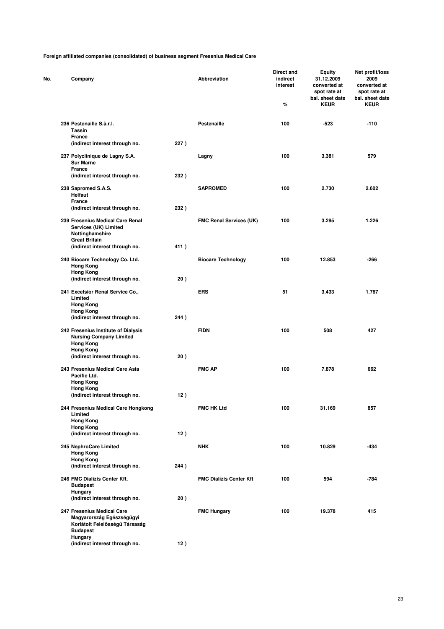| Company                                                                                                      |      | Abbreviation                   | Direct and<br>indirect<br>interest<br>% | <b>Equity</b><br>31.12.2009<br>converted at<br>spot rate at<br>bal. sheet date<br><b>KEUR</b> | Net profit/loss<br>2009<br>converted at<br>spot rate at<br>bal. sheet date<br><b>KEUR</b> |
|--------------------------------------------------------------------------------------------------------------|------|--------------------------------|-----------------------------------------|-----------------------------------------------------------------------------------------------|-------------------------------------------------------------------------------------------|
|                                                                                                              |      |                                |                                         |                                                                                               |                                                                                           |
| 236 Pestenaille S.à.r.l.<br><b>Tassin</b>                                                                    |      | Pestenaille                    | 100                                     | -523                                                                                          | $-110$                                                                                    |
| France<br>(indirect interest through no.                                                                     | 227) |                                |                                         |                                                                                               |                                                                                           |
| 237 Polyclinique de Lagny S.A.<br><b>Sur Marne</b>                                                           |      | Lagny                          | 100                                     | 3.381                                                                                         | 579                                                                                       |
| France<br>(indirect interest through no.                                                                     | 232) |                                |                                         |                                                                                               |                                                                                           |
| 238 Sapromed S.A.S.<br>Helfaut                                                                               |      | <b>SAPROMED</b>                | 100                                     | 2.730                                                                                         | 2.602                                                                                     |
| <b>France</b>                                                                                                |      |                                |                                         |                                                                                               |                                                                                           |
| (indirect interest through no.                                                                               | 232) |                                |                                         |                                                                                               |                                                                                           |
| 239 Fresenius Medical Care Renal<br>Services (UK) Limited<br>Nottinghamshire                                 |      | <b>FMC Renal Services (UK)</b> | 100                                     | 3.295                                                                                         | 1.226                                                                                     |
| <b>Great Britain</b><br>(indirect interest through no.                                                       | 411) |                                |                                         |                                                                                               |                                                                                           |
| 240 Biocare Technology Co. Ltd.<br><b>Hong Kong</b>                                                          |      | <b>Biocare Technology</b>      | 100                                     | 12.853                                                                                        | -266                                                                                      |
| <b>Hong Kong</b><br>(indirect interest through no.                                                           | 20)  |                                |                                         |                                                                                               |                                                                                           |
| 241 Excelsior Renal Service Co.,<br>Limited                                                                  |      | <b>ERS</b>                     | 51                                      | 3.433                                                                                         | 1.767                                                                                     |
| <b>Hong Kong</b><br><b>Hong Kong</b>                                                                         |      |                                |                                         |                                                                                               |                                                                                           |
| (indirect interest through no.                                                                               | 244) |                                |                                         |                                                                                               |                                                                                           |
| 242 Fresenius Institute of Dialysis<br><b>Nursing Company Limited</b><br><b>Hong Kong</b>                    |      | <b>FIDN</b>                    | 100                                     | 508                                                                                           | 427                                                                                       |
| <b>Hong Kong</b><br>(indirect interest through no.                                                           | 20)  |                                |                                         |                                                                                               |                                                                                           |
| 243 Fresenius Medical Care Asia<br>Pacific Ltd.                                                              |      | <b>FMC AP</b>                  | 100                                     | 7.878                                                                                         | 662                                                                                       |
| <b>Hong Kong</b><br><b>Hong Kong</b>                                                                         |      |                                |                                         |                                                                                               |                                                                                           |
| (indirect interest through no.                                                                               | 12)  |                                |                                         |                                                                                               |                                                                                           |
| 244 Fresenius Medical Care Hongkong<br>Limited<br><b>Hong Kong</b>                                           |      | <b>FMC HK Ltd</b>              | 100                                     | 31.169                                                                                        | 857                                                                                       |
| <b>Hong Kong</b><br>(indirect interest through no.                                                           | 12)  |                                |                                         |                                                                                               |                                                                                           |
| 245 NephroCare Limited<br><b>Hong Kong</b>                                                                   |      | <b>NHK</b>                     | 100                                     | 10.829                                                                                        | -434                                                                                      |
| <b>Hong Kong</b><br>(indirect interest through no.                                                           | 244) |                                |                                         |                                                                                               |                                                                                           |
| 246 FMC Dialízis Center Kft.<br><b>Budapest</b>                                                              |      | <b>FMC Dialízis Center Kft</b> | 100                                     | 594                                                                                           | -784                                                                                      |
| Hungary<br>(indirect interest through no.                                                                    | 20)  |                                |                                         |                                                                                               |                                                                                           |
| 247 Fresenius Medical Care<br>Magyarország Egészségügyi<br>Korlátolt Felelösségü Társaság<br><b>Budapest</b> |      | <b>FMC Hungary</b>             | 100                                     | 19.378                                                                                        | 415                                                                                       |
| Hungary                                                                                                      |      |                                |                                         |                                                                                               |                                                                                           |
| (indirect interest through no.                                                                               | 12)  |                                |                                         |                                                                                               |                                                                                           |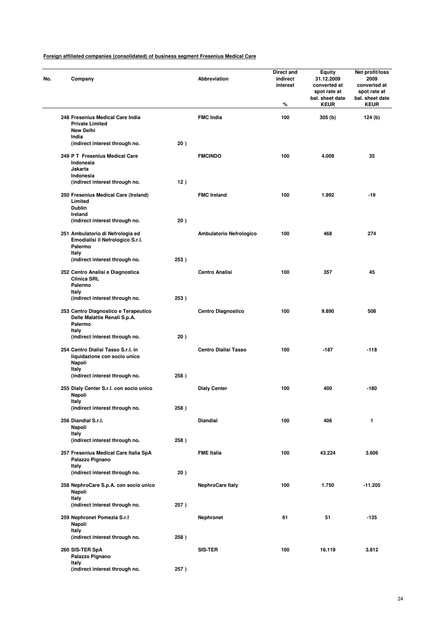| Company                                                                                 |      | Abbreviation                | Direct and<br>indirect<br>interest<br>% | Equity<br>31.12.2009<br>converted at<br>spot rate at<br>bal. sheet date<br><b>KEUR</b> | Net profit/loss<br>2009<br>converted at<br>spot rate at<br>bal. sheet date<br><b>KEUR</b> |
|-----------------------------------------------------------------------------------------|------|-----------------------------|-----------------------------------------|----------------------------------------------------------------------------------------|-------------------------------------------------------------------------------------------|
| 248 Fresenius Medical Care India<br><b>Private Limited</b><br><b>New Delhi</b><br>India |      | <b>FMC India</b>            | 100                                     | 305 (b)                                                                                | 124 (b)                                                                                   |
| (indirect interest through no.                                                          | 20)  |                             |                                         |                                                                                        |                                                                                           |
| 249 P T Fresenius Medical Care<br>Indonesia<br>Jakarta                                  |      | <b>FMCINDO</b>              | 100                                     | 4.009                                                                                  | 35                                                                                        |
| Indonesia<br>(indirect interest through no.                                             | 12)  |                             |                                         |                                                                                        |                                                                                           |
| 250 Fresenius Medical Care (Ireland)<br>Limited<br><b>Dublin</b><br>Ireland             |      | <b>FMC Ireland</b>          | 100                                     | 1.992                                                                                  | -19                                                                                       |
| (indirect interest through no.                                                          | 20)  |                             |                                         |                                                                                        |                                                                                           |
| 251 Ambulatorio di Nefrologia ed<br>Emodialisi il Nefrologico S.r.l.<br>Palermo         |      | Ambulatorio Nefrologico     | 100                                     | 468                                                                                    | 274                                                                                       |
| Italy<br>(indirect interest through no.                                                 | 253) |                             |                                         |                                                                                        |                                                                                           |
| 252 Centro Analisi e Diagnostica<br><b>Clinica SRL</b><br>Palermo                       |      | <b>Centro Analisi</b>       | 100                                     | 357                                                                                    | 45                                                                                        |
| Italy<br>(indirect interest through no.                                                 | 253) |                             |                                         |                                                                                        |                                                                                           |
| 253 Centro Diagnostico e Terapeutico<br>Delle Malattie Renali S.p.A.<br>Palermo         |      | <b>Centro Diagnostico</b>   | 100                                     | 9.890                                                                                  | 508                                                                                       |
| Italy<br>(indirect interest through no.                                                 | 20)  |                             |                                         |                                                                                        |                                                                                           |
| 254 Centro Dialisi Tasso S.r.l. in<br>liquidazione con socio unico<br>Napoli            |      | <b>Centro Dialisi Tasso</b> | 100                                     | $-187$                                                                                 | $-118$                                                                                    |
| Italy<br>(indirect interest through no.                                                 | 258) |                             |                                         |                                                                                        |                                                                                           |
| 255 Dialy Center S.r.l. con socio unico<br>Napoli                                       |      | <b>Dialy Center</b>         | 100                                     | 400                                                                                    | -180                                                                                      |
| Italy<br>(indirect interest through no.                                                 | 258) |                             |                                         |                                                                                        |                                                                                           |
| 256 Diandial S.r.l.<br>Napoli                                                           |      | <b>Diandial</b>             | 100                                     | 406                                                                                    | 1                                                                                         |
| Italy<br>(indirect interest through no.                                                 | 258) |                             |                                         |                                                                                        |                                                                                           |
| 257 Fresenius Medical Care Italia SpA<br>Palazzo Pignano                                |      | <b>FME Italia</b>           | 100                                     | 43.224                                                                                 | 3.606                                                                                     |
| Italy<br>(indirect interest through no.                                                 | 20)  |                             |                                         |                                                                                        |                                                                                           |
| 258 NephroCare S.p.A. con socio unico<br>Napoli<br>Italy                                |      | <b>NephroCare Italy</b>     | 100                                     | 1.750                                                                                  | $-11.205$                                                                                 |
| (indirect interest through no.                                                          | 257) |                             |                                         |                                                                                        |                                                                                           |
| 259 Nephronet Pomezia S.r.I<br>Napoli<br>Italy                                          |      | <b>Nephronet</b>            | 61                                      | 51                                                                                     | -135                                                                                      |
| (indirect interest through no.                                                          | 258) |                             |                                         |                                                                                        |                                                                                           |
| 260 SIS-TER SpA<br>Palazzo Pignano<br>Italy                                             |      | <b>SIS-TER</b>              | 100                                     | 16.119                                                                                 | 3.812                                                                                     |
| (indirect interest through no.                                                          | 257) |                             |                                         |                                                                                        |                                                                                           |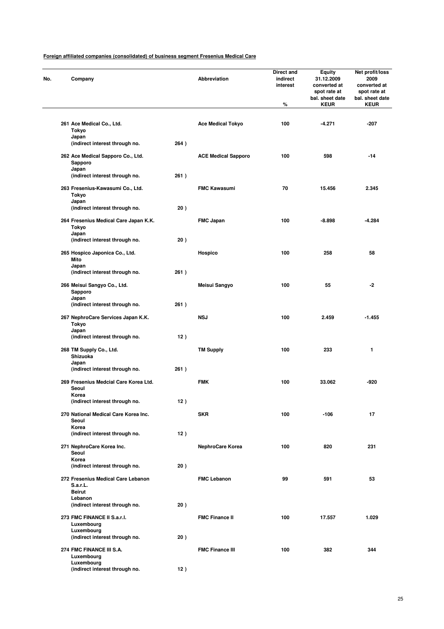| No. | Company                                               |      | Abbreviation               | Direct and<br>indirect<br>interest | <b>Equity</b><br>31.12.2009<br>converted at<br>spot rate at<br>bal. sheet date | Net profit/loss<br>2009<br>converted at<br>spot rate at<br>bal. sheet date |
|-----|-------------------------------------------------------|------|----------------------------|------------------------------------|--------------------------------------------------------------------------------|----------------------------------------------------------------------------|
|     |                                                       |      |                            | %                                  | <b>KEUR</b>                                                                    | <b>KEUR</b>                                                                |
|     | 261 Ace Medical Co., Ltd.<br>Tokyo                    |      | <b>Ace Medical Tokyo</b>   | 100                                | $-4.271$                                                                       | -207                                                                       |
|     | Japan<br>(indirect interest through no.               | 264) |                            |                                    |                                                                                |                                                                            |
|     | 262 Ace Medical Sapporo Co., Ltd.<br>Sapporo<br>Japan |      | <b>ACE Medical Sapporo</b> | 100                                | 598                                                                            | -14                                                                        |
|     | (indirect interest through no.                        | 261) |                            |                                    |                                                                                |                                                                            |
|     | 263 Fresenius-Kawasumi Co., Ltd.<br>Tokyo             |      | <b>FMC Kawasumi</b>        | 70                                 | 15.456                                                                         | 2.345                                                                      |
|     | Japan<br>(indirect interest through no.               | 20)  |                            |                                    |                                                                                |                                                                            |
|     | 264 Fresenius Medical Care Japan K.K.<br>Tokyo        |      | <b>FMC Japan</b>           | 100                                | $-8.898$                                                                       | -4.284                                                                     |
|     | Japan<br>(indirect interest through no.               | 20)  |                            |                                    |                                                                                |                                                                            |
|     | 265 Hospico Japonica Co., Ltd.<br>Mito                |      | Hospico                    | 100                                | 258                                                                            | 58                                                                         |
|     | Japan<br>(indirect interest through no.               | 261) |                            |                                    |                                                                                |                                                                            |
|     | 266 Meisui Sangyo Co., Ltd.<br>Sapporo                |      | Meisui Sangyo              | 100                                | 55                                                                             | -2                                                                         |
|     | Japan<br>(indirect interest through no.               | 261) |                            |                                    |                                                                                |                                                                            |
|     | 267 NephroCare Services Japan K.K.<br>Tokyo           |      | <b>NSJ</b>                 | 100                                | 2.459                                                                          | $-1.455$                                                                   |
|     | Japan<br>(indirect interest through no.               | 12)  |                            |                                    |                                                                                |                                                                            |
|     | 268 TM Supply Co., Ltd.<br>Shizuoka                   |      | <b>TM Supply</b>           | 100                                | 233                                                                            | 1                                                                          |
|     | Japan<br>(indirect interest through no.               | 261) |                            |                                    |                                                                                |                                                                            |
|     | 269 Fresenius Medcial Care Korea Ltd.<br>Seoul        |      | <b>FMK</b>                 | 100                                | 33.062                                                                         | -920                                                                       |
|     | Korea<br>(indirect interest through no.               | 12)  |                            |                                    |                                                                                |                                                                            |
|     | 270 National Medical Care Korea Inc.<br>Seoul         |      | <b>SKR</b>                 | 100                                | $-106$                                                                         | 17                                                                         |
|     | Korea<br>(indirect interest through no.               | 12)  |                            |                                    |                                                                                |                                                                            |
|     | 271 NephroCare Korea Inc.<br>Seoul                    |      | NephroCare Korea           | 100                                | 820                                                                            | 231                                                                        |
|     | Korea<br>(indirect interest through no.               | 20)  |                            |                                    |                                                                                |                                                                            |
|     | 272 Fresenius Medical Care Lebanon<br>S.a.r.L.        |      | <b>FMC Lebanon</b>         | 99                                 | 591                                                                            | 53                                                                         |
|     | <b>Beirut</b><br>Lebanon                              |      |                            |                                    |                                                                                |                                                                            |
|     | (indirect interest through no.                        | 20)  |                            |                                    |                                                                                |                                                                            |
|     | 273 FMC FINANCE II S.a.r.I.<br>Luxembourg             |      | <b>FMC Finance II</b>      | 100                                | 17.557                                                                         | 1.029                                                                      |
|     | Luxembourg<br>(indirect interest through no.          | 20)  |                            |                                    |                                                                                |                                                                            |
|     | 274 FMC FINANCE III S.A.<br>Luxembourg                |      | <b>FMC Finance III</b>     | 100                                | 382                                                                            | 344                                                                        |
|     | Luxembourg<br>(indirect interest through no.          | 12)  |                            |                                    |                                                                                |                                                                            |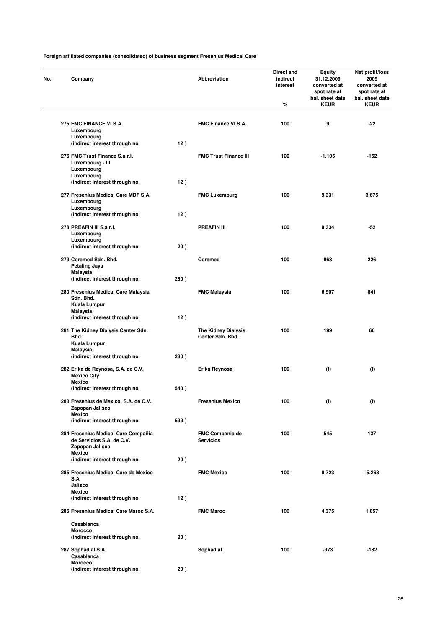| Company                                                                             |      | <b>Abbreviation</b>                            | Direct and<br>indirect<br>interest<br>% | <b>Equity</b><br>31.12.2009<br>converted at<br>spot rate at<br>bal. sheet date<br><b>KEUR</b> | Net profit/loss<br>2009<br>converted at<br>spot rate at<br>bal. sheet date<br><b>KEUR</b> |
|-------------------------------------------------------------------------------------|------|------------------------------------------------|-----------------------------------------|-----------------------------------------------------------------------------------------------|-------------------------------------------------------------------------------------------|
|                                                                                     |      |                                                |                                         |                                                                                               |                                                                                           |
| 275 FMC FINANCE VI S.A.<br>Luxembourg<br>Luxembourg                                 |      | FMC Finance VI S.A.                            | 100                                     | 9                                                                                             | -22                                                                                       |
| (indirect interest through no.                                                      | 12)  |                                                |                                         |                                                                                               |                                                                                           |
| 276 FMC Trust Finance S.a.r.l.<br>Luxembourg - III<br>Luxembourg                    |      | <b>FMC Trust Finance III</b>                   | 100                                     | $-1.105$                                                                                      | -152                                                                                      |
| Luxembourg<br>(indirect interest through no.                                        | 12)  |                                                |                                         |                                                                                               |                                                                                           |
| 277 Fresenius Medical Care MDF S.A.<br>Luxembourg<br>Luxembourg                     |      | <b>FMC Luxemburg</b>                           | 100                                     | 9.331                                                                                         | 3.675                                                                                     |
| (indirect interest through no.                                                      | 12)  |                                                |                                         |                                                                                               |                                                                                           |
| 278 PREAFIN III S.à r.I.<br>Luxembourg                                              |      | <b>PREAFIN III</b>                             | 100                                     | 9.334                                                                                         | $-52$                                                                                     |
| Luxembourg<br>(indirect interest through no.                                        | 20)  |                                                |                                         |                                                                                               |                                                                                           |
| 279 Coremed Sdn. Bhd.<br>Petaling Jaya                                              |      | Coremed                                        | 100                                     | 968                                                                                           | 226                                                                                       |
| Malaysia<br>(indirect interest through no.                                          | 280) |                                                |                                         |                                                                                               |                                                                                           |
| 280 Fresenius Medical Care Malaysia<br>Sdn. Bhd.                                    |      | <b>FMC Malaysia</b>                            | 100                                     | 6.907                                                                                         | 841                                                                                       |
| Kuala Lumpur<br><b>Malaysia</b><br>(indirect interest through no.                   | 12)  |                                                |                                         |                                                                                               |                                                                                           |
| 281 The Kidney Dialysis Center Sdn.<br>Bhd.<br>Kuala Lumpur                         |      | <b>The Kidney Dialysis</b><br>Center Sdn. Bhd. | 100                                     | 199                                                                                           | 66                                                                                        |
| Malaysia<br>(indirect interest through no.                                          | 280) |                                                |                                         |                                                                                               |                                                                                           |
| 282 Erika de Reynosa, S.A. de C.V.<br><b>Mexico City</b>                            |      | Erika Reynosa                                  | 100                                     | (f)                                                                                           | (f)                                                                                       |
| <b>Mexico</b><br>(indirect interest through no.                                     | 540) |                                                |                                         |                                                                                               |                                                                                           |
| 283 Fresenius de Mexico, S.A. de C.V.<br>Zapopan Jalisco                            |      | <b>Fresenius Mexico</b>                        | 100                                     | (f)                                                                                           | (f)                                                                                       |
| <b>Mexico</b><br>(indirect interest through no.                                     | 599) |                                                |                                         |                                                                                               |                                                                                           |
| 284 Fresenius Medical Care Compañia<br>de Servicios S.A. de C.V.<br>Zapopan Jalisco |      | FMC Compania de<br><b>Servicios</b>            | 100                                     | 545                                                                                           | 137                                                                                       |
| <b>Mexico</b><br>(indirect interest through no.                                     | 20)  |                                                |                                         |                                                                                               |                                                                                           |
| 285 Fresenius Medical Care de Mexico<br><b>S.A.</b>                                 |      | <b>FMC Mexico</b>                              | 100                                     | 9.723                                                                                         | $-5.268$                                                                                  |
| Jalisco<br><b>Mexico</b>                                                            |      |                                                |                                         |                                                                                               |                                                                                           |
| (indirect interest through no.                                                      | 12)  |                                                |                                         |                                                                                               |                                                                                           |
| 286 Fresenius Medical Care Maroc S.A.                                               |      | <b>FMC Maroc</b>                               | 100                                     | 4.375                                                                                         | 1.857                                                                                     |
| Casablanca                                                                          |      |                                                |                                         |                                                                                               |                                                                                           |
| <b>Morocco</b><br>(indirect interest through no.                                    | 20)  |                                                |                                         |                                                                                               |                                                                                           |
| 287 Sophadial S.A.<br>Casablanca                                                    |      | Sophadial                                      | 100                                     | $-973$                                                                                        | $-182$                                                                                    |
| <b>Morocco</b><br>(indirect interest through no.                                    | 20)  |                                                |                                         |                                                                                               |                                                                                           |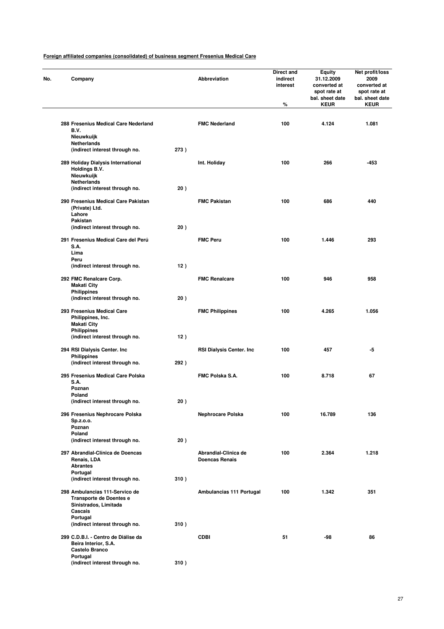| No. | Company                                                       |                                                                                           |      | Abbreviation                                  | <b>Direct and</b><br>indirect<br>interest<br>% | Equity<br>31.12.2009<br>converted at<br>spot rate at<br>bal. sheet date<br><b>KEUR</b> | Net profit/loss<br>2009<br>converted at<br>spot rate at<br>bal. sheet date<br><b>KEUR</b> |
|-----|---------------------------------------------------------------|-------------------------------------------------------------------------------------------|------|-----------------------------------------------|------------------------------------------------|----------------------------------------------------------------------------------------|-------------------------------------------------------------------------------------------|
|     | B.V.                                                          | 288 Fresenius Medical Care Nederland                                                      |      | <b>FMC Nederland</b>                          | 100                                            | 4.124                                                                                  | 1.081                                                                                     |
|     | Nieuwkuijk<br>Netherlands                                     | (indirect interest through no.                                                            | 273) |                                               |                                                |                                                                                        |                                                                                           |
|     | Holdings B.V.<br>Nieuwkuijk<br><b>Netherlands</b>             | 289 Holiday Dialysis International                                                        |      | Int. Holiday                                  | 100                                            | 266                                                                                    | -453                                                                                      |
|     |                                                               | (indirect interest through no.                                                            | 20)  |                                               |                                                |                                                                                        |                                                                                           |
|     | (Private) Ltd.<br>Lahore<br>Pakistan                          | 290 Fresenius Medical Care Pakistan                                                       |      | <b>FMC Pakistan</b>                           | 100                                            | 686                                                                                    | 440                                                                                       |
|     |                                                               | (indirect interest through no.                                                            | 20)  |                                               |                                                |                                                                                        |                                                                                           |
|     | S.A.<br>Lima                                                  | 291 Fresenius Medical Care del Perú                                                       |      | <b>FMC Peru</b>                               | 100                                            | 1.446                                                                                  | 293                                                                                       |
|     | Peru                                                          | (indirect interest through no.                                                            | 12)  |                                               |                                                |                                                                                        |                                                                                           |
|     | 292 FMC Renalcare Corp.<br>Makati City                        |                                                                                           |      | <b>FMC Renalcare</b>                          | 100                                            | 946                                                                                    | 958                                                                                       |
|     | <b>Philippines</b>                                            | (indirect interest through no.                                                            | 20)  |                                               |                                                |                                                                                        |                                                                                           |
|     | Philippines, Inc.<br><b>Makati City</b><br><b>Philippines</b> | 293 Fresenius Medical Care                                                                |      | <b>FMC Philippines</b>                        | 100                                            | 4.265                                                                                  | 1.056                                                                                     |
|     |                                                               | (indirect interest through no.                                                            | 12)  |                                               |                                                |                                                                                        |                                                                                           |
|     | <b>Philippines</b>                                            | 294 RSI Dialysis Center. Inc<br>(indirect interest through no.                            | 292) | <b>RSI Dialysis Center. Inc.</b>              | 100                                            | 457                                                                                    | -5                                                                                        |
|     | S.A.                                                          | 295 Fresenius Medical Care Polska                                                         |      | FMC Polska S.A.                               | 100                                            | 8.718                                                                                  | 67                                                                                        |
|     | Poznan                                                        |                                                                                           |      |                                               |                                                |                                                                                        |                                                                                           |
|     | Poland                                                        | (indirect interest through no.                                                            | 20)  |                                               |                                                |                                                                                        |                                                                                           |
|     | Sp.z.o.o.<br>Poznan                                           | 296 Fresenius Nephrocare Polska                                                           |      | Nephrocare Polska                             | 100                                            | 16.789                                                                                 | 136                                                                                       |
|     | Poland                                                        |                                                                                           |      |                                               |                                                |                                                                                        |                                                                                           |
|     |                                                               | (indirect interest through no.                                                            | 20)  |                                               |                                                |                                                                                        |                                                                                           |
|     | Renais, LDA<br><b>Abrantes</b><br>Portugal                    | 297 Abrandial-Clínica de Doencas                                                          |      | Abrandial-Clinica de<br><b>Doencas Renais</b> | 100                                            | 2.364                                                                                  | 1.218                                                                                     |
|     |                                                               | (indirect interest through no.                                                            | 310) |                                               |                                                |                                                                                        |                                                                                           |
|     | Cascais                                                       | 298 Ambulancias 111-Servico de<br><b>Transporte de Doentes e</b><br>Sinistrados, Limitada |      | Ambulancias 111 Portugal                      | 100                                            | 1.342                                                                                  | 351                                                                                       |
|     | Portugal                                                      | (indirect interest through no.                                                            | 310) |                                               |                                                |                                                                                        |                                                                                           |
|     | Castelo Branco                                                | 299 C.D.B.I. - Centro de Diálise da<br>Beira Interior, S.A.                               |      | <b>CDBI</b>                                   | 51                                             | -98                                                                                    | 86                                                                                        |
|     | Portugal                                                      | (indirect interest through no.                                                            | 310) |                                               |                                                |                                                                                        |                                                                                           |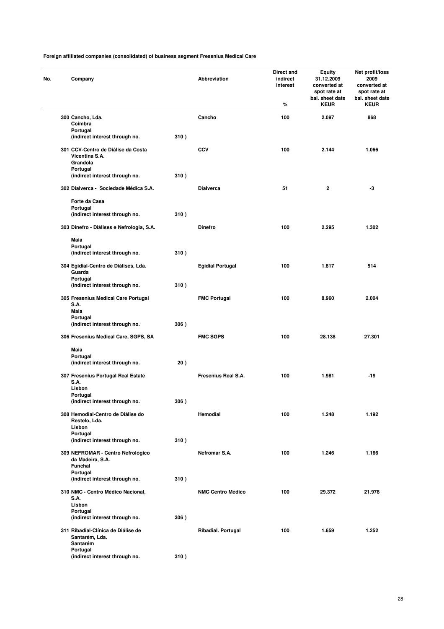| No. | Company                                                                      |      | Abbreviation             | Direct and<br>indirect<br>interest<br>% | <b>Equity</b><br>31.12.2009<br>converted at<br>spot rate at<br>bal. sheet date<br><b>KEUR</b> | Net profit/loss<br>2009<br>converted at<br>spot rate at<br>bal. sheet date<br><b>KEUR</b> |
|-----|------------------------------------------------------------------------------|------|--------------------------|-----------------------------------------|-----------------------------------------------------------------------------------------------|-------------------------------------------------------------------------------------------|
|     | 300 Cancho, Lda.                                                             |      | Cancho                   | 100                                     | 2.097                                                                                         | 868                                                                                       |
|     | Coimbra<br>Portugal                                                          |      |                          |                                         |                                                                                               |                                                                                           |
|     | (indirect interest through no.                                               | 310) |                          |                                         |                                                                                               |                                                                                           |
|     | 301 CCV-Centro de Diálise da Costa<br>Vicentina S.A.<br>Grandola<br>Portugal |      | <b>CCV</b>               | 100                                     | 2.144                                                                                         | 1.066                                                                                     |
|     | (indirect interest through no.                                               | 310) |                          |                                         |                                                                                               |                                                                                           |
|     | 302 Dialverca - Sociedade Médica S.A.                                        |      | <b>Dialverca</b>         | 51                                      | 2                                                                                             | -3                                                                                        |
|     | Forte da Casa                                                                |      |                          |                                         |                                                                                               |                                                                                           |
|     | Portugal<br>(indirect interest through no.                                   | 310) |                          |                                         |                                                                                               |                                                                                           |
|     | 303 Dinefro - Diálises e Nefrologia, S.A.                                    |      | <b>Dinefro</b>           | 100                                     | 2.295                                                                                         | 1.302                                                                                     |
|     | Maia                                                                         |      |                          |                                         |                                                                                               |                                                                                           |
|     | Portugal                                                                     |      |                          |                                         |                                                                                               |                                                                                           |
|     | (indirect interest through no.                                               | 310) |                          |                                         |                                                                                               |                                                                                           |
|     | 304 Egidial-Centro de Diálises, Lda.<br>Guarda                               |      | <b>Egidial Portugal</b>  | 100                                     | 1.817                                                                                         | 514                                                                                       |
|     | Portugal                                                                     |      |                          |                                         |                                                                                               |                                                                                           |
|     | (indirect interest through no.                                               | 310) |                          |                                         |                                                                                               |                                                                                           |
|     | 305 Fresenius Medical Care Portugal<br>S.A.                                  |      | <b>FMC Portugal</b>      | 100                                     | 8.960                                                                                         | 2.004                                                                                     |
|     | <b>Maia</b>                                                                  |      |                          |                                         |                                                                                               |                                                                                           |
|     | Portugal                                                                     |      |                          |                                         |                                                                                               |                                                                                           |
|     | (indirect interest through no.                                               | 306) |                          |                                         |                                                                                               |                                                                                           |
|     | 306 Fresenius Medical Care, SGPS, SA                                         |      | <b>FMC SGPS</b>          | 100                                     | 28.138                                                                                        | 27.301                                                                                    |
|     | Maia                                                                         |      |                          |                                         |                                                                                               |                                                                                           |
|     | Portugal                                                                     |      |                          |                                         |                                                                                               |                                                                                           |
|     | (indirect interest through no.                                               | 20)  |                          |                                         |                                                                                               |                                                                                           |
|     | 307 Fresenius Portugal Real Estate                                           |      | Fresenius Real S.A.      | 100                                     | 1.981                                                                                         | $-19$                                                                                     |
|     | <b>S.A.</b><br>Lisbon                                                        |      |                          |                                         |                                                                                               |                                                                                           |
|     | Portugal                                                                     |      |                          |                                         |                                                                                               |                                                                                           |
|     | (indirect interest through no.                                               | 306) |                          |                                         |                                                                                               |                                                                                           |
|     | 308 Hemodial-Centro de Diálise do<br>Restelo, Lda.                           |      | Hemodial                 | 100                                     | 1.248                                                                                         | 1.192                                                                                     |
|     | Lisbon                                                                       |      |                          |                                         |                                                                                               |                                                                                           |
|     | Portugal                                                                     |      |                          |                                         |                                                                                               |                                                                                           |
|     | (indirect interest through no.                                               | 310) |                          |                                         |                                                                                               |                                                                                           |
|     | 309 NEFROMAR - Centro Nefrológico<br>da Madeira, S.A.<br>Funchal             |      | Nefromar S.A.            | 100                                     | 1.246                                                                                         | 1.166                                                                                     |
|     | Portugal                                                                     |      |                          |                                         |                                                                                               |                                                                                           |
|     | (indirect interest through no.                                               | 310) |                          |                                         |                                                                                               |                                                                                           |
|     | 310 NMC - Centro Médico Nacional,<br>S.A.                                    |      | <b>NMC Centro Médico</b> | 100                                     | 29.372                                                                                        | 21.978                                                                                    |
|     | Lisbon                                                                       |      |                          |                                         |                                                                                               |                                                                                           |
|     | Portugal<br>(indirect interest through no.                                   | 306) |                          |                                         |                                                                                               |                                                                                           |
|     | 311 Ribadial-Clínica de Diálise de<br>Santarém, Lda.                         |      | Ribadial. Portugal       | 100                                     | 1.659                                                                                         | 1.252                                                                                     |
|     | Santarém                                                                     |      |                          |                                         |                                                                                               |                                                                                           |
|     | Portugal<br>(indirect interest through no.                                   | 310) |                          |                                         |                                                                                               |                                                                                           |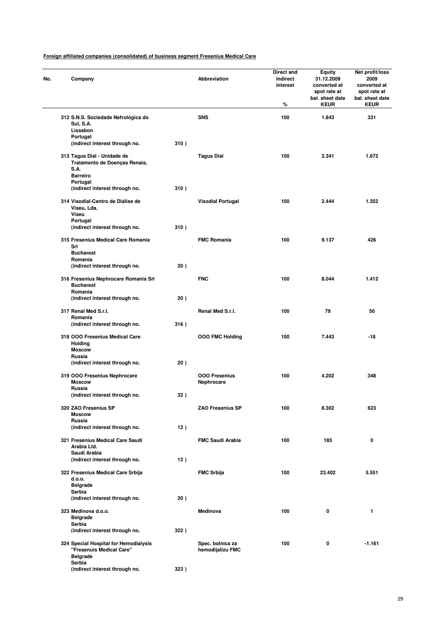| No. | Company                                                                                 |      | <b>Abbreviation</b>                  | Direct and<br>indirect<br>interest<br>% | <b>Equity</b><br>31.12.2009<br>converted at<br>spot rate at<br>bal. sheet date<br><b>KEUR</b> | Net profit/loss<br>2009<br>converted at<br>spot rate at<br>bal. sheet date<br><b>KEUR</b> |
|-----|-----------------------------------------------------------------------------------------|------|--------------------------------------|-----------------------------------------|-----------------------------------------------------------------------------------------------|-------------------------------------------------------------------------------------------|
|     | 312 S.N.S. Sociedade Nefrológica do<br><b>Sul, S.A.</b><br>Lissabon                     |      | <b>SNS</b>                           | 100                                     | 1.843                                                                                         | 331                                                                                       |
|     | Portugal<br>(indirect interest through no.                                              | 310) |                                      |                                         |                                                                                               |                                                                                           |
|     | 313 Tagus Dial - Unidade de<br>Tratamento de Doenças Renais,<br>S.A.<br><b>Barreiro</b> |      | <b>Tagus Dial</b>                    | 100                                     | 2.341                                                                                         | 1.672                                                                                     |
|     | Portugal<br>(indirect interest through no.                                              | 310) |                                      |                                         |                                                                                               |                                                                                           |
|     | 314 Visodial-Centro de Diálise de<br>Viseu, Lda.<br><b>Viseu</b>                        |      | <b>Visodial Portugal</b>             | 100                                     | 2.444                                                                                         | 1.352                                                                                     |
|     | Portugal<br>(indirect interest through no.                                              | 310) |                                      |                                         |                                                                                               |                                                                                           |
|     | 315 Fresenius Medical Care Romania<br>Srl<br><b>Bucharest</b>                           |      | <b>FMC Romania</b>                   | 100                                     | 9.137                                                                                         | 426                                                                                       |
|     | Romania<br>(indirect interest through no.                                               | 20)  |                                      |                                         |                                                                                               |                                                                                           |
|     | 316 Fresenius Nephrocare Romania Srl<br><b>Bucharest</b><br>Romania                     |      | <b>FNC</b>                           | 100                                     | 8.044                                                                                         | 1.412                                                                                     |
|     | (indirect interest through no.                                                          | 20)  |                                      |                                         |                                                                                               |                                                                                           |
|     | 317 Renal Med S.r.I.<br>Romania                                                         |      | Renal Med S.r.l.                     | 100                                     | 79                                                                                            | 50                                                                                        |
|     | (indirect interest through no.                                                          | 316) |                                      |                                         |                                                                                               |                                                                                           |
|     | 318 OOO Fresenius Medical Care<br><b>Holding</b><br><b>Moscow</b><br>Russia             |      | <b>OOO FMC Holding</b>               | 100                                     | 7.443                                                                                         | -18                                                                                       |
|     | (indirect interest through no.                                                          | 20)  |                                      |                                         |                                                                                               |                                                                                           |
|     | 319 OOO Fresenius Nephrocare<br><b>Moscow</b><br>Russia                                 |      | <b>000 Fresenius</b><br>Nephrocare   | 100                                     | 4.202                                                                                         | 348                                                                                       |
|     | (indirect interest through no.                                                          | 32)  |                                      |                                         |                                                                                               |                                                                                           |
|     | 320 ZAO Fresenius SP<br><b>Moscow</b><br>Russia                                         |      | <b>ZAO Fresenius SP</b>              | 100                                     | 8.302                                                                                         | 623                                                                                       |
|     | (indirect interest through no.                                                          | 12)  |                                      |                                         |                                                                                               |                                                                                           |
|     | 321 Fresenius Medical Care Saudi<br>Arabia Ltd.                                         |      | <b>FMC Saudi Arabia</b>              | 100                                     | 185                                                                                           | 0                                                                                         |
|     | Saudi Arabia<br>(indirect interest through no.                                          | 12)  |                                      |                                         |                                                                                               |                                                                                           |
|     | 322 Fresenius Medical Care Srbija<br>d.o.o.                                             |      | <b>FMC Srbija</b>                    | 100                                     | 23.402                                                                                        | 5.551                                                                                     |
|     | <b>Belgrade</b><br>Serbia                                                               |      |                                      |                                         |                                                                                               |                                                                                           |
|     | (indirect interest through no.                                                          | 20)  |                                      |                                         |                                                                                               |                                                                                           |
|     | 323 Medinova d.o.o.<br><b>Belgrade</b><br>Serbia                                        |      | <b>Medinova</b>                      | 100                                     | 0                                                                                             | 1                                                                                         |
|     | (indirect interest through no.                                                          | 322) |                                      |                                         |                                                                                               |                                                                                           |
|     | 324 Special Hospital for Hemodialysis<br>"Fresenuis Medical Care"<br><b>Belgrade</b>    |      | Spec. bolnica za<br>hemodijalizu FMC | 100                                     | 0                                                                                             | $-1.161$                                                                                  |
|     | Serbia<br>(indirect interest through no.                                                | 323) |                                      |                                         |                                                                                               |                                                                                           |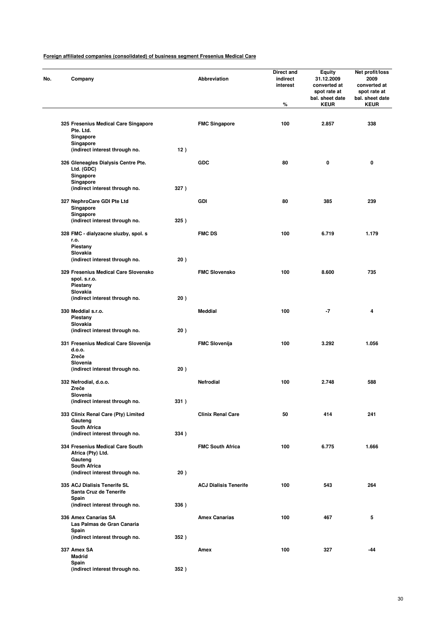| Company                                                                     |      | Abbreviation                 | Direct and<br>indirect<br>interest<br>% | Equity<br>31.12.2009<br>converted at<br>spot rate at<br>bal. sheet date<br><b>KEUR</b> | Net profit/loss<br>2009<br>converted at<br>spot rate at<br>bal. sheet date<br><b>KEUR</b> |
|-----------------------------------------------------------------------------|------|------------------------------|-----------------------------------------|----------------------------------------------------------------------------------------|-------------------------------------------------------------------------------------------|
| 325 Fresenius Medical Care Singapore<br>Pte. Ltd.<br>Singapore              |      | <b>FMC Singapore</b>         | 100                                     | 2.857                                                                                  | 338                                                                                       |
| Singapore<br>(indirect interest through no.                                 | 12)  |                              |                                         |                                                                                        |                                                                                           |
| 326 Gleneagles Dialysis Centre Pte.<br>Ltd. (GDC)<br>Singapore<br>Singapore |      | <b>GDC</b>                   | 80                                      | 0                                                                                      | 0                                                                                         |
| (indirect interest through no.                                              | 327) |                              |                                         |                                                                                        |                                                                                           |
| 327 NephroCare GDI Pte Ltd<br>Singapore<br>Singapore                        |      | <b>GDI</b>                   | 80                                      | 385                                                                                    | 239                                                                                       |
| (indirect interest through no.                                              | 325) |                              |                                         |                                                                                        |                                                                                           |
| 328 FMC - dialyzacne sluzby, spol. s<br>r.o.<br>Piestany                    |      | <b>FMC DS</b>                | 100                                     | 6.719                                                                                  | 1.179                                                                                     |
| Slovakia<br>(indirect interest through no.                                  | 20)  |                              |                                         |                                                                                        |                                                                                           |
| 329 Fresenius Medical Care Slovensko                                        |      | <b>FMC Slovensko</b>         | 100                                     | 8.600                                                                                  | 735                                                                                       |
| spol. s.r.o.<br>Piestany<br>Slovakia                                        |      |                              |                                         |                                                                                        |                                                                                           |
| (indirect interest through no.                                              | 20)  |                              |                                         |                                                                                        |                                                                                           |
| 330 Meddial s.r.o.<br>Piestany                                              |      | <b>Meddial</b>               | 100                                     | $-7$                                                                                   | 4                                                                                         |
| Slovakia<br>(indirect interest through no.                                  | 20)  |                              |                                         |                                                                                        |                                                                                           |
| 331 Fresenius Medical Care Slovenija<br>d.o.o.<br>Zreče                     |      | <b>FMC Slovenija</b>         | 100                                     | 3.292                                                                                  | 1.056                                                                                     |
| Slovenia<br>(indirect interest through no.                                  | 20)  |                              |                                         |                                                                                        |                                                                                           |
| 332 Nefrodial, d.o.o.<br>Zreče                                              |      | Nefrodial                    | 100                                     | 2.748                                                                                  | 588                                                                                       |
| Slovenia<br>(indirect interest through no.                                  | 331) |                              |                                         |                                                                                        |                                                                                           |
| 333 Clinix Renal Care (Pty) Limited<br>Gauteng                              |      | <b>Clinix Renal Care</b>     | 50                                      | 414                                                                                    | 241                                                                                       |
| <b>South Africa</b><br>(indirect interest through no.                       | 334) |                              |                                         |                                                                                        |                                                                                           |
| 334 Fresenius Medical Care South<br>Africa (Pty) Ltd.<br>Gauteng            |      | <b>FMC South Africa</b>      | 100                                     | 6.775                                                                                  | 1.666                                                                                     |
| <b>South Africa</b>                                                         |      |                              |                                         |                                                                                        |                                                                                           |
| (indirect interest through no.<br>335 ACJ Dialisis Tenerife SL              | 20)  | <b>ACJ Dialisis Tenerife</b> | 100                                     | 543                                                                                    | 264                                                                                       |
| Santa Cruz de Tenerife<br>Spain                                             |      |                              |                                         |                                                                                        |                                                                                           |
| (indirect interest through no.<br>336 Amex Canarias SA                      | 336) | <b>Amex Canarias</b>         | 100                                     | 467                                                                                    | 5                                                                                         |
| Las Palmas de Gran Canaria<br>Spain                                         |      |                              |                                         |                                                                                        |                                                                                           |
| (indirect interest through no.                                              | 352) |                              |                                         |                                                                                        |                                                                                           |
| 337 Amex SA<br><b>Madrid</b><br>Spain                                       |      | Amex                         | 100                                     | 327                                                                                    | -44                                                                                       |
| (indirect interest through no.                                              | 352) |                              |                                         |                                                                                        |                                                                                           |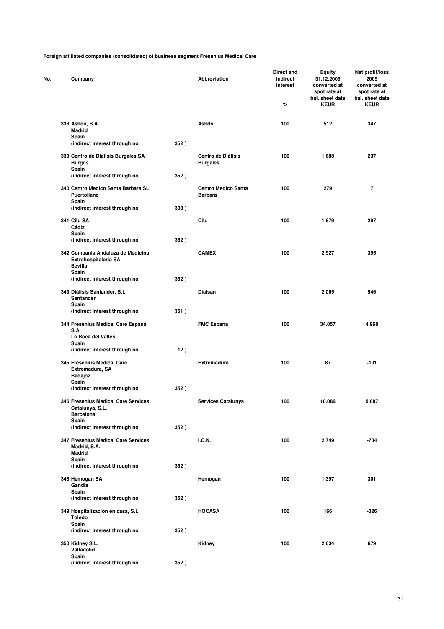| No. | Company                                                                    |      | Abbreviation                                 | <b>Direct and</b><br>indirect<br>interest<br>% | Equity<br>31.12.2009<br>converted at<br>spot rate at<br>bal. sheet date<br><b>KEUR</b> | Net profit/loss<br>2009<br>converted at<br>spot rate at<br>bal. sheet date<br><b>KEUR</b> |
|-----|----------------------------------------------------------------------------|------|----------------------------------------------|------------------------------------------------|----------------------------------------------------------------------------------------|-------------------------------------------------------------------------------------------|
|     | 338 Ashdo, S.A.<br>Madrid                                                  |      | Ashdo                                        | 100                                            | 512                                                                                    | 347                                                                                       |
|     | Spain<br>(indirect interest through no.                                    | 352) |                                              |                                                |                                                                                        |                                                                                           |
|     | 339 Centro de Dialisis Burgales SA<br><b>Burgos</b><br>Spain               |      | <b>Centro de Diálisis</b><br><b>Burgalés</b> | 100                                            | 1.688                                                                                  | 237                                                                                       |
|     | (indirect interest through no.                                             | 352) |                                              |                                                |                                                                                        |                                                                                           |
|     | 340 Centro Medico Santa Barbara SL<br>Puertollano<br>Spain                 |      | <b>Centro Medico Santa</b><br><b>Barbara</b> | 100                                            | 279                                                                                    | 7                                                                                         |
|     | (indirect interest through no.                                             | 338) |                                              |                                                |                                                                                        |                                                                                           |
|     | 341 Cilu SA<br>Cádiz<br>Spain                                              |      | Cilu                                         | 100                                            | 1.679                                                                                  | 297                                                                                       |
|     | (indirect interest through no.                                             | 352) |                                              |                                                |                                                                                        |                                                                                           |
|     | 342 Compania Andaluza de Medicina<br>Extrahospitalaria SA<br>Sevilla       |      | <b>CAMEX</b>                                 | 100                                            | 2.927                                                                                  | 395                                                                                       |
|     | Spain<br>(indirect interest through no.                                    | 352) |                                              |                                                |                                                                                        |                                                                                           |
|     | 343 Diálisis Santander, S.L.<br>Santander                                  |      | Dialsan                                      | 100                                            | 2.065                                                                                  | 546                                                                                       |
|     | Spain<br>(indirect interest through no.                                    | 351) |                                              |                                                |                                                                                        |                                                                                           |
|     | 344 Fresenius Medical Care Espana,<br>S.A.<br>La Roca del Valles           |      | <b>FMC Espana</b>                            | 100                                            | 34.057                                                                                 | 4.968                                                                                     |
|     | Spain<br>(indirect interest through no.                                    | 12)  |                                              |                                                |                                                                                        |                                                                                           |
|     | 345 Fresenius Medical Care<br>Extremadura, SA                              |      | <b>Extremadura</b>                           | 100                                            | 87                                                                                     | $-101$                                                                                    |
|     | <b>Badajoz</b><br>Spain                                                    |      |                                              |                                                |                                                                                        |                                                                                           |
|     | (indirect interest through no.                                             | 352) |                                              |                                                |                                                                                        |                                                                                           |
|     | 346 Fresenius Medical Care Services<br>Catalunya, S.L.<br><b>Barcelona</b> |      | Services Catalunya                           | 100                                            | 10.086                                                                                 | 5.887                                                                                     |
|     | Spain<br>(indirect interest through no.                                    | 352) |                                              |                                                |                                                                                        |                                                                                           |
|     | 347 Fresenius Medical Care Services<br>Madrid, S.A.<br><b>Madrid</b>       |      | <b>I.C.N.</b>                                | 100                                            | 2.749                                                                                  | $-704$                                                                                    |
|     | Spain<br>(indirect interest through no.                                    | 352) |                                              |                                                |                                                                                        |                                                                                           |
|     | 348 Hemogan SA                                                             |      | Hemogan                                      | 100                                            | 1.397                                                                                  | 301                                                                                       |
|     | Gandia<br>Spain<br>(indirect interest through no.                          | 352) |                                              |                                                |                                                                                        |                                                                                           |
|     | 349 Hospitalización en casa, S.L.<br><b>Toledo</b>                         |      | <b>HOCASA</b>                                | 100                                            | 166                                                                                    | $-326$                                                                                    |
|     | Spain<br>(indirect interest through no.                                    | 352) |                                              |                                                |                                                                                        |                                                                                           |
|     | 350 Kidney S.L.<br>Valladolid                                              |      | Kidney                                       | 100                                            | 2.634                                                                                  | 679                                                                                       |
|     | Spain<br>(indirect interest through no.                                    | 352) |                                              |                                                |                                                                                        |                                                                                           |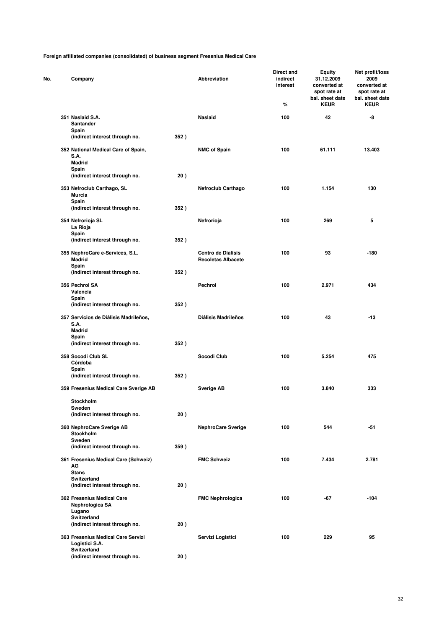| No. | Company                                              |      | Abbreviation               | Direct and<br>indirect<br>interest<br>% | Equity<br>31.12.2009<br>converted at<br>spot rate at<br>bal. sheet date<br><b>KEUR</b> | Net profit/loss<br>2009<br>converted at<br>spot rate at<br>bal. sheet date<br><b>KEUR</b> |
|-----|------------------------------------------------------|------|----------------------------|-----------------------------------------|----------------------------------------------------------------------------------------|-------------------------------------------------------------------------------------------|
|     | 351 Naslaid S.A.                                     |      | <b>Naslaid</b>             | 100                                     | 42                                                                                     | -8                                                                                        |
|     | Santander                                            |      |                            |                                         |                                                                                        |                                                                                           |
|     | Spain                                                |      |                            |                                         |                                                                                        |                                                                                           |
|     | (indirect interest through no.                       | 352) |                            |                                         |                                                                                        |                                                                                           |
|     | 352 National Medical Care of Spain,<br>S.A.          |      | <b>NMC of Spain</b>        | 100                                     | 61.111                                                                                 | 13.403                                                                                    |
|     | <b>Madrid</b>                                        |      |                            |                                         |                                                                                        |                                                                                           |
|     | Spain                                                |      |                            |                                         |                                                                                        |                                                                                           |
|     | (indirect interest through no.                       | 20)  |                            |                                         |                                                                                        |                                                                                           |
|     | 353 Nefroclub Carthago, SL<br><b>Murcia</b>          |      | <b>Nefroclub Carthago</b>  | 100                                     | 1.154                                                                                  | 130                                                                                       |
|     | Spain                                                |      |                            |                                         |                                                                                        |                                                                                           |
|     | (indirect interest through no.                       | 352) |                            |                                         |                                                                                        |                                                                                           |
|     |                                                      |      |                            |                                         |                                                                                        |                                                                                           |
|     | 354 Nefrorioja SL                                    |      | Nefrorioja                 | 100                                     | 269                                                                                    | 5                                                                                         |
|     | La Rioja<br>Spain                                    |      |                            |                                         |                                                                                        |                                                                                           |
|     | (indirect interest through no.                       | 352) |                            |                                         |                                                                                        |                                                                                           |
|     |                                                      |      |                            |                                         |                                                                                        |                                                                                           |
|     | 355 NephroCare e-Services, S.L.                      |      | <b>Centro de Dialisis</b>  | 100                                     | 93                                                                                     | $-180$                                                                                    |
|     | <b>Madrid</b>                                        |      | <b>Recoletas Albacete</b>  |                                         |                                                                                        |                                                                                           |
|     | Spain<br>(indirect interest through no.              | 352) |                            |                                         |                                                                                        |                                                                                           |
|     |                                                      |      |                            |                                         |                                                                                        |                                                                                           |
|     | 356 Pechrol SA                                       |      | Pechrol                    | 100                                     | 2.971                                                                                  | 434                                                                                       |
|     | Valencia                                             |      |                            |                                         |                                                                                        |                                                                                           |
|     | Spain                                                |      |                            |                                         |                                                                                        |                                                                                           |
|     | (indirect interest through no.                       | 352) |                            |                                         |                                                                                        |                                                                                           |
|     | 357 Servicios de Diálisis Madrileños,                |      | <b>Diálisis Madrileños</b> | 100                                     | 43                                                                                     | $-13$                                                                                     |
|     | S.A.                                                 |      |                            |                                         |                                                                                        |                                                                                           |
|     | <b>Madrid</b>                                        |      |                            |                                         |                                                                                        |                                                                                           |
|     | Spain                                                |      |                            |                                         |                                                                                        |                                                                                           |
|     | (indirect interest through no.                       | 352) |                            |                                         |                                                                                        |                                                                                           |
|     | 358 Socodi Club SL                                   |      | Socodi Club                | 100                                     | 5.254                                                                                  | 475                                                                                       |
|     | Córdoba                                              |      |                            |                                         |                                                                                        |                                                                                           |
|     | Spain                                                |      |                            |                                         |                                                                                        |                                                                                           |
|     | (indirect interest through no.                       | 352) |                            |                                         |                                                                                        |                                                                                           |
|     | 359 Fresenius Medical Care Sverige AB                |      | <b>Sverige AB</b>          | 100                                     | 3.840                                                                                  | 333                                                                                       |
|     | Stockholm                                            |      |                            |                                         |                                                                                        |                                                                                           |
|     | Sweden                                               |      |                            |                                         |                                                                                        |                                                                                           |
|     | (indirect interest through no.                       | 20)  |                            |                                         |                                                                                        |                                                                                           |
|     | 360 NephroCare Sverige AB                            |      | <b>NephroCare Sverige</b>  | 100                                     | 544                                                                                    | -51                                                                                       |
|     | Stockholm                                            |      |                            |                                         |                                                                                        |                                                                                           |
|     | Sweden                                               |      |                            |                                         |                                                                                        |                                                                                           |
|     | (indirect interest through no.                       | 359) |                            |                                         |                                                                                        |                                                                                           |
|     |                                                      |      |                            |                                         |                                                                                        |                                                                                           |
|     | 361 Fresenius Medical Care (Schweiz)<br>AG           |      | <b>FMC Schweiz</b>         | 100                                     | 7.434                                                                                  | 2.781                                                                                     |
|     | <b>Stans</b>                                         |      |                            |                                         |                                                                                        |                                                                                           |
|     | Switzerland                                          |      |                            |                                         |                                                                                        |                                                                                           |
|     | (indirect interest through no.                       | 20)  |                            |                                         |                                                                                        |                                                                                           |
|     | 362 Fresenius Medical Care                           |      | <b>FMC Nephrologica</b>    | 100                                     | -67                                                                                    | $-104$                                                                                    |
|     | Nephrologica SA<br>Lugano                            |      |                            |                                         |                                                                                        |                                                                                           |
|     | Switzerland                                          |      |                            |                                         |                                                                                        |                                                                                           |
|     | (indirect interest through no.                       | 20)  |                            |                                         |                                                                                        |                                                                                           |
|     |                                                      |      |                            |                                         |                                                                                        |                                                                                           |
|     | 363 Fresenius Medical Care Servizi<br>Logistici S.A. |      | Servizi Logistici          | 100                                     | 229                                                                                    | 95                                                                                        |
|     | Switzerland<br>(indirect interest through no.        | 20)  |                            |                                         |                                                                                        |                                                                                           |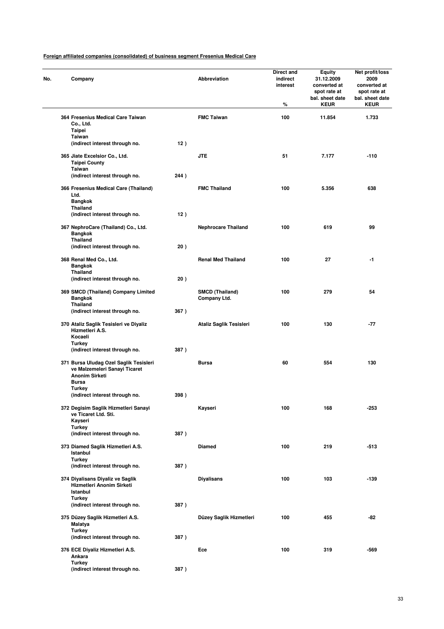| No. | Company                                                                                                          |      | <b>Abbreviation</b>                    | Direct and<br>indirect<br>interest<br>% | Equity<br>31.12.2009<br>converted at<br>spot rate at<br>bal. sheet date<br><b>KEUR</b> | Net profit/loss<br>2009<br>converted at<br>spot rate at<br>bal. sheet date<br><b>KEUR</b> |
|-----|------------------------------------------------------------------------------------------------------------------|------|----------------------------------------|-----------------------------------------|----------------------------------------------------------------------------------------|-------------------------------------------------------------------------------------------|
|     | 364 Fresenius Medical Care Taiwan<br>Co., Ltd.<br>Taipei                                                         |      | <b>FMC Taiwan</b>                      | 100                                     | 11.854                                                                                 | 1.733                                                                                     |
|     | Taiwan<br>(indirect interest through no.                                                                         | 12)  |                                        |                                         |                                                                                        |                                                                                           |
|     | 365 Jiate Excelsior Co., Ltd.<br><b>Taipei County</b><br>Taiwan                                                  |      | <b>JTE</b>                             | 51                                      | 7.177                                                                                  | $-110$                                                                                    |
|     | (indirect interest through no.                                                                                   | 244) |                                        |                                         |                                                                                        |                                                                                           |
|     | 366 Fresenius Medical Care (Thailand)<br>Ltd.<br><b>Bangkok</b>                                                  |      | <b>FMC Thailand</b>                    | 100                                     | 5.356                                                                                  | 638                                                                                       |
|     | <b>Thailand</b><br>(indirect interest through no.                                                                | 12)  |                                        |                                         |                                                                                        |                                                                                           |
|     | 367 NephroCare (Thailand) Co., Ltd.<br><b>Bangkok</b><br><b>Thailand</b>                                         |      | <b>Nephrocare Thailand</b>             | 100                                     | 619                                                                                    | 99                                                                                        |
|     | (indirect interest through no.                                                                                   | 20)  |                                        |                                         |                                                                                        |                                                                                           |
|     | 368 Renal Med Co., Ltd.<br><b>Bangkok</b><br><b>Thailand</b>                                                     |      | <b>Renal Med Thailand</b>              | 100                                     | 27                                                                                     | -1                                                                                        |
|     | (indirect interest through no.                                                                                   | 20)  |                                        |                                         |                                                                                        |                                                                                           |
|     | 369 SMCD (Thailand) Company Limited<br>Bangkok<br>Thailand                                                       |      | <b>SMCD (Thailand)</b><br>Company Ltd. | 100                                     | 279                                                                                    | 54                                                                                        |
|     | (indirect interest through no.                                                                                   | 367) |                                        |                                         |                                                                                        |                                                                                           |
|     | 370 Ataliz Saglik Tesisleri ve Diyaliz<br>Hizmetleri A.S.<br>Kocaeli<br>Turkey                                   |      | Ataliz Saglik Tesisleri                | 100                                     | 130                                                                                    | -77                                                                                       |
|     | (indirect interest through no.                                                                                   | 387) |                                        |                                         |                                                                                        |                                                                                           |
|     | 371 Bursa Uludag Ozel Saglik Tesisleri<br>ve Malzemeleri Sanayi Ticaret<br><b>Anonim Sirketi</b><br><b>Bursa</b> |      | Bursa                                  | 60                                      | 554                                                                                    | 130                                                                                       |
|     | Turkey<br>(indirect interest through no.                                                                         | 398) |                                        |                                         |                                                                                        |                                                                                           |
|     | 372 Degisim Saglik Hizmetleri Sanayi<br>ve Ticaret Ltd. Sti.<br>Kayseri                                          |      | Kayseri                                | 100                                     | 168                                                                                    | -253                                                                                      |
|     | <b>Turkey</b><br>(indirect interest through no.                                                                  | 387) |                                        |                                         |                                                                                        |                                                                                           |
|     | 373 Diamed Saglik Hizmetleri A.S.<br>Istanbul                                                                    |      | <b>Diamed</b>                          | 100                                     | 219                                                                                    | -513                                                                                      |
|     | <b>Turkey</b><br>(indirect interest through no.                                                                  | 387) |                                        |                                         |                                                                                        |                                                                                           |
|     | 374 Diyalisans Diyaliz ve Saglik<br>Hizmetleri Anonim Sirketi<br><b>Istanbul</b>                                 |      | <b>Diyalisans</b>                      | 100                                     | 103                                                                                    | $-139$                                                                                    |
|     | <b>Turkey</b><br>(indirect interest through no.                                                                  | 387) |                                        |                                         |                                                                                        |                                                                                           |
|     | 375 Düzey Saglik Hizmetleri A.S.<br>Malatya                                                                      |      | Düzey Saglik Hizmetleri                | 100                                     | 455                                                                                    | -82                                                                                       |
|     | <b>Turkey</b><br>(indirect interest through no.                                                                  | 387) |                                        |                                         |                                                                                        |                                                                                           |
|     | 376 ECE Diyaliz Hizmetleri A.S.<br>Ankara                                                                        |      | Ece                                    | 100                                     | 319                                                                                    | -569                                                                                      |
|     | <b>Turkey</b><br>(indirect interest through no.                                                                  | 387) |                                        |                                         |                                                                                        |                                                                                           |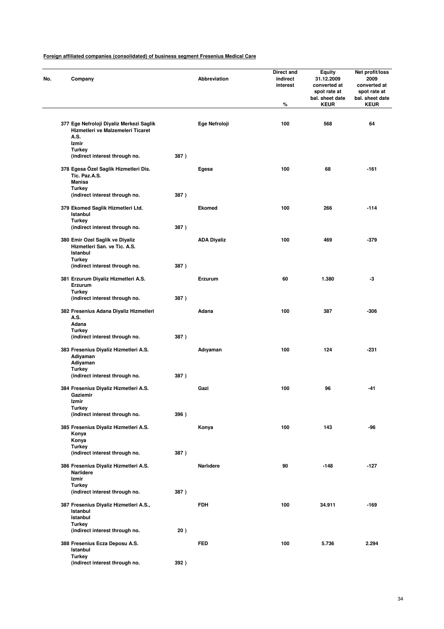| No. | Company                                                                               |      | Abbreviation       | Direct and<br>indirect<br>interest<br>% | Equity<br>31.12.2009<br>converted at<br>spot rate at<br>bal. sheet date<br><b>KEUR</b> | Net profit/loss<br>2009<br>converted at<br>spot rate at<br>bal. sheet date<br><b>KEUR</b> |
|-----|---------------------------------------------------------------------------------------|------|--------------------|-----------------------------------------|----------------------------------------------------------------------------------------|-------------------------------------------------------------------------------------------|
|     | 377 Ege Nefroloji Diyaliz Merkezi Saglik<br>Hizmetleri ve Malzemeleri Ticaret<br>A.S. |      | Ege Nefroloji      | 100                                     | 568                                                                                    | 64                                                                                        |
|     | Izmir<br><b>Turkey</b><br>(indirect interest through no.                              | 387) |                    |                                         |                                                                                        |                                                                                           |
|     | 378 Egesa Özel Saglik Hizmetleri Dis.<br>Tic. Paz.A.S.<br><b>Manisa</b>               |      | Egesa              | 100                                     | 68                                                                                     | $-161$                                                                                    |
|     | <b>Turkey</b>                                                                         |      |                    |                                         |                                                                                        |                                                                                           |
|     | (indirect interest through no.                                                        | 387) |                    |                                         |                                                                                        |                                                                                           |
|     | 379 Ekomed Saglik Hizmetleri Ltd.<br>Istanbul<br><b>Turkey</b>                        |      | <b>Ekomed</b>      | 100                                     | 266                                                                                    | $-114$                                                                                    |
|     | (indirect interest through no.                                                        | 387) |                    |                                         |                                                                                        |                                                                                           |
|     | 380 Emir Ozel Saglik ve Diyaliz<br>Hizmetleri San. ve Tic. A.S.<br>Istanbul           |      | <b>ADA Diyaliz</b> | 100                                     | 469                                                                                    | -379                                                                                      |
|     | Turkey<br>(indirect interest through no.                                              | 387) |                    |                                         |                                                                                        |                                                                                           |
|     | 381 Erzurum Diyaliz Hizmetleri A.S.<br>Erzurum                                        |      | Erzurum            | 60                                      | 1.380                                                                                  | -3                                                                                        |
|     | Turkey<br>(indirect interest through no.                                              | 387) |                    |                                         |                                                                                        |                                                                                           |
|     | 382 Fresenius Adana Diyaliz Hizmetleri<br>A.S.                                        |      | Adana              | 100                                     | 387                                                                                    | -306                                                                                      |
|     | Adana<br><b>Turkey</b>                                                                |      |                    |                                         |                                                                                        |                                                                                           |
|     | (indirect interest through no.<br>383 Fresenius Diyaliz Hizmetleri A.S.               | 387) | Adıyaman           | 100                                     | 124                                                                                    | -231                                                                                      |
|     | Adiyaman<br>Adiyaman<br><b>Turkey</b>                                                 |      |                    |                                         |                                                                                        |                                                                                           |
|     | (indirect interest through no.                                                        | 387) |                    |                                         |                                                                                        |                                                                                           |
|     | 384 Fresenius Diyaliz Hizmetleri A.S.<br>Gaziemir                                     |      | Gazi               | 100                                     | 96                                                                                     | -41                                                                                       |
|     | Izmir<br><b>Turkey</b>                                                                |      |                    |                                         |                                                                                        |                                                                                           |
|     | (indirect interest through no.                                                        | 396) |                    |                                         |                                                                                        |                                                                                           |
|     | 385 Fresenius Diyaliz Hizmetleri A.S.<br>Konya<br>Konya                               |      | Konya              | 100                                     | 143                                                                                    | -96                                                                                       |
|     | <b>Turkey</b><br>(indirect interest through no.                                       | 387) |                    |                                         |                                                                                        |                                                                                           |
|     | 386 Fresenius Diyaliz Hizmetleri A.S.<br><b>Narlidere</b>                             |      | Narlidere          | 90                                      | $-148$                                                                                 | $-127$                                                                                    |
|     | Izmir<br><b>Turkey</b>                                                                |      |                    |                                         |                                                                                        |                                                                                           |
|     | (indirect interest through no.                                                        | 387) |                    |                                         |                                                                                        |                                                                                           |
|     | 387 Fresenius Diyaliz Hizmetleri A.S.,<br>Istanbul<br>Istanbul                        |      | <b>FDH</b>         | 100                                     | 34.911                                                                                 | $-169$                                                                                    |
|     | Turkey<br>(indirect interest through no.                                              | 20)  |                    |                                         |                                                                                        |                                                                                           |
|     | 388 Fresenius Ecza Deposu A.S.                                                        |      | <b>FED</b>         | 100                                     | 5.736                                                                                  | 2.294                                                                                     |
|     | Istanbul<br><b>Turkey</b>                                                             |      |                    |                                         |                                                                                        |                                                                                           |
|     | (indirect interest through no.                                                        | 392) |                    |                                         |                                                                                        |                                                                                           |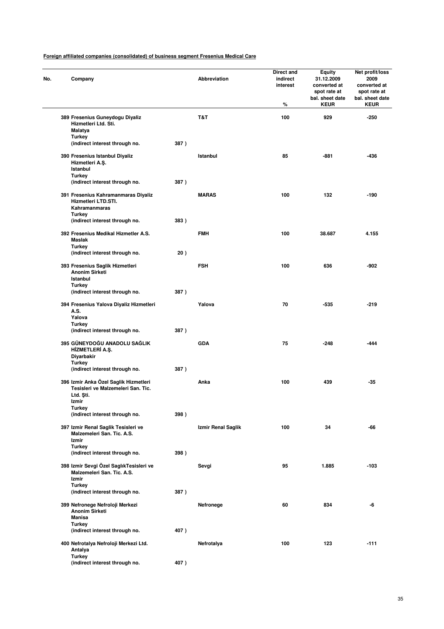| No. | Company                        |                                                                             |      | <b>Abbreviation</b> | Direct and<br>indirect<br>interest<br>% | Equity<br>31.12.2009<br>converted at<br>spot rate at<br>bal. sheet date<br><b>KEUR</b> | Net profit/loss<br>2009<br>converted at<br>spot rate at<br>bal. sheet date<br><b>KEUR</b> |
|-----|--------------------------------|-----------------------------------------------------------------------------|------|---------------------|-----------------------------------------|----------------------------------------------------------------------------------------|-------------------------------------------------------------------------------------------|
|     | Malatya                        | 389 Fresenius Guneydogu Diyaliz<br>Hizmetleri Ltd. Sti.                     |      | T&T                 | 100                                     | 929                                                                                    | $-250$                                                                                    |
|     | <b>Turkey</b>                  | (indirect interest through no.                                              | 387) |                     |                                         |                                                                                        |                                                                                           |
|     | Istanbul<br><b>Turkey</b>      | 390 Fresenius Istanbul Diyaliz<br>Hizmetleri A.Ş.                           |      | Istanbul            | 85                                      | $-881$                                                                                 | -436                                                                                      |
|     |                                | (indirect interest through no.                                              | 387) |                     |                                         |                                                                                        |                                                                                           |
|     |                                | 391 Fresenius Kahramanmaras Diyaliz<br>Hizmetleri LTD.STI.<br>Kahramanmaras |      | <b>MARAS</b>        | 100                                     | 132                                                                                    | $-190$                                                                                    |
|     | <b>Turkey</b>                  | (indirect interest through no.                                              | 383) |                     |                                         |                                                                                        |                                                                                           |
|     | <b>Maslak</b><br><b>Turkey</b> | 392 Fresenius Medikal Hizmetler A.S.                                        |      | <b>FMH</b>          | 100                                     | 38.687                                                                                 | 4.155                                                                                     |
|     |                                | (indirect interest through no.                                              | 20)  |                     |                                         |                                                                                        |                                                                                           |
|     | Istanbul                       | 393 Fresenius Saglik Hizmetleri<br><b>Anonim Sirketi</b>                    |      | <b>FSH</b>          | 100                                     | 636                                                                                    | -902                                                                                      |
|     | <b>Turkey</b>                  | (indirect interest through no.                                              | 387) |                     |                                         |                                                                                        |                                                                                           |
|     | A.S.<br>Yalova                 | 394 Fresenius Yalova Diyaliz Hizmetleri                                     |      | Yalova              | 70                                      | $-535$                                                                                 | $-219$                                                                                    |
|     | <b>Turkey</b>                  | (indirect interest through no.                                              | 387) |                     |                                         |                                                                                        |                                                                                           |
|     | Diyarbakir                     | 395 GÜNEYDOĞU ANADOLU SAĞLIK<br>HİZMETLERİ A.Ş.                             |      | <b>GDA</b>          | 75                                      | $-248$                                                                                 | -444                                                                                      |
|     | <b>Turkey</b>                  | (indirect interest through no.                                              | 387) |                     |                                         |                                                                                        |                                                                                           |
|     | Ltd. Sti.<br>Izmir             | 396 Izmir Anka Özel Saglik Hizmetleri<br>Tesisleri ve Malzemeleri San. Tic. |      | Anka                | 100                                     | 439                                                                                    | $-35$                                                                                     |
|     | Turkey                         |                                                                             |      |                     |                                         |                                                                                        |                                                                                           |
|     |                                | (indirect interest through no.                                              | 398) |                     |                                         |                                                                                        |                                                                                           |
|     | Izmir<br><b>Turkey</b>         | 397 Izmir Renal Saglik Tesisleri ve<br>Malzemeleri San. Tic. A.S.           |      | Izmir Renal Saglik  | 100                                     | 34                                                                                     | -66                                                                                       |
|     |                                | (indirect interest through no.                                              | 398) |                     |                                         |                                                                                        |                                                                                           |
|     | Izmir<br><b>Turkey</b>         | 398 Izmir Sevgi Özel SaglıkTesisleri ve<br>Malzemeleri San. Tic. A.S.       |      | Sevgi               | 95                                      | 1.885                                                                                  | $-103$                                                                                    |
|     |                                | (indirect interest through no.                                              | 387) |                     |                                         |                                                                                        |                                                                                           |
|     | <b>Manisa</b>                  | 399 Nefronege Nefroloji Merkezi<br><b>Anonim Sirketi</b>                    |      | Nefronege           | 60                                      | 834                                                                                    | -6                                                                                        |
|     | <b>Turkey</b>                  | (indirect interest through no.                                              | 407) |                     |                                         |                                                                                        |                                                                                           |
|     | Antalya<br><b>Turkey</b>       | 400 Nefrotalya Nefroloji Merkezi Ltd.                                       |      | Nefrotalya          | 100                                     | 123                                                                                    | $-111$                                                                                    |
|     |                                | (indirect interest through no.                                              | 407) |                     |                                         |                                                                                        |                                                                                           |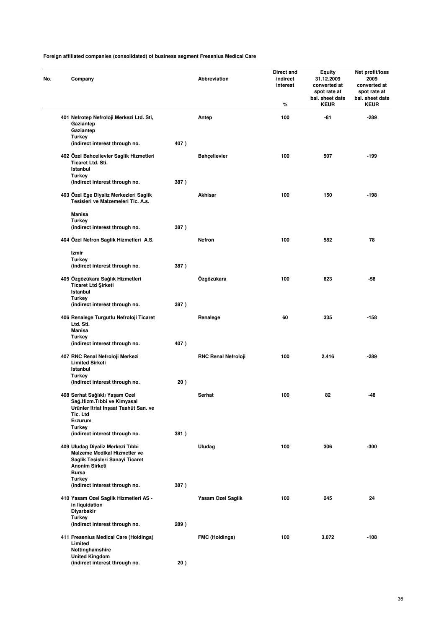| No. | Company                                                                                                                                      |      | Abbreviation               | Direct and<br>indirect<br>interest<br>% | <b>Equity</b><br>31.12.2009<br>converted at<br>spot rate at<br>bal. sheet date<br><b>KEUR</b> | Net profit/loss<br>2009<br>converted at<br>spot rate at<br>bal. sheet date<br><b>KEUR</b> |
|-----|----------------------------------------------------------------------------------------------------------------------------------------------|------|----------------------------|-----------------------------------------|-----------------------------------------------------------------------------------------------|-------------------------------------------------------------------------------------------|
|     | 401 Nefrotep Nefroloji Merkezi Ltd. Sti,<br>Gaziantep<br>Gaziantep                                                                           |      | Antep                      | 100                                     | -81                                                                                           | -289                                                                                      |
|     | Turkey<br>(indirect interest through no.                                                                                                     | 407) |                            |                                         |                                                                                               |                                                                                           |
|     | 402 Özel Bahcelievler Saglik Hizmetleri<br><b>Ticaret Ltd. Sti.</b><br>Istanbul<br><b>Turkey</b>                                             |      | <b>Bahçelievler</b>        | 100                                     | 507                                                                                           | -199                                                                                      |
|     | (indirect interest through no.                                                                                                               | 387) |                            |                                         |                                                                                               |                                                                                           |
|     | 403 Özel Ege Diyaliz Merkezleri Saglik<br>Tesisleri ve Malzemeleri Tic. A.s.                                                                 |      | Akhisar                    | 100                                     | 150                                                                                           | $-198$                                                                                    |
|     | <b>Manisa</b>                                                                                                                                |      |                            |                                         |                                                                                               |                                                                                           |
|     | <b>Turkey</b><br>(indirect interest through no.                                                                                              | 387) |                            |                                         |                                                                                               |                                                                                           |
|     | 404 Özel Nefron Saglik Hizmetleri A.S.                                                                                                       |      | Nefron                     | 100                                     | 582                                                                                           | 78                                                                                        |
|     | Izmir                                                                                                                                        |      |                            |                                         |                                                                                               |                                                                                           |
|     | <b>Turkey</b><br>(indirect interest through no.                                                                                              | 387) |                            |                                         |                                                                                               |                                                                                           |
|     | 405 Özgözükara Sağlık Hizmetleri<br><b>Ticaret Ltd Şirketi</b><br>Istanbul                                                                   |      | Özgözükara                 | 100                                     | 823                                                                                           | -58                                                                                       |
|     | Turkey                                                                                                                                       |      |                            |                                         |                                                                                               |                                                                                           |
|     | (indirect interest through no.                                                                                                               | 387) |                            |                                         |                                                                                               |                                                                                           |
|     | 406 Renalege Turgutlu Nefroloji Ticaret<br>Ltd. Sti.<br><b>Manisa</b>                                                                        |      | Renalege                   | 60                                      | 335                                                                                           | $-158$                                                                                    |
|     | Turkey<br>(indirect interest through no.                                                                                                     | 407) |                            |                                         |                                                                                               |                                                                                           |
|     | 407 RNC Renal Nefroloji Merkezi<br><b>Limited Sirketi</b><br>Istanbul                                                                        |      | <b>RNC Renal Nefroloji</b> | 100                                     | 2.416                                                                                         | -289                                                                                      |
|     | Turkey                                                                                                                                       | 20)  |                            |                                         |                                                                                               |                                                                                           |
|     | (indirect interest through no.                                                                                                               |      |                            |                                         |                                                                                               |                                                                                           |
|     | 408 Serhat Sağlıklı Yaşam Ozel<br>Sağ.Hizm.Tıbbi ve Kimyasal<br>Urünler Itriat Inşaat Taahüt San. ve<br>Tic. Ltd<br>Erzurum                  |      | Serhat                     | 100                                     | 82                                                                                            | -48                                                                                       |
|     | <b>Turkey</b><br>(indirect interest through no.                                                                                              | 381) |                            |                                         |                                                                                               |                                                                                           |
|     | 409 Uludag Diyaliz Merkezi Tıbbi<br>Malzeme Medikal Hizmetler ve<br>Saglik Tesisleri Sanayi Ticaret<br><b>Anonim Sirketi</b><br><b>Bursa</b> |      | Uludag                     | 100                                     | 306                                                                                           | $-300$                                                                                    |
|     | <b>Turkey</b>                                                                                                                                |      |                            |                                         |                                                                                               |                                                                                           |
|     | (indirect interest through no.                                                                                                               | 387) |                            |                                         |                                                                                               |                                                                                           |
|     | 410 Yasam Ozel Saglik Hizmetleri AS -<br>in liquidation<br>Diyarbakir                                                                        |      | Yasam Ozel Saglik          | 100                                     | 245                                                                                           | 24                                                                                        |
|     | <b>Turkey</b><br>(indirect interest through no.                                                                                              | 289) |                            |                                         |                                                                                               |                                                                                           |
|     | 411 Fresenius Medical Care (Holdings)<br>Limited<br>Nottinghamshire                                                                          |      | <b>FMC (Holdings)</b>      | 100                                     | 3.072                                                                                         | $-108$                                                                                    |
|     | <b>United Kingdom</b><br>(indirect interest through no.                                                                                      | 20)  |                            |                                         |                                                                                               |                                                                                           |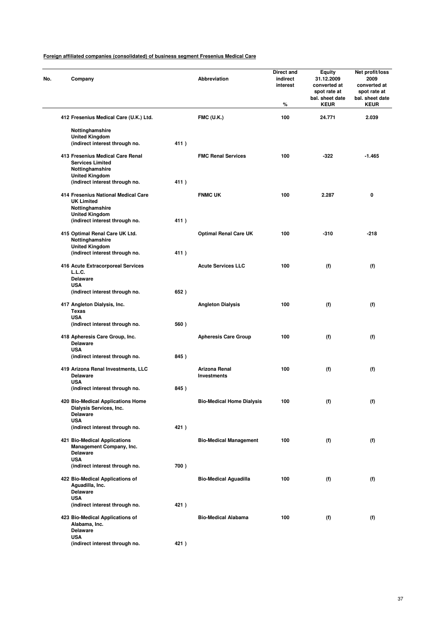| No. | Company                                                                        |      | <b>Abbreviation</b>              | Direct and<br>indirect<br>interest<br>% | Equity<br>31.12.2009<br>converted at<br>spot rate at<br>bal. sheet date<br><b>KEUR</b> | Net profit/loss<br>2009<br>converted at<br>spot rate at<br>bal. sheet date<br><b>KEUR</b> |
|-----|--------------------------------------------------------------------------------|------|----------------------------------|-----------------------------------------|----------------------------------------------------------------------------------------|-------------------------------------------------------------------------------------------|
|     | 412 Fresenius Medical Care (U.K.) Ltd.                                         |      | <b>FMC (U.K.)</b>                | 100                                     | 24.771                                                                                 | 2.039                                                                                     |
|     | Nottinghamshire                                                                |      |                                  |                                         |                                                                                        |                                                                                           |
|     | <b>United Kingdom</b>                                                          |      |                                  |                                         |                                                                                        |                                                                                           |
|     | (indirect interest through no.                                                 | 411) |                                  |                                         |                                                                                        |                                                                                           |
|     | 413 Fresenius Medical Care Renal<br><b>Services Limited</b><br>Nottinghamshire |      | <b>FMC Renal Services</b>        | 100                                     | $-322$                                                                                 | $-1.465$                                                                                  |
|     | <b>United Kingdom</b><br>(indirect interest through no.                        | 411) |                                  |                                         |                                                                                        |                                                                                           |
|     | 414 Fresenius National Medical Care<br><b>UK Limited</b>                       |      | <b>FNMC UK</b>                   | 100                                     | 2.287                                                                                  | 0                                                                                         |
|     | Nottinghamshire<br><b>United Kingdom</b>                                       |      |                                  |                                         |                                                                                        |                                                                                           |
|     | (indirect interest through no.                                                 | 411) |                                  |                                         |                                                                                        |                                                                                           |
|     | 415 Optimal Renal Care UK Ltd.<br>Nottinghamshire                              |      | <b>Optimal Renal Care UK</b>     | 100                                     | $-310$                                                                                 | -218                                                                                      |
|     | <b>United Kingdom</b><br>(indirect interest through no.                        | 411) |                                  |                                         |                                                                                        |                                                                                           |
|     | 416 Acute Extracorporeal Services<br>L.L.C.                                    |      | <b>Acute Services LLC</b>        | 100                                     | (f)                                                                                    | (f)                                                                                       |
|     | <b>Delaware</b>                                                                |      |                                  |                                         |                                                                                        |                                                                                           |
|     | <b>USA</b><br>(indirect interest through no.                                   | 652) |                                  |                                         |                                                                                        |                                                                                           |
|     | 417 Angleton Dialysis, Inc.<br><b>Texas</b>                                    |      | <b>Angleton Dialysis</b>         | 100                                     | (f)                                                                                    | (f)                                                                                       |
|     | <b>USA</b><br>(indirect interest through no.                                   | 560) |                                  |                                         |                                                                                        |                                                                                           |
|     | 418 Apheresis Care Group, Inc.<br><b>Delaware</b><br><b>USA</b>                |      | <b>Apheresis Care Group</b>      | 100                                     | (f)                                                                                    | (f)                                                                                       |
|     | (indirect interest through no.                                                 | 845) |                                  |                                         |                                                                                        |                                                                                           |
|     | 419 Arizona Renal Investments, LLC<br><b>Delaware</b>                          |      | Arizona Renal<br>Investments     | 100                                     | (f)                                                                                    | (f)                                                                                       |
|     | <b>USA</b><br>(indirect interest through no.                                   | 845) |                                  |                                         |                                                                                        |                                                                                           |
|     | 420 Bio-Medical Applications Home<br>Dialysis Services, Inc.                   |      | <b>Bio-Medical Home Dialysis</b> | 100                                     | (f)                                                                                    | (f)                                                                                       |
|     | <b>Delaware</b><br><b>USA</b>                                                  |      |                                  |                                         |                                                                                        |                                                                                           |
|     | (indirect interest through no.                                                 | 421) |                                  |                                         |                                                                                        |                                                                                           |
|     | 421 Bio-Medical Applications<br>Management Company, Inc.<br><b>Delaware</b>    |      | <b>Bio-Medical Management</b>    | 100                                     | (f)                                                                                    | (f)                                                                                       |
|     | <b>USA</b>                                                                     |      |                                  |                                         |                                                                                        |                                                                                           |
|     | (indirect interest through no.                                                 | 700) |                                  |                                         |                                                                                        |                                                                                           |
|     | 422 Bio-Medical Applications of<br>Aguadilla, Inc.<br><b>Delaware</b>          |      | <b>Bio-Medical Aguadilla</b>     | 100                                     | (f)                                                                                    | (f)                                                                                       |
|     | <b>USA</b>                                                                     |      |                                  |                                         |                                                                                        |                                                                                           |
|     | (indirect interest through no.                                                 | 421) |                                  |                                         |                                                                                        |                                                                                           |
|     | 423 Bio-Medical Applications of<br>Alabama, Inc.<br><b>Delaware</b>            |      | <b>Bio-Medical Alabama</b>       | 100                                     | (f)                                                                                    | (f)                                                                                       |
|     | <b>USA</b>                                                                     |      |                                  |                                         |                                                                                        |                                                                                           |
|     | (indirect interest through no.                                                 | 421) |                                  |                                         |                                                                                        |                                                                                           |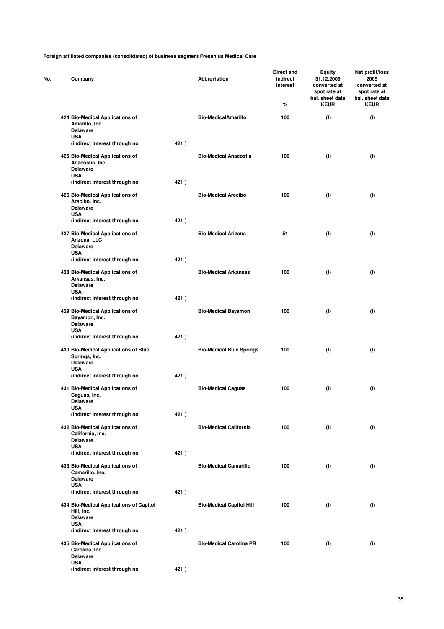| No. | Company                                                                                |      | Abbreviation                    | Direct and<br>indirect<br>interest<br>% | Equity<br>31.12.2009<br>converted at<br>spot rate at<br>bal. sheet date<br><b>KEUR</b> | Net profit/loss<br>2009<br>converted at<br>spot rate at<br>bal. sheet date<br><b>KEUR</b> |
|-----|----------------------------------------------------------------------------------------|------|---------------------------------|-----------------------------------------|----------------------------------------------------------------------------------------|-------------------------------------------------------------------------------------------|
|     | 424 Bio-Medical Applications of<br>Amarillo, Inc.<br><b>Delaware</b>                   |      | <b>Bio-MedicalAmarillo</b>      | 100                                     | (f)                                                                                    | (f)                                                                                       |
|     | <b>USA</b><br>(indirect interest through no.                                           | 421) |                                 |                                         |                                                                                        |                                                                                           |
|     | 425 Bio-Medical Applications of<br>Anacostia, Inc.<br><b>Delaware</b><br><b>USA</b>    |      | <b>Bio-Medical Anacostia</b>    | 100                                     | (f)                                                                                    | (f)                                                                                       |
|     | (indirect interest through no.                                                         | 421) |                                 |                                         |                                                                                        |                                                                                           |
|     | 426 Bio-Medical Applications of<br>Arecibo, Inc.<br><b>Delaware</b><br><b>USA</b>      |      | <b>Bio-Medical Arecibo</b>      | 100                                     | (f)                                                                                    | (f)                                                                                       |
|     | (indirect interest through no.                                                         | 421) |                                 |                                         |                                                                                        |                                                                                           |
|     | 427 Bio-Medical Applications of<br>Arizona, LLC<br><b>Delaware</b><br><b>USA</b>       |      | <b>Bio-Medical Arizona</b>      | 51                                      | (f)                                                                                    | (f)                                                                                       |
|     | (indirect interest through no.                                                         | 421) |                                 |                                         |                                                                                        |                                                                                           |
|     | 428 Bio-Medical Applications of<br>Arkansas, Inc.<br><b>Delaware</b><br><b>USA</b>     |      | <b>Bio-Medical Arkansas</b>     | 100                                     | (f)                                                                                    | (f)                                                                                       |
|     | (indirect interest through no.                                                         | 421) |                                 |                                         |                                                                                        |                                                                                           |
|     | 429 Bio-Medical Applications of<br>Bayamon, Inc.<br><b>Delaware</b><br><b>USA</b>      |      | <b>Bio-Medical Bayamon</b>      | 100                                     | (f)                                                                                    | (f)                                                                                       |
|     | (indirect interest through no.                                                         | 421) |                                 |                                         |                                                                                        |                                                                                           |
|     | 430 Bio-Medical Applications of Blue<br>Springs, Inc.<br><b>Delaware</b><br><b>USA</b> |      | <b>Bio-Medical Blue Springs</b> | 100                                     | (f)                                                                                    | (f)                                                                                       |
|     | (indirect interest through no.                                                         | 421) |                                 |                                         |                                                                                        |                                                                                           |
|     | 431 Bio-Medical Applications of<br>Caguas, Inc.<br>Delaware                            |      | <b>Bio-Medical Caguas</b>       | 100                                     | (f)                                                                                    | (f)                                                                                       |
|     | USA<br>(indirect interest through no.                                                  | 421) |                                 |                                         |                                                                                        |                                                                                           |
|     | 432 Bio-Medical Applications of<br>California, Inc.<br><b>Delaware</b><br><b>USA</b>   |      | <b>Bio-Medical California</b>   | 100                                     | (f)                                                                                    | (f)                                                                                       |
|     | (indirect interest through no.                                                         | 421) |                                 |                                         |                                                                                        |                                                                                           |
|     | 433 Bio-Medical Applications of<br>Camarillo, Inc.<br><b>Delaware</b><br><b>USA</b>    |      | <b>Bio-Medical Camarillo</b>    | 100                                     | (f)                                                                                    | (f)                                                                                       |
|     | (indirect interest through no.                                                         | 421) |                                 |                                         |                                                                                        |                                                                                           |
|     | 434 Bio-Medical Applications of Capitol<br>Hill, Inc.<br><b>Delaware</b><br><b>USA</b> |      | <b>Bio-Medical Capitol Hill</b> | 100                                     | (f)                                                                                    | (f)                                                                                       |
|     | (indirect interest through no.                                                         | 421) |                                 |                                         |                                                                                        |                                                                                           |
|     | 435 Bio-Medical Applications of<br>Carolina, Inc.<br><b>Delaware</b>                   |      | <b>Bio-Medical Carolina PR</b>  | 100                                     | (f)                                                                                    | (f)                                                                                       |
|     | <b>USA</b><br>(indirect interest through no.                                           | 421) |                                 |                                         |                                                                                        |                                                                                           |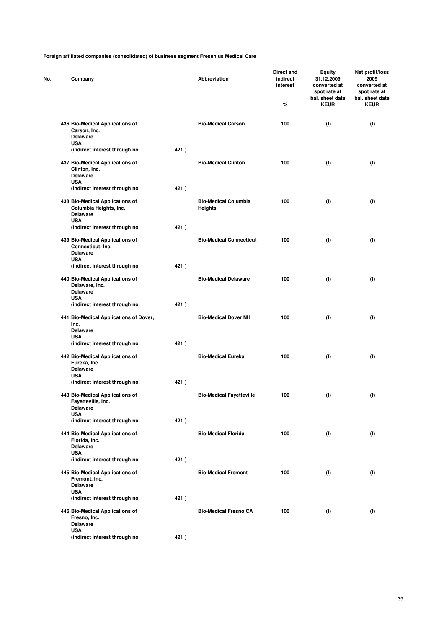| Company                                                                                    |      | Abbreviation                           | Direct and<br>indirect<br>interest<br>$\%$ | <b>Equity</b><br>31.12.2009<br>converted at<br>spot rate at<br>bal. sheet date<br><b>KEUR</b> | Net profit/loss<br>2009<br>converted at<br>spot rate at<br>bal. sheet date<br><b>KEUR</b> |
|--------------------------------------------------------------------------------------------|------|----------------------------------------|--------------------------------------------|-----------------------------------------------------------------------------------------------|-------------------------------------------------------------------------------------------|
|                                                                                            |      |                                        |                                            |                                                                                               |                                                                                           |
| 436 Bio-Medical Applications of<br>Carson, Inc.<br><b>Delaware</b>                         |      | <b>Bio-Medical Carson</b>              | 100                                        | (f)                                                                                           | (f)                                                                                       |
| <b>USA</b><br>(indirect interest through no.                                               | 421) |                                        |                                            |                                                                                               |                                                                                           |
| 437 Bio-Medical Applications of<br>Clinton, Inc.<br><b>Delaware</b><br><b>USA</b>          |      | <b>Bio-Medical Clinton</b>             | 100                                        | (f)                                                                                           | (f)                                                                                       |
| (indirect interest through no.                                                             | 421) |                                        |                                            |                                                                                               |                                                                                           |
| 438 Bio-Medical Applications of<br>Columbia Heights, Inc.<br><b>Delaware</b><br><b>USA</b> |      | <b>Bio-Medical Columbia</b><br>Heights | 100                                        | (f)                                                                                           | (f)                                                                                       |
| (indirect interest through no.                                                             | 421) |                                        |                                            |                                                                                               |                                                                                           |
| 439 Bio-Medical Applications of<br>Connecticut, Inc.<br><b>Delaware</b>                    |      | <b>Bio-Medical Connecticut</b>         | 100                                        | (f)                                                                                           | (f)                                                                                       |
| <b>USA</b><br>(indirect interest through no.                                               | 421) |                                        |                                            |                                                                                               |                                                                                           |
| 440 Bio-Medical Applications of<br>Delaware, Inc.<br><b>Delaware</b><br>USA                |      | <b>Bio-Medical Delaware</b>            | 100                                        | (f)                                                                                           | (f)                                                                                       |
| (indirect interest through no.                                                             | 421) |                                        |                                            |                                                                                               |                                                                                           |
| 441 Bio-Medical Applications of Dover,<br>Inc.<br><b>Delaware</b><br><b>USA</b>            |      | <b>Bio-Medical Dover NH</b>            | 100                                        | (f)                                                                                           | (f)                                                                                       |
| (indirect interest through no.                                                             | 421) |                                        |                                            |                                                                                               |                                                                                           |
| 442 Bio-Medical Applications of<br>Eureka, Inc.<br><b>Delaware</b><br><b>USA</b>           |      | <b>Bio-Medical Eureka</b>              | 100                                        | (f)                                                                                           | (f)                                                                                       |
| (indirect interest through no.<br>443 Bio-Medical Applications of<br>Fayetteville, Inc.    | 421) | <b>Bio-Medical Fayetteville</b>        | 100                                        | (f)                                                                                           | (f)                                                                                       |
| <b>Delaware</b><br><b>USA</b><br>(indirect interest through no.                            | 421) |                                        |                                            |                                                                                               |                                                                                           |
| 444 Bio-Medical Applications of<br>Florida, Inc.<br><b>Delaware</b>                        |      | <b>Bio-Medical Florida</b>             | 100                                        | (f)                                                                                           | (f)                                                                                       |
| <b>USA</b><br>(indirect interest through no.                                               | 421) |                                        |                                            |                                                                                               |                                                                                           |
| 445 Bio-Medical Applications of<br>Fremont, Inc.<br><b>Delaware</b>                        |      | <b>Bio-Medical Fremont</b>             | 100                                        | (f)                                                                                           | (f)                                                                                       |
| <b>USA</b><br>(indirect interest through no.                                               | 421) |                                        |                                            |                                                                                               |                                                                                           |
| 446 Bio-Medical Applications of<br>Fresno, Inc.<br><b>Delaware</b>                         |      | <b>Bio-Medical Fresno CA</b>           | 100                                        | (f)                                                                                           | (f)                                                                                       |
| <b>USA</b><br>(indirect interest through no.                                               | 421) |                                        |                                            |                                                                                               |                                                                                           |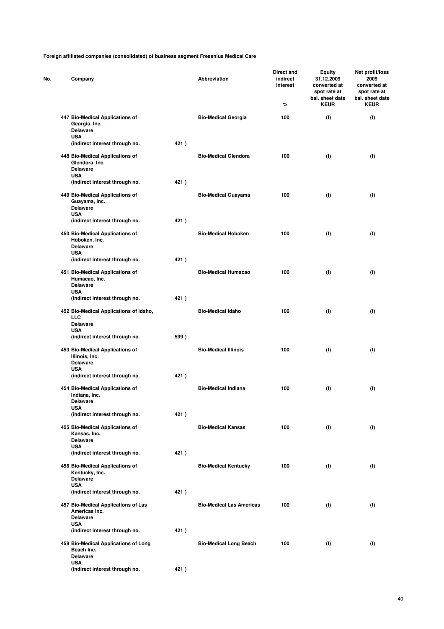| No. | Company                                                                               |      | Abbreviation                    | Direct and<br>indirect<br>interest<br>% | Equity<br>31.12.2009<br>converted at<br>spot rate at<br>bal. sheet date<br><b>KEUR</b> | Net profit/loss<br>2009<br>converted at<br>spot rate at<br>bal. sheet date<br><b>KEUR</b> |
|-----|---------------------------------------------------------------------------------------|------|---------------------------------|-----------------------------------------|----------------------------------------------------------------------------------------|-------------------------------------------------------------------------------------------|
|     | 447 Bio-Medical Applications of<br>Georgia, Inc.<br><b>Delaware</b>                   |      | <b>Bio-Medical Georgia</b>      | 100                                     | (f)                                                                                    | (f)                                                                                       |
|     | <b>USA</b><br>(indirect interest through no.                                          | 421) |                                 |                                         |                                                                                        |                                                                                           |
|     | 448 Bio-Medical Applications of<br>Glendora, Inc.<br><b>Delaware</b>                  |      | <b>Bio-Medical Glendora</b>     | 100                                     | (f)                                                                                    | (f)                                                                                       |
|     | <b>USA</b><br>(indirect interest through no.                                          | 421) |                                 |                                         |                                                                                        |                                                                                           |
|     | 449 Bio-Medical Applications of<br>Guayama, Inc.<br><b>Delaware</b><br><b>USA</b>     |      | <b>Bio-Medical Guayama</b>      | 100                                     | (f)                                                                                    | (f)                                                                                       |
|     | (indirect interest through no.                                                        | 421) |                                 |                                         |                                                                                        |                                                                                           |
|     | 450 Bio-Medical Applications of<br>Hoboken, Inc.<br><b>Delaware</b><br><b>USA</b>     |      | <b>Bio-Medical Hoboken</b>      | 100                                     | (f)                                                                                    | (f)                                                                                       |
|     | (indirect interest through no.                                                        | 421) |                                 |                                         |                                                                                        |                                                                                           |
|     | 451 Bio-Medical Applications of<br>Humacao, Inc.<br><b>Delaware</b><br><b>USA</b>     |      | <b>Bio-Medical Humacao</b>      | 100                                     | (f)                                                                                    | (f)                                                                                       |
|     | (indirect interest through no.                                                        | 421) |                                 |                                         |                                                                                        |                                                                                           |
|     | 452 Bio-Medical Applications of Idaho,<br>LLC<br><b>Delaware</b>                      |      | <b>Bio-Medical Idaho</b>        | 100                                     | (f)                                                                                    | (f)                                                                                       |
|     | <b>USA</b><br>(indirect interest through no.                                          | 599) |                                 |                                         |                                                                                        |                                                                                           |
|     | 453 Bio-Medical Applications of<br>Illinois, Inc.<br><b>Delaware</b><br><b>USA</b>    |      | <b>Bio-Medical Illinois</b>     | 100                                     | (f)                                                                                    | (f)                                                                                       |
|     | (indirect interest through no.                                                        | 421) |                                 |                                         |                                                                                        |                                                                                           |
|     | 454 Bio-Medical Applications of<br>Indiana, Inc.<br>Delaware<br><b>USA</b>            |      | <b>Bio-Medical Indiana</b>      | 100                                     | (f)                                                                                    | (f)                                                                                       |
|     | (indirect interest through no.                                                        | 421) |                                 |                                         |                                                                                        |                                                                                           |
|     | 455 Bio-Medical Applications of<br>Kansas, Inc.<br><b>Delaware</b><br><b>USA</b>      |      | <b>Bio-Medical Kansas</b>       | 100                                     | (f)                                                                                    | (f)                                                                                       |
|     | (indirect interest through no.                                                        | 421) |                                 |                                         |                                                                                        |                                                                                           |
|     | 456 Bio-Medical Applications of<br>Kentucky, Inc.<br>Delaware<br><b>USA</b>           |      | <b>Bio-Medical Kentucky</b>     | 100                                     | (f)                                                                                    | (f)                                                                                       |
|     | (indirect interest through no.                                                        | 421) |                                 |                                         |                                                                                        |                                                                                           |
|     | 457 Bio-Medical Applications of Las<br>Americas Inc.<br><b>Delaware</b><br><b>USA</b> |      | <b>Bio-Medical Las Americas</b> | 100                                     | (f)                                                                                    | (f)                                                                                       |
|     | (indirect interest through no.                                                        | 421) |                                 |                                         |                                                                                        |                                                                                           |
|     | 458 Bio-Medical Applications of Long<br>Beach Inc.<br><b>Delaware</b>                 |      | <b>Bio-Medical Long Beach</b>   | 100                                     | (f)                                                                                    | (f)                                                                                       |
|     | <b>USA</b><br>(indirect interest through no.                                          | 421) |                                 |                                         |                                                                                        |                                                                                           |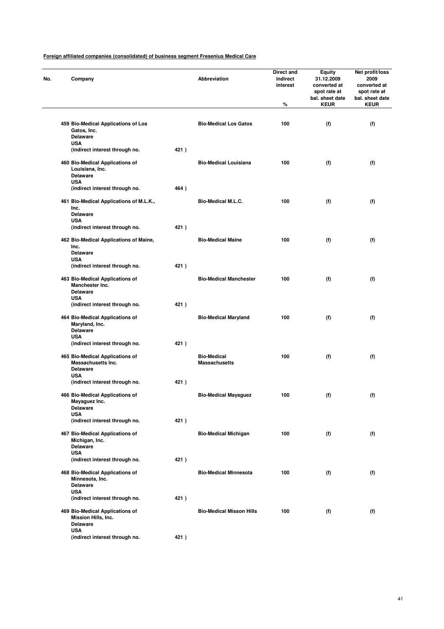| Company                                                                            |      | Abbreviation                               | Direct and<br>indirect<br>interest<br>$\%$ | <b>Equity</b><br>31.12.2009<br>converted at<br>spot rate at<br>bal. sheet date<br><b>KEUR</b> | Net profit/loss<br>2009<br>converted at<br>spot rate at<br>bal. sheet date<br><b>KEUR</b> |
|------------------------------------------------------------------------------------|------|--------------------------------------------|--------------------------------------------|-----------------------------------------------------------------------------------------------|-------------------------------------------------------------------------------------------|
|                                                                                    |      |                                            |                                            |                                                                                               |                                                                                           |
| 459 Bio-Medical Applications of Los<br>Gatos, Inc.<br>Delaware<br><b>USA</b>       |      | <b>Bio-Medical Los Gatos</b>               | 100                                        | (f)                                                                                           | (f)                                                                                       |
| (indirect interest through no.                                                     | 421) |                                            |                                            |                                                                                               |                                                                                           |
| 460 Bio-Medical Applications of<br>Louisiana, Inc.<br><b>Delaware</b>              |      | <b>Bio-Medical Louisiana</b>               | 100                                        | (f)                                                                                           | (f)                                                                                       |
| <b>USA</b><br>(indirect interest through no.                                       | 464) |                                            |                                            |                                                                                               |                                                                                           |
| 461 Bio-Medical Applications of M.L.K.,<br>Inc.                                    |      | <b>Bio-Medical M.L.C.</b>                  | 100                                        | (f)                                                                                           | (f)                                                                                       |
| <b>Delaware</b><br><b>USA</b>                                                      |      |                                            |                                            |                                                                                               |                                                                                           |
| (indirect interest through no.                                                     | 421) |                                            |                                            |                                                                                               |                                                                                           |
| 462 Bio-Medical Applications of Maine,<br>Inc.                                     |      | <b>Bio-Medical Maine</b>                   | 100                                        | (f)                                                                                           | (f)                                                                                       |
| <b>Delaware</b><br><b>USA</b>                                                      |      |                                            |                                            |                                                                                               |                                                                                           |
| (indirect interest through no.                                                     | 421) |                                            |                                            |                                                                                               |                                                                                           |
| 463 Bio-Medical Applications of<br><b>Manchester Inc.</b><br><b>Delaware</b>       |      | <b>Bio-Medical Manchester</b>              | 100                                        | (f)                                                                                           | (f)                                                                                       |
| <b>USA</b><br>(indirect interest through no.                                       | 421) |                                            |                                            |                                                                                               |                                                                                           |
| 464 Bio-Medical Applications of<br>Maryland, Inc.<br><b>Delaware</b><br><b>USA</b> |      | <b>Bio-Medical Maryland</b>                | 100                                        | (f)                                                                                           | (f)                                                                                       |
| (indirect interest through no.                                                     | 421) |                                            |                                            |                                                                                               |                                                                                           |
| 465 Bio-Medical Applications of<br>Massachusetts Inc.<br><b>Delaware</b>           |      | <b>Bio-Medical</b><br><b>Massachusetts</b> | 100                                        | (f)                                                                                           | (f)                                                                                       |
| <b>USA</b><br>(indirect interest through no.                                       | 421) |                                            |                                            |                                                                                               |                                                                                           |
| 466 Bio-Medical Applications of<br>Mayaguez Inc.<br><b>Delaware</b>                |      | <b>Bio-Medical Mayaguez</b>                | 100                                        | (f)                                                                                           | (f)                                                                                       |
| <b>USA</b>                                                                         |      |                                            |                                            |                                                                                               |                                                                                           |
| (indirect interest through no.                                                     | 421) |                                            |                                            |                                                                                               |                                                                                           |
| 467 Bio-Medical Applications of<br>Michigan, Inc.<br><b>Delaware</b>               |      | <b>Bio-Medical Michigan</b>                | 100                                        | (f)                                                                                           | (f)                                                                                       |
| <b>USA</b><br>(indirect interest through no.                                       | 421) |                                            |                                            |                                                                                               |                                                                                           |
| 468 Bio-Medical Applications of<br>Minnesota, Inc.<br>Delaware                     |      | <b>Bio-Medical Minnesota</b>               | 100                                        | (f)                                                                                           | (f)                                                                                       |
| <b>USA</b><br>(indirect interest through no.                                       | 421) |                                            |                                            |                                                                                               |                                                                                           |
| 469 Bio-Medical Applications of<br>Mission Hills, Inc.<br><b>Delaware</b>          |      | <b>Bio-Medical Misson Hills</b>            | 100                                        | (f)                                                                                           | (f)                                                                                       |
| <b>USA</b><br>(indirect interest through no.                                       | 421) |                                            |                                            |                                                                                               |                                                                                           |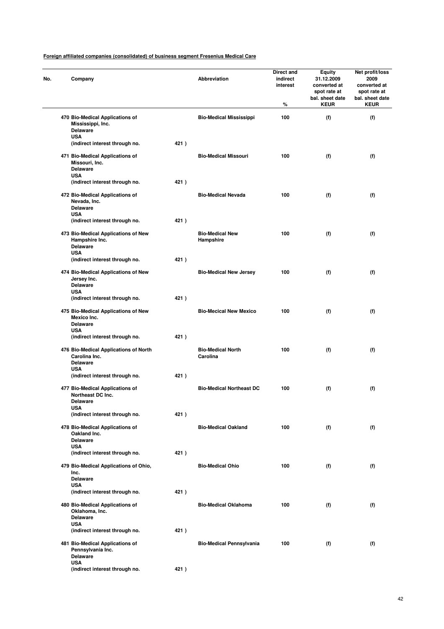| No. | Company                                                                                 |      | <b>Abbreviation</b>                  | Direct and<br>indirect<br>interest<br>% | Equity<br>31.12.2009<br>converted at<br>spot rate at<br>bal. sheet date<br><b>KEUR</b> | Net profit/loss<br>2009<br>converted at<br>spot rate at<br>bal. sheet date<br><b>KEUR</b> |
|-----|-----------------------------------------------------------------------------------------|------|--------------------------------------|-----------------------------------------|----------------------------------------------------------------------------------------|-------------------------------------------------------------------------------------------|
|     | 470 Bio-Medical Applications of<br>Mississippi, Inc.<br><b>Delaware</b>                 |      | <b>Bio-Medical Mississippi</b>       | 100                                     | (f)                                                                                    | (f)                                                                                       |
|     | <b>USA</b><br>(indirect interest through no.                                            | 421) |                                      |                                         |                                                                                        |                                                                                           |
|     | 471 Bio-Medical Applications of<br>Missouri, Inc.<br><b>Delaware</b>                    |      | <b>Bio-Medical Missouri</b>          | 100                                     | (f)                                                                                    | (f)                                                                                       |
|     | <b>USA</b><br>(indirect interest through no.                                            | 421) |                                      |                                         |                                                                                        |                                                                                           |
|     | 472 Bio-Medical Applications of<br>Nevada, Inc.<br><b>Delaware</b><br><b>USA</b>        |      | <b>Bio-Medical Nevada</b>            | 100                                     | (f)                                                                                    | (f)                                                                                       |
|     | (indirect interest through no.                                                          | 421) |                                      |                                         |                                                                                        |                                                                                           |
|     | 473 Bio-Medical Applications of New<br>Hampshire Inc.<br><b>Delaware</b><br><b>USA</b>  |      | <b>Bio-Medical New</b><br>Hampshire  | 100                                     | (f)                                                                                    | (f)                                                                                       |
|     | (indirect interest through no.                                                          | 421) |                                      |                                         |                                                                                        |                                                                                           |
|     | 474 Bio-Medical Applications of New<br>Jersey Inc.<br><b>Delaware</b><br><b>USA</b>     |      | <b>Bio-Medical New Jersey</b>        | 100                                     | (f)                                                                                    | (f)                                                                                       |
|     | (indirect interest through no.                                                          | 421) |                                      |                                         |                                                                                        |                                                                                           |
|     | 475 Bio-Medical Applications of New<br>Mexico Inc.<br><b>Delaware</b><br><b>USA</b>     |      | <b>Bio-Mecical New Mexico</b>        | 100                                     | (f)                                                                                    | (f)                                                                                       |
|     | (indirect interest through no.                                                          | 421) |                                      |                                         |                                                                                        |                                                                                           |
|     | 476 Bio-Medical Applications of North<br>Carolina Inc.<br><b>Delaware</b><br><b>USA</b> |      | <b>Bio-Medical North</b><br>Carolina | 100                                     | (f)                                                                                    | (f)                                                                                       |
|     | (indirect interest through no.                                                          | 421) |                                      |                                         |                                                                                        |                                                                                           |
|     | 477 Bio-Medical Applications of<br>Northeast DC Inc.<br>Delaware                        |      | <b>Bio-Medical Northeast DC</b>      | 100                                     | (f)                                                                                    | (f)                                                                                       |
|     | <b>USA</b><br>(indirect interest through no.                                            | 421) |                                      |                                         |                                                                                        |                                                                                           |
|     | 478 Bio-Medical Applications of<br>Oakland Inc.<br><b>Delaware</b><br><b>USA</b>        |      | <b>Bio-Medical Oakland</b>           | 100                                     | (f)                                                                                    | (f)                                                                                       |
|     | (indirect interest through no.                                                          | 421) |                                      |                                         |                                                                                        |                                                                                           |
|     | 479 Bio-Medical Applications of Ohio,<br>Inc.<br><b>Delaware</b>                        |      | <b>Bio-Medical Ohio</b>              | 100                                     | (f)                                                                                    | (f)                                                                                       |
|     | <b>USA</b><br>(indirect interest through no.                                            | 421) |                                      |                                         |                                                                                        |                                                                                           |
|     | 480 Bio-Medical Applications of<br>Oklahoma, Inc.<br><b>Delaware</b><br><b>USA</b>      |      | <b>Bio-Medical Oklahoma</b>          | 100                                     | (f)                                                                                    | (f)                                                                                       |
|     | (indirect interest through no.                                                          | 421) |                                      |                                         |                                                                                        |                                                                                           |
|     | 481 Bio-Medical Applications of<br>Pennsylvania Inc.<br><b>Delaware</b><br><b>USA</b>   |      | <b>Bio-Medical Pennsylvania</b>      | 100                                     | (f)                                                                                    | (f)                                                                                       |
|     | (indirect interest through no.                                                          | 421) |                                      |                                         |                                                                                        |                                                                                           |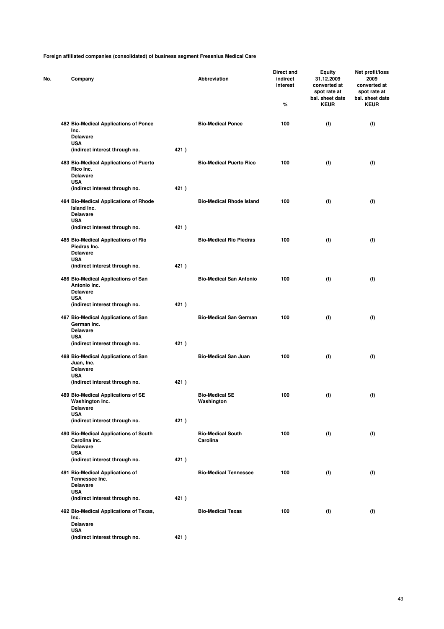| Company                                                                |      | Abbreviation                        | Direct and<br>indirect<br>interest<br>% | <b>Equity</b><br>31.12.2009<br>converted at<br>spot rate at<br>bal. sheet date<br><b>KEUR</b> | Net profit/loss<br>2009<br>converted at<br>spot rate at<br>bal. sheet date<br><b>KEUR</b> |
|------------------------------------------------------------------------|------|-------------------------------------|-----------------------------------------|-----------------------------------------------------------------------------------------------|-------------------------------------------------------------------------------------------|
|                                                                        |      |                                     |                                         |                                                                                               |                                                                                           |
| 482 Bio-Medical Applications of Ponce<br>Inc.<br><b>Delaware</b>       |      | <b>Bio-Medical Ponce</b>            | 100                                     | (f)                                                                                           | (f)                                                                                       |
| <b>USA</b><br>(indirect interest through no.                           | 421) |                                     |                                         |                                                                                               |                                                                                           |
| 483 Bio-Medical Applications of Puerto<br>Rico Inc.                    |      | <b>Bio-Medical Puerto Rico</b>      | 100                                     | (f)                                                                                           | (f)                                                                                       |
| <b>Delaware</b>                                                        |      |                                     |                                         |                                                                                               |                                                                                           |
| <b>USA</b><br>(indirect interest through no.                           | 421) |                                     |                                         |                                                                                               |                                                                                           |
| 484 Bio-Medical Applications of Rhode<br>Island Inc.                   |      | <b>Bio-Medical Rhode Island</b>     | 100                                     | (f)                                                                                           | (f)                                                                                       |
| <b>Delaware</b><br><b>USA</b>                                          |      |                                     |                                         |                                                                                               |                                                                                           |
| (indirect interest through no.                                         | 421) |                                     |                                         |                                                                                               |                                                                                           |
| 485 Bio-Medical Applications of Rio<br>Piedras Inc.<br><b>Delaware</b> |      | <b>Bio-Medical Rio Piedras</b>      | 100                                     | (f)                                                                                           | (f)                                                                                       |
| <b>USA</b>                                                             |      |                                     |                                         |                                                                                               |                                                                                           |
| (indirect interest through no.                                         | 421) |                                     |                                         |                                                                                               |                                                                                           |
| 486 Bio-Medical Applications of San<br>Antonio Inc.<br><b>Delaware</b> |      | <b>Bio-Medical San Antonio</b>      | 100                                     | (f)                                                                                           | (f)                                                                                       |
| <b>USA</b><br>(indirect interest through no.                           | 421) |                                     |                                         |                                                                                               |                                                                                           |
| 487 Bio-Medical Applications of San                                    |      | <b>Bio-Medical San German</b>       | 100                                     | (f)                                                                                           | (f)                                                                                       |
| German Inc.<br><b>Delaware</b>                                         |      |                                     |                                         |                                                                                               |                                                                                           |
| <b>USA</b><br>(indirect interest through no.                           | 421) |                                     |                                         |                                                                                               |                                                                                           |
| 488 Bio-Medical Applications of San<br>Juan, Inc.                      |      | <b>Bio-Medical San Juan</b>         | 100                                     | (f)                                                                                           | (f)                                                                                       |
| <b>Delaware</b>                                                        |      |                                     |                                         |                                                                                               |                                                                                           |
| <b>USA</b><br>(indirect interest through no.                           | 421) |                                     |                                         |                                                                                               |                                                                                           |
|                                                                        |      |                                     |                                         |                                                                                               |                                                                                           |
| 489 Bio-Medical Applications of SE<br>Washington Inc.<br>Delaware      |      | <b>Bio-Medical SE</b><br>Washington | 100                                     | (f)                                                                                           | (f)                                                                                       |
| <b>USA</b><br>(indirect interest through no.                           | 421) |                                     |                                         |                                                                                               |                                                                                           |
| 490 Bio-Medical Applications of South                                  |      | <b>Bio-Medical South</b>            | 100                                     | (f)                                                                                           | (f)                                                                                       |
| Carolina inc.<br><b>Delaware</b>                                       |      | Carolina                            |                                         |                                                                                               |                                                                                           |
| <b>USA</b><br>(indirect interest through no.                           | 421) |                                     |                                         |                                                                                               |                                                                                           |
| 491 Bio-Medical Applications of<br>Tennessee Inc.                      |      | <b>Bio-Medical Tennessee</b>        | 100                                     | (f)                                                                                           | (f)                                                                                       |
| <b>Delaware</b><br><b>USA</b>                                          |      |                                     |                                         |                                                                                               |                                                                                           |
| (indirect interest through no.                                         | 421) |                                     |                                         |                                                                                               |                                                                                           |
| 492 Bio-Medical Applications of Texas,<br>Inc.<br><b>Delaware</b>      |      | <b>Bio-Medical Texas</b>            | 100                                     | (f)                                                                                           | (f)                                                                                       |
| <b>USA</b>                                                             |      |                                     |                                         |                                                                                               |                                                                                           |
| (indirect interest through no.                                         | 421) |                                     |                                         |                                                                                               |                                                                                           |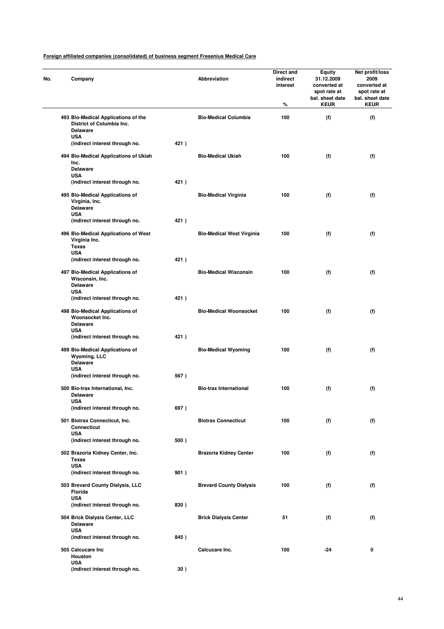|  | Company                                                                             |      | Abbreviation                     | Direct and<br>indirect<br>interest<br>% | <b>Equity</b><br>31.12.2009<br>converted at<br>spot rate at<br>bal. sheet date<br><b>KEUR</b> | Net profit/loss<br>2009<br>converted at<br>spot rate at<br>bal. sheet date<br><b>KEUR</b> |
|--|-------------------------------------------------------------------------------------|------|----------------------------------|-----------------------------------------|-----------------------------------------------------------------------------------------------|-------------------------------------------------------------------------------------------|
|  | 493 Bio-Medical Applications of the<br>District of Columbia Inc.<br><b>Delaware</b> |      | <b>Bio-Medical Columbia</b>      | 100                                     | (f)                                                                                           | (f)                                                                                       |
|  | <b>USA</b><br>(indirect interest through no.                                        | 421) |                                  |                                         |                                                                                               |                                                                                           |
|  | 494 Bio-Medical Applications of Ukiah<br>Inc.<br><b>Delaware</b>                    |      | <b>Bio-Medical Ukiah</b>         | 100                                     | (f)                                                                                           | (f)                                                                                       |
|  | <b>USA</b><br>(indirect interest through no.                                        | 421) |                                  |                                         |                                                                                               |                                                                                           |
|  | 495 Bio-Medical Applications of<br>Virginia, Inc.<br><b>Delaware</b><br><b>USA</b>  |      | <b>Bio-Medical Virginia</b>      | 100                                     | (f)                                                                                           | (f)                                                                                       |
|  | (indirect interest through no.                                                      | 421) |                                  |                                         |                                                                                               |                                                                                           |
|  | 496 Bio-Medical Applications of West<br>Virginia Inc.<br><b>Texas</b>               |      | <b>Bio-Medical West Virginia</b> | 100                                     | (f)                                                                                           | (f)                                                                                       |
|  | <b>USA</b><br>(indirect interest through no.                                        | 421) |                                  |                                         |                                                                                               |                                                                                           |
|  | 497 Bio-Medical Applications of<br>Wisconsin, Inc.<br><b>Delaware</b><br><b>USA</b> |      | <b>Bio-Medical Wisconsin</b>     | 100                                     | (f)                                                                                           | (f)                                                                                       |
|  | (indirect interest through no.                                                      | 421) |                                  |                                         |                                                                                               |                                                                                           |
|  | 498 Bio-Medical Applications of<br>Woonsocket Inc.<br><b>Delaware</b><br><b>USA</b> |      | <b>Bio-Medical Woonsocket</b>    | 100                                     | (f)                                                                                           | (f)                                                                                       |
|  | (indirect interest through no.                                                      | 421) |                                  |                                         |                                                                                               |                                                                                           |
|  | 499 Bio-Medical Applications of<br>Wyoming, LLC<br><b>Delaware</b>                  |      | <b>Bio-Medical Wyoming</b>       | 100                                     | (f)                                                                                           | (f)                                                                                       |
|  | <b>USA</b><br>(indirect interest through no.                                        | 567) |                                  |                                         |                                                                                               |                                                                                           |
|  | 500 Bio-trax International, Inc.<br><b>Delaware</b><br>USA                          |      | <b>Bio-trax International</b>    | 100                                     | (f)                                                                                           | (f)                                                                                       |
|  | (indirect interest through no.                                                      | 697) |                                  |                                         |                                                                                               |                                                                                           |
|  | 501 Biotrax Connecticut, Inc.<br><b>Connecticut</b><br><b>USA</b>                   |      | <b>Biotrax Connecticut</b>       | 100                                     | (f)                                                                                           | (f)                                                                                       |
|  | (indirect interest through no.                                                      | 500) |                                  |                                         |                                                                                               |                                                                                           |
|  | 502 Brazoria Kidney Center, Inc.<br><b>Texas</b><br><b>USA</b>                      |      | <b>Brazoria Kidney Center</b>    | 100                                     | (f)                                                                                           | (f)                                                                                       |
|  | (indirect interest through no.                                                      | 901) |                                  |                                         |                                                                                               |                                                                                           |
|  | 503 Brevard County Dialysis, LLC<br>Florida<br><b>USA</b>                           |      | <b>Brevard County Dialysis</b>   | 100                                     | (f)                                                                                           | (f)                                                                                       |
|  | (indirect interest through no.                                                      | 830) |                                  |                                         |                                                                                               |                                                                                           |
|  | 504 Brick Dialysis Center, LLC<br><b>Delaware</b><br><b>USA</b>                     |      | <b>Brick Dialysis Center</b>     | 51                                      | (f)                                                                                           | (f)                                                                                       |
|  | (indirect interest through no.                                                      | 845) |                                  |                                         |                                                                                               |                                                                                           |
|  | 505 Calcucare Inc<br>Houston<br><b>USA</b>                                          |      | Calcucare Inc.                   | 100                                     | $-24$                                                                                         | 0                                                                                         |
|  | (indirect interest through no.                                                      | 30)  |                                  |                                         |                                                                                               |                                                                                           |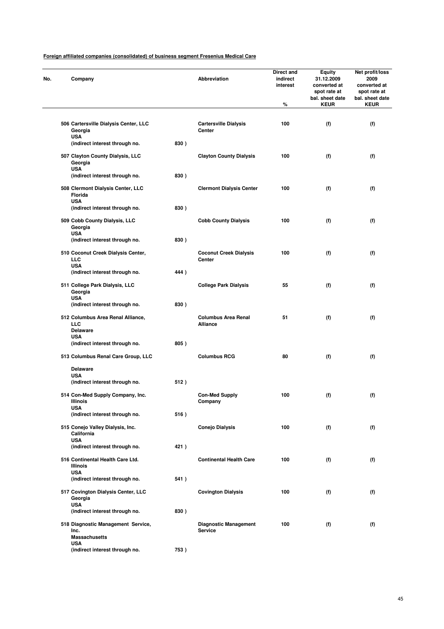| Company                                                            |      | Abbreviation                                   | Direct and<br>indirect<br>interest<br>% | <b>Equity</b><br>31.12.2009<br>converted at<br>spot rate at<br>bal. sheet date<br><b>KEUR</b> | Net profit/loss<br>2009<br>converted at<br>spot rate at<br>bal. sheet date<br><b>KEUR</b> |
|--------------------------------------------------------------------|------|------------------------------------------------|-----------------------------------------|-----------------------------------------------------------------------------------------------|-------------------------------------------------------------------------------------------|
|                                                                    |      |                                                | 100                                     |                                                                                               |                                                                                           |
| 506 Cartersville Dialysis Center, LLC<br>Georgia<br><b>USA</b>     |      | <b>Cartersville Dialysis</b><br>Center         |                                         | (f)                                                                                           | (f)                                                                                       |
| (indirect interest through no.                                     | 830) |                                                |                                         |                                                                                               |                                                                                           |
| 507 Clayton County Dialysis, LLC<br>Georgia<br><b>USA</b>          |      | <b>Clayton County Dialysis</b>                 | 100                                     | (f)                                                                                           | (f)                                                                                       |
| (indirect interest through no.                                     | 830) |                                                |                                         |                                                                                               |                                                                                           |
| 508 Clermont Dialysis Center, LLC<br>Florida<br><b>USA</b>         |      | <b>Clermont Dialysis Center</b>                | 100                                     | (f)                                                                                           | (f)                                                                                       |
| (indirect interest through no.                                     | 830) |                                                |                                         |                                                                                               |                                                                                           |
| 509 Cobb County Dialysis, LLC<br>Georgia<br><b>USA</b>             |      | <b>Cobb County Dialysis</b>                    | 100                                     | (f)                                                                                           | (f)                                                                                       |
| (indirect interest through no.                                     | 830) |                                                |                                         |                                                                                               |                                                                                           |
| 510 Coconut Creek Dialysis Center,<br>LLC                          |      | <b>Coconut Creek Dialysis</b><br>Center        | 100                                     | (f)                                                                                           | (f)                                                                                       |
| <b>USA</b><br>(indirect interest through no.                       | 444) |                                                |                                         |                                                                                               |                                                                                           |
| 511 College Park Dialysis, LLC<br>Georgia                          |      | <b>College Park Dialysis</b>                   | 55                                      | (f)                                                                                           | (f)                                                                                       |
| <b>USA</b><br>(indirect interest through no.                       | 830) |                                                |                                         |                                                                                               |                                                                                           |
| 512 Columbus Area Renal Alliance,<br>LLC<br><b>Delaware</b>        |      | <b>Columbus Area Renal</b><br>Alliance         | 51                                      | (f)                                                                                           | (f)                                                                                       |
| <b>USA</b><br>(indirect interest through no.                       | 805) |                                                |                                         |                                                                                               |                                                                                           |
| 513 Columbus Renal Care Group, LLC                                 |      | <b>Columbus RCG</b>                            | 80                                      | (f)                                                                                           | (f)                                                                                       |
| <b>Delaware</b><br><b>USA</b>                                      |      |                                                |                                         |                                                                                               |                                                                                           |
| (indirect interest through no.                                     | 512) |                                                |                                         |                                                                                               |                                                                                           |
| 514 Con-Med Supply Company, Inc.<br><b>Illinois</b><br><b>USA</b>  |      | <b>Con-Med Supply</b><br>Company               | 100                                     | (f)                                                                                           | (f)                                                                                       |
| (indirect interest through no.                                     | 516) |                                                |                                         |                                                                                               |                                                                                           |
| 515 Conejo Valley Dialysis, Inc.<br>California                     |      | <b>Conejo Dialysis</b>                         | 100                                     | (f)                                                                                           | (f)                                                                                       |
| <b>USA</b><br>(indirect interest through no.                       | 421) |                                                |                                         |                                                                                               |                                                                                           |
| 516 Continental Health Care Ltd.<br><b>Illinois</b>                |      | <b>Continental Health Care</b>                 | 100                                     | (f)                                                                                           | (f)                                                                                       |
| <b>USA</b><br>(indirect interest through no.                       | 541) |                                                |                                         |                                                                                               |                                                                                           |
| 517 Covington Dialysis Center, LLC<br>Georgia                      |      | <b>Covington Dialysis</b>                      | 100                                     | (f)                                                                                           | (f)                                                                                       |
| <b>USA</b><br>(indirect interest through no.                       | 830) |                                                |                                         |                                                                                               |                                                                                           |
| 518 Diagnostic Management Service,<br>Inc.<br><b>Massachusetts</b> |      | <b>Diagnostic Management</b><br><b>Service</b> | 100                                     | (f)                                                                                           | (f)                                                                                       |
| <b>USA</b><br>(indirect interest through no.                       | 753) |                                                |                                         |                                                                                               |                                                                                           |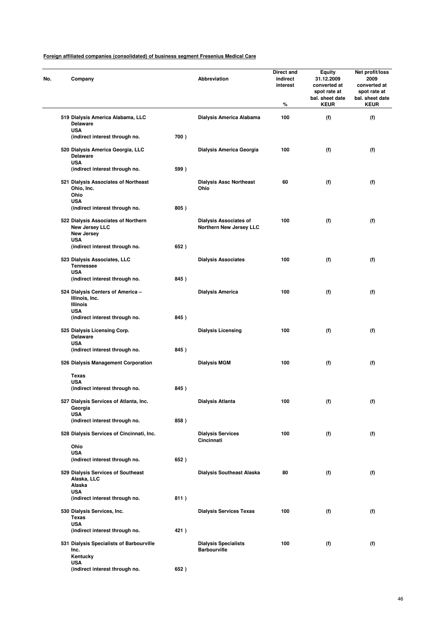| No. | Company                                                                                  |      | Abbreviation                                                    | Direct and<br>indirect<br>interest<br>% | Equity<br>31.12.2009<br>converted at<br>spot rate at<br>bal. sheet date<br><b>KEUR</b> | Net profit/loss<br>2009<br>converted at<br>spot rate at<br>bal. sheet date<br><b>KEUR</b> |
|-----|------------------------------------------------------------------------------------------|------|-----------------------------------------------------------------|-----------------------------------------|----------------------------------------------------------------------------------------|-------------------------------------------------------------------------------------------|
|     | 519 Dialysis America Alabama, LLC<br><b>Delaware</b>                                     |      | Dialysis America Alabama                                        | 100                                     | (f)                                                                                    | (f)                                                                                       |
|     | <b>USA</b><br>(indirect interest through no.                                             | 700) |                                                                 |                                         |                                                                                        |                                                                                           |
|     | 520 Dialysis America Georgia, LLC<br><b>Delaware</b><br><b>USA</b>                       |      | Dialysis America Georgia                                        | 100                                     | (f)                                                                                    | (f)                                                                                       |
|     | (indirect interest through no.                                                           | 599) |                                                                 |                                         |                                                                                        |                                                                                           |
|     | 521 Dialysis Associates of Northeast<br>Ohio, Inc.<br>Ohio<br><b>USA</b>                 |      | <b>Dialysis Assc Northeast</b><br>Ohio                          | 60                                      | (f)                                                                                    | (f)                                                                                       |
|     | (indirect interest through no.                                                           | 805) |                                                                 |                                         |                                                                                        |                                                                                           |
|     | 522 Dialysis Associates of Northern<br>New Jersey LLC<br><b>New Jersey</b><br><b>USA</b> |      | <b>Dialysis Associates of</b><br><b>Northern New Jersey LLC</b> | 100                                     | (f)                                                                                    | (f)                                                                                       |
|     | (indirect interest through no.                                                           | 652) |                                                                 |                                         |                                                                                        |                                                                                           |
|     | 523 Dialysis Associates, LLC<br><b>Tennessee</b><br><b>USA</b>                           |      | <b>Dialysis Associates</b>                                      | 100                                     | (f)                                                                                    | (f)                                                                                       |
|     | (indirect interest through no.                                                           | 845) |                                                                 |                                         |                                                                                        |                                                                                           |
|     | 524 Dialysis Centers of America -<br>Illinois, Inc.<br><b>Illinois</b><br><b>USA</b>     |      | <b>Dialysis America</b>                                         | 100                                     | (f)                                                                                    | (f)                                                                                       |
|     | (indirect interest through no.                                                           | 845) |                                                                 |                                         |                                                                                        |                                                                                           |
|     | 525 Dialysis Licensing Corp.<br><b>Delaware</b><br><b>USA</b>                            |      | <b>Dialysis Licensing</b>                                       | 100                                     | (f)                                                                                    | (f)                                                                                       |
|     | (indirect interest through no.                                                           | 845) |                                                                 |                                         |                                                                                        |                                                                                           |
|     | 526 Dialysis Management Corporation                                                      |      | <b>Dialysis MGM</b>                                             | 100                                     | (f)                                                                                    | (f)                                                                                       |
|     | Texas<br><b>USA</b>                                                                      |      |                                                                 |                                         |                                                                                        |                                                                                           |
|     | (indirect interest through no.                                                           | 845) |                                                                 |                                         |                                                                                        |                                                                                           |
|     | 527 Dialysis Services of Atlanta, Inc.<br>Georgia<br><b>USA</b>                          |      | Dialysis Atlanta                                                | 100                                     | (f)                                                                                    | (f)                                                                                       |
|     | (indirect interest through no.                                                           | 858) |                                                                 |                                         |                                                                                        |                                                                                           |
|     | 528 Dialysis Services of Cincinnati, Inc.<br>Ohio                                        |      | <b>Dialysis Services</b><br>Cincinnati                          | 100                                     | (f)                                                                                    | (f)                                                                                       |
|     | <b>USA</b><br>(indirect interest through no.                                             | 652) |                                                                 |                                         |                                                                                        |                                                                                           |
|     | 529 Dialysis Services of Southeast<br>Alaska, LLC                                        |      | <b>Dialysis Southeast Alaska</b>                                | 80                                      | (f)                                                                                    | (f)                                                                                       |
|     | Alaska<br><b>USA</b>                                                                     |      |                                                                 |                                         |                                                                                        |                                                                                           |
|     | (indirect interest through no.                                                           | 811) |                                                                 |                                         |                                                                                        |                                                                                           |
|     | 530 Dialysis Services, Inc.<br><b>Texas</b><br><b>USA</b>                                |      | <b>Dialysis Services Texas</b>                                  | 100                                     | (f)                                                                                    | (f)                                                                                       |
|     | (indirect interest through no.                                                           | 421) |                                                                 |                                         |                                                                                        |                                                                                           |
|     | 531 Dialysis Specialists of Barbourville<br>Inc.<br>Kentucky                             |      | <b>Dialysis Specialists</b><br><b>Barbourville</b>              | 100                                     | (f)                                                                                    | (f)                                                                                       |
|     | <b>USA</b><br>(indirect interest through no.                                             | 652) |                                                                 |                                         |                                                                                        |                                                                                           |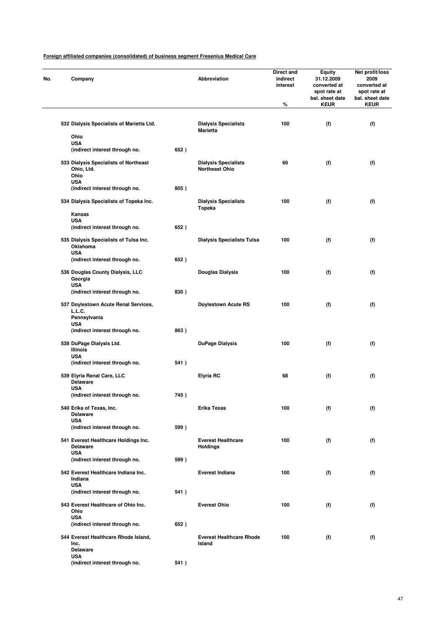| No. | Company                                                                   |      | <b>Abbreviation</b>                                  | Direct and<br>indirect<br>interest<br>% | Equity<br>31.12.2009<br>converted at<br>spot rate at<br>bal. sheet date<br><b>KEUR</b> | Net profit/loss<br>2009<br>converted at<br>spot rate at<br>bal. sheet date<br><b>KEUR</b> |
|-----|---------------------------------------------------------------------------|------|------------------------------------------------------|-----------------------------------------|----------------------------------------------------------------------------------------|-------------------------------------------------------------------------------------------|
|     | 532 Dialysis Specialists of Marietta Ltd.                                 |      | <b>Dialysis Specialists</b><br><b>Marietta</b>       | 100                                     | (f)                                                                                    | (f)                                                                                       |
|     | Ohio                                                                      |      |                                                      |                                         |                                                                                        |                                                                                           |
|     | <b>USA</b><br>(indirect interest through no.                              | 652) |                                                      |                                         |                                                                                        |                                                                                           |
|     | 533 Dialysis Specialists of Northeast<br>Ohio, Ltd.<br>Ohio<br><b>USA</b> |      | <b>Dialysis Specialists</b><br><b>Northeast Ohio</b> | 60                                      | (f)                                                                                    | (f)                                                                                       |
|     | (indirect interest through no.                                            | 805) |                                                      |                                         |                                                                                        |                                                                                           |
|     | 534 Dialysis Specialists of Topeka Inc.                                   |      | <b>Dialysis Specialists</b><br>Topeka                | 100                                     | (f)                                                                                    | (f)                                                                                       |
|     | Kansas<br><b>USA</b>                                                      |      |                                                      |                                         |                                                                                        |                                                                                           |
|     | (indirect interest through no.                                            | 652) |                                                      |                                         |                                                                                        |                                                                                           |
|     | 535 Dialysis Specialists of Tulsa Inc.<br>Oklahoma<br><b>USA</b>          |      | <b>Dialysis Specialists Tulsa</b>                    | 100                                     | (f)                                                                                    | (f)                                                                                       |
|     | (indirect interest through no.                                            | 652) |                                                      |                                         |                                                                                        |                                                                                           |
|     | 536 Douglas County Dialysis, LLC<br>Georgia<br><b>USA</b>                 |      | <b>Douglas Dialysis</b>                              | 100                                     | (f)                                                                                    | (f)                                                                                       |
|     | (indirect interest through no.                                            | 830) |                                                      |                                         |                                                                                        |                                                                                           |
|     | 537 Doylestown Acute Renal Services,<br>L.L.C.<br>Pennsylvania            |      | <b>Doylestown Acute RS</b>                           | 100                                     | (f)                                                                                    | (f)                                                                                       |
|     | <b>USA</b><br>(indirect interest through no.                              | 863) |                                                      |                                         |                                                                                        |                                                                                           |
|     | 538 DuPage Dialysis Ltd.<br><b>Illinois</b>                               |      | <b>DuPage Dialysis</b>                               | 100                                     | (f)                                                                                    | (f)                                                                                       |
|     | <b>USA</b>                                                                |      |                                                      |                                         |                                                                                        |                                                                                           |
|     | (indirect interest through no.                                            | 541) |                                                      |                                         |                                                                                        |                                                                                           |
|     | 539 Elyria Renal Care, LLC<br><b>Delaware</b><br>USA                      |      | <b>Elyria RC</b>                                     | 68                                      | (f)                                                                                    | (f)                                                                                       |
|     | (indirect interest through no.                                            | 745) |                                                      |                                         |                                                                                        |                                                                                           |
|     | 540 Erika of Texas, Inc.<br><b>Delaware</b>                               |      | Erika Texas                                          | 100                                     | (f)                                                                                    | (f)                                                                                       |
|     | <b>USA</b><br>(indirect interest through no.                              | 599) |                                                      |                                         |                                                                                        |                                                                                           |
|     | 541 Everest Healthcare Holdings Inc.<br><b>Delaware</b>                   |      | <b>Everest Healthcare</b><br><b>Holdings</b>         | 100                                     | (f)                                                                                    | (f)                                                                                       |
|     | <b>USA</b><br>(indirect interest through no.                              | 599) |                                                      |                                         |                                                                                        |                                                                                           |
|     | 542 Everest Healthcare Indiana Inc.<br>Indiana                            |      | <b>Everest Indiana</b>                               | 100                                     | (f)                                                                                    | (f)                                                                                       |
|     | <b>USA</b>                                                                |      |                                                      |                                         |                                                                                        |                                                                                           |
|     | (indirect interest through no.                                            | 541) |                                                      |                                         |                                                                                        |                                                                                           |
|     | 543 Everest Healthcare of Ohio Inc.<br>Ohio<br><b>USA</b>                 |      | <b>Everest Ohio</b>                                  | 100                                     | (f)                                                                                    | (f)                                                                                       |
|     | (indirect interest through no.                                            | 652) |                                                      |                                         |                                                                                        |                                                                                           |
|     | 544 Everest Healthcare Rhode Island,<br>Inc.<br><b>Delaware</b>           |      | <b>Everest Healthcare Rhode</b><br>Island            | 100                                     | (f)                                                                                    | (f)                                                                                       |
|     | <b>USA</b><br>(indirect interest through no.                              | 541) |                                                      |                                         |                                                                                        |                                                                                           |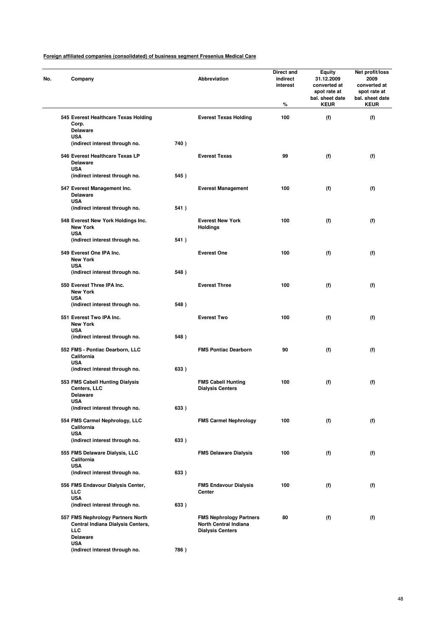| Company                                                             |      | Abbreviation                                         | Direct and<br>indirect<br>interest<br>% | Equity<br>31.12.2009<br>converted at<br>spot rate at<br>bal. sheet date<br><b>KEUR</b> | Net profit/loss<br>2009<br>converted at<br>spot rate at<br>bal. sheet date<br><b>KEUR</b> |
|---------------------------------------------------------------------|------|------------------------------------------------------|-----------------------------------------|----------------------------------------------------------------------------------------|-------------------------------------------------------------------------------------------|
| 545 Everest Healthcare Texas Holding<br>Corp.                       |      | <b>Everest Texas Holding</b>                         | 100                                     | (f)                                                                                    | (f)                                                                                       |
| <b>Delaware</b><br><b>USA</b>                                       |      |                                                      |                                         |                                                                                        |                                                                                           |
| (indirect interest through no.                                      | 740) |                                                      |                                         |                                                                                        |                                                                                           |
| 546 Everest Healthcare Texas LP<br><b>Delaware</b><br><b>USA</b>    |      | <b>Everest Texas</b>                                 | 99                                      | (f)                                                                                    | (f)                                                                                       |
| (indirect interest through no.                                      | 545) |                                                      |                                         |                                                                                        |                                                                                           |
| 547 Everest Management Inc.<br><b>Delaware</b><br><b>USA</b>        |      | <b>Everest Management</b>                            | 100                                     | (f)                                                                                    | (f)                                                                                       |
| (indirect interest through no.                                      | 541) |                                                      |                                         |                                                                                        |                                                                                           |
| 548 Everest New York Holdings Inc.<br><b>New York</b><br><b>USA</b> |      | <b>Everest New York</b><br><b>Holdings</b>           | 100                                     | (f)                                                                                    | (f)                                                                                       |
| (indirect interest through no.                                      | 541) |                                                      |                                         |                                                                                        |                                                                                           |
| 549 Everest One IPA Inc.<br><b>New York</b>                         |      | <b>Everest One</b>                                   | 100                                     | (f)                                                                                    | (f)                                                                                       |
| <b>USA</b><br>(indirect interest through no.                        | 548) |                                                      |                                         |                                                                                        |                                                                                           |
| 550 Everest Three IPA Inc.                                          |      | <b>Everest Three</b>                                 | 100                                     | (f)                                                                                    | (f)                                                                                       |
| <b>New York</b><br><b>USA</b>                                       |      |                                                      |                                         |                                                                                        |                                                                                           |
| (indirect interest through no.                                      | 548) |                                                      |                                         |                                                                                        |                                                                                           |
| 551 Everest Two IPA Inc.<br><b>New York</b><br><b>USA</b>           |      | <b>Everest Two</b>                                   | 100                                     | (f)                                                                                    | (f)                                                                                       |
| (indirect interest through no.                                      | 548) |                                                      |                                         |                                                                                        |                                                                                           |
| 552 FMS - Pontiac Dearborn, LLC<br>California                       |      | <b>FMS Pontiac Dearborn</b>                          | 90                                      | (f)                                                                                    | (f)                                                                                       |
| <b>USA</b><br>(indirect interest through no.                        | 633) |                                                      |                                         |                                                                                        |                                                                                           |
| 553 FMS Cabell Hunting Dialysis                                     |      | <b>FMS Cabell Hunting</b><br><b>Dialysis Centers</b> | 100                                     | (f)                                                                                    | (f)                                                                                       |
| Centers, LLC<br><b>Delaware</b>                                     |      |                                                      |                                         |                                                                                        |                                                                                           |
| USA<br>(indirect interest through no.                               | 633) |                                                      |                                         |                                                                                        |                                                                                           |
| 554 FMS Carmel Nephrology, LLC<br>California                        |      | <b>FMS Carmel Nephrology</b>                         | 100                                     | (f)                                                                                    | (f)                                                                                       |
| <b>USA</b>                                                          |      |                                                      |                                         |                                                                                        |                                                                                           |
| (indirect interest through no.                                      | 633) |                                                      |                                         |                                                                                        |                                                                                           |
| 555 FMS Delaware Dialysis, LLC<br>California<br><b>USA</b>          |      | <b>FMS Delaware Dialysis</b>                         | 100                                     | (f)                                                                                    | (f)                                                                                       |
| (indirect interest through no.                                      | 633) |                                                      |                                         |                                                                                        |                                                                                           |
| 556 FMS Endavour Dialysis Center,<br><b>LLC</b>                     |      | <b>FMS Endavour Dialysis</b><br>Center               | 100                                     | (f)                                                                                    | (f)                                                                                       |
| <b>USA</b><br>(indirect interest through no.                        | 633) |                                                      |                                         |                                                                                        |                                                                                           |
| 557 FMS Nephrology Partners North                                   |      | <b>FMS Nephrology Partners</b>                       | 80                                      | (f)                                                                                    | (f)                                                                                       |
| Central Indiana Dialysis Centers,<br><b>LLC</b><br><b>Delaware</b>  |      | North Central Indiana<br><b>Dialysis Centers</b>     |                                         |                                                                                        |                                                                                           |
| <b>USA</b>                                                          |      |                                                      |                                         |                                                                                        |                                                                                           |
| (indirect interest through no.                                      | 786) |                                                      |                                         |                                                                                        |                                                                                           |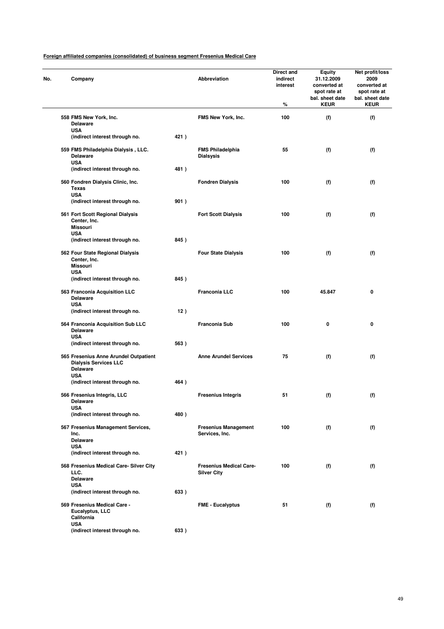| Company                                                                                  |      | Abbreviation                                         | Direct and<br>indirect<br>interest<br>% | Equity<br>31.12.2009<br>converted at<br>spot rate at<br>bal. sheet date<br><b>KEUR</b> | Net profit/loss<br>2009<br>converted at<br>spot rate at<br>bal. sheet date<br><b>KEUR</b> |
|------------------------------------------------------------------------------------------|------|------------------------------------------------------|-----------------------------------------|----------------------------------------------------------------------------------------|-------------------------------------------------------------------------------------------|
| 558 FMS New York, Inc.<br><b>Delaware</b>                                                |      | FMS New York, Inc.                                   | 100                                     | (f)                                                                                    | (f)                                                                                       |
| <b>USA</b><br>(indirect interest through no.                                             | 421) |                                                      |                                         |                                                                                        |                                                                                           |
| 559 FMS Philadelphia Dialysis, LLC.<br>Delaware                                          |      | <b>FMS Philadelphia</b><br><b>Dialsysis</b>          | 55                                      | (f)                                                                                    | (f)                                                                                       |
| <b>USA</b><br>(indirect interest through no.                                             | 481) |                                                      |                                         |                                                                                        |                                                                                           |
| 560 Fondren Dialysis Clinic, Inc.                                                        |      | <b>Fondren Dialysis</b>                              | 100                                     | (f)                                                                                    | (f)                                                                                       |
| <b>Texas</b><br><b>USA</b>                                                               |      |                                                      |                                         |                                                                                        |                                                                                           |
| (indirect interest through no.                                                           | 901) |                                                      |                                         |                                                                                        |                                                                                           |
| 561 Fort Scott Regional Dialysis<br>Center, Inc.<br><b>Missouri</b>                      |      | <b>Fort Scott Dialysis</b>                           | 100                                     | (f)                                                                                    | (f)                                                                                       |
| <b>USA</b><br>(indirect interest through no.                                             | 845) |                                                      |                                         |                                                                                        |                                                                                           |
| 562 Four State Regional Dialysis                                                         |      | <b>Four State Dialysis</b>                           | 100                                     | (f)                                                                                    | (f)                                                                                       |
| Center, Inc.<br><b>Missouri</b><br><b>USA</b>                                            |      |                                                      |                                         |                                                                                        |                                                                                           |
| (indirect interest through no.                                                           | 845) |                                                      |                                         |                                                                                        |                                                                                           |
| 563 Franconia Acquisition LLC<br><b>Delaware</b><br><b>USA</b>                           |      | <b>Franconia LLC</b>                                 | 100                                     | 45.847                                                                                 | 0                                                                                         |
| (indirect interest through no.                                                           | 12)  |                                                      |                                         |                                                                                        |                                                                                           |
| 564 Franconia Acquisition Sub LLC<br><b>Delaware</b><br><b>USA</b>                       |      | <b>Franconia Sub</b>                                 | 100                                     | 0                                                                                      | 0                                                                                         |
| (indirect interest through no.                                                           | 563) |                                                      |                                         |                                                                                        |                                                                                           |
| 565 Fresenius Anne Arundel Outpatient<br><b>Dialysis Services LLC</b><br><b>Delaware</b> |      | <b>Anne Arundel Services</b>                         | 75                                      | (f)                                                                                    | (f)                                                                                       |
| USA<br>(indirect interest through no.                                                    | 464) |                                                      |                                         |                                                                                        |                                                                                           |
| 566 Fresenius Integris, LLC<br>Delaware                                                  |      | <b>Fresenius Integris</b>                            | 51                                      | (f)                                                                                    | (f)                                                                                       |
| USA<br>(indirect interest through no.                                                    | 480) |                                                      |                                         |                                                                                        |                                                                                           |
| 567 Fresenius Management Services,<br>Inc.                                               |      | <b>Fresenius Management</b><br>Services, Inc.        | 100                                     | (f)                                                                                    | (f)                                                                                       |
| <b>Delaware</b><br><b>USA</b>                                                            |      |                                                      |                                         |                                                                                        |                                                                                           |
| (indirect interest through no.                                                           | 421) |                                                      |                                         |                                                                                        |                                                                                           |
| 568 Fresenius Medical Care- Silver City<br>LLC.<br><b>Delaware</b>                       |      | <b>Fresenius Medical Care-</b><br><b>Silver City</b> | 100                                     | (f)                                                                                    | (f)                                                                                       |
| <b>USA</b>                                                                               |      |                                                      |                                         |                                                                                        |                                                                                           |
| (indirect interest through no.                                                           | 633) |                                                      |                                         |                                                                                        |                                                                                           |
| 569 Fresenius Medical Care -<br>Eucalyptus, LLC<br>California                            |      | <b>FME - Eucalyptus</b>                              | 51                                      | (f)                                                                                    | (f)                                                                                       |
| <b>USA</b><br>(indirect interest through no.                                             | 633) |                                                      |                                         |                                                                                        |                                                                                           |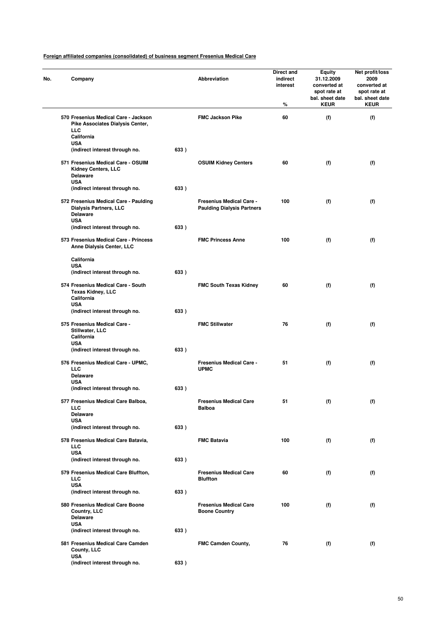| No. | Company                                                                                                                     |      | Abbreviation                                                         | Direct and<br>indirect<br>interest<br>% | <b>Equity</b><br>31.12.2009<br>converted at<br>spot rate at<br>bal. sheet date<br><b>KEUR</b> | Net profit/loss<br>2009<br>converted at<br>spot rate at<br>bal. sheet date<br><b>KEUR</b> |
|-----|-----------------------------------------------------------------------------------------------------------------------------|------|----------------------------------------------------------------------|-----------------------------------------|-----------------------------------------------------------------------------------------------|-------------------------------------------------------------------------------------------|
|     | 570 Fresenius Medical Care - Jackson<br>Pike Associates Dialysis Center,<br>LLC<br>California                               |      | <b>FMC Jackson Pike</b>                                              | 60                                      | (f)                                                                                           | (f)                                                                                       |
|     | <b>USA</b><br>(indirect interest through no.                                                                                | 633) |                                                                      |                                         |                                                                                               |                                                                                           |
|     | 571 Fresenius Medical Care - OSUIM<br>Kidney Centers, LLC<br><b>Delaware</b><br><b>USA</b>                                  |      | <b>OSUIM Kidney Centers</b>                                          | 60                                      | (f)                                                                                           | (f)                                                                                       |
|     | (indirect interest through no.<br>572 Fresenius Medical Care - Paulding<br><b>Dialysis Partners, LLC</b><br><b>Delaware</b> | 633) | <b>Fresenius Medical Care -</b><br><b>Paulding Dialysis Partners</b> | 100                                     | (f)                                                                                           | (f)                                                                                       |
|     | <b>USA</b><br>(indirect interest through no.                                                                                | 633) |                                                                      |                                         |                                                                                               |                                                                                           |
|     | 573 Fresenius Medical Care - Princess<br>Anne Dialysis Center, LLC                                                          |      | <b>FMC Princess Anne</b>                                             | 100                                     | (f)                                                                                           | (f)                                                                                       |
|     | California<br><b>USA</b><br>(indirect interest through no.                                                                  | 633) |                                                                      |                                         |                                                                                               |                                                                                           |
|     | 574 Fresenius Medical Care - South<br><b>Texas Kidney, LLC</b><br>California<br><b>USA</b>                                  |      | <b>FMC South Texas Kidney</b>                                        | 60                                      | (f)                                                                                           | (f)                                                                                       |
|     | (indirect interest through no.                                                                                              | 633) |                                                                      |                                         |                                                                                               |                                                                                           |
|     | 575 Fresenius Medical Care -<br>Stillwater, LLC<br>California<br><b>USA</b>                                                 |      | <b>FMC Stillwater</b>                                                | 76                                      | (f)                                                                                           | (f)                                                                                       |
|     | (indirect interest through no.                                                                                              | 633) |                                                                      |                                         |                                                                                               |                                                                                           |
|     | 576 Fresenius Medical Care - UPMC,<br><b>LLC</b><br><b>Delaware</b><br><b>USA</b>                                           |      | <b>Fresenius Medical Care -</b><br><b>UPMC</b>                       | 51                                      | (f)                                                                                           | (f)                                                                                       |
|     | (indirect interest through no.                                                                                              | 633) |                                                                      |                                         |                                                                                               |                                                                                           |
|     | 577 Fresenius Medical Care Balboa,<br>LLC<br><b>Delaware</b>                                                                |      | <b>Fresenius Medical Care</b><br><b>Balboa</b>                       | 51                                      | (f)                                                                                           | (f)                                                                                       |
|     | <b>USA</b><br>(indirect interest through no.                                                                                | 633) |                                                                      |                                         |                                                                                               |                                                                                           |
|     | 578 Fresenius Medical Care Batavia,<br><b>LLC</b><br><b>USA</b>                                                             |      | <b>FMC Batavia</b>                                                   | 100                                     | (f)                                                                                           | (f)                                                                                       |
|     | (indirect interest through no.                                                                                              | 633) |                                                                      |                                         |                                                                                               |                                                                                           |
|     | 579 Fresenius Medical Care Bluffton,<br><b>LLC</b><br><b>USA</b>                                                            |      | <b>Fresenius Medical Care</b><br><b>Bluffton</b>                     | 60                                      | (f)                                                                                           | (f)                                                                                       |
|     | (indirect interest through no.                                                                                              | 633) |                                                                      |                                         |                                                                                               |                                                                                           |
|     | 580 Fresenius Medical Care Boone<br>Country, LLC<br><b>Delaware</b><br><b>USA</b>                                           |      | <b>Fresenius Medical Care</b><br><b>Boone Country</b>                | 100                                     | (f)                                                                                           | (f)                                                                                       |
|     | (indirect interest through no.                                                                                              | 633) |                                                                      |                                         |                                                                                               |                                                                                           |
|     | 581 Fresenius Medical Care Camden<br>County, LLC<br><b>USA</b>                                                              |      | FMC Camden County,                                                   | 76                                      | (f)                                                                                           | (f)                                                                                       |
|     | (indirect interest through no.                                                                                              | 633) |                                                                      |                                         |                                                                                               |                                                                                           |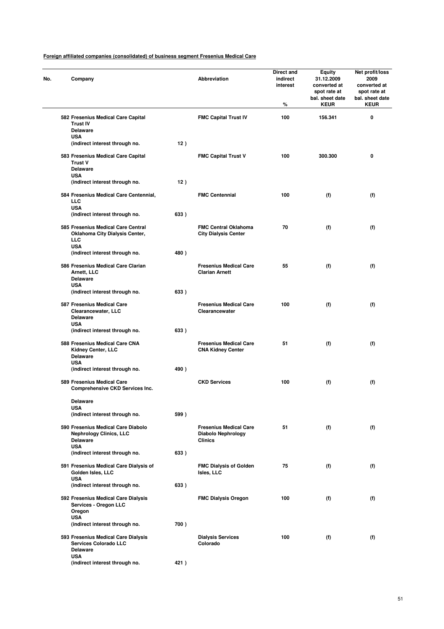| No. | Company                                                                                               |      | <b>Abbreviation</b>                                                   | Direct and<br>indirect<br>interest<br>% | <b>Equity</b><br>31.12.2009<br>converted at<br>spot rate at<br>bal. sheet date<br><b>KEUR</b> | Net profit/loss<br>2009<br>converted at<br>spot rate at<br>bal. sheet date<br><b>KEUR</b> |
|-----|-------------------------------------------------------------------------------------------------------|------|-----------------------------------------------------------------------|-----------------------------------------|-----------------------------------------------------------------------------------------------|-------------------------------------------------------------------------------------------|
|     | 582 Fresenius Medical Care Capital<br><b>Trust IV</b><br><b>Delaware</b>                              |      | <b>FMC Capital Trust IV</b>                                           | 100                                     | 156.341                                                                                       | 0                                                                                         |
|     | <b>USA</b><br>(indirect interest through no.                                                          | 12)  |                                                                       |                                         |                                                                                               |                                                                                           |
|     | 583 Fresenius Medical Care Capital<br><b>Trust V</b><br><b>Delaware</b><br><b>USA</b>                 |      | <b>FMC Capital Trust V</b>                                            | 100                                     | 300.300                                                                                       | 0                                                                                         |
|     | (indirect interest through no.                                                                        | 12)  |                                                                       |                                         |                                                                                               |                                                                                           |
|     | 584 Fresenius Medical Care Centennial,<br><b>LLC</b><br><b>USA</b>                                    |      | <b>FMC Centennial</b>                                                 | 100                                     | (f)                                                                                           | (f)                                                                                       |
|     | (indirect interest through no.                                                                        | 633) |                                                                       |                                         |                                                                                               |                                                                                           |
|     | 585 Fresenius Medical Care Central<br>Oklahoma City Dialysis Center,<br>LLC                           |      | <b>FMC Central Oklahoma</b><br><b>City Dialysis Center</b>            | 70                                      | (f)                                                                                           | (f)                                                                                       |
|     | <b>USA</b><br>(indirect interest through no.                                                          | 480) |                                                                       |                                         |                                                                                               |                                                                                           |
|     | 586 Fresenius Medical Care Clarian<br>Arnett, LLC<br><b>Delaware</b>                                  |      | <b>Fresenius Medical Care</b><br><b>Clarian Arnett</b>                | 55                                      | (f)                                                                                           | (f)                                                                                       |
|     | <b>USA</b><br>(indirect interest through no.                                                          | 633) |                                                                       |                                         |                                                                                               |                                                                                           |
|     | 587 Fresenius Medical Care<br>Clearancewater, LLC<br><b>Delaware</b>                                  |      | <b>Fresenius Medical Care</b><br>Clearancewater                       | 100                                     | (f)                                                                                           | (f)                                                                                       |
|     | <b>USA</b><br>(indirect interest through no.                                                          | 633) |                                                                       |                                         |                                                                                               |                                                                                           |
|     | 588 Fresenius Medical Care CNA<br>Kidney Center, LLC<br><b>Delaware</b><br><b>USA</b>                 |      | <b>Fresenius Medical Care</b><br><b>CNA Kidney Center</b>             | 51                                      | (f)                                                                                           | (f)                                                                                       |
|     | (indirect interest through no.                                                                        | 490) |                                                                       |                                         |                                                                                               |                                                                                           |
|     | 589 Fresenius Medical Care<br>Comprehensive CKD Services Inc.                                         |      | <b>CKD Services</b>                                                   | 100                                     | (f)                                                                                           | (f)                                                                                       |
|     | <b>Delaware</b>                                                                                       |      |                                                                       |                                         |                                                                                               |                                                                                           |
|     | <b>USA</b><br>(indirect interest through no.                                                          | 599) |                                                                       |                                         |                                                                                               |                                                                                           |
|     | 590 Fresenius Medical Care Diabolo<br><b>Nephrology Clinics, LLC</b><br><b>Delaware</b><br><b>USA</b> |      | <b>Fresenius Medical Care</b><br>Diabolo Nephrology<br><b>Clinics</b> | 51                                      | (f)                                                                                           | (f)                                                                                       |
|     | (indirect interest through no.                                                                        | 633) |                                                                       |                                         |                                                                                               |                                                                                           |
|     | 591 Fresenius Medical Care Dialysis of<br>Golden Isles, LLC<br><b>USA</b>                             |      | <b>FMC Dialysis of Golden</b><br>Isles, LLC                           | 75                                      | (f)                                                                                           | (f)                                                                                       |
|     | (indirect interest through no.                                                                        | 633) |                                                                       |                                         |                                                                                               |                                                                                           |
|     | 592 Fresenius Medical Care Dialysis<br>Services - Oregon LLC<br>Oregon<br><b>USA</b>                  |      | <b>FMC Dialysis Oregon</b>                                            | 100                                     | (f)                                                                                           | (f)                                                                                       |
|     | (indirect interest through no.                                                                        | 700) |                                                                       |                                         |                                                                                               |                                                                                           |
|     | 593 Fresenius Medical Care Dialysis<br><b>Services Colorado LLC</b><br><b>Delaware</b>                |      | <b>Dialysis Services</b><br>Colorado                                  | 100                                     | (f)                                                                                           | (f)                                                                                       |
|     | <b>USA</b><br>(indirect interest through no.                                                          | 421) |                                                                       |                                         |                                                                                               |                                                                                           |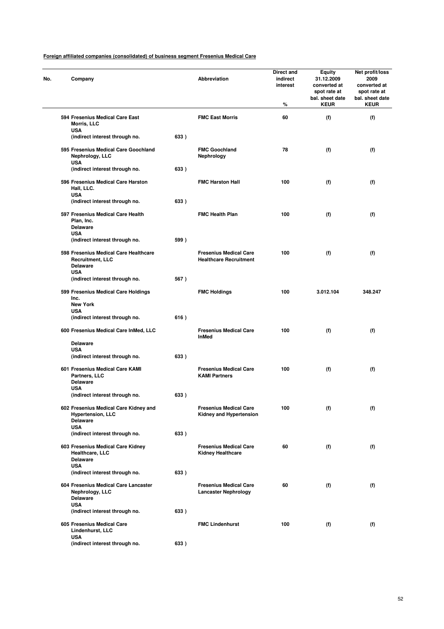| No. | Company                                                                                  |      | Abbreviation                                                   | Direct and<br>indirect<br>interest<br>% | <b>Equity</b><br>31.12.2009<br>converted at<br>spot rate at<br>bal. sheet date<br><b>KEUR</b> | Net profit/loss<br>2009<br>converted at<br>spot rate at<br>bal. sheet date<br><b>KEUR</b> |
|-----|------------------------------------------------------------------------------------------|------|----------------------------------------------------------------|-----------------------------------------|-----------------------------------------------------------------------------------------------|-------------------------------------------------------------------------------------------|
|     | 594 Fresenius Medical Care East<br>Morris, LLC                                           |      | <b>FMC East Morris</b>                                         | 60                                      | (f)                                                                                           | (f)                                                                                       |
|     | <b>USA</b><br>(indirect interest through no.                                             | 633) |                                                                |                                         |                                                                                               |                                                                                           |
|     | 595 Fresenius Medical Care Goochland<br>Nephrology, LLC<br><b>USA</b>                    |      | <b>FMC Goochland</b><br>Nephrology                             | 78                                      | (f)                                                                                           | (f)                                                                                       |
|     | (indirect interest through no.                                                           | 633) |                                                                |                                         |                                                                                               |                                                                                           |
|     | 596 Fresenius Medical Care Harston<br>Hall, LLC.<br><b>USA</b>                           |      | <b>FMC Harston Hall</b>                                        | 100                                     | (f)                                                                                           | (f)                                                                                       |
|     | (indirect interest through no.                                                           | 633) |                                                                |                                         |                                                                                               |                                                                                           |
|     | 597 Fresenius Medical Care Health<br>Plan, Inc.<br><b>Delaware</b>                       |      | <b>FMC Health Plan</b>                                         | 100                                     | (f)                                                                                           | (f)                                                                                       |
|     | <b>USA</b><br>(indirect interest through no.                                             | 599) |                                                                |                                         |                                                                                               |                                                                                           |
|     | 598 Fresenius Medical Care Healthcare<br>Recruitment, LLC<br><b>Delaware</b>             |      | <b>Fresenius Medical Care</b><br><b>Healthcare Recruitment</b> | 100                                     | (f)                                                                                           | (f)                                                                                       |
|     | <b>USA</b><br>(indirect interest through no.                                             | 567) |                                                                |                                         |                                                                                               |                                                                                           |
|     | 599 Fresenius Medical Care Holdings<br>Inc.<br><b>New York</b>                           |      | <b>FMC Holdings</b>                                            | 100                                     | 3.012.104                                                                                     | 348.247                                                                                   |
|     | <b>USA</b><br>(indirect interest through no.                                             | 616) |                                                                |                                         |                                                                                               |                                                                                           |
|     |                                                                                          |      | <b>Fresenius Medical Care</b>                                  | 100                                     |                                                                                               |                                                                                           |
|     | 600 Fresenius Medical Care InMed, LLC<br><b>Delaware</b>                                 |      | <b>InMed</b>                                                   |                                         | (f)                                                                                           | (f)                                                                                       |
|     | <b>USA</b><br>(indirect interest through no.                                             | 633) |                                                                |                                         |                                                                                               |                                                                                           |
|     |                                                                                          |      |                                                                |                                         |                                                                                               |                                                                                           |
|     | 601 Fresenius Medical Care KAMI<br>Partners, LLC<br><b>Delaware</b><br><b>USA</b>        |      | <b>Fresenius Medical Care</b><br><b>KAMI Partners</b>          | 100                                     | (f)                                                                                           | (f)                                                                                       |
|     | (indirect interest through no.                                                           | 633) |                                                                |                                         |                                                                                               |                                                                                           |
|     | 602 Fresenius Medical Care Kidney and<br><b>Hypertension, LLC</b><br><b>Delaware</b>     |      | <b>Fresenius Medical Care</b><br>Kidney and Hypertension       | 100                                     | (f)                                                                                           | (f)                                                                                       |
|     | <b>USA</b><br>(indirect interest through no.                                             | 633) |                                                                |                                         |                                                                                               |                                                                                           |
|     | 603 Fresenius Medical Care Kidney<br>Healthcare, LLC<br><b>Delaware</b>                  |      | <b>Fresenius Medical Care</b><br><b>Kidney Healthcare</b>      | 60                                      | (f)                                                                                           | (f)                                                                                       |
|     | <b>USA</b><br>(indirect interest through no.                                             | 633) |                                                                |                                         |                                                                                               |                                                                                           |
|     | 604 Fresenius Medical Care Lancaster<br>Nephrology, LLC<br><b>Delaware</b><br><b>USA</b> |      | <b>Fresenius Medical Care</b><br><b>Lancaster Nephrology</b>   | 60                                      | (f)                                                                                           | (f)                                                                                       |
|     | (indirect interest through no.                                                           | 633) |                                                                |                                         |                                                                                               |                                                                                           |
|     | 605 Fresenius Medical Care<br>Lindenhurst, LLC<br><b>USA</b>                             |      | <b>FMC Lindenhurst</b>                                         | 100                                     | (f)                                                                                           | (f)                                                                                       |
|     | (indirect interest through no.                                                           | 633) |                                                                |                                         |                                                                                               |                                                                                           |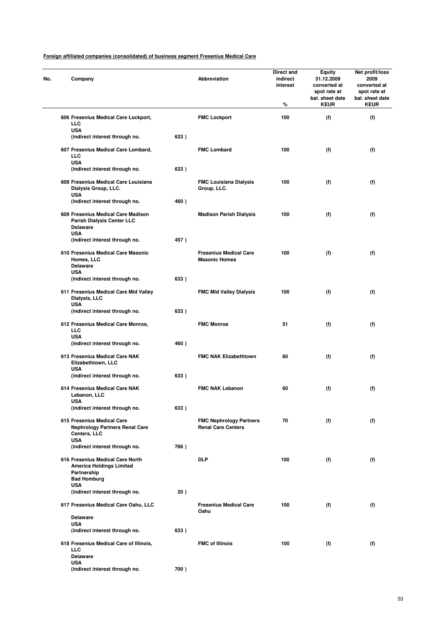| Company                                                                                                  |      | Abbreviation                                                | Direct and<br>indirect<br>interest<br>% | <b>Equity</b><br>31.12.2009<br>converted at<br>spot rate at<br>bal. sheet date<br><b>KEUR</b> | Net profit/loss<br>2009<br>converted at<br>spot rate at<br>bal. sheet date<br><b>KEUR</b> |
|----------------------------------------------------------------------------------------------------------|------|-------------------------------------------------------------|-----------------------------------------|-----------------------------------------------------------------------------------------------|-------------------------------------------------------------------------------------------|
| 606 Fresenius Medical Care Lockport,<br>LLC                                                              |      | <b>FMC Lockport</b>                                         | 100                                     | (f)                                                                                           | (f)                                                                                       |
| <b>USA</b><br>(indirect interest through no.                                                             | 633) |                                                             |                                         |                                                                                               |                                                                                           |
| 607 Fresenius Medical Care Lombard,<br><b>LLC</b><br><b>USA</b>                                          |      | <b>FMC Lombard</b>                                          | 100                                     | (f)                                                                                           | (f)                                                                                       |
| (indirect interest through no.                                                                           | 633) |                                                             |                                         |                                                                                               |                                                                                           |
| 608 Fresenius Medical Care Louisiana<br>Dialysis Group, LLC.<br><b>USA</b>                               |      | <b>FMC Louisiana Dialysis</b><br>Group, LLC.                | 100                                     | (f)                                                                                           | (f)                                                                                       |
| (indirect interest through no.                                                                           | 460) |                                                             |                                         |                                                                                               |                                                                                           |
| 609 Fresenius Medical Care Madison<br>Parish Dialysis Center LLC<br><b>Delaware</b><br><b>USA</b>        |      | <b>Madison Parish Dialysis</b>                              | 100                                     | (f)                                                                                           | (f)                                                                                       |
| (indirect interest through no.                                                                           | 457) |                                                             |                                         |                                                                                               |                                                                                           |
| 610 Fresenius Medical Care Masonic<br>Homes, LLC<br><b>Delaware</b>                                      |      | <b>Fresenius Medical Care</b><br><b>Masonic Homes</b>       | 100                                     | (f)                                                                                           | (f)                                                                                       |
| <b>USA</b><br>(indirect interest through no.                                                             | 633) |                                                             |                                         |                                                                                               |                                                                                           |
| 611 Fresenius Medical Care Mid Valley<br>Dialysis, LLC                                                   |      | <b>FMC Mid Valley Dialysis</b>                              | 100                                     | (f)                                                                                           | (f)                                                                                       |
| USA<br>(indirect interest through no.                                                                    | 633) |                                                             |                                         |                                                                                               |                                                                                           |
| 612 Fresenius Medical Care Monroe,<br><b>LLC</b><br><b>USA</b>                                           |      | <b>FMC Monroe</b>                                           | 51                                      | (f)                                                                                           | (f)                                                                                       |
| (indirect interest through no.                                                                           | 460) |                                                             |                                         |                                                                                               |                                                                                           |
| 613 Fresenius Medical Care NAK<br>Elizabethtown, LLC<br><b>USA</b>                                       |      | <b>FMC NAK Elizabethtown</b>                                | 60                                      | (f)                                                                                           | (f)                                                                                       |
| (indirect interest through no.                                                                           | 633) |                                                             |                                         |                                                                                               |                                                                                           |
| 614 Fresenius Medical Care NAK<br>Lebanon, LLC<br><b>USA</b>                                             |      | <b>FMC NAK Lebanon</b>                                      | 60                                      | (f)                                                                                           | (f)                                                                                       |
| (indirect interest through no.                                                                           | 633) |                                                             |                                         |                                                                                               |                                                                                           |
| 615 Fresenius Medical Care<br><b>Nephrology Partners Renal Care</b><br>Centers, LLC                      |      | <b>FMC Nephrology Partners</b><br><b>Renal Care Centers</b> | 70                                      | (f)                                                                                           | (f)                                                                                       |
| <b>USA</b><br>(indirect interest through no.                                                             | 786) |                                                             |                                         |                                                                                               |                                                                                           |
| 616 Fresenius Medical Care North<br><b>America Holdings Limited</b><br>Partnership<br><b>Bad Homburg</b> |      | <b>DLP</b>                                                  | 100                                     | (f)                                                                                           | (f)                                                                                       |
| <b>USA</b><br>(indirect interest through no.                                                             | 20)  |                                                             |                                         |                                                                                               |                                                                                           |
| 617 Fresenius Medical Care Oahu, LLC                                                                     |      | <b>Fresenius Medical Care</b><br>Oahu                       | 100                                     | (f)                                                                                           | (f)                                                                                       |
| <b>Delaware</b><br><b>USA</b>                                                                            |      |                                                             |                                         |                                                                                               |                                                                                           |
| (indirect interest through no.                                                                           | 633) |                                                             |                                         |                                                                                               |                                                                                           |
| 618 Fresenius Medical Care of Illinois,<br><b>LLC</b><br><b>Delaware</b>                                 |      | <b>FMC of Illinois</b>                                      | 100                                     | (f)                                                                                           | (f)                                                                                       |
| <b>USA</b><br>(indirect interest through no.                                                             | 700) |                                                             |                                         |                                                                                               |                                                                                           |
|                                                                                                          |      |                                                             |                                         |                                                                                               |                                                                                           |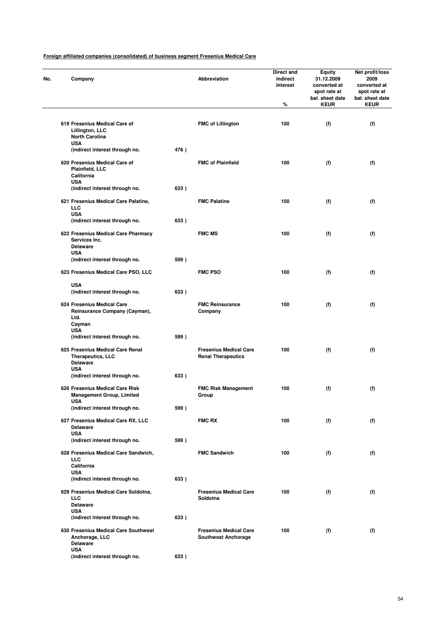| Company                                                                                       |      | Abbreviation                                                | Direct and<br>indirect<br>interest<br>% | <b>Equity</b><br>31.12.2009<br>converted at<br>spot rate at<br>bal. sheet date<br><b>KEUR</b> | Net profit/loss<br>2009<br>converted at<br>spot rate at<br>bal. sheet date<br><b>KEUR</b> |
|-----------------------------------------------------------------------------------------------|------|-------------------------------------------------------------|-----------------------------------------|-----------------------------------------------------------------------------------------------|-------------------------------------------------------------------------------------------|
| 619 Fresenius Medical Care of<br>Lillington, LLC<br><b>North Carolina</b>                     |      | <b>FMC of Lillington</b>                                    | 100                                     | (f)                                                                                           | (f)                                                                                       |
| <b>USA</b><br>(indirect interest through no.                                                  | 476) |                                                             |                                         |                                                                                               |                                                                                           |
| 620 Fresenius Medical Care of<br>Plainfield, LLC<br>California<br><b>USA</b>                  |      | <b>FMC of Plainfield</b>                                    | 100                                     | (f)                                                                                           | (f)                                                                                       |
| (indirect interest through no.<br>621 Fresenius Medical Care Palatine,                        | 633) | <b>FMC Palatine</b>                                         | 100                                     | (f)                                                                                           | (f)                                                                                       |
| LLC<br><b>USA</b>                                                                             |      |                                                             |                                         |                                                                                               |                                                                                           |
| (indirect interest through no.                                                                | 633) |                                                             |                                         |                                                                                               |                                                                                           |
| 622 Fresenius Medical Care Pharmacy<br>Services Inc.<br><b>Delaware</b>                       |      | <b>FMC MS</b>                                               | 100                                     | (f)                                                                                           | (f)                                                                                       |
| <b>USA</b><br>(indirect interest through no.                                                  | 599) |                                                             |                                         |                                                                                               |                                                                                           |
| 623 Fresenius Medical Care PSO, LLC                                                           |      | <b>FMC PSO</b>                                              | 100                                     | (f)                                                                                           | (f)                                                                                       |
| <b>USA</b>                                                                                    |      |                                                             |                                         |                                                                                               |                                                                                           |
| (indirect interest through no.                                                                | 633) |                                                             |                                         |                                                                                               |                                                                                           |
| 624 Fresenius Medical Care<br>Reinsurance Company (Cayman),<br>Ltd.<br>Cayman                 |      | <b>FMC Reinsurance</b><br>Company                           | 100                                     | (f)                                                                                           | (f)                                                                                       |
| <b>USA</b>                                                                                    |      |                                                             |                                         |                                                                                               |                                                                                           |
| (indirect interest through no.                                                                | 599) |                                                             |                                         |                                                                                               |                                                                                           |
| 625 Fresenius Medical Care Renal<br><b>Therapeutics, LLC</b><br><b>Delaware</b><br><b>USA</b> |      | <b>Fresenius Medical Care</b><br><b>Renal Therapeutics</b>  | 100                                     | (f)                                                                                           | (f)                                                                                       |
| (indirect interest through no.                                                                | 633) |                                                             |                                         |                                                                                               |                                                                                           |
| 626 Fresenius Medical Care Risk<br><b>Management Group, Limited</b>                           |      | <b>FMC Risk Management</b><br>Group                         | 100                                     | (f)                                                                                           | (f)                                                                                       |
| USA<br>(indirect interest through no.                                                         | 599) |                                                             |                                         |                                                                                               |                                                                                           |
| 627 Fresenius Medical Care RX, LLC<br><b>Delaware</b>                                         |      | <b>FMC RX</b>                                               | 100                                     | (f)                                                                                           | (f)                                                                                       |
| <b>USA</b><br>(indirect interest through no.                                                  | 599) |                                                             |                                         |                                                                                               |                                                                                           |
| 628 Fresenius Medical Care Sandwich,                                                          |      | <b>FMC Sandwich</b>                                         | 100                                     | (f)                                                                                           | (f)                                                                                       |
| LLC<br>California                                                                             |      |                                                             |                                         |                                                                                               |                                                                                           |
| <b>USA</b><br>(indirect interest through no.                                                  | 633) |                                                             |                                         |                                                                                               |                                                                                           |
| 629 Fresenius Medical Care Soldotna,<br><b>LLC</b>                                            |      | <b>Fresenius Medical Care</b><br>Soldotna                   | 100                                     | (f)                                                                                           | (f)                                                                                       |
| <b>Delaware</b>                                                                               |      |                                                             |                                         |                                                                                               |                                                                                           |
| <b>USA</b><br>(indirect interest through no.                                                  | 633) |                                                             |                                         |                                                                                               |                                                                                           |
| 630 Fresenius Medical Care Southwest<br>Anchorage, LLC                                        |      | <b>Fresenius Medical Care</b><br><b>Southwest Anchorage</b> | 100                                     | (f)                                                                                           | (f)                                                                                       |
| <b>Delaware</b><br><b>USA</b>                                                                 |      |                                                             |                                         |                                                                                               |                                                                                           |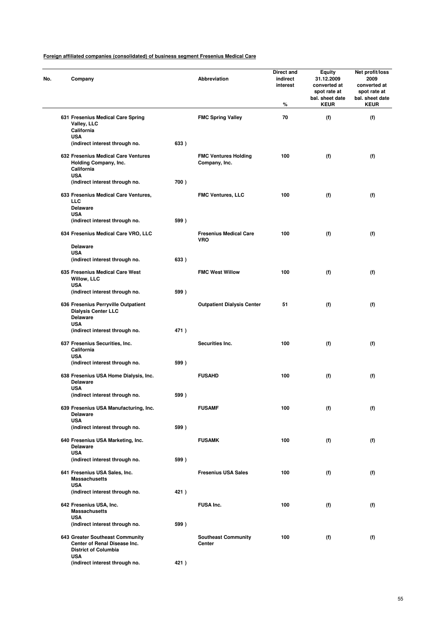| No. | Company                                                                                            |      | Abbreviation                                 | Direct and<br>indirect<br>interest<br>% | <b>Equity</b><br>31.12.2009<br>converted at<br>spot rate at<br>bal. sheet date<br><b>KEUR</b> | Net profit/loss<br>2009<br>converted at<br>spot rate at<br>bal. sheet date<br><b>KEUR</b> |
|-----|----------------------------------------------------------------------------------------------------|------|----------------------------------------------|-----------------------------------------|-----------------------------------------------------------------------------------------------|-------------------------------------------------------------------------------------------|
|     | 631 Fresenius Medical Care Spring<br>Valley, LLC<br>California                                     |      | <b>FMC Spring Valley</b>                     | 70                                      | (f)                                                                                           | (f)                                                                                       |
|     | <b>USA</b><br>(indirect interest through no.                                                       | 633) |                                              |                                         |                                                                                               |                                                                                           |
|     | 632 Fresenius Medical Care Ventures<br>Holding Company, Inc.<br>California<br><b>USA</b>           |      | <b>FMC Ventures Holding</b><br>Company, Inc. | 100                                     | (f)                                                                                           | (f)                                                                                       |
|     | (indirect interest through no.                                                                     | 700) |                                              |                                         |                                                                                               |                                                                                           |
|     | 633 Fresenius Medical Care Ventures,<br>LLC<br><b>Delaware</b><br><b>USA</b>                       |      | <b>FMC Ventures, LLC</b>                     | 100                                     | (f)                                                                                           | (f)                                                                                       |
|     | (indirect interest through no.                                                                     | 599) |                                              |                                         |                                                                                               |                                                                                           |
|     | 634 Fresenius Medical Care VRO, LLC<br><b>Delaware</b>                                             |      | <b>Fresenius Medical Care</b><br><b>VRO</b>  | 100                                     | (f)                                                                                           | (f)                                                                                       |
|     | <b>USA</b>                                                                                         |      |                                              |                                         |                                                                                               |                                                                                           |
|     | (indirect interest through no.                                                                     | 633) |                                              |                                         |                                                                                               |                                                                                           |
|     | 635 Fresenius Medical Care West<br>Willow, LLC<br><b>USA</b>                                       |      | <b>FMC West Willow</b>                       | 100                                     | (f)                                                                                           | (f)                                                                                       |
|     | (indirect interest through no.                                                                     | 599) |                                              |                                         |                                                                                               |                                                                                           |
|     | 636 Fresenius Perryville Outpatient<br><b>Dialysis Center LLC</b><br><b>Delaware</b><br><b>USA</b> |      | <b>Outpatient Dialysis Center</b>            | 51                                      | (f)                                                                                           | (f)                                                                                       |
|     | (indirect interest through no.                                                                     | 471) |                                              |                                         |                                                                                               |                                                                                           |
|     | 637 Fresenius Securities, Inc.<br>California<br><b>USA</b>                                         |      | Securities Inc.                              | 100                                     | (f)                                                                                           | (f)                                                                                       |
|     | (indirect interest through no.                                                                     | 599) |                                              |                                         |                                                                                               |                                                                                           |
|     | 638 Fresenius USA Home Dialysis, Inc.<br><b>Delaware</b><br><b>USA</b>                             |      | <b>FUSAHD</b>                                | 100                                     | (f)                                                                                           | (f)                                                                                       |
|     | (indirect interest through no.                                                                     | 599) |                                              |                                         |                                                                                               |                                                                                           |
|     | 639 Fresenius USA Manufacturing, Inc.<br><b>Delaware</b>                                           |      | <b>FUSAMF</b>                                | 100                                     | (f)                                                                                           | (f)                                                                                       |
|     | <b>USA</b><br>(indirect interest through no.                                                       | 599) |                                              |                                         |                                                                                               |                                                                                           |
|     | 640 Fresenius USA Marketing, Inc.<br><b>Delaware</b>                                               |      | <b>FUSAMK</b>                                | 100                                     | (f)                                                                                           | (f)                                                                                       |
|     | <b>USA</b><br>(indirect interest through no.                                                       | 599) |                                              |                                         |                                                                                               |                                                                                           |
|     | 641 Fresenius USA Sales, Inc.<br><b>Massachusetts</b>                                              |      | <b>Fresenius USA Sales</b>                   | 100                                     | (f)                                                                                           | (f)                                                                                       |
|     | <b>USA</b><br>(indirect interest through no.                                                       | 421) |                                              |                                         |                                                                                               |                                                                                           |
|     | 642 Fresenius USA, Inc.<br><b>Massachusetts</b>                                                    |      | <b>FUSA Inc.</b>                             | 100                                     | (f)                                                                                           | (f)                                                                                       |
|     | <b>USA</b><br>(indirect interest through no.                                                       | 599) |                                              |                                         |                                                                                               |                                                                                           |
|     | 643 Greater Southeast Community<br>Center of Renal Disease Inc.<br><b>District of Columbia</b>     |      | <b>Southeast Community</b><br>Center         | 100                                     | (f)                                                                                           | (f)                                                                                       |
|     | <b>USA</b><br>(indirect interest through no.                                                       | 421) |                                              |                                         |                                                                                               |                                                                                           |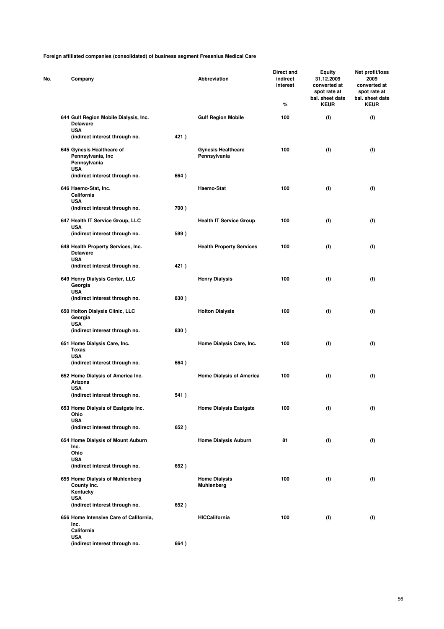| Company                                                             |      | Abbreviation                              | Direct and<br>indirect<br>interest<br>% | Equity<br>31.12.2009<br>converted at<br>spot rate at<br>bal. sheet date<br><b>KEUR</b> | Net profit/loss<br>2009<br>converted at<br>spot rate at<br>bal. sheet date<br><b>KEUR</b> |
|---------------------------------------------------------------------|------|-------------------------------------------|-----------------------------------------|----------------------------------------------------------------------------------------|-------------------------------------------------------------------------------------------|
| 644 Gulf Region Mobile Dialysis, Inc.<br><b>Delaware</b>            |      | <b>Gulf Region Mobile</b>                 | 100                                     | (f)                                                                                    | (f)                                                                                       |
| <b>USA</b><br>(indirect interest through no.                        | 421) |                                           |                                         |                                                                                        |                                                                                           |
| 645 Gynesis Healthcare of<br>Pennsylvania, Inc<br>Pennsylvania      |      | <b>Gynesis Healthcare</b><br>Pennsylvania | 100                                     | (f)                                                                                    | (f)                                                                                       |
| <b>USA</b><br>(indirect interest through no.                        | 664) |                                           |                                         |                                                                                        |                                                                                           |
| 646 Haemo-Stat, Inc.<br>California<br><b>USA</b>                    |      | Haemo-Stat                                | 100                                     | (f)                                                                                    | (f)                                                                                       |
| (indirect interest through no.                                      | 700) |                                           |                                         |                                                                                        |                                                                                           |
| 647 Health IT Service Group, LLC<br><b>USA</b>                      |      | <b>Health IT Service Group</b>            | 100                                     | (f)                                                                                    | (f)                                                                                       |
| (indirect interest through no.                                      | 599) |                                           |                                         |                                                                                        |                                                                                           |
| 648 Health Property Services, Inc.<br><b>Delaware</b><br><b>USA</b> |      | <b>Health Property Services</b>           | 100                                     | (f)                                                                                    | (f)                                                                                       |
| (indirect interest through no.                                      | 421) |                                           |                                         |                                                                                        |                                                                                           |
| 649 Henry Dialysis Center, LLC<br>Georgia<br><b>USA</b>             |      | <b>Henry Dialysis</b>                     | 100                                     | (f)                                                                                    | (f)                                                                                       |
| (indirect interest through no.                                      | 830) |                                           |                                         |                                                                                        |                                                                                           |
| 650 Holton Dialysis Clinic, LLC<br>Georgia<br><b>USA</b>            |      | <b>Holton Dialysis</b>                    | 100                                     | (f)                                                                                    | (f)                                                                                       |
| (indirect interest through no.                                      | 830) |                                           |                                         |                                                                                        |                                                                                           |
| 651 Home Dialysis Care, Inc.<br>Texas<br><b>USA</b>                 |      | Home Dialysis Care, Inc.                  | 100                                     | (f)                                                                                    | (f)                                                                                       |
| (indirect interest through no.                                      | 664) |                                           |                                         |                                                                                        |                                                                                           |
| 652 Home Dialysis of America Inc.<br>Arizona                        |      | <b>Home Dialysis of America</b>           | 100                                     | (f)                                                                                    | (f)                                                                                       |
| <b>USA</b><br>(indirect interest through no.                        | 541) |                                           |                                         |                                                                                        |                                                                                           |
| 653 Home Dialysis of Eastgate Inc.<br>Ohio                          |      | <b>Home Dialysis Eastgate</b>             | 100                                     | (f)                                                                                    | (f)                                                                                       |
| <b>USA</b><br>(indirect interest through no.                        | 652) |                                           |                                         |                                                                                        |                                                                                           |
| 654 Home Dialysis of Mount Auburn<br>Inc.                           |      | <b>Home Dialysis Auburn</b>               | 81                                      | (f)                                                                                    | (f)                                                                                       |
| Ohio<br><b>USA</b>                                                  |      |                                           |                                         |                                                                                        |                                                                                           |
| (indirect interest through no.                                      | 652) |                                           |                                         |                                                                                        |                                                                                           |
| 655 Home Dialysis of Muhlenberg<br>County Inc.<br>Kentucky          |      | <b>Home Dialysis</b><br><b>Muhlenberg</b> | 100                                     | (f)                                                                                    | (f)                                                                                       |
| <b>USA</b><br>(indirect interest through no.                        | 652) |                                           |                                         |                                                                                        |                                                                                           |
| 656 Home Intensive Care of California,<br>Inc.<br>California        |      | <b>HICCalifornia</b>                      | 100                                     | (f)                                                                                    | (f)                                                                                       |
| <b>USA</b><br>(indirect interest through no.                        | 664) |                                           |                                         |                                                                                        |                                                                                           |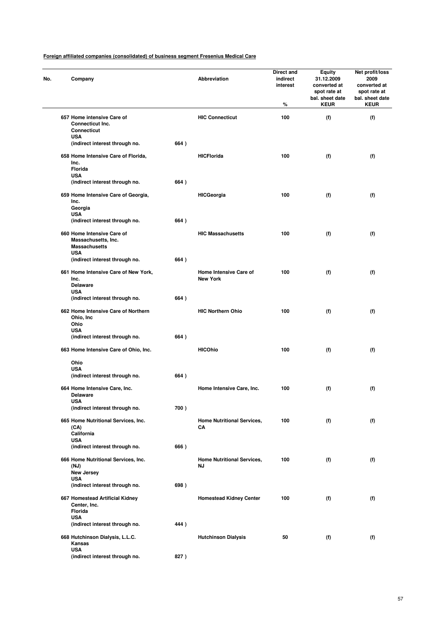| No. | Company                                                                                 |      | Abbreviation                              | <b>Direct and</b><br>indirect<br>interest<br>% | Equity<br>31.12.2009<br>converted at<br>spot rate at<br>bal. sheet date<br><b>KEUR</b> | Net profit/loss<br>2009<br>converted at<br>spot rate at<br>bal. sheet date<br><b>KEUR</b> |
|-----|-----------------------------------------------------------------------------------------|------|-------------------------------------------|------------------------------------------------|----------------------------------------------------------------------------------------|-------------------------------------------------------------------------------------------|
|     | 657 Home intensive Care of<br><b>Connecticut Inc.</b><br><b>Connecticut</b>             |      | <b>HIC Connecticut</b>                    | 100                                            | (f)                                                                                    | (f)                                                                                       |
|     | <b>USA</b><br>(indirect interest through no.                                            | 664) |                                           |                                                |                                                                                        |                                                                                           |
|     | 658 Home Intensive Care of Florida,<br>Inc.<br>Florida<br><b>USA</b>                    |      | <b>HICFlorida</b>                         | 100                                            | (f)                                                                                    | (f)                                                                                       |
|     | (indirect interest through no.                                                          | 664) |                                           |                                                |                                                                                        |                                                                                           |
|     | 659 Home Intensive Care of Georgia,<br>Inc.<br>Georgia<br><b>USA</b>                    |      | <b>HICGeorgia</b>                         | 100                                            | (f)                                                                                    | (f)                                                                                       |
|     | (indirect interest through no.                                                          | 664) |                                           |                                                |                                                                                        |                                                                                           |
|     | 660 Home Intensive Care of<br>Massachusetts, Inc.<br><b>Massachusetts</b><br><b>USA</b> |      | <b>HIC Massachusetts</b>                  | 100                                            | (f)                                                                                    | (f)                                                                                       |
|     | (indirect interest through no.                                                          | 664) |                                           |                                                |                                                                                        |                                                                                           |
|     | 661 Home Intensive Care of New York,<br>Inc.<br><b>Delaware</b><br><b>USA</b>           |      | Home Intensive Care of<br><b>New York</b> | 100                                            | (f)                                                                                    | (f)                                                                                       |
|     | (indirect interest through no.                                                          | 664) |                                           |                                                |                                                                                        |                                                                                           |
|     | 662 Home Intensive Care of Northern<br>Ohio, Inc<br>Ohio<br><b>USA</b>                  |      | <b>HIC Northern Ohio</b>                  | 100                                            | (f)                                                                                    | (f)                                                                                       |
|     | (indirect interest through no.<br>663 Home Intensive Care of Ohio, Inc.                 | 664) | <b>HICOhio</b>                            | 100                                            | (f)                                                                                    | (f)                                                                                       |
|     | Ohio<br><b>USA</b><br>(indirect interest through no.                                    | 664) |                                           |                                                |                                                                                        |                                                                                           |
|     | 664 Home Intensive Care, Inc.<br><b>Delaware</b><br><b>USA</b>                          |      | Home Intensive Care, Inc.                 | 100                                            | (f)                                                                                    | (f)                                                                                       |
|     | (indirect interest through no.                                                          | 700) |                                           |                                                |                                                                                        |                                                                                           |
|     | 665 Home Nutritional Services, Inc.<br>(CA)<br>California                               |      | <b>Home Nutritional Services,</b><br>CA   | 100                                            | (f)                                                                                    | (f)                                                                                       |
|     | <b>USA</b><br>(indirect interest through no.                                            | 666) |                                           |                                                |                                                                                        |                                                                                           |
|     | 666 Home Nutritional Services, Inc.<br>(NJ)<br><b>New Jersey</b>                        |      | <b>Home Nutritional Services,</b><br>ΝJ   | 100                                            | (f)                                                                                    | (f)                                                                                       |
|     | <b>USA</b><br>(indirect interest through no.                                            | 698) |                                           |                                                |                                                                                        |                                                                                           |
|     | 667 Homestead Artificial Kidney<br>Center, Inc.<br>Florida<br><b>USA</b>                |      | <b>Homestead Kidney Center</b>            | 100                                            | (f)                                                                                    | (f)                                                                                       |
|     | (indirect interest through no.                                                          | 444) |                                           |                                                |                                                                                        |                                                                                           |
|     | 668 Hutchinson Dialysis, L.L.C.<br>Kansas<br><b>USA</b>                                 |      | <b>Hutchinson Dialysis</b>                | 50                                             | (f)                                                                                    | (f)                                                                                       |
|     | (indirect interest through no.                                                          | 827) |                                           |                                                |                                                                                        |                                                                                           |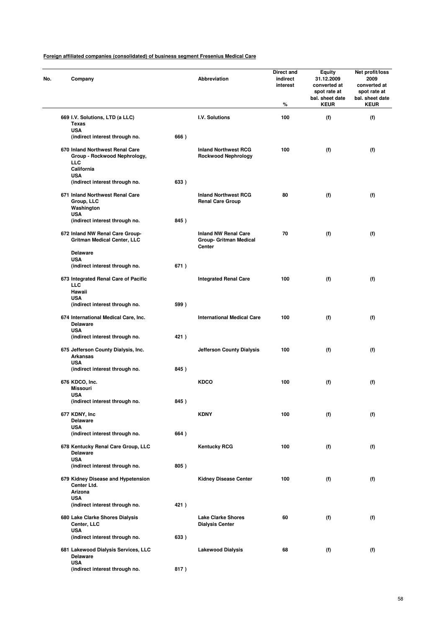| No. | Company                                                                              |      | Abbreviation                                                           | Direct and<br>indirect<br>interest<br>% | <b>Equity</b><br>31.12.2009<br>converted at<br>spot rate at<br>bal. sheet date<br><b>KEUR</b> | Net profit/loss<br>2009<br>converted at<br>spot rate at<br>bal. sheet date<br><b>KEUR</b> |
|-----|--------------------------------------------------------------------------------------|------|------------------------------------------------------------------------|-----------------------------------------|-----------------------------------------------------------------------------------------------|-------------------------------------------------------------------------------------------|
|     | 669 I.V. Solutions, LTD (a LLC)<br><b>Texas</b>                                      |      | I.V. Solutions                                                         | 100                                     | (f)                                                                                           | (f)                                                                                       |
|     | <b>USA</b><br>(indirect interest through no.                                         | 666) |                                                                        |                                         |                                                                                               |                                                                                           |
|     | 670 Inland Northwest Renal Care<br>Group - Rockwood Nephrology,<br>LLC<br>California |      | <b>Inland Northwest RCG</b><br><b>Rockwood Nephrology</b>              | 100                                     | (f)                                                                                           | (f)                                                                                       |
|     | <b>USA</b><br>(indirect interest through no.                                         | 633) |                                                                        |                                         |                                                                                               |                                                                                           |
|     | 671 Inland Northwest Renal Care<br>Group, LLC<br>Washington<br><b>USA</b>            |      | <b>Inland Northwest RCG</b><br><b>Renal Care Group</b>                 | 80                                      | (f)                                                                                           | (f)                                                                                       |
|     | (indirect interest through no.                                                       | 845) |                                                                        |                                         |                                                                                               |                                                                                           |
|     | 672 Inland NW Renal Care Group-<br><b>Gritman Medical Center, LLC</b>                |      | <b>Inland NW Renal Care</b><br><b>Group- Gritman Medical</b><br>Center | 70                                      | (f)                                                                                           | (f)                                                                                       |
|     | <b>Delaware</b><br><b>USA</b>                                                        |      |                                                                        |                                         |                                                                                               |                                                                                           |
|     | (indirect interest through no.                                                       | 671) |                                                                        |                                         |                                                                                               |                                                                                           |
|     | 673 Integrated Renal Care of Pacific<br><b>LLC</b><br>Hawaii                         |      | <b>Integrated Renal Care</b>                                           | 100                                     | (f)                                                                                           | (f)                                                                                       |
|     | <b>USA</b><br>(indirect interest through no.                                         | 599) |                                                                        |                                         |                                                                                               |                                                                                           |
|     | 674 International Medical Care, Inc.<br><b>Delaware</b><br><b>USA</b>                |      | <b>International Medical Care</b>                                      | 100                                     | (f)                                                                                           | (f)                                                                                       |
|     | (indirect interest through no.                                                       | 421) |                                                                        |                                         |                                                                                               |                                                                                           |
|     | 675 Jefferson County Dialysis, Inc.<br><b>Arkansas</b><br><b>USA</b>                 |      | <b>Jefferson County Dialysis</b>                                       | 100                                     | (f)                                                                                           | (f)                                                                                       |
|     | (indirect interest through no.                                                       | 845) |                                                                        |                                         |                                                                                               |                                                                                           |
|     | 676 KDCO, Inc.<br><b>Missouri</b><br>USA                                             |      | <b>KDCO</b>                                                            | 100                                     | (f)                                                                                           | (f)                                                                                       |
|     | (indirect interest through no.                                                       | 845) |                                                                        |                                         |                                                                                               |                                                                                           |
|     | 677 KDNY, Inc<br><b>Delaware</b><br><b>USA</b>                                       |      | <b>KDNY</b>                                                            | 100                                     | (f)                                                                                           | (f)                                                                                       |
|     | (indirect interest through no.                                                       | 664) |                                                                        |                                         |                                                                                               |                                                                                           |
|     | 678 Kentucky Renal Care Group, LLC<br><b>Delaware</b><br><b>USA</b>                  |      | <b>Kentucky RCG</b>                                                    | 100                                     | (f)                                                                                           | (f)                                                                                       |
|     | (indirect interest through no.                                                       | 805) |                                                                        |                                         |                                                                                               |                                                                                           |
|     | 679 Kidney Disease and Hypetension<br>Center Ltd.<br>Arizona<br><b>USA</b>           |      | <b>Kidney Disease Center</b>                                           | 100                                     | (f)                                                                                           | (f)                                                                                       |
|     | (indirect interest through no.                                                       | 421) |                                                                        |                                         |                                                                                               |                                                                                           |
|     | 680 Lake Clarke Shores Dialysis<br>Center, LLC<br><b>USA</b>                         |      | <b>Lake Clarke Shores</b><br><b>Dialysis Center</b>                    | 60                                      | (f)                                                                                           | (f)                                                                                       |
|     | (indirect interest through no.                                                       | 633) |                                                                        |                                         |                                                                                               |                                                                                           |
|     | 681 Lakewood Dialysis Services, LLC<br>Delaware<br><b>USA</b>                        |      | <b>Lakewood Dialysis</b>                                               | 68                                      | (f)                                                                                           | (f)                                                                                       |
|     | (indirect interest through no.                                                       | 817) |                                                                        |                                         |                                                                                               |                                                                                           |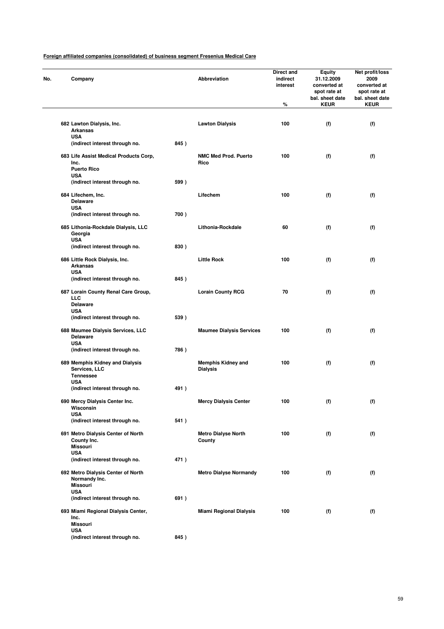| Company                                                                |      | Abbreviation                                 | Direct and<br>indirect<br>interest<br>% | <b>Equity</b><br>31.12.2009<br>converted at<br>spot rate at<br>bal. sheet date<br><b>KEUR</b> | Net profit/loss<br>2009<br>converted at<br>spot rate at<br>bal. sheet date<br><b>KEUR</b> |
|------------------------------------------------------------------------|------|----------------------------------------------|-----------------------------------------|-----------------------------------------------------------------------------------------------|-------------------------------------------------------------------------------------------|
|                                                                        |      |                                              |                                         |                                                                                               |                                                                                           |
| 682 Lawton Dialysis, Inc.<br><b>Arkansas</b>                           |      | <b>Lawton Dialysis</b>                       | 100                                     | (f)                                                                                           | (f)                                                                                       |
| <b>USA</b><br>(indirect interest through no.                           | 845) |                                              |                                         |                                                                                               |                                                                                           |
| 683 Life Assist Medical Products Corp,<br>Inc.                         |      | <b>NMC Med Prod. Puerto</b><br>Rico          | 100                                     | (f)                                                                                           | (f)                                                                                       |
| <b>Puerto Rico</b><br><b>USA</b>                                       |      |                                              |                                         |                                                                                               |                                                                                           |
| (indirect interest through no.                                         | 599) |                                              |                                         |                                                                                               |                                                                                           |
| 684 Lifechem, Inc.<br><b>Delaware</b>                                  |      | Lifechem                                     | 100                                     | (f)                                                                                           | (f)                                                                                       |
| <b>USA</b><br>(indirect interest through no.                           | 700) |                                              |                                         |                                                                                               |                                                                                           |
|                                                                        |      |                                              |                                         |                                                                                               |                                                                                           |
| 685 Lithonia-Rockdale Dialysis, LLC<br>Georgia<br><b>USA</b>           |      | Lithonia-Rockdale                            | 60                                      | (f)                                                                                           | (f)                                                                                       |
| (indirect interest through no.                                         | 830) |                                              |                                         |                                                                                               |                                                                                           |
| 686 Little Rock Dialysis, Inc.<br><b>Arkansas</b>                      |      | <b>Little Rock</b>                           | 100                                     | (f)                                                                                           | (f)                                                                                       |
| <b>USA</b><br>(indirect interest through no.                           | 845) |                                              |                                         |                                                                                               |                                                                                           |
| 687 Lorain County Renal Care Group,<br>LLC<br><b>Delaware</b>          |      | <b>Lorain County RCG</b>                     | 70                                      | (f)                                                                                           | (f)                                                                                       |
| <b>USA</b><br>(indirect interest through no.                           | 539) |                                              |                                         |                                                                                               |                                                                                           |
| 688 Maumee Dialysis Services, LLC                                      |      | <b>Maumee Dialysis Services</b>              | 100                                     | (f)                                                                                           | (f)                                                                                       |
| <b>Delaware</b><br><b>USA</b>                                          |      |                                              |                                         |                                                                                               |                                                                                           |
| (indirect interest through no.                                         | 786) |                                              |                                         |                                                                                               |                                                                                           |
| 689 Memphis Kidney and Dialysis<br>Services, LLC<br><b>Tennessee</b>   |      | <b>Memphis Kidney and</b><br><b>Dialysis</b> | 100                                     | (f)                                                                                           | (f)                                                                                       |
| <b>USA</b><br>(indirect interest through no.                           | 491) |                                              |                                         |                                                                                               |                                                                                           |
| 690 Mercy Dialysis Center Inc.<br>Wisconsin                            |      | <b>Mercy Dialysis Center</b>                 | 100                                     | (f)                                                                                           | (f)                                                                                       |
| <b>USA</b><br>(indirect interest through no.                           | 541) |                                              |                                         |                                                                                               |                                                                                           |
| 691 Metro Dialysis Center of North                                     |      | <b>Metro Dialyse North</b><br>County         | 100                                     | (f)                                                                                           | (f)                                                                                       |
| County Inc.<br><b>Missouri</b><br><b>USA</b>                           |      |                                              |                                         |                                                                                               |                                                                                           |
| (indirect interest through no.                                         | 471) |                                              |                                         |                                                                                               |                                                                                           |
| 692 Metro Dialysis Center of North<br>Normandy Inc.<br><b>Missouri</b> |      | <b>Metro Dialyse Normandy</b>                | 100                                     | (f)                                                                                           | (f)                                                                                       |
| <b>USA</b><br>(indirect interest through no.                           | 691) |                                              |                                         |                                                                                               |                                                                                           |
| 693 Miami Regional Dialysis Center,                                    |      | <b>Miami Regional Dialysis</b>               | 100                                     | (f)                                                                                           | (f)                                                                                       |
| Inc.<br><b>Missouri</b><br><b>USA</b>                                  |      |                                              |                                         |                                                                                               |                                                                                           |
| (indirect interest through no.                                         | 845) |                                              |                                         |                                                                                               |                                                                                           |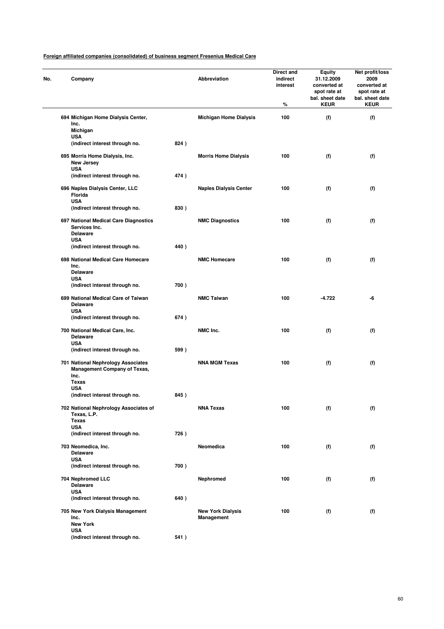| No. | Company                                                                                    |      | Abbreviation                           | Direct and<br>indirect<br>interest<br>% | Equity<br>31.12.2009<br>converted at<br>spot rate at<br>bal. sheet date<br><b>KEUR</b> | Net profit/loss<br>2009<br>converted at<br>spot rate at<br>bal. sheet date<br><b>KEUR</b> |
|-----|--------------------------------------------------------------------------------------------|------|----------------------------------------|-----------------------------------------|----------------------------------------------------------------------------------------|-------------------------------------------------------------------------------------------|
|     | 694 Michigan Home Dialysis Center,                                                         |      | <b>Michigan Home Dialysis</b>          | 100                                     | (f)                                                                                    | (f)                                                                                       |
|     | Inc.<br>Michigan                                                                           |      |                                        |                                         |                                                                                        |                                                                                           |
|     | <b>USA</b>                                                                                 |      |                                        |                                         |                                                                                        |                                                                                           |
|     | (indirect interest through no.                                                             | 824) |                                        |                                         |                                                                                        |                                                                                           |
|     | 695 Morris Home Dialysis, Inc.<br>New Jersey<br><b>USA</b>                                 |      | <b>Morris Home Dialysis</b>            | 100                                     | (f)                                                                                    | (f)                                                                                       |
|     | (indirect interest through no.                                                             | 474) |                                        |                                         |                                                                                        |                                                                                           |
|     | 696 Naples Dialysis Center, LLC<br>Florida                                                 |      | <b>Naples Dialysis Center</b>          | 100                                     | (f)                                                                                    | (f)                                                                                       |
|     | <b>USA</b><br>(indirect interest through no.                                               | 830) |                                        |                                         |                                                                                        |                                                                                           |
|     |                                                                                            |      |                                        |                                         |                                                                                        |                                                                                           |
|     | 697 National Medical Care Diagnostics<br>Services Inc.<br><b>Delaware</b>                  |      | <b>NMC Diagnostics</b>                 | 100                                     | (f)                                                                                    | (f)                                                                                       |
|     | <b>USA</b><br>(indirect interest through no.                                               | 440) |                                        |                                         |                                                                                        |                                                                                           |
|     | 698 National Medical Care Homecare                                                         |      | <b>NMC Homecare</b>                    | 100                                     | (f)                                                                                    | (f)                                                                                       |
|     | Inc.<br><b>Delaware</b><br><b>USA</b>                                                      |      |                                        |                                         |                                                                                        |                                                                                           |
|     | (indirect interest through no.                                                             | 700) |                                        |                                         |                                                                                        |                                                                                           |
|     | 699 National Medical Care of Taiwan                                                        |      | <b>NMC Taiwan</b>                      | 100                                     | -4.722                                                                                 | -6                                                                                        |
|     | <b>Delaware</b><br><b>USA</b>                                                              |      |                                        |                                         |                                                                                        |                                                                                           |
|     | (indirect interest through no.                                                             | 674) |                                        |                                         |                                                                                        |                                                                                           |
|     | 700 National Medical Care, Inc.<br><b>Delaware</b><br><b>USA</b>                           |      | NMC Inc.                               | 100                                     | (f)                                                                                    | (f)                                                                                       |
|     | (indirect interest through no.                                                             | 599) |                                        |                                         |                                                                                        |                                                                                           |
|     | 701 National Nephrology Associates<br><b>Management Company of Texas,</b><br>Inc.<br>Texas |      | <b>NNA MGM Texas</b>                   | 100                                     | (f)                                                                                    | (f)                                                                                       |
|     | <b>USA</b>                                                                                 |      |                                        |                                         |                                                                                        |                                                                                           |
|     | (indirect interest through no.                                                             | 845) |                                        |                                         |                                                                                        |                                                                                           |
|     | 702 National Nephrology Associates of<br>Texas, L.P.<br><b>Texas</b>                       |      | <b>NNA Texas</b>                       | 100                                     | (f)                                                                                    | (f)                                                                                       |
|     | <b>USA</b>                                                                                 |      |                                        |                                         |                                                                                        |                                                                                           |
|     | (indirect interest through no.                                                             | 726) |                                        |                                         |                                                                                        |                                                                                           |
|     | 703 Neomedica, Inc.<br><b>Delaware</b>                                                     |      | Neomedica                              | 100                                     | (f)                                                                                    | (f)                                                                                       |
|     | <b>USA</b><br>(indirect interest through no.                                               | 700) |                                        |                                         |                                                                                        |                                                                                           |
|     |                                                                                            |      |                                        |                                         |                                                                                        |                                                                                           |
|     | 704 Nephromed LLC<br><b>Delaware</b><br><b>USA</b>                                         |      | Nephromed                              | 100                                     | (f)                                                                                    | (f)                                                                                       |
|     | (indirect interest through no.                                                             | 640) |                                        |                                         |                                                                                        |                                                                                           |
|     | 705 New York Dialysis Management<br>Inc.<br><b>New York</b>                                |      | <b>New York Dialysis</b><br>Management | 100                                     | (f)                                                                                    | (f)                                                                                       |
|     | <b>USA</b>                                                                                 |      |                                        |                                         |                                                                                        |                                                                                           |
|     | (indirect interest through no.                                                             | 541) |                                        |                                         |                                                                                        |                                                                                           |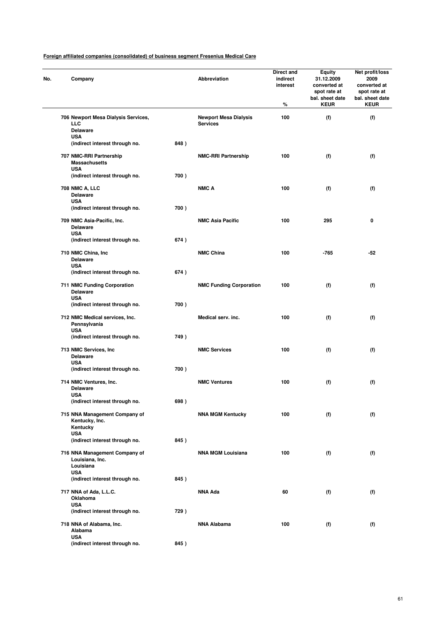| No. | Company                                                       |      | Abbreviation                                    | Direct and<br>indirect<br>interest<br>% | <b>Equity</b><br>31.12.2009<br>converted at<br>spot rate at<br>bal. sheet date<br><b>KEUR</b> | Net profit/loss<br>2009<br>converted at<br>spot rate at<br>bal. sheet date<br><b>KEUR</b> |
|-----|---------------------------------------------------------------|------|-------------------------------------------------|-----------------------------------------|-----------------------------------------------------------------------------------------------|-------------------------------------------------------------------------------------------|
|     | 706 Newport Mesa Dialysis Services,<br><b>LLC</b>             |      | <b>Newport Mesa Dialysis</b><br><b>Services</b> | 100                                     | (f)                                                                                           | (f)                                                                                       |
|     | <b>Delaware</b>                                               |      |                                                 |                                         |                                                                                               |                                                                                           |
|     | <b>USA</b><br>(indirect interest through no.                  | 848) |                                                 |                                         |                                                                                               |                                                                                           |
|     | 707 NMC-RRI Partnership<br><b>Massachusetts</b>               |      | <b>NMC-RRI Partnership</b>                      | 100                                     | (f)                                                                                           | (f)                                                                                       |
|     | <b>USA</b><br>(indirect interest through no.                  | 700) |                                                 |                                         |                                                                                               |                                                                                           |
|     | <b>708 NMC A, LLC</b><br><b>Delaware</b>                      |      | NMC A                                           | 100                                     | (f)                                                                                           | (f)                                                                                       |
|     | <b>USA</b><br>(indirect interest through no.                  | 700) |                                                 |                                         |                                                                                               |                                                                                           |
|     | 709 NMC Asia-Pacific, Inc.<br><b>Delaware</b>                 |      | <b>NMC Asia Pacific</b>                         | 100                                     | 295                                                                                           | 0                                                                                         |
|     | <b>USA</b>                                                    |      |                                                 |                                         |                                                                                               |                                                                                           |
|     | (indirect interest through no.                                | 674) |                                                 |                                         |                                                                                               |                                                                                           |
|     | 710 NMC China, Inc.<br><b>Delaware</b>                        |      | <b>NMC China</b>                                | 100                                     | -765                                                                                          | -52                                                                                       |
|     | <b>USA</b><br>(indirect interest through no.                  | 674) |                                                 |                                         |                                                                                               |                                                                                           |
|     | <b>711 NMC Funding Corporation</b><br><b>Delaware</b>         |      | <b>NMC Funding Corporation</b>                  | 100                                     | (f)                                                                                           | (f)                                                                                       |
|     | <b>USA</b><br>(indirect interest through no.                  | 700) |                                                 |                                         |                                                                                               |                                                                                           |
|     | 712 NMC Medical services, Inc.<br>Pennsylvania                |      | Medical serv. inc.                              | 100                                     | (f)                                                                                           | (f)                                                                                       |
|     | <b>USA</b><br>(indirect interest through no.                  | 749) |                                                 |                                         |                                                                                               |                                                                                           |
|     | 713 NMC Services, Inc.<br><b>Delaware</b>                     |      | <b>NMC Services</b>                             | 100                                     | (f)                                                                                           | (f)                                                                                       |
|     | <b>USA</b><br>(indirect interest through no.                  | 700) |                                                 |                                         |                                                                                               |                                                                                           |
|     | 714 NMC Ventures, Inc.                                        |      | <b>NMC Ventures</b>                             | 100                                     | (f)                                                                                           | (f)                                                                                       |
|     | <b>Delaware</b><br><b>USA</b>                                 |      |                                                 |                                         |                                                                                               |                                                                                           |
|     | (indirect interest through no.                                | 698) |                                                 |                                         |                                                                                               |                                                                                           |
|     | 715 NNA Management Company of<br>Kentucky, Inc.               |      | <b>NNA MGM Kentucky</b>                         | 100                                     | (f)                                                                                           | (f)                                                                                       |
|     | Kentucky<br><b>USA</b>                                        |      |                                                 |                                         |                                                                                               |                                                                                           |
|     | (indirect interest through no.                                | 845) |                                                 |                                         |                                                                                               |                                                                                           |
|     | 716 NNA Management Company of<br>Louisiana, Inc.<br>Louisiana |      | <b>NNA MGM Louisiana</b>                        | 100                                     | (f)                                                                                           | (f)                                                                                       |
|     | <b>USA</b><br>(indirect interest through no.                  | 845) |                                                 |                                         |                                                                                               |                                                                                           |
|     |                                                               |      |                                                 |                                         |                                                                                               |                                                                                           |
|     | 717 NNA of Ada, L.L.C.<br>Oklahoma                            |      | NNA Ada                                         | 60                                      | (f)                                                                                           | (f)                                                                                       |
|     | <b>USA</b><br>(indirect interest through no.                  | 729) |                                                 |                                         |                                                                                               |                                                                                           |
|     | 718 NNA of Alabama, Inc.                                      |      | <b>NNA Alabama</b>                              | 100                                     | (f)                                                                                           | (f)                                                                                       |
|     | Alabama<br><b>USA</b>                                         |      |                                                 |                                         |                                                                                               |                                                                                           |
|     | (indirect interest through no.                                | 845) |                                                 |                                         |                                                                                               |                                                                                           |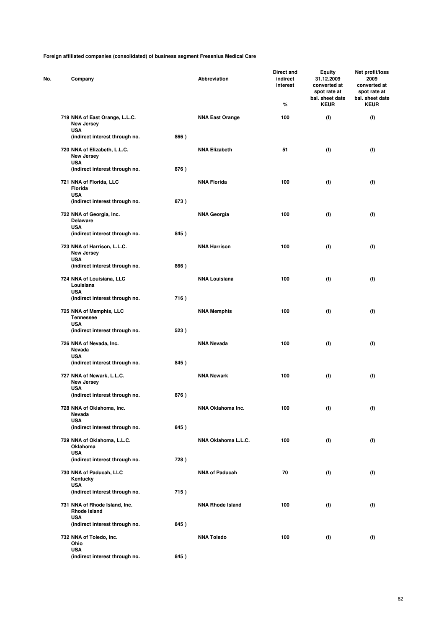| No. | Company                                                        |      | Abbreviation            | Direct and<br>indirect<br>interest<br>% | <b>Equity</b><br>31.12.2009<br>converted at<br>spot rate at<br>bal. sheet date<br><b>KEUR</b> | Net profit/loss<br>2009<br>converted at<br>spot rate at<br>bal. sheet date<br><b>KEUR</b> |
|-----|----------------------------------------------------------------|------|-------------------------|-----------------------------------------|-----------------------------------------------------------------------------------------------|-------------------------------------------------------------------------------------------|
|     | 719 NNA of East Orange, L.L.C.<br>New Jersey                   |      | <b>NNA East Orange</b>  | 100                                     | (f)                                                                                           | (f)                                                                                       |
|     | <b>USA</b><br>(indirect interest through no.                   | 866) |                         |                                         |                                                                                               |                                                                                           |
|     | 720 NNA of Elizabeth, L.L.C.<br>New Jersey<br><b>USA</b>       |      | <b>NNA Elizabeth</b>    | 51                                      | (f)                                                                                           | (f)                                                                                       |
|     | (indirect interest through no.                                 | 876) |                         |                                         |                                                                                               |                                                                                           |
|     | 721 NNA of Florida, LLC<br>Florida<br><b>USA</b>               |      | <b>NNA Florida</b>      | 100                                     | (f)                                                                                           | (f)                                                                                       |
|     | (indirect interest through no.                                 | 873) |                         |                                         |                                                                                               |                                                                                           |
|     | 722 NNA of Georgia, Inc.<br><b>Delaware</b><br><b>USA</b>      |      | <b>NNA Georgia</b>      | 100                                     | (f)                                                                                           | (f)                                                                                       |
|     | (indirect interest through no.                                 | 845) |                         |                                         |                                                                                               |                                                                                           |
|     | 723 NNA of Harrison, L.L.C.<br><b>New Jersey</b><br><b>USA</b> |      | <b>NNA Harrison</b>     | 100                                     | (f)                                                                                           | (f)                                                                                       |
|     | (indirect interest through no.                                 | 866) |                         |                                         |                                                                                               |                                                                                           |
|     | 724 NNA of Louisiana, LLC<br>Louisiana<br><b>USA</b>           |      | <b>NNA Louisiana</b>    | 100                                     | (f)                                                                                           | (f)                                                                                       |
|     | (indirect interest through no.                                 | 716) |                         |                                         |                                                                                               |                                                                                           |
|     | 725 NNA of Memphis, LLC<br><b>Tennessee</b><br><b>USA</b>      |      | <b>NNA Memphis</b>      | 100                                     | (f)                                                                                           | (f)                                                                                       |
|     | (indirect interest through no.                                 | 523) |                         |                                         |                                                                                               |                                                                                           |
|     | 726 NNA of Nevada, Inc.<br>Nevada<br><b>USA</b>                |      | <b>NNA Nevada</b>       | 100                                     | (f)                                                                                           | (f)                                                                                       |
|     | (indirect interest through no.                                 | 845) |                         |                                         |                                                                                               |                                                                                           |
|     | 727 NNA of Newark, L.L.C.<br>New Jersey<br><b>USA</b>          |      | <b>NNA Newark</b>       | 100                                     | (f)                                                                                           | (f)                                                                                       |
|     | (indirect interest through no.                                 | 876) |                         |                                         |                                                                                               |                                                                                           |
|     | 728 NNA of Oklahoma, Inc.<br>Nevada<br><b>USA</b>              |      | NNA Oklahoma Inc.       | 100                                     | (f)                                                                                           | (f)                                                                                       |
|     | (indirect interest through no.                                 | 845) |                         |                                         |                                                                                               |                                                                                           |
|     | 729 NNA of Oklahoma, L.L.C.<br>Oklahoma<br><b>USA</b>          |      | NNA Oklahoma L.L.C.     | 100                                     | (f)                                                                                           | (f)                                                                                       |
|     | (indirect interest through no.                                 | 728) |                         |                                         |                                                                                               |                                                                                           |
|     | 730 NNA of Paducah, LLC<br>Kentucky<br><b>USA</b>              |      | <b>NNA of Paducah</b>   | 70                                      | (f)                                                                                           | (f)                                                                                       |
|     | (indirect interest through no.                                 | 715) |                         |                                         |                                                                                               |                                                                                           |
|     | 731 NNA of Rhode Island, Inc.<br>Rhode Island                  |      | <b>NNA Rhode Island</b> | 100                                     | (f)                                                                                           | (f)                                                                                       |
|     | <b>USA</b><br>(indirect interest through no.                   | 845) |                         |                                         |                                                                                               |                                                                                           |
|     | 732 NNA of Toledo, Inc.<br>Ohio<br><b>USA</b>                  |      | <b>NNA Toledo</b>       | 100                                     | (f)                                                                                           | (f)                                                                                       |
|     | (indirect interest through no.                                 | 845) |                         |                                         |                                                                                               |                                                                                           |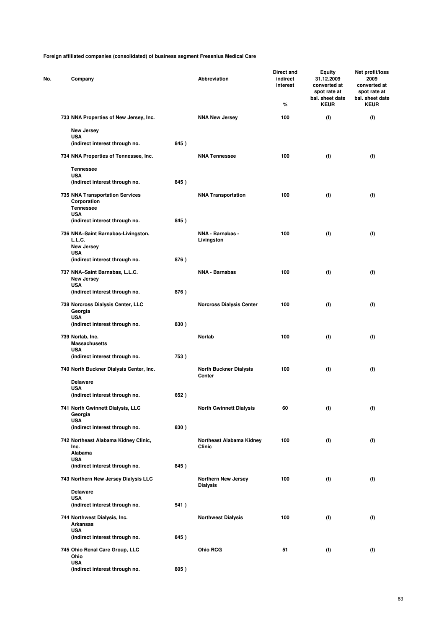| No. | Company                                                                   |      | Abbreviation                                  | Direct and<br>indirect<br>interest<br>℅ | <b>Equity</b><br>31.12.2009<br>converted at<br>spot rate at<br>bal. sheet date<br><b>KEUR</b> | Net profit/loss<br>2009<br>converted at<br>spot rate at<br>bal. sheet date<br><b>KEUR</b> |
|-----|---------------------------------------------------------------------------|------|-----------------------------------------------|-----------------------------------------|-----------------------------------------------------------------------------------------------|-------------------------------------------------------------------------------------------|
|     | 733 NNA Properties of New Jersey, Inc.                                    |      | <b>NNA New Jersey</b>                         | 100                                     | (f)                                                                                           | (f)                                                                                       |
|     | New Jersey                                                                |      |                                               |                                         |                                                                                               |                                                                                           |
|     | <b>USA</b><br>(indirect interest through no.                              | 845) |                                               |                                         |                                                                                               |                                                                                           |
|     | 734 NNA Properties of Tennessee, Inc.                                     |      | <b>NNA Tennessee</b>                          | 100                                     | (f)                                                                                           | (f)                                                                                       |
|     | <b>Tennessee</b>                                                          |      |                                               |                                         |                                                                                               |                                                                                           |
|     | <b>USA</b><br>(indirect interest through no.                              | 845) |                                               |                                         |                                                                                               |                                                                                           |
|     | <b>735 NNA Transportation Services</b><br>Corporation<br><b>Tennessee</b> |      | <b>NNA Transportation</b>                     | 100                                     | (f)                                                                                           | (f)                                                                                       |
|     | <b>USA</b><br>(indirect interest through no.                              | 845) |                                               |                                         |                                                                                               |                                                                                           |
|     | 736 NNA-Saint Barnabas-Livingston,<br>L.L.C.<br>New Jersey<br><b>USA</b>  |      | NNA - Barnabas -<br>Livingston                | 100                                     | (f)                                                                                           | (f)                                                                                       |
|     | (indirect interest through no.                                            | 876) |                                               |                                         |                                                                                               |                                                                                           |
|     | 737 NNA-Saint Barnabas, L.L.C.<br>New Jersey<br><b>USA</b>                |      | <b>NNA - Barnabas</b>                         | 100                                     | (f)                                                                                           | (f)                                                                                       |
|     | (indirect interest through no.                                            | 876) |                                               |                                         |                                                                                               |                                                                                           |
|     | 738 Norcross Dialysis Center, LLC<br>Georgia<br><b>USA</b>                |      | <b>Norcross Dialysis Center</b>               | 100                                     | (f)                                                                                           | (f)                                                                                       |
|     | (indirect interest through no.                                            | 830) |                                               |                                         |                                                                                               |                                                                                           |
|     | 739 Norlab, Inc.<br><b>Massachusetts</b><br><b>USA</b>                    |      | Norlab                                        | 100                                     | (f)                                                                                           | (f)                                                                                       |
|     | (indirect interest through no.                                            | 753) |                                               |                                         |                                                                                               |                                                                                           |
|     | 740 North Buckner Dialysis Center, Inc.                                   |      | <b>North Buckner Dialysis</b><br>Center       | 100                                     | (f)                                                                                           | (f)                                                                                       |
|     | <b>Delaware</b><br><b>USA</b>                                             |      |                                               |                                         |                                                                                               |                                                                                           |
|     | (indirect interest through no.                                            | 652) |                                               |                                         |                                                                                               |                                                                                           |
|     | 741 North Gwinnett Dialysis, LLC<br>Georgia<br><b>USA</b>                 |      | <b>North Gwinnett Dialysis</b>                | 60                                      | (f)                                                                                           | (f)                                                                                       |
|     | (indirect interest through no.                                            | 830) |                                               |                                         |                                                                                               |                                                                                           |
|     | 742 Northeast Alabama Kidney Clinic,<br>Inc.<br>Alabama                   |      | Northeast Alabama Kidney<br>Clinic            | 100                                     | (f)                                                                                           | (f)                                                                                       |
|     | <b>USA</b><br>(indirect interest through no.                              | 845) |                                               |                                         |                                                                                               |                                                                                           |
|     | 743 Northern New Jersey Dialysis LLC                                      |      | <b>Northern New Jersey</b><br><b>Dialysis</b> | 100                                     | (f)                                                                                           | (f)                                                                                       |
|     | <b>Delaware</b><br><b>USA</b>                                             |      |                                               |                                         |                                                                                               |                                                                                           |
|     | (indirect interest through no.                                            | 541) |                                               |                                         |                                                                                               |                                                                                           |
|     | 744 Northwest Dialysis, Inc.<br><b>Arkansas</b><br><b>USA</b>             |      | <b>Northwest Dialysis</b>                     | 100                                     | (f)                                                                                           | (f)                                                                                       |
|     | (indirect interest through no.                                            | 845) |                                               |                                         |                                                                                               |                                                                                           |
|     | 745 Ohio Renal Care Group, LLC<br>Ohio<br><b>USA</b>                      |      | <b>Ohio RCG</b>                               | 51                                      | (f)                                                                                           | (f)                                                                                       |
|     | (indirect interest through no.                                            | 805) |                                               |                                         |                                                                                               |                                                                                           |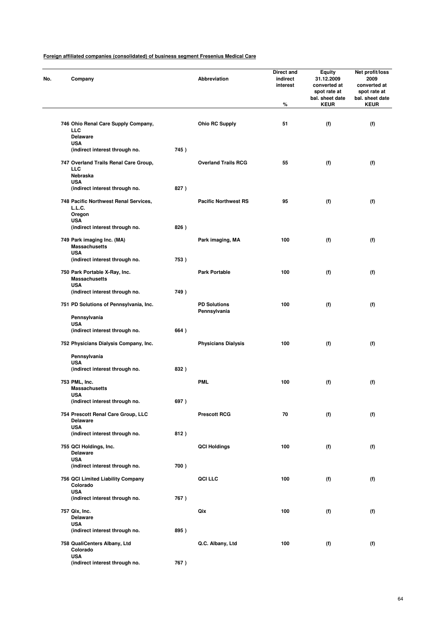| No. | Company                                                                 |      | Abbreviation                        | Direct and<br>indirect<br>interest<br>$\%$ | <b>Equity</b><br>31.12.2009<br>converted at<br>spot rate at<br>bal. sheet date<br><b>KEUR</b> | Net profit/loss<br>2009<br>converted at<br>spot rate at<br>bal. sheet date<br><b>KEUR</b> |
|-----|-------------------------------------------------------------------------|------|-------------------------------------|--------------------------------------------|-----------------------------------------------------------------------------------------------|-------------------------------------------------------------------------------------------|
|     | 746 Ohio Renal Care Supply Company,<br><b>LLC</b><br><b>Delaware</b>    |      | <b>Ohio RC Supply</b>               | 51                                         | (f)                                                                                           | (f)                                                                                       |
|     | <b>USA</b><br>(indirect interest through no.                            | 745) |                                     |                                            |                                                                                               |                                                                                           |
|     | 747 Overland Trails Renal Care Group,<br><b>LLC</b><br>Nebraska         |      | <b>Overland Trails RCG</b>          | 55                                         | (f)                                                                                           | (f)                                                                                       |
|     | <b>USA</b><br>(indirect interest through no.                            | 827) |                                     |                                            |                                                                                               |                                                                                           |
|     | 748 Pacific Northwest Renal Services,<br>L.L.C.<br>Oregon<br><b>USA</b> |      | <b>Pacific Northwest RS</b>         | 95                                         | (f)                                                                                           | (f)                                                                                       |
|     | (indirect interest through no.                                          | 826) |                                     |                                            |                                                                                               |                                                                                           |
|     | 749 Park imaging Inc. (MA)<br><b>Massachusetts</b>                      |      | Park imaging, MA                    | 100                                        | (f)                                                                                           | (f)                                                                                       |
|     | <b>USA</b><br>(indirect interest through no.                            | 753) |                                     |                                            |                                                                                               |                                                                                           |
|     | 750 Park Portable X-Ray, Inc.<br><b>Massachusetts</b><br><b>USA</b>     |      | <b>Park Portable</b>                | 100                                        | (f)                                                                                           | (f)                                                                                       |
|     | (indirect interest through no.                                          | 749) |                                     |                                            |                                                                                               |                                                                                           |
|     | 751 PD Solutions of Pennsylvania, Inc.                                  |      | <b>PD Solutions</b><br>Pennsylvania | 100                                        | (f)                                                                                           | (f)                                                                                       |
|     | Pennsylvania<br><b>USA</b>                                              | 664) |                                     |                                            |                                                                                               |                                                                                           |
|     | (indirect interest through no.<br>752 Physicians Dialysis Company, Inc. |      | <b>Physicians Dialysis</b>          | 100                                        | (f)                                                                                           | (f)                                                                                       |
|     | Pennsylvania                                                            |      |                                     |                                            |                                                                                               |                                                                                           |
|     | <b>USA</b><br>(indirect interest through no.                            | 832) |                                     |                                            |                                                                                               |                                                                                           |
|     | 753 PML, Inc.<br><b>Massachusetts</b><br><b>USA</b>                     |      | <b>PML</b>                          | 100                                        | (f)                                                                                           | (f)                                                                                       |
|     | (indirect interest through no.                                          | 697) |                                     |                                            |                                                                                               |                                                                                           |
|     | 754 Prescott Renal Care Group, LLC<br><b>Delaware</b>                   |      | <b>Prescott RCG</b>                 | 70                                         | (f)                                                                                           | (f)                                                                                       |
|     | <b>USA</b><br>(indirect interest through no.                            | 812) |                                     |                                            |                                                                                               |                                                                                           |
|     | 755 QCI Holdings, Inc.<br><b>Delaware</b>                               |      | <b>QCI Holdings</b>                 | 100                                        | (f)                                                                                           | (f)                                                                                       |
|     | <b>USA</b><br>(indirect interest through no.                            | 700) |                                     |                                            |                                                                                               |                                                                                           |
|     | 756 QCI Limited Liability Company<br>Colorado                           |      | <b>QCI LLC</b>                      | 100                                        | (f)                                                                                           | (f)                                                                                       |
|     | <b>USA</b><br>(indirect interest through no.                            | 767) |                                     |                                            |                                                                                               |                                                                                           |
|     | 757 Qix, Inc.<br><b>Delaware</b>                                        |      | Qix                                 | 100                                        | (f)                                                                                           | (f)                                                                                       |
|     | <b>USA</b><br>(indirect interest through no.                            | 895) |                                     |                                            |                                                                                               |                                                                                           |
|     | 758 QualiCenters Albany, Ltd<br>Colorado                                |      | Q.C. Albany, Ltd                    | 100                                        | (f)                                                                                           | (f)                                                                                       |
|     | <b>USA</b><br>(indirect interest through no.                            | 767) |                                     |                                            |                                                                                               |                                                                                           |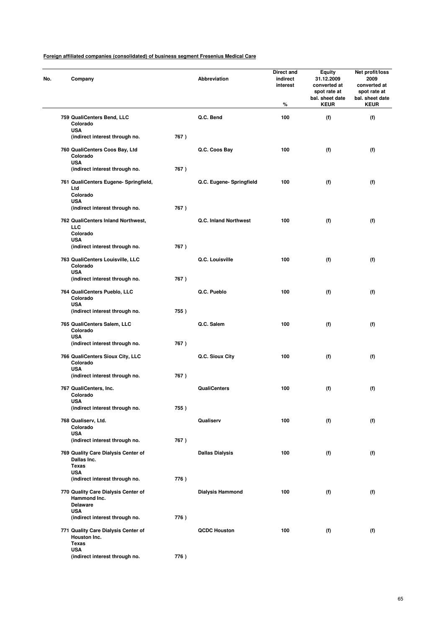| No. | Company                                                                |      | Abbreviation             | Direct and<br>indirect<br>interest<br>% | Equity<br>31.12.2009<br>converted at<br>spot rate at<br>bal. sheet date<br><b>KEUR</b> | Net profit/loss<br>2009<br>converted at<br>spot rate at<br>bal. sheet date<br><b>KEUR</b> |
|-----|------------------------------------------------------------------------|------|--------------------------|-----------------------------------------|----------------------------------------------------------------------------------------|-------------------------------------------------------------------------------------------|
|     | 759 QualiCenters Bend, LLC<br>Colorado                                 |      | Q.C. Bend                | 100                                     | (f)                                                                                    | (f)                                                                                       |
|     | <b>USA</b><br>(indirect interest through no.                           | 767) |                          |                                         |                                                                                        |                                                                                           |
|     | 760 QualiCenters Coos Bay, Ltd<br>Colorado<br><b>USA</b>               |      | Q.C. Coos Bay            | 100                                     | (f)                                                                                    | (f)                                                                                       |
|     | (indirect interest through no.                                         | 767) |                          |                                         |                                                                                        |                                                                                           |
|     | 761 QualiCenters Eugene- Springfield,<br>Ltd<br>Colorado               |      | Q.C. Eugene- Springfield | 100                                     | (f)                                                                                    | (f)                                                                                       |
|     | <b>USA</b><br>(indirect interest through no.                           | 767) |                          |                                         |                                                                                        |                                                                                           |
|     | 762 QualiCenters Inland Northwest,<br><b>LLC</b>                       |      | Q.C. Inland Northwest    | 100                                     | (f)                                                                                    | (f)                                                                                       |
|     | Colorado<br><b>USA</b>                                                 |      |                          |                                         |                                                                                        |                                                                                           |
|     | (indirect interest through no.                                         | 767) |                          |                                         |                                                                                        |                                                                                           |
|     | 763 QualiCenters Louisville, LLC<br>Colorado<br><b>USA</b>             |      | Q.C. Louisville          | 100                                     | (f)                                                                                    | (f)                                                                                       |
|     | (indirect interest through no.                                         | 767) |                          |                                         |                                                                                        |                                                                                           |
|     | 764 QualiCenters Pueblo, LLC<br>Colorado<br><b>USA</b>                 |      | Q.C. Pueblo              | 100                                     | (f)                                                                                    | (f)                                                                                       |
|     | (indirect interest through no.                                         | 755) |                          |                                         |                                                                                        |                                                                                           |
|     | 765 QualiCenters Salem, LLC<br>Colorado<br><b>USA</b>                  |      | Q.C. Salem               | 100                                     | (f)                                                                                    | (f)                                                                                       |
|     | (indirect interest through no.                                         | 767) |                          |                                         |                                                                                        |                                                                                           |
|     | 766 QualiCenters Sioux City, LLC<br>Colorado<br><b>USA</b>             |      | Q.C. Sioux City          | 100                                     | (f)                                                                                    | (f)                                                                                       |
|     | (indirect interest through no.                                         | 767) |                          |                                         |                                                                                        |                                                                                           |
|     | 767 QualiCenters, Inc.<br>Colorado<br>USA                              |      | <b>QualiCenters</b>      | 100                                     | (f)                                                                                    | (f)                                                                                       |
|     | (indirect interest through no.                                         | 755) |                          |                                         |                                                                                        |                                                                                           |
|     | 768 Qualiserv, Ltd.<br>Colorado<br><b>USA</b>                          |      | Qualiserv                | 100                                     | (f)                                                                                    | (f)                                                                                       |
|     | (indirect interest through no.                                         | 767) |                          |                                         |                                                                                        |                                                                                           |
|     | 769 Quality Care Dialysis Center of<br>Dallas Inc.<br><b>Texas</b>     |      | <b>Dallas Dialysis</b>   | 100                                     | (f)                                                                                    | (f)                                                                                       |
|     | <b>USA</b><br>(indirect interest through no.                           | 776) |                          |                                         |                                                                                        |                                                                                           |
|     | 770 Quality Care Dialysis Center of<br>Hammond Inc.<br><b>Delaware</b> |      | <b>Dialysis Hammond</b>  | 100                                     | (f)                                                                                    | (f)                                                                                       |
|     | <b>USA</b><br>(indirect interest through no.                           | 776) |                          |                                         |                                                                                        |                                                                                           |
|     | 771 Quality Care Dialysis Center of<br>Houston Inc.<br><b>Texas</b>    |      | <b>QCDC Houston</b>      | 100                                     | (f)                                                                                    | (f)                                                                                       |
|     | <b>USA</b><br>(indirect interest through no.                           | 776) |                          |                                         |                                                                                        |                                                                                           |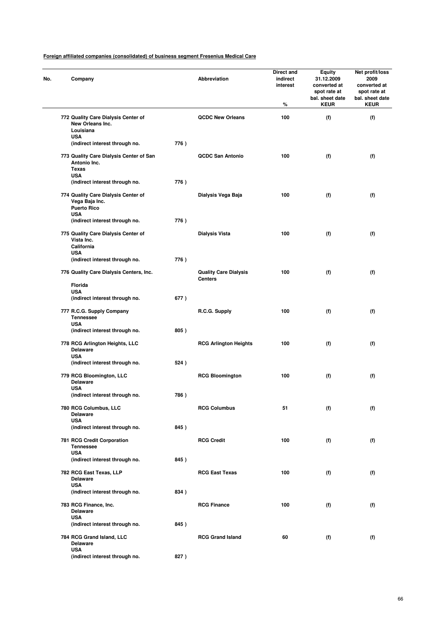| No. | Company                                                                               |      | Abbreviation                                   | Direct and<br>indirect<br>interest<br>% | Equity<br>31.12.2009<br>converted at<br>spot rate at<br>bal. sheet date<br><b>KEUR</b> | Net profit/loss<br>2009<br>converted at<br>spot rate at<br>bal. sheet date<br><b>KEUR</b> |
|-----|---------------------------------------------------------------------------------------|------|------------------------------------------------|-----------------------------------------|----------------------------------------------------------------------------------------|-------------------------------------------------------------------------------------------|
|     | 772 Quality Care Dialysis Center of<br>New Orleans Inc.<br>Louisiana                  |      | <b>QCDC New Orleans</b>                        | 100                                     | (f)                                                                                    | (f)                                                                                       |
|     | <b>USA</b><br>(indirect interest through no.                                          | 776) |                                                |                                         |                                                                                        |                                                                                           |
|     | 773 Quality Care Dialysis Center of San<br>Antonio Inc.<br><b>Texas</b><br><b>USA</b> |      | <b>QCDC San Antonio</b>                        | 100                                     | (f)                                                                                    | (f)                                                                                       |
|     | (indirect interest through no.                                                        | 776) |                                                |                                         |                                                                                        |                                                                                           |
|     | 774 Quality Care Dialysis Center of<br>Vega Baja Inc.<br><b>Puerto Rico</b>           |      | Dialysis Vega Baja                             | 100                                     | (f)                                                                                    | (f)                                                                                       |
|     | <b>USA</b><br>(indirect interest through no.                                          | 776) |                                                |                                         |                                                                                        |                                                                                           |
|     | 775 Quality Care Dialysis Center of<br>Vista Inc.<br>California                       |      | <b>Dialysis Vista</b>                          | 100                                     | (f)                                                                                    | (f)                                                                                       |
|     | USA<br>(indirect interest through no.                                                 | 776) |                                                |                                         |                                                                                        |                                                                                           |
|     | 776 Quality Care Dialysis Centers, Inc.                                               |      | <b>Quality Care Dialysis</b><br><b>Centers</b> | 100                                     | (f)                                                                                    | (f)                                                                                       |
|     | Florida<br><b>USA</b>                                                                 |      |                                                |                                         |                                                                                        |                                                                                           |
|     | (indirect interest through no.                                                        | 677) |                                                |                                         |                                                                                        |                                                                                           |
|     | 777 R.C.G. Supply Company<br><b>Tennessee</b><br><b>USA</b>                           |      | R.C.G. Supply                                  | 100                                     | (f)                                                                                    | (f)                                                                                       |
|     | (indirect interest through no.                                                        | 805) |                                                |                                         |                                                                                        |                                                                                           |
|     | 778 RCG Arlington Heights, LLC<br><b>Delaware</b><br><b>USA</b>                       |      | <b>RCG Arlington Heights</b>                   | 100                                     | (f)                                                                                    | (f)                                                                                       |
|     | (indirect interest through no.                                                        | 524) |                                                |                                         |                                                                                        |                                                                                           |
|     | 779 RCG Bloomington, LLC<br><b>Delaware</b><br><b>USA</b>                             |      | <b>RCG Bloomington</b>                         | 100                                     | (f)                                                                                    | (f)                                                                                       |
|     | (indirect interest through no.                                                        | 786) |                                                |                                         |                                                                                        |                                                                                           |
|     | 780 RCG Columbus, LLC<br><b>Delaware</b><br><b>USA</b>                                |      | <b>RCG Columbus</b>                            | 51                                      | (f)                                                                                    | (f)                                                                                       |
|     | (indirect interest through no.                                                        | 845) |                                                |                                         |                                                                                        |                                                                                           |
|     | 781 RCG Credit Corporation<br><b>Tennessee</b><br><b>USA</b>                          |      | <b>RCG Credit</b>                              | 100                                     | (f)                                                                                    | (f)                                                                                       |
|     | (indirect interest through no.                                                        | 845) |                                                |                                         |                                                                                        |                                                                                           |
|     | 782 RCG East Texas, LLP<br><b>Delaware</b><br><b>USA</b>                              |      | <b>RCG East Texas</b>                          | 100                                     | (f)                                                                                    | (f)                                                                                       |
|     | (indirect interest through no.                                                        | 834) |                                                |                                         |                                                                                        |                                                                                           |
|     | 783 RCG Finance, Inc.<br><b>Delaware</b>                                              |      | <b>RCG Finance</b>                             | 100                                     | (f)                                                                                    | (f)                                                                                       |
|     | <b>USA</b><br>(indirect interest through no.                                          | 845) |                                                |                                         |                                                                                        |                                                                                           |
|     | 784 RCG Grand Island, LLC<br><b>Delaware</b>                                          |      | <b>RCG Grand Island</b>                        | 60                                      | (f)                                                                                    | (f)                                                                                       |
|     | <b>USA</b><br>(indirect interest through no.                                          | 827) |                                                |                                         |                                                                                        |                                                                                           |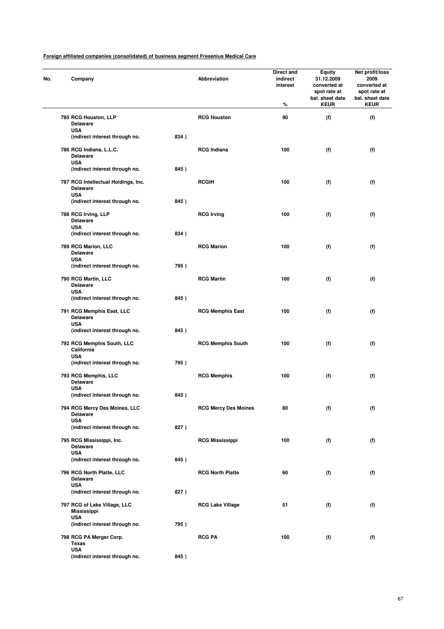| No. | Company                                                              |      | <b>Abbreviation</b>         | Direct and<br>indirect<br>interest<br>% | <b>Equity</b><br>31.12.2009<br>converted at<br>spot rate at<br>bal. sheet date<br><b>KEUR</b> | Net profit/loss<br>2009<br>converted at<br>spot rate at<br>bal. sheet date<br><b>KEUR</b> |
|-----|----------------------------------------------------------------------|------|-----------------------------|-----------------------------------------|-----------------------------------------------------------------------------------------------|-------------------------------------------------------------------------------------------|
|     | 785 RCG Houston, LLP                                                 |      | <b>RCG Houston</b>          | 90                                      | (f)                                                                                           | (f)                                                                                       |
|     | <b>Delaware</b>                                                      |      |                             |                                         |                                                                                               |                                                                                           |
|     | <b>USA</b><br>(indirect interest through no.                         | 834) |                             |                                         |                                                                                               |                                                                                           |
|     |                                                                      |      |                             |                                         |                                                                                               |                                                                                           |
|     | 786 RCG Indiana, L.L.C.<br><b>Delaware</b>                           |      | <b>RCG Indiana</b>          | 100                                     | (f)                                                                                           | (f)                                                                                       |
|     | <b>USA</b>                                                           |      |                             |                                         |                                                                                               |                                                                                           |
|     | (indirect interest through no.                                       | 845) |                             |                                         |                                                                                               |                                                                                           |
|     | 787 RCG Intellectual Holdings, Inc.<br><b>Delaware</b><br><b>USA</b> |      | <b>RCGIH</b>                | 100                                     | (f)                                                                                           | (f)                                                                                       |
|     | (indirect interest through no.                                       | 845) |                             |                                         |                                                                                               |                                                                                           |
|     | 788 RCG Irving, LLP                                                  |      | <b>RCG Irving</b>           | 100                                     | (f)                                                                                           | (f)                                                                                       |
|     | <b>Delaware</b>                                                      |      |                             |                                         |                                                                                               |                                                                                           |
|     | <b>USA</b>                                                           |      |                             |                                         |                                                                                               |                                                                                           |
|     | (indirect interest through no.                                       | 834) |                             |                                         |                                                                                               |                                                                                           |
|     | 789 RCG Marion, LLC<br><b>Delaware</b><br><b>USA</b>                 |      | <b>RCG Marion</b>           | 100                                     | (f)                                                                                           | (f)                                                                                       |
|     | (indirect interest through no.                                       | 795) |                             |                                         |                                                                                               |                                                                                           |
|     | 790 RCG Martin, LLC                                                  |      | <b>RCG Martin</b>           | 100                                     | (f)                                                                                           | (f)                                                                                       |
|     | <b>Delaware</b>                                                      |      |                             |                                         |                                                                                               |                                                                                           |
|     | <b>USA</b>                                                           |      |                             |                                         |                                                                                               |                                                                                           |
|     | (indirect interest through no.                                       | 845) |                             |                                         |                                                                                               |                                                                                           |
|     | 791 RCG Memphis East, LLC<br><b>Delaware</b><br><b>USA</b>           |      | <b>RCG Memphis East</b>     | 100                                     | (f)                                                                                           | (f)                                                                                       |
|     | (indirect interest through no.                                       | 845) |                             |                                         |                                                                                               |                                                                                           |
|     | 792 RCG Memphis South, LLC<br>California                             |      | <b>RCG Memphis South</b>    | 100                                     | (f)                                                                                           | (f)                                                                                       |
|     | <b>USA</b>                                                           |      |                             |                                         |                                                                                               |                                                                                           |
|     | (indirect interest through no.                                       | 795) |                             |                                         |                                                                                               |                                                                                           |
|     | 793 RCG Memphis, LLC<br><b>Delaware</b>                              |      | <b>RCG Memphis</b>          | 100                                     | (f)                                                                                           | (f)                                                                                       |
|     | <b>USA</b><br>(indirect interest through no.                         | 845) |                             |                                         |                                                                                               |                                                                                           |
|     |                                                                      |      |                             |                                         |                                                                                               |                                                                                           |
|     | 794 RCG Mercy Des Moines, LLC<br><b>Delaware</b><br><b>USA</b>       |      | <b>RCG Mercy Des Moines</b> | 80                                      | (f)                                                                                           | (f)                                                                                       |
|     | (indirect interest through no.                                       | 827) |                             |                                         |                                                                                               |                                                                                           |
|     | 795 RCG Mississippi, Inc.<br><b>Delaware</b>                         |      | <b>RCG Mississippi</b>      | 100                                     | (f)                                                                                           | (f)                                                                                       |
|     | <b>USA</b>                                                           |      |                             |                                         |                                                                                               |                                                                                           |
|     | (indirect interest through no.                                       | 845) |                             |                                         |                                                                                               |                                                                                           |
|     | 796 RCG North Platte, LLC<br><b>Delaware</b><br><b>USA</b>           |      | <b>RCG North Platte</b>     | 60                                      | (f)                                                                                           | (f)                                                                                       |
|     | (indirect interest through no.                                       | 827) |                             |                                         |                                                                                               |                                                                                           |
|     | 797 RCG of Lake Village, LLC<br><b>Mississippi</b>                   |      | <b>RCG Lake Village</b>     | 51                                      | (f)                                                                                           | (f)                                                                                       |
|     | <b>USA</b>                                                           |      |                             |                                         |                                                                                               |                                                                                           |
|     | (indirect interest through no.                                       | 795) |                             |                                         |                                                                                               |                                                                                           |
|     | 798 RCG PA Merger Corp.<br><b>Texas</b>                              |      | <b>RCG PA</b>               | 100                                     | (f)                                                                                           | (f)                                                                                       |
|     | <b>USA</b><br>(indirect interest through no.                         | 845) |                             |                                         |                                                                                               |                                                                                           |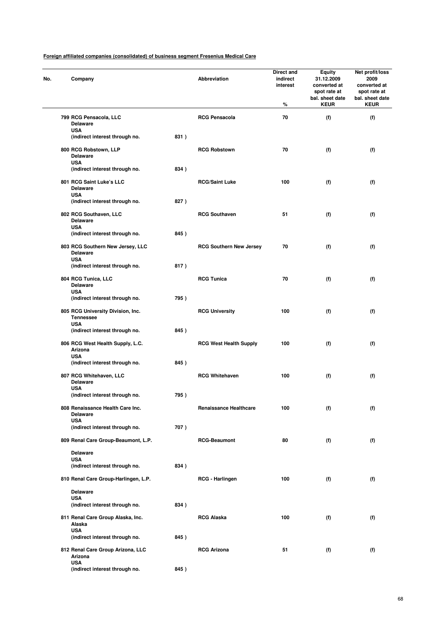| No. | Company                                                             |      | Abbreviation                   | Direct and<br>indirect<br>interest<br>% | <b>Equity</b><br>31.12.2009<br>converted at<br>spot rate at<br>bal. sheet date<br><b>KEUR</b> | Net profit/loss<br>2009<br>converted at<br>spot rate at<br>bal. sheet date<br><b>KEUR</b> |
|-----|---------------------------------------------------------------------|------|--------------------------------|-----------------------------------------|-----------------------------------------------------------------------------------------------|-------------------------------------------------------------------------------------------|
|     | 799 RCG Pensacola, LLC<br><b>Delaware</b>                           |      | <b>RCG Pensacola</b>           | 70                                      | (f)                                                                                           | (f)                                                                                       |
|     | <b>USA</b><br>(indirect interest through no.                        | 831) |                                |                                         |                                                                                               |                                                                                           |
|     | 800 RCG Robstown, LLP<br><b>Delaware</b><br><b>USA</b>              |      | <b>RCG Robstown</b>            | 70                                      | (f)                                                                                           | (f)                                                                                       |
|     | (indirect interest through no.                                      | 834) |                                |                                         |                                                                                               |                                                                                           |
|     | 801 RCG Saint Luke's LLC<br><b>Delaware</b><br><b>USA</b>           |      | <b>RCG/Saint Luke</b>          | 100                                     | (f)                                                                                           | (f)                                                                                       |
|     | (indirect interest through no.                                      | 827) |                                |                                         |                                                                                               |                                                                                           |
|     | 802 RCG Southaven, LLC<br><b>Delaware</b><br><b>USA</b>             |      | <b>RCG Southaven</b>           | 51                                      | (f)                                                                                           | (f)                                                                                       |
|     | (indirect interest through no.                                      | 845) |                                |                                         |                                                                                               |                                                                                           |
|     | 803 RCG Southern New Jersey, LLC<br><b>Delaware</b><br><b>USA</b>   |      | <b>RCG Southern New Jersey</b> | 70                                      | (f)                                                                                           | (f)                                                                                       |
|     | (indirect interest through no.                                      | 817) |                                |                                         |                                                                                               |                                                                                           |
|     | 804 RCG Tunica, LLC<br><b>Delaware</b><br><b>USA</b>                |      | <b>RCG Tunica</b>              | 70                                      | (f)                                                                                           | (f)                                                                                       |
|     | (indirect interest through no.                                      | 795) |                                |                                         |                                                                                               |                                                                                           |
|     | 805 RCG University Division, Inc.<br><b>Tennessee</b><br><b>USA</b> |      | <b>RCG University</b>          | 100                                     | (f)                                                                                           | (f)                                                                                       |
|     | (indirect interest through no.                                      | 845) |                                |                                         |                                                                                               |                                                                                           |
|     | 806 RCG West Health Supply, L.C.<br>Arizona<br><b>USA</b>           |      | <b>RCG West Health Supply</b>  | 100                                     | (f)                                                                                           | (f)                                                                                       |
|     | (indirect interest through no.                                      | 845) |                                |                                         |                                                                                               |                                                                                           |
|     | 807 RCG Whitehaven, LLC<br><b>Delaware</b><br><b>USA</b>            |      | <b>RCG Whitehaven</b>          | 100                                     | (f)                                                                                           | (f)                                                                                       |
|     | (indirect interest through no.                                      | 795) |                                |                                         |                                                                                               |                                                                                           |
|     | 808 Renaissance Health Care Inc.<br><b>Delaware</b><br><b>USA</b>   |      | <b>Renaissance Healthcare</b>  | 100                                     | (f)                                                                                           | (f)                                                                                       |
|     | (indirect interest through no.                                      | 707) |                                |                                         |                                                                                               |                                                                                           |
|     | 809 Renal Care Group-Beaumont, L.P.                                 |      | <b>RCG-Beaumont</b>            | 80                                      | (f)                                                                                           | (f)                                                                                       |
|     | <b>Delaware</b>                                                     |      |                                |                                         |                                                                                               |                                                                                           |
|     | <b>USA</b><br>(indirect interest through no.                        | 834) |                                |                                         |                                                                                               |                                                                                           |
|     | 810 Renal Care Group-Harlingen, L.P.                                |      | RCG - Harlingen                | 100                                     | (f)                                                                                           | (f)                                                                                       |
|     | <b>Delaware</b><br><b>USA</b>                                       |      |                                |                                         |                                                                                               |                                                                                           |
|     | (indirect interest through no.                                      | 834) |                                |                                         |                                                                                               |                                                                                           |
|     | 811 Renal Care Group Alaska, Inc.<br>Alaska<br><b>USA</b>           |      | <b>RCG Alaska</b>              | 100                                     | (f)                                                                                           | (f)                                                                                       |
|     | (indirect interest through no.                                      | 845) |                                |                                         |                                                                                               |                                                                                           |
|     | 812 Renal Care Group Arizona, LLC<br>Arizona<br><b>USA</b>          |      | <b>RCG Arizona</b>             | 51                                      | (f)                                                                                           | (f)                                                                                       |
|     | (indirect interest through no.                                      | 845) |                                |                                         |                                                                                               |                                                                                           |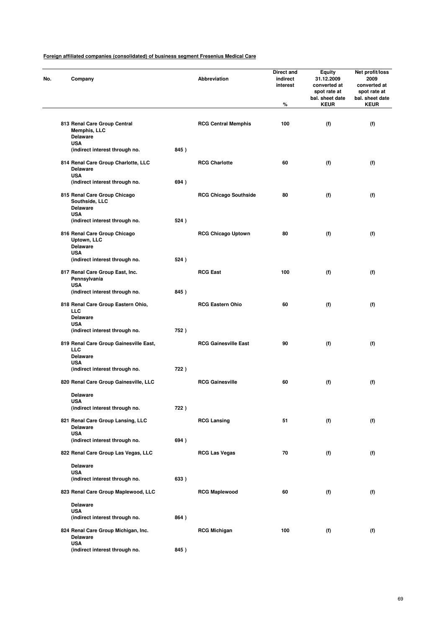| No. | Company                                                                    |      | Abbreviation                 | Direct and<br>indirect<br>interest<br>% | <b>Equity</b><br>31.12.2009<br>converted at<br>spot rate at<br>bal. sheet date<br><b>KEUR</b> | Net profit/loss<br>2009<br>converted at<br>spot rate at<br>bal. sheet date<br><b>KEUR</b> |
|-----|----------------------------------------------------------------------------|------|------------------------------|-----------------------------------------|-----------------------------------------------------------------------------------------------|-------------------------------------------------------------------------------------------|
|     | 813 Renal Care Group Central<br>Memphis, LLC<br><b>Delaware</b>            |      | <b>RCG Central Memphis</b>   | 100                                     | (f)                                                                                           | (f)                                                                                       |
|     | <b>USA</b><br>(indirect interest through no.                               | 845) |                              |                                         |                                                                                               |                                                                                           |
|     | 814 Renal Care Group Charlotte, LLC<br><b>Delaware</b>                     |      | <b>RCG Charlotte</b>         | 60                                      | (f)                                                                                           | (f)                                                                                       |
|     | <b>USA</b><br>(indirect interest through no.                               | 694) |                              |                                         |                                                                                               |                                                                                           |
|     | 815 Renal Care Group Chicago<br>Southside, LLC<br><b>Delaware</b>          |      | <b>RCG Chicago Southside</b> | 80                                      | (f)                                                                                           | (f)                                                                                       |
|     | <b>USA</b><br>(indirect interest through no.                               | 524) |                              |                                         |                                                                                               |                                                                                           |
|     | 816 Renal Care Group Chicago<br><b>Uptown, LLC</b><br><b>Delaware</b>      |      | <b>RCG Chicago Uptown</b>    | 80                                      | (f)                                                                                           | (f)                                                                                       |
|     | <b>USA</b><br>(indirect interest through no.                               | 524) |                              |                                         |                                                                                               |                                                                                           |
|     | 817 Renal Care Group East, Inc.<br>Pennsylvania<br><b>USA</b>              |      | <b>RCG East</b>              | 100                                     | (f)                                                                                           | (f)                                                                                       |
|     | (indirect interest through no.                                             | 845) |                              |                                         |                                                                                               |                                                                                           |
|     | 818 Renal Care Group Eastern Ohio,<br>LLC<br><b>Delaware</b><br><b>USA</b> |      | <b>RCG Eastern Ohio</b>      | 60                                      | (f)                                                                                           | (f)                                                                                       |
|     | (indirect interest through no.                                             | 752) |                              |                                         |                                                                                               |                                                                                           |
|     | 819 Renal Care Group Gainesville East,<br>LLC<br><b>Delaware</b>           |      | <b>RCG Gainesville East</b>  | 90                                      | (f)                                                                                           | (f)                                                                                       |
|     | <b>USA</b><br>(indirect interest through no.                               | 722) |                              |                                         |                                                                                               |                                                                                           |
|     | 820 Renal Care Group Gainesville, LLC                                      |      | <b>RCG Gainesville</b>       | 60                                      | (f)                                                                                           | (f)                                                                                       |
|     | <b>Delaware</b>                                                            |      |                              |                                         |                                                                                               |                                                                                           |
|     | USA<br>(indirect interest through no.                                      | 722) |                              |                                         |                                                                                               |                                                                                           |
|     | 821 Renal Care Group Lansing, LLC<br><b>Delaware</b>                       |      | <b>RCG Lansing</b>           | 51                                      | (f)                                                                                           | (f)                                                                                       |
|     | <b>USA</b><br>(indirect interest through no.                               | 694) |                              |                                         |                                                                                               |                                                                                           |
|     | 822 Renal Care Group Las Vegas, LLC                                        |      | <b>RCG Las Vegas</b>         | 70                                      | (f)                                                                                           | (f)                                                                                       |
|     | <b>Delaware</b>                                                            |      |                              |                                         |                                                                                               |                                                                                           |
|     | USA<br>(indirect interest through no.                                      | 633) |                              |                                         |                                                                                               |                                                                                           |
|     | 823 Renal Care Group Maplewood, LLC                                        |      | <b>RCG Maplewood</b>         | 60                                      | (f)                                                                                           | (f)                                                                                       |
|     | <b>Delaware</b>                                                            |      |                              |                                         |                                                                                               |                                                                                           |
|     | <b>USA</b><br>(indirect interest through no.                               | 864) |                              |                                         |                                                                                               |                                                                                           |
|     | 824 Renal Care Group Michigan, Inc.<br><b>Delaware</b>                     |      | <b>RCG Michigan</b>          | 100                                     | (f)                                                                                           | (f)                                                                                       |
|     | <b>USA</b><br>(indirect interest through no.                               | 845) |                              |                                         |                                                                                               |                                                                                           |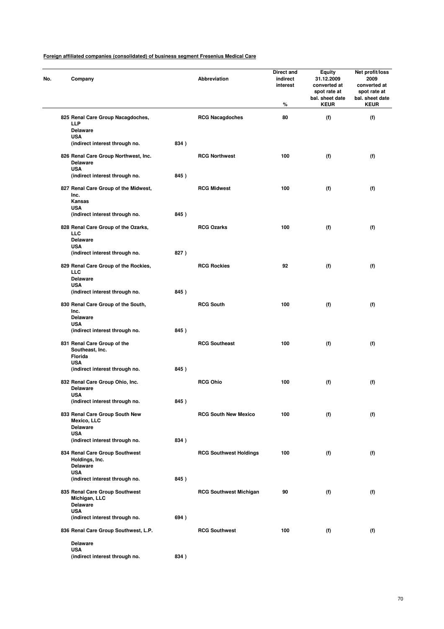| Company                                                               |      | Abbreviation                  | Direct and<br>indirect<br>interest<br>% | Equity<br>31.12.2009<br>converted at<br>spot rate at<br>bal. sheet date<br><b>KEUR</b> | Net profit/loss<br>2009<br>converted at<br>spot rate at<br>bal. sheet date<br><b>KEUR</b> |
|-----------------------------------------------------------------------|------|-------------------------------|-----------------------------------------|----------------------------------------------------------------------------------------|-------------------------------------------------------------------------------------------|
| 825 Renal Care Group Nacagdoches,<br><b>LLP</b>                       |      | <b>RCG Nacagdoches</b>        | 80                                      | (f)                                                                                    | (f)                                                                                       |
| <b>Delaware</b><br><b>USA</b>                                         |      |                               |                                         |                                                                                        |                                                                                           |
| (indirect interest through no.                                        | 834) |                               |                                         |                                                                                        |                                                                                           |
| 826 Renal Care Group Northwest, Inc.<br><b>Delaware</b><br><b>USA</b> |      | <b>RCG Northwest</b>          | 100                                     | (f)                                                                                    | (f)                                                                                       |
| (indirect interest through no.                                        | 845) |                               |                                         |                                                                                        |                                                                                           |
| 827 Renal Care Group of the Midwest,<br>Inc.<br>Kansas                |      | <b>RCG Midwest</b>            | 100                                     | (f)                                                                                    | (f)                                                                                       |
| <b>USA</b><br>(indirect interest through no.                          | 845) |                               |                                         |                                                                                        |                                                                                           |
|                                                                       |      |                               |                                         |                                                                                        |                                                                                           |
| 828 Renal Care Group of the Ozarks,<br><b>LLC</b><br><b>Delaware</b>  |      | <b>RCG Ozarks</b>             | 100                                     | (f)                                                                                    | (f)                                                                                       |
| <b>USA</b><br>(indirect interest through no.                          | 827) |                               |                                         |                                                                                        |                                                                                           |
| 829 Renal Care Group of the Rockies,<br><b>LLC</b>                    |      | <b>RCG Rockies</b>            | 92                                      | (f)                                                                                    | (f)                                                                                       |
| <b>Delaware</b><br><b>USA</b>                                         |      |                               |                                         |                                                                                        |                                                                                           |
| (indirect interest through no.                                        | 845) |                               |                                         |                                                                                        |                                                                                           |
| 830 Renal Care Group of the South,<br>Inc.<br><b>Delaware</b>         |      | <b>RCG South</b>              | 100                                     | (f)                                                                                    | (f)                                                                                       |
| <b>USA</b>                                                            |      |                               |                                         |                                                                                        |                                                                                           |
| (indirect interest through no.                                        | 845) |                               |                                         |                                                                                        |                                                                                           |
| 831 Renal Care Group of the<br>Southeast, Inc.<br>Florida             |      | <b>RCG Southeast</b>          | 100                                     | (f)                                                                                    | (f)                                                                                       |
| <b>USA</b>                                                            |      |                               |                                         |                                                                                        |                                                                                           |
| (indirect interest through no.                                        | 845) |                               |                                         |                                                                                        |                                                                                           |
| 832 Renal Care Group Ohio, Inc.<br><b>Delaware</b><br>USA             |      | <b>RCG Ohio</b>               | 100                                     | (f)                                                                                    | (f)                                                                                       |
| (indirect interest through no.                                        | 845) |                               |                                         |                                                                                        |                                                                                           |
| 833 Renal Care Group South New<br>Mexico, LLC<br><b>Delaware</b>      |      | <b>RCG South New Mexico</b>   | 100                                     | (f)                                                                                    | (f)                                                                                       |
| <b>USA</b>                                                            |      |                               |                                         |                                                                                        |                                                                                           |
| (indirect interest through no.                                        | 834) |                               |                                         |                                                                                        |                                                                                           |
| 834 Renal Care Group Southwest<br>Holdings, Inc.<br><b>Delaware</b>   |      | <b>RCG Southwest Holdings</b> | 100                                     | (f)                                                                                    | (f)                                                                                       |
| <b>USA</b><br>(indirect interest through no.                          | 845) |                               |                                         |                                                                                        |                                                                                           |
| 835 Renal Care Group Southwest<br>Michigan, LLC                       |      | <b>RCG Southwest Michigan</b> | 90                                      | (f)                                                                                    | (f)                                                                                       |
| <b>Delaware</b><br><b>USA</b>                                         |      |                               |                                         |                                                                                        |                                                                                           |
| (indirect interest through no.                                        | 694) |                               |                                         |                                                                                        |                                                                                           |
| 836 Renal Care Group Southwest, L.P.                                  |      | <b>RCG Southwest</b>          | 100                                     | (f)                                                                                    | (f)                                                                                       |
| <b>Delaware</b>                                                       |      |                               |                                         |                                                                                        |                                                                                           |
| <b>USA</b>                                                            |      |                               |                                         |                                                                                        |                                                                                           |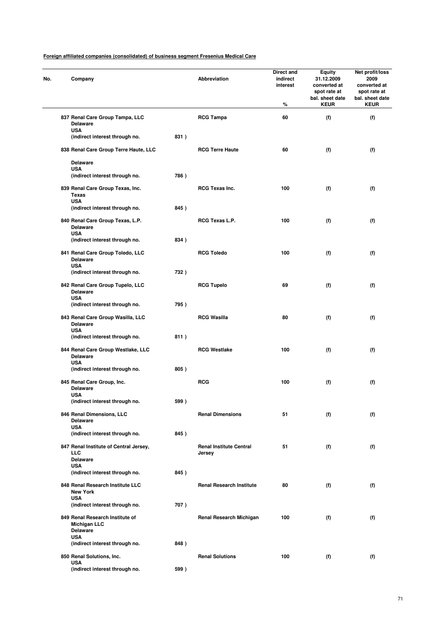| No. | Company                                                                   |      | Abbreviation                             | Direct and<br>indirect<br>interest<br>% | <b>Equity</b><br>31.12.2009<br>converted at<br>spot rate at<br>bal. sheet date<br><b>KEUR</b> | Net profit/loss<br>2009<br>converted at<br>spot rate at<br>bal. sheet date<br><b>KEUR</b> |
|-----|---------------------------------------------------------------------------|------|------------------------------------------|-----------------------------------------|-----------------------------------------------------------------------------------------------|-------------------------------------------------------------------------------------------|
|     | 837 Renal Care Group Tampa, LLC<br><b>Delaware</b><br><b>USA</b>          |      | <b>RCG Tampa</b>                         | 60                                      | (f)                                                                                           | (f)                                                                                       |
|     | (indirect interest through no.                                            | 831) |                                          |                                         |                                                                                               |                                                                                           |
|     | 838 Renal Care Group Terre Haute, LLC                                     |      | <b>RCG Terre Haute</b>                   | 60                                      | (f)                                                                                           | (f)                                                                                       |
|     | <b>Delaware</b><br><b>USA</b>                                             |      |                                          |                                         |                                                                                               |                                                                                           |
|     | (indirect interest through no.                                            | 786) |                                          |                                         |                                                                                               |                                                                                           |
|     | 839 Renal Care Group Texas, Inc.<br><b>Texas</b><br><b>USA</b>            |      | <b>RCG Texas Inc.</b>                    | 100                                     | (f)                                                                                           | (f)                                                                                       |
|     | (indirect interest through no.                                            | 845) |                                          |                                         |                                                                                               |                                                                                           |
|     | 840 Renal Care Group Texas, L.P.<br><b>Delaware</b><br><b>USA</b>         |      | RCG Texas L.P.                           | 100                                     | (f)                                                                                           | (f)                                                                                       |
|     | (indirect interest through no.                                            | 834) |                                          |                                         |                                                                                               |                                                                                           |
|     | 841 Renal Care Group Toledo, LLC<br><b>Delaware</b><br><b>USA</b>         |      | <b>RCG Toledo</b>                        | 100                                     | (f)                                                                                           | (f)                                                                                       |
|     | (indirect interest through no.                                            | 732) |                                          |                                         |                                                                                               |                                                                                           |
|     | 842 Renal Care Group Tupelo, LLC<br><b>Delaware</b>                       |      | <b>RCG Tupelo</b>                        | 69                                      | (f)                                                                                           | (f)                                                                                       |
|     | <b>USA</b><br>(indirect interest through no.                              | 795) |                                          |                                         |                                                                                               |                                                                                           |
|     | 843 Renal Care Group Wasilla, LLC<br><b>Delaware</b><br><b>USA</b>        |      | <b>RCG Wasilla</b>                       | 80                                      | (f)                                                                                           | (f)                                                                                       |
|     | (indirect interest through no.                                            | 811) |                                          |                                         |                                                                                               |                                                                                           |
|     | 844 Renal Care Group Westlake, LLC<br><b>Delaware</b><br><b>USA</b>       |      | <b>RCG Westlake</b>                      | 100                                     | (f)                                                                                           | (f)                                                                                       |
|     | (indirect interest through no.                                            | 805) |                                          |                                         |                                                                                               |                                                                                           |
|     | 845 Renal Care Group, Inc.<br><b>Delaware</b>                             |      | <b>RCG</b>                               | 100                                     | (f)                                                                                           | (f)                                                                                       |
|     | <b>USA</b><br>(indirect interest through no.                              | 599) |                                          |                                         |                                                                                               |                                                                                           |
|     | 846 Renal Dimensions, LLC<br><b>Delaware</b>                              |      | <b>Renal Dimensions</b>                  | 51                                      | (f)                                                                                           | (f)                                                                                       |
|     | <b>USA</b><br>(indirect interest through no.                              | 845) |                                          |                                         |                                                                                               |                                                                                           |
|     | 847 Renal Institute of Central Jersey,<br><b>LLC</b><br><b>Delaware</b>   |      | <b>Renal Institute Central</b><br>Jersey | 51                                      | (f)                                                                                           | (f)                                                                                       |
|     | <b>USA</b><br>(indirect interest through no.                              | 845) |                                          |                                         |                                                                                               |                                                                                           |
|     | 848 Renal Research Institute LLC<br><b>New York</b>                       |      | <b>Renal Research Institute</b>          | 80                                      | (f)                                                                                           | (f)                                                                                       |
|     | <b>USA</b><br>(indirect interest through no.                              | 707) |                                          |                                         |                                                                                               |                                                                                           |
|     | 849 Renal Research Institute of<br><b>Michigan LLC</b><br><b>Delaware</b> |      | Renal Research Michigan                  | 100                                     | (f)                                                                                           | (f)                                                                                       |
|     | <b>USA</b>                                                                |      |                                          |                                         |                                                                                               |                                                                                           |
|     | (indirect interest through no.                                            | 848) |                                          |                                         |                                                                                               |                                                                                           |
|     | 850 Renal Solutions, Inc.<br><b>USA</b>                                   |      | <b>Renal Solutions</b>                   | 100                                     | (f)                                                                                           | (f)                                                                                       |
|     | (indirect interest through no.                                            | 599) |                                          |                                         |                                                                                               |                                                                                           |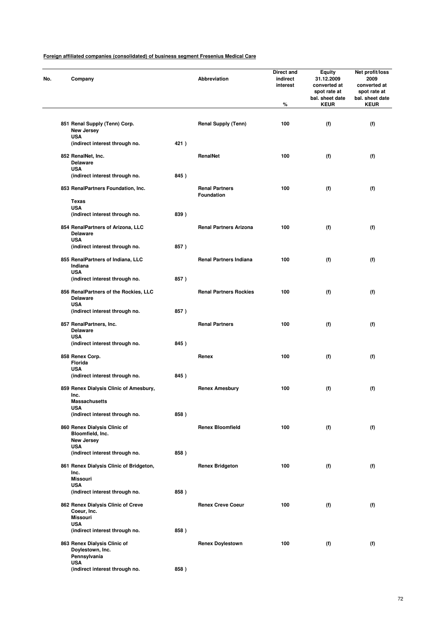| No. | Company                                                               |      | Abbreviation                        | Direct and<br>indirect<br>interest | Equity<br>31.12.2009<br>converted at<br>spot rate at<br>bal. sheet date | Net profit/loss<br>2009<br>converted at<br>spot rate at<br>bal. sheet date |
|-----|-----------------------------------------------------------------------|------|-------------------------------------|------------------------------------|-------------------------------------------------------------------------|----------------------------------------------------------------------------|
|     |                                                                       |      |                                     | %                                  | <b>KEUR</b>                                                             | <b>KEUR</b>                                                                |
|     | 851 Renal Supply (Tenn) Corp.<br>New Jersey<br><b>USA</b>             |      | <b>Renal Supply (Tenn)</b>          | 100                                | (f)                                                                     | (f)                                                                        |
|     | (indirect interest through no.                                        | 421) |                                     |                                    |                                                                         |                                                                            |
|     | 852 RenalNet, Inc.<br><b>Delaware</b>                                 |      | RenalNet                            | 100                                | (f)                                                                     | (f)                                                                        |
|     | <b>USA</b><br>(indirect interest through no.                          | 845) |                                     |                                    |                                                                         |                                                                            |
|     | 853 RenalPartners Foundation, Inc.                                    |      | <b>Renal Partners</b><br>Foundation | 100                                | (f)                                                                     | (f)                                                                        |
|     | Texas                                                                 |      |                                     |                                    |                                                                         |                                                                            |
|     | <b>USA</b><br>(indirect interest through no.                          | 839) |                                     |                                    |                                                                         |                                                                            |
|     | 854 RenalPartners of Arizona, LLC<br><b>Delaware</b>                  |      | <b>Renal Partners Arizona</b>       | 100                                | (f)                                                                     | (f)                                                                        |
|     | <b>USA</b>                                                            |      |                                     |                                    |                                                                         |                                                                            |
|     | (indirect interest through no.                                        | 857) |                                     |                                    |                                                                         |                                                                            |
|     | 855 RenalPartners of Indiana, LLC<br>Indiana<br><b>USA</b>            |      | <b>Renal Partners Indiana</b>       | 100                                | (f)                                                                     | (f)                                                                        |
|     | (indirect interest through no.                                        | 857) |                                     |                                    |                                                                         |                                                                            |
|     | 856 RenalPartners of the Rockies, LLC<br><b>Delaware</b>              |      | <b>Renal Partners Rockies</b>       | 100                                | (f)                                                                     | (f)                                                                        |
|     | <b>USA</b><br>(indirect interest through no.                          | 857) |                                     |                                    |                                                                         |                                                                            |
|     | 857 RenalPartners, Inc.<br><b>Delaware</b><br><b>USA</b>              |      | <b>Renal Partners</b>               | 100                                | (f)                                                                     | (f)                                                                        |
|     | (indirect interest through no.                                        | 845) |                                     |                                    |                                                                         |                                                                            |
|     | 858 Renex Corp.<br>Florida                                            |      | Renex                               | 100                                | (f)                                                                     | (f)                                                                        |
|     | <b>USA</b><br>(indirect interest through no.                          | 845) |                                     |                                    |                                                                         |                                                                            |
|     | 859 Renex Dialysis Clinic of Amesbury,<br>Inc.                        |      | <b>Renex Amesbury</b>               | 100                                | (f)                                                                     | (f)                                                                        |
|     | <b>Massachusetts</b><br>USA                                           |      |                                     |                                    |                                                                         |                                                                            |
|     | (indirect interest through no.                                        | 858) |                                     |                                    |                                                                         |                                                                            |
|     | 860 Renex Dialysis Clinic of<br>Bloomfield, Inc.<br><b>New Jersey</b> |      | <b>Renex Bloomfield</b>             | 100                                | (f)                                                                     | (f)                                                                        |
|     | <b>USA</b><br>(indirect interest through no.                          | 858) |                                     |                                    |                                                                         |                                                                            |
|     | 861 Renex Dialysis Clinic of Bridgeton,                               |      | <b>Renex Bridgeton</b>              | 100                                | (f)                                                                     | (f)                                                                        |
|     | Inc.<br><b>Missouri</b>                                               |      |                                     |                                    |                                                                         |                                                                            |
|     | <b>USA</b><br>(indirect interest through no.                          | 858) |                                     |                                    |                                                                         |                                                                            |
|     | 862 Renex Dialysis Clinic of Creve<br>Coeur, Inc.                     |      | <b>Renex Creve Coeur</b>            | 100                                | (f)                                                                     | (f)                                                                        |
|     | <b>Missouri</b>                                                       |      |                                     |                                    |                                                                         |                                                                            |
|     | <b>USA</b><br>(indirect interest through no.                          | 858) |                                     |                                    |                                                                         |                                                                            |
|     | 863 Renex Dialysis Clinic of                                          |      | <b>Renex Doylestown</b>             | 100                                | (f)                                                                     | (f)                                                                        |
|     | Doylestown, Inc.<br>Pennsylvania<br>USA                               |      |                                     |                                    |                                                                         |                                                                            |
|     | (indirect interest through no.                                        | 858) |                                     |                                    |                                                                         |                                                                            |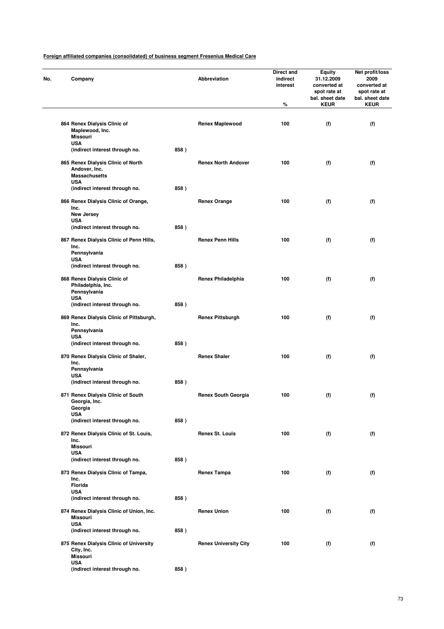| Company                                                                        |      | Abbreviation                 | Direct and<br>indirect<br>interest | Equity<br>31.12.2009<br>converted at<br>spot rate at<br>bal. sheet date | Net profit/loss<br>2009<br>converted at<br>spot rate at<br>bal. sheet date |
|--------------------------------------------------------------------------------|------|------------------------------|------------------------------------|-------------------------------------------------------------------------|----------------------------------------------------------------------------|
|                                                                                |      |                              | %                                  | <b>KEUR</b>                                                             | <b>KEUR</b>                                                                |
| 864 Renex Dialysis Clinic of<br>Maplewood, Inc.<br>Missouri<br><b>USA</b>      |      | <b>Renex Maplewood</b>       | 100                                | (f)                                                                     | (f)                                                                        |
| (indirect interest through no.                                                 | 858) |                              |                                    |                                                                         |                                                                            |
| 865 Renex Dialysis Clinic of North<br>Andover, Inc.<br><b>Massachusetts</b>    |      | <b>Renex North Andover</b>   | 100                                | (f)                                                                     | (f)                                                                        |
| <b>USA</b><br>(indirect interest through no.                                   | 858) |                              |                                    |                                                                         |                                                                            |
| 866 Renex Dialysis Clinic of Orange,<br>Inc.<br>New Jersey                     |      | <b>Renex Orange</b>          | 100                                | (f)                                                                     | (f)                                                                        |
| <b>USA</b><br>(indirect interest through no.                                   | 858) |                              |                                    |                                                                         |                                                                            |
| 867 Renex Dialysis Clinic of Penn Hills,<br>Inc.<br>Pennsylvania               |      | <b>Renex Penn Hills</b>      | 100                                | (f)                                                                     | (f)                                                                        |
| <b>USA</b><br>(indirect interest through no.                                   | 858) |                              |                                    |                                                                         |                                                                            |
| 868 Renex Dialysis Clinic of<br>Philadelphia, Inc.<br>Pennsylvania             |      | <b>Renex Philadelphia</b>    | 100                                | (f)                                                                     | (f)                                                                        |
| <b>USA</b><br>(indirect interest through no.                                   | 858) |                              |                                    |                                                                         |                                                                            |
|                                                                                |      |                              |                                    |                                                                         |                                                                            |
| 869 Renex Dialysis Clinic of Pittsburgh,<br>Inc.<br>Pennsylvania<br><b>USA</b> |      | <b>Renex Pittsburgh</b>      | 100                                | (f)                                                                     | (f)                                                                        |
| (indirect interest through no.                                                 | 858) |                              |                                    |                                                                         |                                                                            |
| 870 Renex Dialysis Clinic of Shaler,<br>Inc.<br>Pennsylvania                   |      | <b>Renex Shaler</b>          | 100                                | (f)                                                                     | (f)                                                                        |
| <b>USA</b><br>(indirect interest through no.                                   | 858) |                              |                                    |                                                                         |                                                                            |
| 871 Renex Dialysis Clinic of South<br>Georgia, Inc.<br>Georgia                 |      | <b>Renex South Georgia</b>   | 100                                | (f)                                                                     | (f)                                                                        |
| <b>USA</b><br>(indirect interest through no.                                   | 858) |                              |                                    |                                                                         |                                                                            |
| 872 Renex Dialysis Clinic of St. Louis,<br>Inc.                                |      | <b>Renex St. Louis</b>       | 100                                | (f)                                                                     | (f)                                                                        |
| <b>Missouri</b><br><b>USA</b>                                                  |      |                              |                                    |                                                                         |                                                                            |
| (indirect interest through no.                                                 | 858) |                              |                                    |                                                                         |                                                                            |
| 873 Renex Dialysis Clinic of Tampa,<br>Inc.<br>Florida                         |      | <b>Renex Tampa</b>           | 100                                | (f)                                                                     | (f)                                                                        |
| <b>USA</b>                                                                     |      |                              |                                    |                                                                         |                                                                            |
| (indirect interest through no.                                                 | 858) |                              |                                    |                                                                         |                                                                            |
| 874 Renex Dialysis Clinic of Union, Inc.<br><b>Missouri</b><br><b>USA</b>      |      | <b>Renex Union</b>           | 100                                | (f)                                                                     | (f)                                                                        |
| (indirect interest through no.                                                 | 858) |                              |                                    |                                                                         |                                                                            |
| 875 Renex Dialysis Clinic of University<br>City, Inc.<br><b>Missouri</b>       |      | <b>Renex University City</b> | 100                                | (f)                                                                     | (f)                                                                        |
| <b>USA</b><br>(indirect interest through no.                                   | 858) |                              |                                    |                                                                         |                                                                            |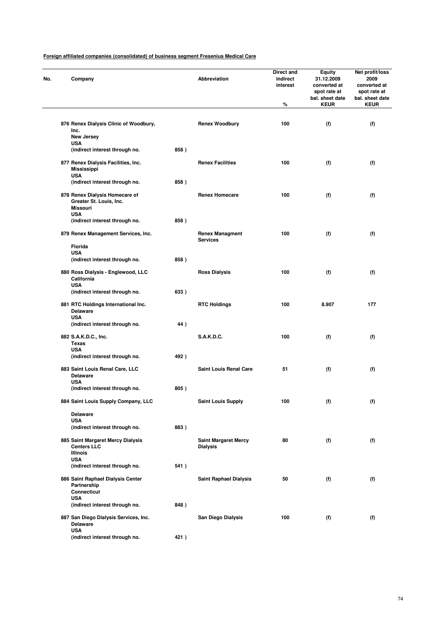| No. | Company                                                                 |      | Abbreviation                                   | Direct and<br>indirect<br>interest<br>% | <b>Equity</b><br>31.12.2009<br>converted at<br>spot rate at<br>bal. sheet date<br><b>KEUR</b> | Net profit/loss<br>2009<br>converted at<br>spot rate at<br>bal. sheet date<br><b>KEUR</b> |
|-----|-------------------------------------------------------------------------|------|------------------------------------------------|-----------------------------------------|-----------------------------------------------------------------------------------------------|-------------------------------------------------------------------------------------------|
|     |                                                                         |      |                                                |                                         |                                                                                               |                                                                                           |
|     | 876 Renex Dialysis Clinic of Woodbury,<br>Inc.<br>New Jersey            |      | <b>Renex Woodbury</b>                          | 100                                     | (f)                                                                                           | (f)                                                                                       |
|     | <b>USA</b>                                                              |      |                                                |                                         |                                                                                               |                                                                                           |
|     | (indirect interest through no.                                          | 858) |                                                |                                         |                                                                                               |                                                                                           |
|     | 877 Renex Dialysis Facilities, Inc.<br><b>Mississippi</b><br><b>USA</b> |      | <b>Renex Facilities</b>                        | 100                                     | (f)                                                                                           | (f)                                                                                       |
|     | (indirect interest through no.                                          | 858) |                                                |                                         |                                                                                               |                                                                                           |
|     | 878 Renex Dialysis Homecare of<br>Greater St. Louis, Inc.<br>Missouri   |      | <b>Renex Homecare</b>                          | 100                                     | (f)                                                                                           | (f)                                                                                       |
|     | <b>USA</b>                                                              | 858) |                                                |                                         |                                                                                               |                                                                                           |
|     | (indirect interest through no.                                          |      |                                                |                                         |                                                                                               |                                                                                           |
|     | 879 Renex Management Services, Inc.<br>Florida                          |      | <b>Renex Managment</b><br><b>Services</b>      | 100                                     | (f)                                                                                           | (f)                                                                                       |
|     | <b>USA</b>                                                              |      |                                                |                                         |                                                                                               |                                                                                           |
|     | (indirect interest through no.                                          | 858) |                                                |                                         |                                                                                               |                                                                                           |
|     | 880 Ross Dialysis - Englewood, LLC<br>California                        |      | <b>Ross Dialysis</b>                           | 100                                     | (f)                                                                                           | (f)                                                                                       |
|     | <b>USA</b><br>(indirect interest through no.                            | 633) |                                                |                                         |                                                                                               |                                                                                           |
|     | 881 RTC Holdings International Inc.<br><b>Delaware</b>                  |      | <b>RTC Holdings</b>                            | 100                                     | 8.907                                                                                         | 177                                                                                       |
|     | <b>USA</b><br>(indirect interest through no.                            | 44)  |                                                |                                         |                                                                                               |                                                                                           |
|     | 882 S.A.K.D.C., Inc.<br><b>Texas</b>                                    |      | <b>S.A.K.D.C.</b>                              | 100                                     | (f)                                                                                           | (f)                                                                                       |
|     | <b>USA</b>                                                              |      |                                                |                                         |                                                                                               |                                                                                           |
|     | (indirect interest through no.                                          | 492) |                                                |                                         |                                                                                               |                                                                                           |
|     | 883 Saint Louis Renal Care, LLC<br><b>Delaware</b>                      |      | <b>Saint Louis Renal Care</b>                  | 51                                      | (f)                                                                                           | (f)                                                                                       |
|     | <b>USA</b><br>(indirect interest through no.                            | 805) |                                                |                                         |                                                                                               |                                                                                           |
|     | 884 Saint Louis Supply Company, LLC                                     |      | <b>Saint Louis Supply</b>                      | 100                                     | (f)                                                                                           | (f)                                                                                       |
|     | <b>Delaware</b>                                                         |      |                                                |                                         |                                                                                               |                                                                                           |
|     | <b>USA</b><br>(indirect interest through no.                            | 883) |                                                |                                         |                                                                                               |                                                                                           |
|     |                                                                         |      |                                                |                                         |                                                                                               |                                                                                           |
|     | 885 Saint Margaret Mercy Dialysis<br><b>Centers LLC</b><br>Illinois     |      | <b>Saint Margaret Mercy</b><br><b>Dialysis</b> | 80                                      | (f)                                                                                           | (f)                                                                                       |
|     | <b>USA</b><br>(indirect interest through no.                            | 541) |                                                |                                         |                                                                                               |                                                                                           |
|     | 886 Saint Raphael Dialysis Center<br>Partnership<br><b>Connecticut</b>  |      | <b>Saint Raphael Dialysis</b>                  | 50                                      | (f)                                                                                           | (f)                                                                                       |
|     | <b>USA</b>                                                              |      |                                                |                                         |                                                                                               |                                                                                           |
|     | (indirect interest through no.                                          | 848) |                                                |                                         |                                                                                               |                                                                                           |
|     | 887 San Diego Dialysis Services, Inc.<br><b>Delaware</b><br><b>USA</b>  |      | San Diego Dialysis                             | 100                                     | (f)                                                                                           | (f)                                                                                       |
|     | (indirect interest through no.                                          | 421) |                                                |                                         |                                                                                               |                                                                                           |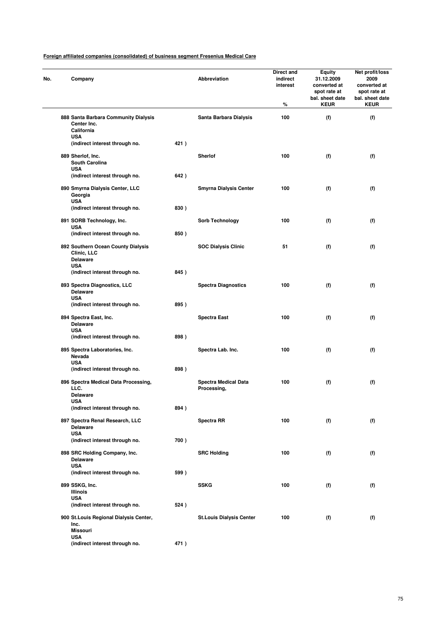| No. | Company                                                                            |      | Abbreviation                               | Direct and<br>indirect<br>interest<br>% | <b>Equity</b><br>31.12.2009<br>converted at<br>spot rate at<br>bal. sheet date<br><b>KEUR</b> | Net profit/loss<br>2009<br>converted at<br>spot rate at<br>bal. sheet date<br><b>KEUR</b> |
|-----|------------------------------------------------------------------------------------|------|--------------------------------------------|-----------------------------------------|-----------------------------------------------------------------------------------------------|-------------------------------------------------------------------------------------------|
|     | 888 Santa Barbara Community Dialysis<br>Center Inc.<br>California                  |      | Santa Barbara Dialysis                     | 100                                     | (f)                                                                                           | (f)                                                                                       |
|     | <b>USA</b><br>(indirect interest through no.                                       | 421) |                                            |                                         |                                                                                               |                                                                                           |
|     | 889 Sherlof, Inc.<br><b>South Carolina</b>                                         |      | <b>Sherlof</b>                             | 100                                     | (f)                                                                                           | (f)                                                                                       |
|     | <b>USA</b><br>(indirect interest through no.                                       | 642) |                                            |                                         |                                                                                               |                                                                                           |
|     | 890 Smyrna Dialysis Center, LLC<br>Georgia<br><b>USA</b>                           |      | <b>Smyrna Dialysis Center</b>              | 100                                     | (f)                                                                                           | (f)                                                                                       |
|     | (indirect interest through no.                                                     | 830) |                                            |                                         |                                                                                               |                                                                                           |
|     | 891 SORB Technology, Inc.<br><b>USA</b>                                            |      | <b>Sorb Technology</b>                     | 100                                     | (f)                                                                                           | (f)                                                                                       |
|     | (indirect interest through no.                                                     | 850) |                                            |                                         |                                                                                               |                                                                                           |
|     | 892 Southern Ocean County Dialysis<br>Clinic, LLC<br><b>Delaware</b><br><b>USA</b> |      | <b>SOC Dialysis Clinic</b>                 | 51                                      | (f)                                                                                           | (f)                                                                                       |
|     | (indirect interest through no.                                                     | 845) |                                            |                                         |                                                                                               |                                                                                           |
|     | 893 Spectra Diagnostics, LLC<br><b>Delaware</b>                                    |      | <b>Spectra Diagnostics</b>                 | 100                                     | (f)                                                                                           | (f)                                                                                       |
|     | <b>USA</b><br>(indirect interest through no.                                       | 895) |                                            |                                         |                                                                                               |                                                                                           |
|     | 894 Spectra East, Inc.<br><b>Delaware</b>                                          |      | <b>Spectra East</b>                        | 100                                     | (f)                                                                                           | (f)                                                                                       |
|     | USA<br>(indirect interest through no.                                              | 898) |                                            |                                         |                                                                                               |                                                                                           |
|     | 895 Spectra Laboratories, Inc.<br>Nevada                                           |      | Spectra Lab. Inc.                          | 100                                     | (f)                                                                                           | (f)                                                                                       |
|     | <b>USA</b><br>(indirect interest through no.                                       | 898) |                                            |                                         |                                                                                               |                                                                                           |
|     | 896 Spectra Medical Data Processing,<br>LLC.<br><b>Delaware</b>                    |      | <b>Spectra Medical Data</b><br>Processing, | 100                                     | (f)                                                                                           | (f)                                                                                       |
|     | <b>USA</b><br>(indirect interest through no.                                       | 894) |                                            |                                         |                                                                                               |                                                                                           |
|     | 897 Spectra Renal Research, LLC<br><b>Delaware</b>                                 |      | <b>Spectra RR</b>                          | 100                                     | (f)                                                                                           | (f)                                                                                       |
|     | <b>USA</b><br>(indirect interest through no.                                       | 700) |                                            |                                         |                                                                                               |                                                                                           |
|     | 898 SRC Holding Company, Inc.<br><b>Delaware</b>                                   |      | <b>SRC Holding</b>                         | 100                                     | (f)                                                                                           | (f)                                                                                       |
|     | <b>USA</b><br>(indirect interest through no.                                       | 599) |                                            |                                         |                                                                                               |                                                                                           |
|     | 899 SSKG, Inc.<br><b>Illinois</b>                                                  |      | <b>SSKG</b>                                | 100                                     | (f)                                                                                           | (f)                                                                                       |
|     | <b>USA</b><br>(indirect interest through no.                                       | 524) |                                            |                                         |                                                                                               |                                                                                           |
|     | 900 St.Louis Regional Dialysis Center,<br>Inc.<br><b>Missouri</b>                  |      | <b>St.Louis Dialysis Center</b>            | 100                                     | (f)                                                                                           | (f)                                                                                       |
|     | <b>USA</b><br>(indirect interest through no.                                       | 471) |                                            |                                         |                                                                                               |                                                                                           |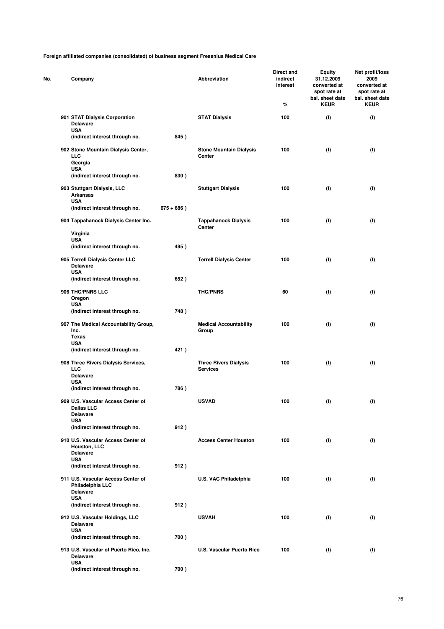|                   | Company                                                                    |               | Abbreviation                                    | Direct and<br>indirect<br>interest<br>% | <b>Equity</b><br>31.12.2009<br>converted at<br>spot rate at<br>bal. sheet date<br><b>KEUR</b> | Net profit/loss<br>2009<br>converted at<br>spot rate at<br>bal. sheet date<br><b>KEUR</b> |
|-------------------|----------------------------------------------------------------------------|---------------|-------------------------------------------------|-----------------------------------------|-----------------------------------------------------------------------------------------------|-------------------------------------------------------------------------------------------|
|                   | 901 STAT Dialysis Corporation<br><b>Delaware</b>                           |               | <b>STAT Dialysis</b>                            | 100                                     | (f)                                                                                           | (f)                                                                                       |
| <b>USA</b>        | (indirect interest through no.                                             | 845)          |                                                 |                                         |                                                                                               |                                                                                           |
| LLC<br><b>USA</b> | 902 Stone Mountain Dialysis Center,<br>Georgia                             |               | <b>Stone Mountain Dialysis</b><br><b>Center</b> | 100                                     | (f)                                                                                           | (f)                                                                                       |
|                   | (indirect interest through no.                                             | 830)          |                                                 |                                         |                                                                                               |                                                                                           |
| <b>USA</b>        | 903 Stuttgart Dialysis, LLC<br><b>Arkansas</b>                             |               | <b>Stuttgart Dialysis</b>                       | 100                                     | (f)                                                                                           | (f)                                                                                       |
|                   | (indirect interest through no.                                             | $675 + 686$ ) |                                                 |                                         |                                                                                               |                                                                                           |
|                   | 904 Tappahanock Dialysis Center Inc.                                       |               | <b>Tappahanock Dialysis</b><br>Center           | 100                                     | (f)                                                                                           | (f)                                                                                       |
| <b>USA</b>        | Virginia                                                                   |               |                                                 |                                         |                                                                                               |                                                                                           |
|                   | (indirect interest through no.                                             | 495)          |                                                 |                                         |                                                                                               |                                                                                           |
| <b>USA</b>        | 905 Terrell Dialysis Center LLC<br><b>Delaware</b>                         |               | <b>Terrell Dialysis Center</b>                  | 100                                     | (f)                                                                                           | (f)                                                                                       |
|                   | (indirect interest through no.                                             | 652)          |                                                 |                                         |                                                                                               |                                                                                           |
| <b>USA</b>        | 906 THC/PNRS LLC<br>Oregon                                                 |               | <b>THC/PNRS</b>                                 | 60                                      | (f)                                                                                           | (f)                                                                                       |
|                   | (indirect interest through no.                                             | 748)          |                                                 |                                         |                                                                                               |                                                                                           |
| Inc.<br>Texas     | 907 The Medical Accountability Group,                                      |               | <b>Medical Accountability</b><br>Group          | 100                                     | (f)                                                                                           | (f)                                                                                       |
| <b>USA</b>        |                                                                            |               |                                                 |                                         |                                                                                               |                                                                                           |
|                   | (indirect interest through no.                                             | 421)          |                                                 |                                         |                                                                                               |                                                                                           |
| LLC               | 908 Three Rivers Dialysis Services,<br><b>Delaware</b>                     |               | <b>Three Rivers Dialysis</b><br><b>Services</b> | 100                                     | (f)                                                                                           | (f)                                                                                       |
| <b>USA</b>        | (indirect interest through no.                                             | 786)          |                                                 |                                         |                                                                                               |                                                                                           |
|                   | 909 U.S. Vascular Access Center of<br><b>Dallas LLC</b><br><b>Delaware</b> |               | <b>USVAD</b>                                    | 100                                     | (f)                                                                                           | (f)                                                                                       |
| <b>USA</b>        | (indirect interest through no.                                             | 912)          |                                                 |                                         |                                                                                               |                                                                                           |
|                   | 910 U.S. Vascular Access Center of<br>Houston, LLC                         |               | <b>Access Center Houston</b>                    | 100                                     | (f)                                                                                           | (f)                                                                                       |
| <b>USA</b>        | <b>Delaware</b>                                                            |               |                                                 |                                         |                                                                                               |                                                                                           |
|                   | (indirect interest through no.                                             | 912)          |                                                 |                                         |                                                                                               |                                                                                           |
| <b>USA</b>        | 911 U.S. Vascular Access Center of<br>Philadelphia LLC<br><b>Delaware</b>  |               | U.S. VAC Philadelphia                           | 100                                     | (f)                                                                                           | (f)                                                                                       |
|                   | (indirect interest through no.                                             | 912)          |                                                 |                                         |                                                                                               |                                                                                           |
|                   | 912 U.S. Vascular Holdings, LLC<br><b>Delaware</b>                         |               | <b>USVAH</b>                                    | 100                                     | (f)                                                                                           | (f)                                                                                       |
| <b>USA</b>        | (indirect interest through no.                                             | 700)          |                                                 |                                         |                                                                                               |                                                                                           |
|                   | 913 U.S. Vascular of Puerto Rico, Inc.<br><b>Delaware</b>                  |               | U.S. Vascular Puerto Rico                       | 100                                     | (f)                                                                                           | (f)                                                                                       |
| <b>USA</b>        | (indirect interest through no.                                             | 700)          |                                                 |                                         |                                                                                               |                                                                                           |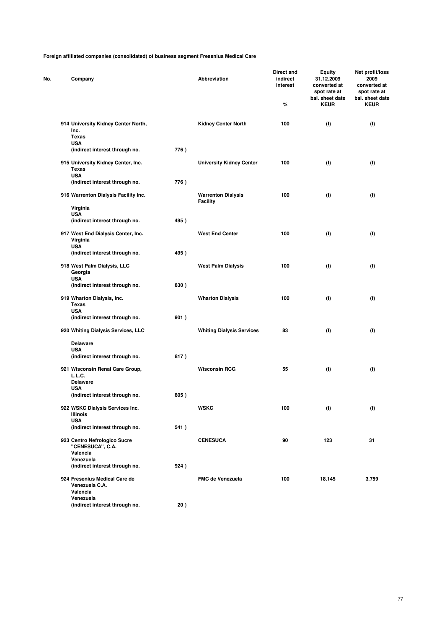| Company                                                      |      | Abbreviation                     | Direct and<br>indirect<br>interest<br>% | Equity<br>31.12.2009<br>converted at<br>spot rate at<br>bal. sheet date<br><b>KEUR</b> | Net profit/loss<br>2009<br>converted at<br>spot rate at<br>bal. sheet date<br><b>KEUR</b> |
|--------------------------------------------------------------|------|----------------------------------|-----------------------------------------|----------------------------------------------------------------------------------------|-------------------------------------------------------------------------------------------|
| 914 University Kidney Center North,<br>Inc.                  |      | <b>Kidney Center North</b>       | 100                                     | (f)                                                                                    | (f)                                                                                       |
| <b>Texas</b>                                                 |      |                                  |                                         |                                                                                        |                                                                                           |
| <b>USA</b><br>(indirect interest through no.                 | 776) |                                  |                                         |                                                                                        |                                                                                           |
| 915 University Kidney Center, Inc.<br>Texas                  |      | <b>University Kidney Center</b>  | 100                                     | (f)                                                                                    | (f)                                                                                       |
| <b>USA</b><br>(indirect interest through no.                 | 776) |                                  |                                         |                                                                                        |                                                                                           |
| 916 Warrenton Dialysis Facility Inc.                         |      | <b>Warrenton Dialysis</b>        | 100                                     | (f)                                                                                    | (f)                                                                                       |
| Virginia                                                     |      | Facility                         |                                         |                                                                                        |                                                                                           |
| <b>USA</b>                                                   |      |                                  |                                         |                                                                                        |                                                                                           |
| (indirect interest through no.                               | 495) |                                  |                                         |                                                                                        |                                                                                           |
| 917 West End Dialysis Center, Inc.<br>Virginia               |      | <b>West End Center</b>           | 100                                     | (f)                                                                                    | (f)                                                                                       |
| <b>USA</b><br>(indirect interest through no.                 | 495) |                                  |                                         |                                                                                        |                                                                                           |
|                                                              |      |                                  |                                         |                                                                                        |                                                                                           |
| 918 West Palm Dialysis, LLC<br>Georgia<br><b>USA</b>         |      | <b>West Palm Dialysis</b>        | 100                                     | (f)                                                                                    | (f)                                                                                       |
| (indirect interest through no.                               | 830) |                                  |                                         |                                                                                        |                                                                                           |
| 919 Wharton Dialysis, Inc.<br>Texas                          |      | <b>Wharton Dialysis</b>          | 100                                     | (f)                                                                                    | (f)                                                                                       |
| <b>USA</b><br>(indirect interest through no.                 | 901) |                                  |                                         |                                                                                        |                                                                                           |
| 920 Whiting Dialysis Services, LLC                           |      | <b>Whiting Dialysis Services</b> | 83                                      | (f)                                                                                    | (f)                                                                                       |
| <b>Delaware</b>                                              |      |                                  |                                         |                                                                                        |                                                                                           |
| <b>USA</b><br>(indirect interest through no.                 | 817) |                                  |                                         |                                                                                        |                                                                                           |
| 921 Wisconsin Renal Care Group,                              |      | <b>Wisconsin RCG</b>             | 55                                      | (f)                                                                                    | (f)                                                                                       |
| L.L.C.<br><b>Delaware</b>                                    |      |                                  |                                         |                                                                                        |                                                                                           |
| USA<br>(indirect interest through no.                        | 805) |                                  |                                         |                                                                                        |                                                                                           |
| 922 WSKC Dialysis Services Inc.<br>Illinois                  |      | <b>WSKC</b>                      | 100                                     | (f)                                                                                    | (f)                                                                                       |
| <b>USA</b>                                                   |      |                                  |                                         |                                                                                        |                                                                                           |
| (indirect interest through no.                               | 541) |                                  |                                         |                                                                                        |                                                                                           |
| 923 Centro Nefrologico Sucre<br>"CENESUCA", C.A.<br>Valencia |      | <b>CENESUCA</b>                  | 90                                      | 123                                                                                    | 31                                                                                        |
| Venezuela                                                    |      |                                  |                                         |                                                                                        |                                                                                           |
| (indirect interest through no.                               | 924) |                                  |                                         |                                                                                        |                                                                                           |
| 924 Fresenius Medical Care de<br>Venezuela C.A.<br>Valencia  |      | FMC de Venezuela                 | 100                                     | 18.145                                                                                 | 3.759                                                                                     |
| Venezuela                                                    |      |                                  |                                         |                                                                                        |                                                                                           |
| (indirect interest through no.                               | 20)  |                                  |                                         |                                                                                        |                                                                                           |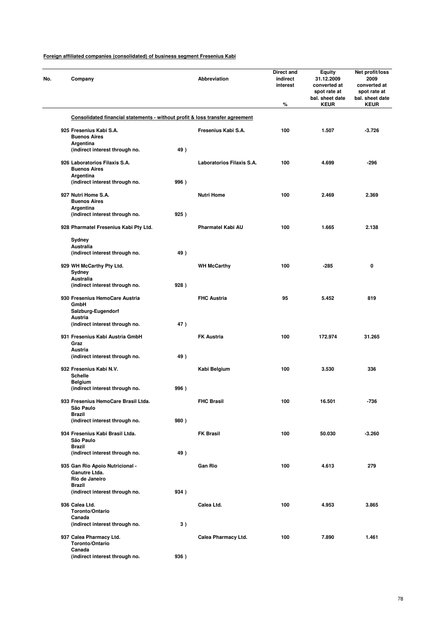| Company                                                                      |      | Abbreviation              | Direct and<br>indirect<br>interest<br>% | <b>Equity</b><br>31.12.2009<br>converted at<br>spot rate at<br>bal. sheet date<br><b>KEUR</b> | Net profit/loss<br>2009<br>converted at<br>spot rate at<br>bal. sheet date<br><b>KEUR</b> |
|------------------------------------------------------------------------------|------|---------------------------|-----------------------------------------|-----------------------------------------------------------------------------------------------|-------------------------------------------------------------------------------------------|
| Consolidated financial statements - without profit & loss transfer agreement |      |                           |                                         |                                                                                               |                                                                                           |
| 925 Fresenius Kabi S.A.<br><b>Buenos Aires</b>                               |      | Fresenius Kabi S.A.       | 100                                     | 1.507                                                                                         | $-3.726$                                                                                  |
| Argentina<br>(indirect interest through no.                                  | 49)  |                           |                                         |                                                                                               |                                                                                           |
| 926 Laboratorios Filaxis S.A.<br><b>Buenos Aires</b><br>Argentina            |      | Laboratorios Filaxis S.A. | 100                                     | 4.699                                                                                         | -296                                                                                      |
| (indirect interest through no.                                               | 996) |                           |                                         |                                                                                               |                                                                                           |
| 927 Nutri Home S.A.<br><b>Buenos Aires</b><br>Argentina                      |      | <b>Nutri Home</b>         | 100                                     | 2.469                                                                                         | 2.369                                                                                     |
| (indirect interest through no.                                               | 925) |                           |                                         |                                                                                               |                                                                                           |
| 928 Pharmatel Fresenius Kabi Pty Ltd.                                        |      | Pharmatel Kabi AU         | 100                                     | 1.665                                                                                         | 2.138                                                                                     |
| Sydney<br>Australia<br>(indirect interest through no.                        | 49)  |                           |                                         |                                                                                               |                                                                                           |
| 929 WH McCarthy Pty Ltd.<br>Sydney                                           |      | <b>WH McCarthy</b>        | 100                                     | $-285$                                                                                        | 0                                                                                         |
| Australia<br>(indirect interest through no.                                  | 928) |                           |                                         |                                                                                               |                                                                                           |
| 930 Fresenius HemoCare Austria<br>GmbH                                       |      | <b>FHC Austria</b>        | 95                                      | 5.452                                                                                         | 819                                                                                       |
| Salzburg-Eugendorf<br>Austria                                                |      |                           |                                         |                                                                                               |                                                                                           |
| (indirect interest through no.                                               | 47)  |                           |                                         |                                                                                               |                                                                                           |
| 931 Fresenius Kabi Austria GmbH<br>Graz<br>Austria                           |      | <b>FK Austria</b>         | 100                                     | 172.974                                                                                       | 31.265                                                                                    |
| (indirect interest through no.                                               | 49)  |                           |                                         |                                                                                               |                                                                                           |
| 932 Fresenius Kabi N.V.<br><b>Schelle</b>                                    |      | Kabi Belgium              | 100                                     | 3.530                                                                                         | 336                                                                                       |
| <b>Belgium</b><br>(indirect interest through no.                             | 996) |                           |                                         |                                                                                               |                                                                                           |
| 933 Fresenius HemoCare Brasil Ltda.<br>São Paulo                             |      | <b>FHC Brasil</b>         | 100                                     | 16.501                                                                                        | -736                                                                                      |
| <b>Brazil</b><br>(indirect interest through no.                              | 980) |                           |                                         |                                                                                               |                                                                                           |
| 934 Fresenius Kabi Brasil Ltda.<br>São Paulo                                 |      | <b>FK Brasil</b>          | 100                                     | 50.030                                                                                        | $-3.260$                                                                                  |
| <b>Brazil</b><br>(indirect interest through no.                              | 49)  |                           |                                         |                                                                                               |                                                                                           |
| 935 Gan Rio Apoio Nutricional -<br>Ganutre Ltda.<br>Rio de Janeiro           |      | <b>Gan Rio</b>            | 100                                     | 4.613                                                                                         | 279                                                                                       |
| <b>Brazil</b><br>(indirect interest through no.                              | 934) |                           |                                         |                                                                                               |                                                                                           |
| 936 Calea Ltd.                                                               |      | Calea Ltd.                | 100                                     | 4.953                                                                                         | 3.865                                                                                     |
| Toronto/Ontario<br>Canada                                                    |      |                           |                                         |                                                                                               |                                                                                           |
| (indirect interest through no.                                               | 3)   |                           |                                         |                                                                                               |                                                                                           |
| 937 Calea Pharmacy Ltd.<br>Toronto/Ontario<br>Canada                         |      | Calea Pharmacy Ltd.       | 100                                     | 7.890                                                                                         | 1.461                                                                                     |
| (indirect interest through no.                                               | 936) |                           |                                         |                                                                                               |                                                                                           |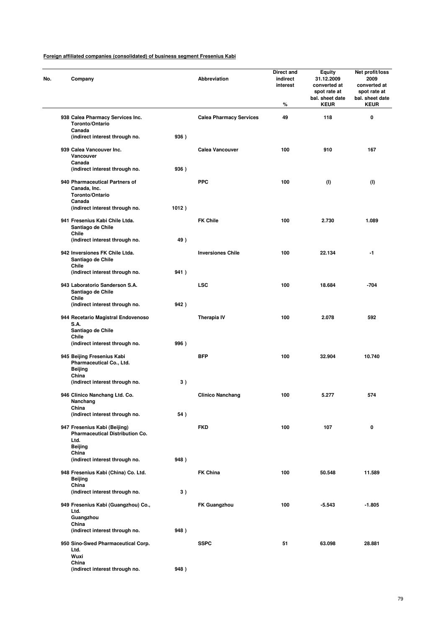| Company                                                                        |       | Abbreviation                   | Direct and<br>indirect<br>interest<br>% | <b>Equity</b><br>31.12.2009<br>converted at<br>spot rate at<br>bal. sheet date<br><b>KEUR</b> | Net profit/loss<br>2009<br>converted at<br>spot rate at<br>bal. sheet date<br><b>KEUR</b> |
|--------------------------------------------------------------------------------|-------|--------------------------------|-----------------------------------------|-----------------------------------------------------------------------------------------------|-------------------------------------------------------------------------------------------|
| 938 Calea Pharmacy Services Inc.<br>Toronto/Ontario                            |       | <b>Calea Pharmacy Services</b> | 49                                      | 118                                                                                           | 0                                                                                         |
| Canada<br>(indirect interest through no.                                       | 936)  |                                |                                         |                                                                                               |                                                                                           |
| 939 Calea Vancouver Inc.<br>Vancouver<br>Canada                                |       | Calea Vancouver                | 100                                     | 910                                                                                           | 167                                                                                       |
| (indirect interest through no.                                                 | 936)  |                                |                                         |                                                                                               |                                                                                           |
| 940 Pharmaceutical Partners of<br>Canada, Inc.<br>Toronto/Ontario              |       | <b>PPC</b>                     | 100                                     | (1)                                                                                           | (1)                                                                                       |
| Canada<br>(indirect interest through no.                                       | 1012) |                                |                                         |                                                                                               |                                                                                           |
| 941 Fresenius Kabi Chile Ltda.<br>Santiago de Chile<br>Chile                   |       | <b>FK Chile</b>                | 100                                     | 2.730                                                                                         | 1.089                                                                                     |
| (indirect interest through no.                                                 | 49)   |                                |                                         |                                                                                               |                                                                                           |
| 942 Inversiones FK Chile Ltda.<br>Santiago de Chile                            |       | <b>Inversiones Chile</b>       | 100                                     | 22.134                                                                                        | $-1$                                                                                      |
| Chile<br>(indirect interest through no.                                        | 941)  |                                |                                         |                                                                                               |                                                                                           |
| 943 Laboratorio Sanderson S.A.<br>Santiago de Chile                            |       | <b>LSC</b>                     | 100                                     | 18.684                                                                                        | $-704$                                                                                    |
| Chile<br>(indirect interest through no.                                        | 942)  |                                |                                         |                                                                                               |                                                                                           |
| 944 Recetario Magistral Endovenoso<br>S.A.<br>Santiago de Chile                |       | <b>Therapia IV</b>             | 100                                     | 2.078                                                                                         | 592                                                                                       |
| Chile                                                                          |       |                                |                                         |                                                                                               |                                                                                           |
| (indirect interest through no.                                                 | 996)  |                                |                                         |                                                                                               |                                                                                           |
| 945 Beijing Fresenius Kabi<br>Pharmaceutical Co., Ltd.<br>Beijing              |       | BFP                            | 100                                     | 32.904                                                                                        | 10.740                                                                                    |
| China<br>(indirect interest through no.                                        | 3)    |                                |                                         |                                                                                               |                                                                                           |
| 946 Clinico Nanchang Ltd. Co.<br>Nanchang                                      |       | <b>Clinico Nanchang</b>        | 100                                     | 5.277                                                                                         | 574                                                                                       |
| China<br>(indirect interest through no.                                        | 54)   |                                |                                         |                                                                                               |                                                                                           |
| 947 Fresenius Kabi (Beijing)<br><b>Pharmaceutical Distribution Co.</b><br>Ltd. |       | <b>FKD</b>                     | 100                                     | 107                                                                                           | 0                                                                                         |
| Beijing<br>China                                                               |       |                                |                                         |                                                                                               |                                                                                           |
| (indirect interest through no.                                                 | 948)  |                                |                                         |                                                                                               |                                                                                           |
| 948 Fresenius Kabi (China) Co. Ltd.<br>Beijing<br>China                        |       | <b>FK China</b>                | 100                                     | 50.548                                                                                        | 11.589                                                                                    |
| (indirect interest through no.                                                 | 3)    |                                |                                         |                                                                                               |                                                                                           |
| 949 Fresenius Kabi (Guangzhou) Co.,<br>Ltd.                                    |       | <b>FK Guangzhou</b>            | 100                                     | $-5.543$                                                                                      | $-1.805$                                                                                  |
| Guangzhou<br>China                                                             | 948)  |                                |                                         |                                                                                               |                                                                                           |
| (indirect interest through no.                                                 |       |                                |                                         |                                                                                               |                                                                                           |
| 950 Sino-Swed Pharmaceutical Corp.<br>Ltd.<br>Wuxi                             |       | <b>SSPC</b>                    | 51                                      | 63.098                                                                                        | 28.881                                                                                    |
| China<br>(indirect interest through no.                                        | 948)  |                                |                                         |                                                                                               |                                                                                           |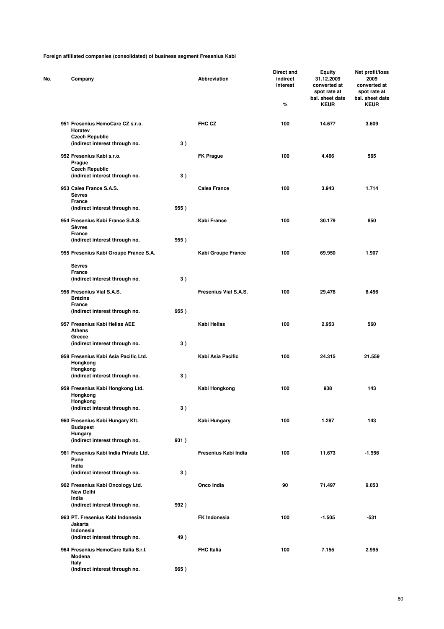| Company                                                       |      | Abbreviation          | <b>Direct and</b><br>indirect<br>interest | <b>Equity</b><br>31.12.2009<br>converted at<br>spot rate at<br>bal. sheet date | Net profit/loss<br>2009<br>converted at<br>spot rate at<br>bal. sheet date |
|---------------------------------------------------------------|------|-----------------------|-------------------------------------------|--------------------------------------------------------------------------------|----------------------------------------------------------------------------|
|                                                               |      |                       | %                                         | <b>KEUR</b>                                                                    | <b>KEUR</b>                                                                |
| 951 Fresenius HemoCare CZ s.r.o.<br>Horatev                   |      | FHC CZ                | 100                                       | 14.677                                                                         | 3.609                                                                      |
| <b>Czech Republic</b><br>(indirect interest through no.       | 3)   |                       |                                           |                                                                                |                                                                            |
| 952 Fresenius Kabi s.r.o.<br>Prague<br><b>Czech Republic</b>  |      | <b>FK Prague</b>      | 100                                       | 4.466                                                                          | 565                                                                        |
| (indirect interest through no.                                | 3)   |                       |                                           |                                                                                |                                                                            |
| 953 Calea France S.A.S.<br><b>Sèvres</b><br>France            |      | <b>Calea France</b>   | 100                                       | 3.943                                                                          | 1.714                                                                      |
| (indirect interest through no.                                | 955) |                       |                                           |                                                                                |                                                                            |
| 954 Fresenius Kabi France S.A.S.<br><b>Sèvres</b><br>France   |      | Kabi France           | 100                                       | 30.179                                                                         | 850                                                                        |
| (indirect interest through no.                                | 955) |                       |                                           |                                                                                |                                                                            |
| 955 Fresenius Kabi Groupe France S.A.                         |      | Kabi Groupe France    | 100                                       | 69.950                                                                         | 1.907                                                                      |
| <b>Sèvres</b><br>France<br>(indirect interest through no.     | 3)   |                       |                                           |                                                                                |                                                                            |
| 956 Fresenius Vial S.A.S.<br><b>Brézins</b>                   |      | Fresenius Vial S.A.S. | 100                                       | 29.478                                                                         | 8.456                                                                      |
| France<br>(indirect interest through no.                      | 955) |                       |                                           |                                                                                |                                                                            |
| 957 Fresenius Kabi Hellas AEE<br><b>Athens</b>                |      | Kabi Hellas           | 100                                       | 2.953                                                                          | 560                                                                        |
| Greece<br>(indirect interest through no.                      | 3)   |                       |                                           |                                                                                |                                                                            |
| 958 Fresenius Kabi Asia Pacific Ltd.<br>Hongkong<br>Hongkong  |      | Kabi Asia Pacific     | 100                                       | 24.315                                                                         | 21.559                                                                     |
| (indirect interest through no.                                | 3)   |                       |                                           |                                                                                |                                                                            |
| 959 Fresenius Kabi Hongkong Ltd.<br>Hongkong<br>Hongkong      |      | Kabi Hongkong         | 100                                       | 938                                                                            | 143                                                                        |
| (indirect interest through no.                                | 3)   |                       |                                           |                                                                                |                                                                            |
| 960 Fresenius Kabi Hungary Kft.<br><b>Budapest</b><br>Hungary |      | Kabi Hungary          | 100                                       | 1.287                                                                          | 143                                                                        |
| (indirect interest through no.                                | 931) |                       |                                           |                                                                                |                                                                            |
| 961 Fresenius Kabi India Private Ltd.<br>Pune<br>India        |      | Fresenius Kabi India  | 100                                       | 11.673                                                                         | -1.956                                                                     |
| (indirect interest through no.                                | 3)   |                       |                                           |                                                                                |                                                                            |
| 962 Fresenius Kabi Oncology Ltd.<br><b>New Delhi</b><br>India |      | Onco India            | 90                                        | 71.497                                                                         | 9.053                                                                      |
| (indirect interest through no.                                | 992) |                       |                                           |                                                                                |                                                                            |
| 963 PT. Fresenius Kabi Indonesia<br>Jakarta<br>Indonesia      |      | <b>FK Indonesia</b>   | 100                                       | $-1.505$                                                                       | -531                                                                       |
| (indirect interest through no.                                | 49)  |                       |                                           |                                                                                |                                                                            |
| 964 Fresenius HemoCare Italia S.r.l.<br>Modena<br>Italy       |      | <b>FHC Italia</b>     | 100                                       | 7.155                                                                          | 2.995                                                                      |
| (indirect interest through no.                                | 965) |                       |                                           |                                                                                |                                                                            |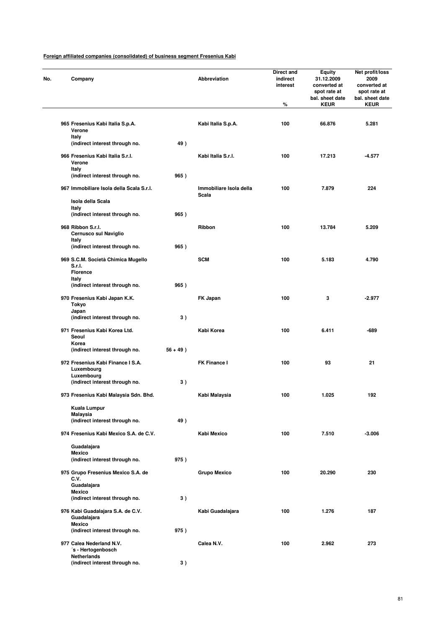| Company                                                           |             | Abbreviation                     | Direct and<br>indirect<br>interest<br>$\%$ | Equity<br>31.12.2009<br>converted at<br>spot rate at<br>bal. sheet date<br><b>KEUR</b> | Net profit/loss<br>2009<br>converted at<br>spot rate at<br>bal. sheet date<br><b>KEUR</b> |
|-------------------------------------------------------------------|-------------|----------------------------------|--------------------------------------------|----------------------------------------------------------------------------------------|-------------------------------------------------------------------------------------------|
| 965 Fresenius Kabi Italia S.p.A.<br>Verone                        |             | Kabi Italia S.p.A.               | 100                                        | 66.876                                                                                 | 5.281                                                                                     |
| Italy<br>(indirect interest through no.                           | 49)         |                                  |                                            |                                                                                        |                                                                                           |
| 966 Fresenius Kabi Italia S.r.l.<br>Verone                        |             | Kabi Italia S.r.l.               | 100                                        | 17.213                                                                                 | $-4.577$                                                                                  |
| Italy<br>(indirect interest through no.                           | 965)        |                                  |                                            |                                                                                        |                                                                                           |
| 967 Immobiliare Isola della Scala S.r.l.                          |             | Immobiliare Isola della<br>Scala | 100                                        | 7.879                                                                                  | 224                                                                                       |
| Isola della Scala                                                 |             |                                  |                                            |                                                                                        |                                                                                           |
| Italy<br>(indirect interest through no.                           | 965)        |                                  |                                            |                                                                                        |                                                                                           |
| 968 Ribbon S.r.l.<br>Cernusco sul Naviglio                        |             | Ribbon                           | 100                                        | 13.784                                                                                 | 5.209                                                                                     |
| Italy<br>(indirect interest through no.                           | 965)        |                                  |                                            |                                                                                        |                                                                                           |
| 969 S.C.M. Società Chimica Mugello<br>S.r.I.<br><b>Florence</b>   |             | <b>SCM</b>                       | 100                                        | 5.183                                                                                  | 4.790                                                                                     |
| Italy<br>(indirect interest through no.                           | 965)        |                                  |                                            |                                                                                        |                                                                                           |
| 970 Fresenius Kabi Japan K.K.<br>Tokyo                            |             | FK Japan                         | 100                                        | 3                                                                                      | $-2.977$                                                                                  |
| Japan                                                             |             |                                  |                                            |                                                                                        |                                                                                           |
| (indirect interest through no.                                    | 3)          |                                  |                                            |                                                                                        |                                                                                           |
| 971 Fresenius Kabi Korea Ltd.<br>Seoul<br>Korea                   |             | Kabi Korea                       | 100                                        | 6.411                                                                                  | -689                                                                                      |
| (indirect interest through no.                                    | $56 + 49$ ) |                                  |                                            |                                                                                        |                                                                                           |
| 972 Fresenius Kabi Finance I S.A.<br>Luxembourg                   |             | FK Finance I                     | 100                                        | 93                                                                                     | 21                                                                                        |
| Luxembourg<br>(indirect interest through no.                      | 3)          |                                  |                                            |                                                                                        |                                                                                           |
| 973 Fresenius Kabi Malaysia Sdn. Bhd.                             |             | Kabi Malaysia                    | 100                                        | 1.025                                                                                  | 192                                                                                       |
| Kuala Lumpur<br>Malaysia                                          |             |                                  |                                            |                                                                                        |                                                                                           |
| (indirect interest through no.                                    | 49)         |                                  |                                            |                                                                                        |                                                                                           |
| 974 Fresenius Kabi Mexico S.A. de C.V.                            |             | Kabi Mexico                      | 100                                        | 7.510                                                                                  | $-3.006$                                                                                  |
| Guadalajara                                                       |             |                                  |                                            |                                                                                        |                                                                                           |
| <b>Mexico</b><br>(indirect interest through no.                   | 975)        |                                  |                                            |                                                                                        |                                                                                           |
| 975 Grupo Fresenius Mexico S.A. de<br>C.V.                        |             | <b>Grupo Mexico</b>              | 100                                        | 20.290                                                                                 | 230                                                                                       |
| Guadalajara<br><b>Mexico</b>                                      |             |                                  |                                            |                                                                                        |                                                                                           |
| (indirect interest through no.                                    | 3)          |                                  |                                            |                                                                                        |                                                                                           |
| 976 Kabi Guadalajara S.A. de C.V.<br>Guadalajara<br><b>Mexico</b> |             | Kabi Guadalajara                 | 100                                        | 1.276                                                                                  | 187                                                                                       |
| (indirect interest through no.                                    | 975)        |                                  |                                            |                                                                                        |                                                                                           |
| 977 Calea Nederland N.V.<br>'s - Hertogenbosch                    |             | Calea N.V.                       | 100                                        | 2.962                                                                                  | 273                                                                                       |
| Netherlands<br>(indirect interest through no.                     | 3)          |                                  |                                            |                                                                                        |                                                                                           |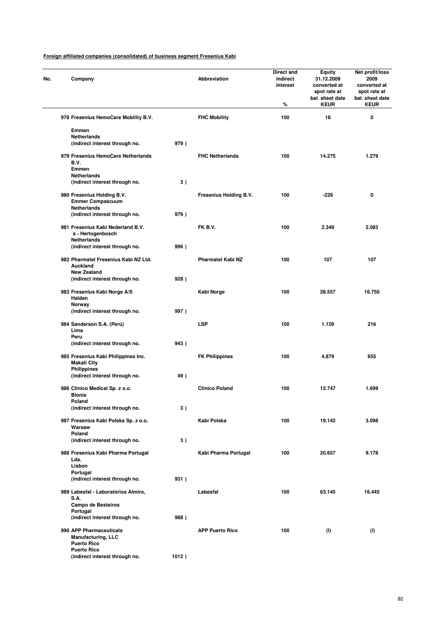| No. | Company                                                                         |       | Abbreviation             | Direct and<br>indirect<br>interest<br>% | Equity<br>31.12.2009<br>converted at<br>spot rate at<br>bal. sheet date<br><b>KEUR</b> | Net profit/loss<br>2009<br>converted at<br>spot rate at<br>bal. sheet date<br><b>KEUR</b> |
|-----|---------------------------------------------------------------------------------|-------|--------------------------|-----------------------------------------|----------------------------------------------------------------------------------------|-------------------------------------------------------------------------------------------|
|     | 978 Fresenius HemoCare Mobility B.V.                                            |       | <b>FHC Mobility</b>      | 100                                     | 18                                                                                     | 0                                                                                         |
|     | Emmen<br>Netherlands                                                            |       |                          |                                         |                                                                                        |                                                                                           |
|     | (indirect interest through no.                                                  | 979)  |                          |                                         |                                                                                        |                                                                                           |
|     | 979 Fresenius HemoCare Netherlands<br>B.V.<br>Emmen                             |       | <b>FHC Netherlands</b>   | 100                                     | 14.275                                                                                 | 1.279                                                                                     |
|     | <b>Netherlands</b><br>(indirect interest through no.                            | 3)    |                          |                                         |                                                                                        |                                                                                           |
|     | 980 Fresenius Holding B.V.<br><b>Emmer Compascuum</b><br>Netherlands            |       | Fresenius Holding B.V.   | 100                                     | $-229$                                                                                 | 0                                                                                         |
|     | (indirect interest through no.                                                  | 979)  |                          |                                         |                                                                                        |                                                                                           |
|     | 981 Fresenius Kabi Nederland B.V.<br>'s - Hertogenbosch<br>Netherlands          |       | FK B.V.                  | 100                                     | 2.349                                                                                  | 2.083                                                                                     |
|     | (indirect interest through no.                                                  | 996)  |                          |                                         |                                                                                        |                                                                                           |
|     | 982 Pharmatel Fresenius Kabi NZ Ltd.<br>Auckland<br><b>New Zealand</b>          |       | <b>Pharmatel Kabi NZ</b> | 100                                     | 107                                                                                    | 107                                                                                       |
|     | (indirect interest through no.                                                  | 928)  |                          |                                         |                                                                                        |                                                                                           |
|     | 983 Fresenius Kabi Norge A/S<br>Halden                                          |       | Kabi Norge               | 100                                     | 28.557                                                                                 | 16.750                                                                                    |
|     | Norway<br>(indirect interest through no.                                        | 997)  |                          |                                         |                                                                                        |                                                                                           |
|     | 984 Sanderson S.A. (Perú)<br>Lima<br>Peru                                       |       | <b>LSP</b>               | 100                                     | 1.159                                                                                  | 216                                                                                       |
|     | (indirect interest through no.                                                  | 943)  |                          |                                         |                                                                                        |                                                                                           |
|     | 985 Fresenius Kabi Philippines Inc.<br><b>Makati City</b><br><b>Philippines</b> |       | <b>FK Philippines</b>    | 100                                     | 4.879                                                                                  | 655                                                                                       |
|     | (indirect interest through no.                                                  | 49)   |                          |                                         |                                                                                        |                                                                                           |
|     | 986 Clinico Medical Sp. z o.o.<br><b>Blonie</b><br>Poland                       |       | <b>Clinico Poland</b>    | 100                                     | 12.747                                                                                 | 1.699                                                                                     |
|     | (indirect interest through no.                                                  | 3)    |                          |                                         |                                                                                        |                                                                                           |
|     | 987 Fresenius Kabi Polska Sp. z o.o.<br>Warsaw<br>Poland                        |       | Kabi Polska              | 100                                     | 19.142                                                                                 | 3.098                                                                                     |
|     | (indirect interest through no.                                                  | 3)    |                          |                                         |                                                                                        |                                                                                           |
|     | 988 Fresenius Kabi Pharma Portugal<br>Lda.<br>Lisbon                            |       | Kabi Pharma Portugal     | 100                                     | 20.657                                                                                 | 9.178                                                                                     |
|     | Portugal<br>(indirect interest through no.                                      | 931)  |                          |                                         |                                                                                        |                                                                                           |
|     | 989 Labesfal - Laboratórios Almiro,                                             |       | Labesfal                 | 100                                     | 63.145                                                                                 | 16.445                                                                                    |
|     | S.A.<br>Campo de Besteiros                                                      |       |                          |                                         |                                                                                        |                                                                                           |
|     | Portugal<br>(indirect interest through no.                                      | 988)  |                          |                                         |                                                                                        |                                                                                           |
|     | 990 APP Pharmaceuticals<br><b>Manufacturing, LLC</b><br><b>Puerto Rico</b>      |       | <b>APP Puerto Rico</b>   | 100                                     | (1)                                                                                    | (1)                                                                                       |
|     | <b>Puerto Rico</b><br>(indirect interest through no.                            | 1012) |                          |                                         |                                                                                        |                                                                                           |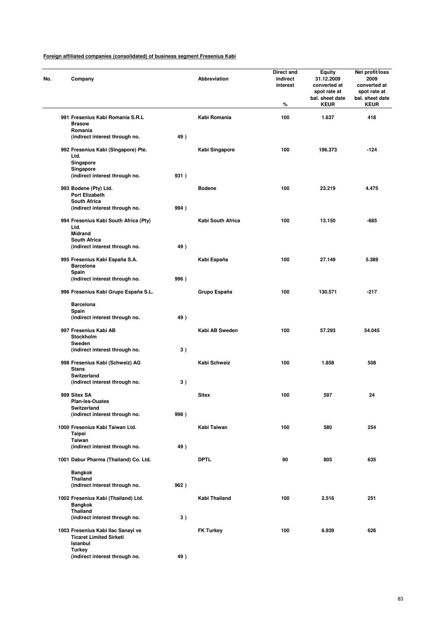| No. | Company                                                              |      | Abbreviation      | Direct and<br>indirect<br>interest<br>% | <b>Equity</b><br>31.12.2009<br>converted at<br>spot rate at<br>bal. sheet date<br><b>KEUR</b> | Net profit/loss<br>2009<br>converted at<br>spot rate at<br>bal. sheet date<br><b>KEUR</b> |
|-----|----------------------------------------------------------------------|------|-------------------|-----------------------------------------|-----------------------------------------------------------------------------------------------|-------------------------------------------------------------------------------------------|
|     | 991 Fresenius Kabi Romania S.R.L<br><b>Brasow</b>                    |      | Kabi Romania      | 100                                     | 1.637                                                                                         | 418                                                                                       |
|     | Romania<br>(indirect interest through no.                            | 49)  |                   |                                         |                                                                                               |                                                                                           |
|     | 992 Fresenius Kabi (Singapore) Pte.<br>Ltd.                          |      | Kabi Singapore    | 100                                     | 196.373                                                                                       | $-124$                                                                                    |
|     | Singapore<br>Singapore                                               |      |                   |                                         |                                                                                               |                                                                                           |
|     | (indirect interest through no.                                       | 931) |                   |                                         |                                                                                               |                                                                                           |
|     | 993 Bodene (Pty) Ltd.<br>Port Elizabeth<br><b>South Africa</b>       |      | <b>Bodene</b>     | 100                                     | 23.219                                                                                        | 4.475                                                                                     |
|     | (indirect interest through no.                                       | 994) |                   |                                         |                                                                                               |                                                                                           |
|     | 994 Fresenius Kabi South Africa (Pty)<br>Ltd.                        |      | Kabi South Africa | 100                                     | 13.150                                                                                        | -685                                                                                      |
|     | <b>Midrand</b><br><b>South Africa</b>                                |      |                   |                                         |                                                                                               |                                                                                           |
|     | (indirect interest through no.                                       | 49)  |                   |                                         |                                                                                               |                                                                                           |
|     | 995 Fresenius Kabi España S.A.<br><b>Barcelona</b><br>Spain          |      | Kabi España       | 100                                     | 27.149                                                                                        | 5.389                                                                                     |
|     | (indirect interest through no.                                       | 996) |                   |                                         |                                                                                               |                                                                                           |
|     | 996 Fresenius Kabi Grupo España S.L.                                 |      | Grupo España      | 100                                     | 130.571                                                                                       | $-217$                                                                                    |
|     | <b>Barcelona</b>                                                     |      |                   |                                         |                                                                                               |                                                                                           |
|     | Spain<br>(indirect interest through no.                              | 49)  |                   |                                         |                                                                                               |                                                                                           |
|     | 997 Fresenius Kabi AB<br>Stockholm                                   |      | Kabi AB Sweden    | 100                                     | 57.293                                                                                        | 54.045                                                                                    |
|     | Sweden<br>(indirect interest through no.                             | 3)   |                   |                                         |                                                                                               |                                                                                           |
|     | 998 Fresenius Kabi (Schweiz) AG<br>Stans                             |      | Kabi Schweiz      | 100                                     | 1.858                                                                                         | 508                                                                                       |
|     | Switzerland<br>(indirect interest through no.                        | 3)   |                   |                                         |                                                                                               |                                                                                           |
|     | 999 Sitex SA                                                         |      | <b>Sitex</b>      | 100                                     | 597                                                                                           | 24                                                                                        |
|     | <b>Plan-les-Ouates</b>                                               |      |                   |                                         |                                                                                               |                                                                                           |
|     | Switzerland<br>(indirect interest through no.                        | 998) |                   |                                         |                                                                                               |                                                                                           |
|     | 1000 Fresenius Kabi Taiwan Ltd.<br>Taipei                            |      | Kabi Taiwan       | 100                                     | 580                                                                                           | 254                                                                                       |
|     | Taiwan                                                               |      |                   |                                         |                                                                                               |                                                                                           |
|     | (indirect interest through no.                                       | 49)  |                   |                                         |                                                                                               |                                                                                           |
|     | 1001 Dabur Pharma (Thailand) Co. Ltd.                                |      | <b>DPTL</b>       | 90                                      | 805                                                                                           | 635                                                                                       |
|     | <b>Bangkok</b><br><b>Thailand</b>                                    |      |                   |                                         |                                                                                               |                                                                                           |
|     | (indirect interest through no.                                       | 962) |                   |                                         |                                                                                               |                                                                                           |
|     | 1002 Fresenius Kabi (Thailand) Ltd.<br><b>Bangkok</b>                |      | Kabi Thailand     | 100                                     | 2.516                                                                                         | 251                                                                                       |
|     | <b>Thailand</b><br>(indirect interest through no.                    | 3)   |                   |                                         |                                                                                               |                                                                                           |
|     | 1003 Fresenius Kabi Ilac Sanayi ve<br><b>Ticaret Limited Sirketi</b> |      | <b>FK Turkey</b>  | 100                                     | 6.939                                                                                         | 626                                                                                       |
|     | Istanbul<br><b>Turkey</b><br>(indirect interest through no.          | 49)  |                   |                                         |                                                                                               |                                                                                           |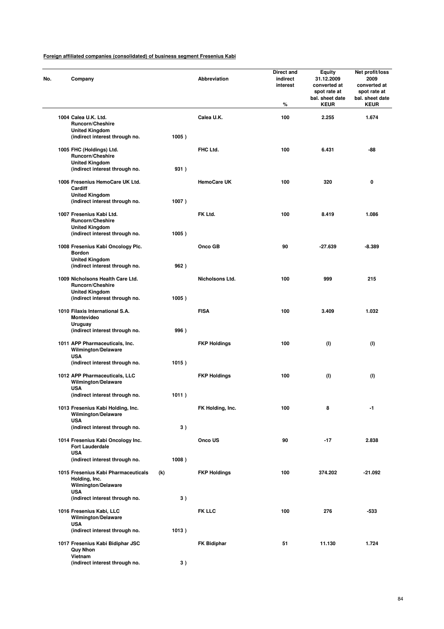| No. | Company                                                                                   |       | Abbreviation        | Direct and<br>indirect<br>interest<br>% | Equity<br>31.12.2009<br>converted at<br>spot rate at<br>bal. sheet date<br><b>KEUR</b> | Net profit/loss<br>2009<br>converted at<br>spot rate at<br>bal. sheet date<br><b>KEUR</b> |
|-----|-------------------------------------------------------------------------------------------|-------|---------------------|-----------------------------------------|----------------------------------------------------------------------------------------|-------------------------------------------------------------------------------------------|
|     | 1004 Calea U.K. Ltd.<br><b>Runcorn/Cheshire</b>                                           |       | Calea U.K.          | 100                                     | 2.255                                                                                  | 1.674                                                                                     |
|     | <b>United Kingdom</b><br>(indirect interest through no.                                   | 1005) |                     |                                         |                                                                                        |                                                                                           |
|     | 1005 FHC (Holdings) Ltd.<br><b>Runcorn/Cheshire</b><br><b>United Kingdom</b>              |       | FHC Ltd.            | 100                                     | 6.431                                                                                  | -88                                                                                       |
|     | (indirect interest through no.<br>1006 Fresenius HemoCare UK Ltd.<br>Cardiff              | 931)  | <b>HemoCare UK</b>  | 100                                     | 320                                                                                    | 0                                                                                         |
|     | <b>United Kingdom</b><br>(indirect interest through no.                                   | 1007) |                     |                                         |                                                                                        |                                                                                           |
|     | 1007 Fresenius Kabi Ltd.<br><b>Runcorn/Cheshire</b><br><b>United Kingdom</b>              |       | FK Ltd.             | 100                                     | 8.419                                                                                  | 1.086                                                                                     |
|     | (indirect interest through no.<br>1008 Fresenius Kabi Oncology Plc.<br><b>Bordon</b>      | 1005) | Onco GB             | 90                                      | -27.639                                                                                | $-8.389$                                                                                  |
|     | <b>United Kingdom</b><br>(indirect interest through no.                                   | 962)  |                     |                                         |                                                                                        |                                                                                           |
|     | 1009 Nicholsons Health Care Ltd.<br><b>Runcorn/Cheshire</b><br><b>United Kingdom</b>      |       | Nicholsons Ltd.     | 100                                     | 999                                                                                    | 215                                                                                       |
|     | (indirect interest through no.                                                            | 1005) |                     |                                         |                                                                                        |                                                                                           |
|     | 1010 Filaxis International S.A.<br>Montevideo<br>Uruguay                                  |       | <b>FISA</b>         | 100                                     | 3.409                                                                                  | 1.032                                                                                     |
|     | (indirect interest through no.                                                            | 996)  |                     |                                         |                                                                                        |                                                                                           |
|     | 1011 APP Pharmaceuticals, Inc.<br>Wilmington/Delaware<br><b>USA</b>                       |       | <b>FKP Holdings</b> | 100                                     | (1)                                                                                    | (1)                                                                                       |
|     | (indirect interest through no.                                                            | 1015) |                     |                                         |                                                                                        |                                                                                           |
|     | 1012 APP Pharmaceuticals, LLC<br>Wilmington/Delaware<br><b>USA</b>                        |       | <b>FKP Holdings</b> | 100                                     | (1)                                                                                    | (1)                                                                                       |
|     | (indirect interest through no.                                                            | 1011) |                     |                                         |                                                                                        |                                                                                           |
|     | 1013 Fresenius Kabi Holding, Inc.<br>Wilmington/Delaware<br><b>USA</b>                    |       | FK Holding, Inc.    | 100                                     | 8                                                                                      | -1                                                                                        |
|     | (indirect interest through no.                                                            | 3)    |                     |                                         |                                                                                        |                                                                                           |
|     | 1014 Fresenius Kabi Oncology Inc.<br><b>Fort Lauderdale</b><br><b>USA</b>                 |       | Onco US             | 90                                      | $-17$                                                                                  | 2.838                                                                                     |
|     | (indirect interest through no.                                                            | 1008) |                     |                                         |                                                                                        |                                                                                           |
|     | 1015 Fresenius Kabi Pharmaceuticals<br>Holding, Inc.<br>Wilmington/Delaware<br><b>USA</b> | (k)   | <b>FKP Holdings</b> | 100                                     | 374.202                                                                                | $-21.092$                                                                                 |
|     | (indirect interest through no.                                                            | 3)    |                     |                                         |                                                                                        |                                                                                           |
|     | 1016 Fresenius Kabi, LLC<br>Wilmington/Delaware<br><b>USA</b>                             |       | <b>FK LLC</b>       | 100                                     | 276                                                                                    | -533                                                                                      |
|     | (indirect interest through no.                                                            | 1013) |                     |                                         |                                                                                        |                                                                                           |
|     | 1017 Fresenius Kabi Bidiphar JSC<br><b>Quy Nhon</b><br>Vietnam                            |       | <b>FK Bidiphar</b>  | 51                                      | 11.130                                                                                 | 1.724                                                                                     |
|     | (indirect interest through no.                                                            | 3)    |                     |                                         |                                                                                        |                                                                                           |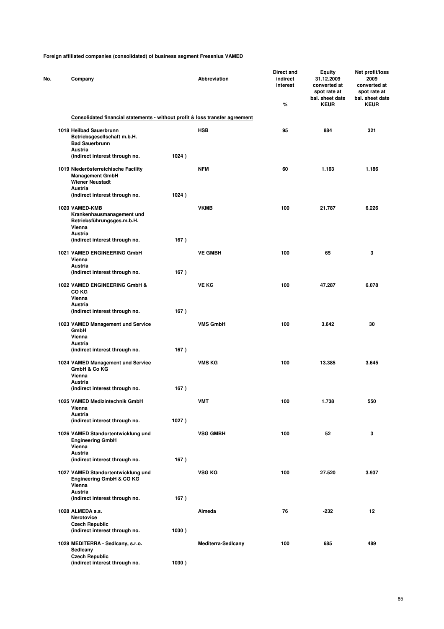| No. | Company                                                                                        |       | Abbreviation              | Direct and<br>indirect<br>interest<br>% | <b>Equity</b><br>31.12.2009<br>converted at<br>spot rate at<br>bal. sheet date<br><b>KEUR</b> | Net profit/loss<br>2009<br>converted at<br>spot rate at<br>bal. sheet date<br><b>KEUR</b> |
|-----|------------------------------------------------------------------------------------------------|-------|---------------------------|-----------------------------------------|-----------------------------------------------------------------------------------------------|-------------------------------------------------------------------------------------------|
|     | Consolidated financial statements - without profit & loss transfer agreement                   |       |                           |                                         |                                                                                               |                                                                                           |
|     | 1018 Heilbad Sauerbrunn<br>Betriebsgesellschaft m.b.H.<br><b>Bad Sauerbrunn</b><br>Austria     |       | <b>HSB</b>                | 95                                      | 884                                                                                           | 321                                                                                       |
|     | (indirect interest through no.                                                                 | 1024) |                           |                                         |                                                                                               |                                                                                           |
|     | 1019 Niederösterreichische Facility<br><b>Management GmbH</b><br><b>Wiener Neustadt</b>        |       | <b>NFM</b>                | 60                                      | 1.163                                                                                         | 1.186                                                                                     |
|     | Austria<br>(indirect interest through no.                                                      | 1024) |                           |                                         |                                                                                               |                                                                                           |
|     | 1020 VAMED-KMB<br>Krankenhausmanagement und<br>Betriebsführungsges.m.b.H.<br>Vienna<br>Austria |       | <b>VKMB</b>               | 100                                     | 21.787                                                                                        | 6.226                                                                                     |
|     | (indirect interest through no.                                                                 | 167)  |                           |                                         |                                                                                               |                                                                                           |
|     | 1021 VAMED ENGINEERING GmbH<br>Vienna<br>Austria<br>(indirect interest through no.             | 167)  | <b>VE GMBH</b>            | 100                                     | 65                                                                                            | 3                                                                                         |
|     |                                                                                                |       |                           |                                         |                                                                                               |                                                                                           |
|     | 1022 VAMED ENGINEERING GmbH &<br>CO KG<br>Vienna                                               |       | <b>VE KG</b>              | 100                                     | 47.287                                                                                        | 6.078                                                                                     |
|     | <b>Austria</b><br>(indirect interest through no.                                               | 167)  |                           |                                         |                                                                                               |                                                                                           |
|     | 1023 VAMED Management und Service<br>GmbH<br>Vienna                                            |       | <b>VMS GmbH</b>           | 100                                     | 3.642                                                                                         | 30                                                                                        |
|     | Austria<br>(indirect interest through no.                                                      | 167)  |                           |                                         |                                                                                               |                                                                                           |
|     | 1024 VAMED Management und Service<br>GmbH & Co KG<br>Vienna                                    |       | <b>VMS KG</b>             | 100                                     | 13.385                                                                                        | 3.645                                                                                     |
|     | Austria<br>(indirect interest through no.                                                      | 167)  |                           |                                         |                                                                                               |                                                                                           |
|     | 1025 VAMED Medizintechnik GmbH                                                                 |       | VMT                       | 100                                     | 1.738                                                                                         | 550                                                                                       |
|     | Vienna<br>Austria<br>(indirect interest through no.                                            | 1027) |                           |                                         |                                                                                               |                                                                                           |
|     | 1026 VAMED Standortentwicklung und<br><b>Engineering GmbH</b><br>Vienna                        |       | <b>VSG GMBH</b>           | 100                                     | 52                                                                                            | 3                                                                                         |
|     | Austria<br>(indirect interest through no.                                                      | 167)  |                           |                                         |                                                                                               |                                                                                           |
|     | 1027 VAMED Standortentwicklung und<br>Engineering GmbH & CO KG<br>Vienna                       |       | VSG KG                    | 100                                     | 27.520                                                                                        | 3.937                                                                                     |
|     | Austria<br>(indirect interest through no.                                                      | 167)  |                           |                                         |                                                                                               |                                                                                           |
|     | 1028 ALMEDA a.s.<br>Nerotovice                                                                 |       | Almeda                    | 76                                      | $-232$                                                                                        | 12                                                                                        |
|     | <b>Czech Republic</b><br>(indirect interest through no.                                        | 1030) |                           |                                         |                                                                                               |                                                                                           |
|     | 1029 MEDITERRA - Sedicany, s.r.o.<br>Sedicany<br><b>Czech Republic</b>                         |       | <b>Mediterra-Sedicany</b> | 100                                     | 685                                                                                           | 489                                                                                       |
|     | (indirect interest through no.                                                                 | 1030) |                           |                                         |                                                                                               |                                                                                           |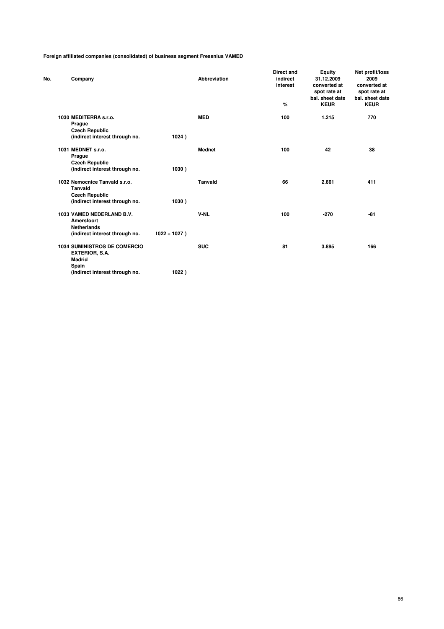| No. | Company                                                                                                           |                 | <b>Abbreviation</b> | <b>Direct and</b><br>indirect<br>interest<br>% | Equity<br>31.12.2009<br>converted at<br>spot rate at<br>bal. sheet date<br><b>KEUR</b> | Net profit/loss<br>2009<br>converted at<br>spot rate at<br>bal. sheet date<br><b>KEUR</b> |
|-----|-------------------------------------------------------------------------------------------------------------------|-----------------|---------------------|------------------------------------------------|----------------------------------------------------------------------------------------|-------------------------------------------------------------------------------------------|
|     | 1030 MEDITERRA s.r.o.<br>Prague<br><b>Czech Republic</b><br>(indirect interest through no.                        | 1024)           | <b>MED</b>          | 100                                            | 1.215                                                                                  | 770                                                                                       |
|     | 1031 MEDNET s.r.o.<br>Prague<br><b>Czech Republic</b><br>(indirect interest through no.                           | 1030)           | <b>Mednet</b>       | 100                                            | 42                                                                                     | 38                                                                                        |
|     | 1032 Nemocnice Tanvald s.r.o.<br><b>Tanvald</b><br><b>Czech Republic</b><br>(indirect interest through no.        | 1030)           | <b>Tanvald</b>      | 66                                             | 2.661                                                                                  | 411                                                                                       |
|     | 1033 VAMED NEDERLAND B.V.<br><b>Amersfoort</b><br><b>Netherlands</b><br>(indirect interest through no.            | $1022 + 1027$ ) | V-NL                | 100                                            | $-270$                                                                                 | -81                                                                                       |
|     | <b>1034 SUMINISTROS DE COMERCIO</b><br>EXTERIOR, S.A.<br><b>Madrid</b><br>Spain<br>(indirect interest through no. | 1022)           | <b>SUC</b>          | 81                                             | 3.895                                                                                  | 166                                                                                       |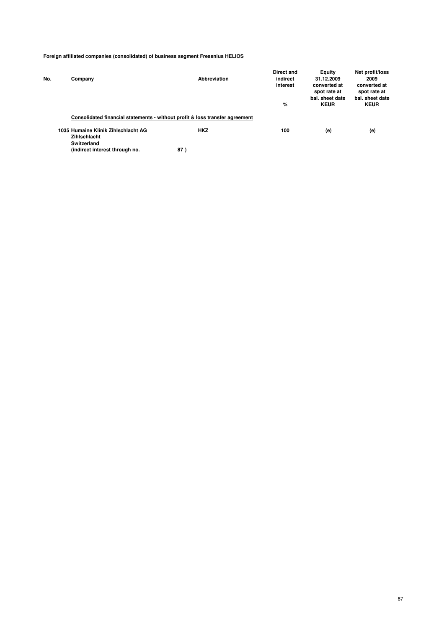|     |                                     |                                                                              | Direct and | Equity          | Net profit/loss |
|-----|-------------------------------------|------------------------------------------------------------------------------|------------|-----------------|-----------------|
| No. | Company                             | Abbreviation                                                                 | indirect   | 31.12.2009      | 2009            |
|     |                                     |                                                                              | interest   | converted at    | converted at    |
|     |                                     |                                                                              |            | spot rate at    | spot rate at    |
|     |                                     |                                                                              |            | bal. sheet date | bal, sheet date |
|     |                                     |                                                                              | %          | <b>KEUR</b>     | <b>KEUR</b>     |
|     |                                     | Consolidated financial statements - without profit & loss transfer agreement |            |                 |                 |
|     | 1035 Humaine Klinik Zihlschlacht AG | <b>HKZ</b>                                                                   | 100        | (e)             | (e)             |
|     | Zihlschlacht                        |                                                                              |            |                 |                 |
|     | Switzerland                         |                                                                              |            |                 |                 |
|     | (indirect interest through no.      | 87)                                                                          |            |                 |                 |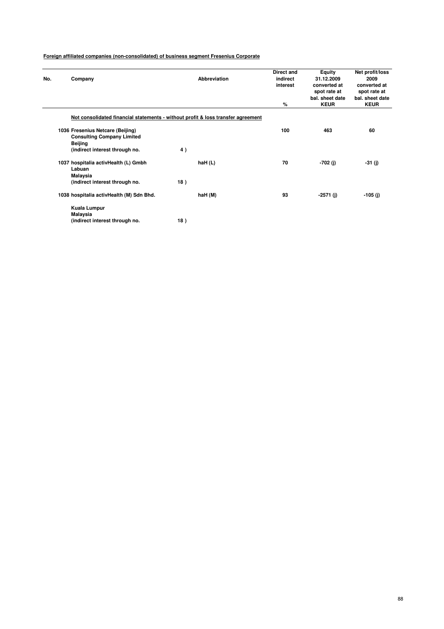| No. | Company                                                                                                            | <b>Abbreviation</b> | <b>Direct and</b><br>indirect<br>interest<br>% | Equity<br>31.12.2009<br>converted at<br>spot rate at<br>bal, sheet date<br><b>KEUR</b> | Net profit/loss<br>2009<br>converted at<br>spot rate at<br>bal, sheet date<br><b>KEUR</b> |
|-----|--------------------------------------------------------------------------------------------------------------------|---------------------|------------------------------------------------|----------------------------------------------------------------------------------------|-------------------------------------------------------------------------------------------|
|     | Not consolidated financial statements - without profit & loss transfer agreement                                   |                     |                                                |                                                                                        |                                                                                           |
|     | 1036 Fresenius Netcare (Beijing)<br><b>Consulting Company Limited</b><br>Beijing<br>(indirect interest through no. | 4)                  | 100                                            | 463                                                                                    | 60                                                                                        |
|     | 1037 hospitalia activHealth (L) Gmbh<br>Labuan<br>Malaysia<br>(indirect interest through no.                       | haH(L)<br>18)       | 70                                             | $-702(j)$                                                                              | -31 (j)                                                                                   |
|     | 1038 hospitalia activHealth (M) Sdn Bhd.                                                                           | haH (M)             | 93                                             | $-2571$ (i)                                                                            | -105 (j)                                                                                  |
|     | Kuala Lumpur<br>Malaysia<br>(indirect interest through no.                                                         | 18)                 |                                                |                                                                                        |                                                                                           |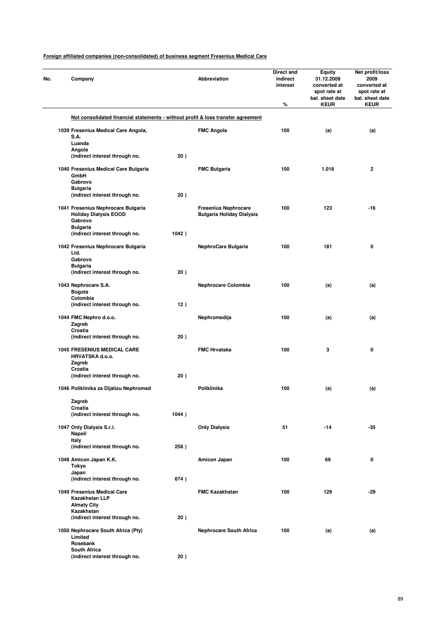|  | Company                                                                          |       | <b>Abbreviation</b>              | Direct and<br>indirect<br>interest<br>% | <b>Equity</b><br>31.12.2009<br>converted at<br>spot rate at<br>bal. sheet date<br><b>KEUR</b> | Net profit/loss<br>2009<br>converted at<br>spot rate at<br>bal. sheet date<br><b>KEUR</b> |
|--|----------------------------------------------------------------------------------|-------|----------------------------------|-----------------------------------------|-----------------------------------------------------------------------------------------------|-------------------------------------------------------------------------------------------|
|  | Not consolidated financial statements - without profit & loss transfer agreement |       |                                  |                                         |                                                                                               |                                                                                           |
|  | 1039 Fresenius Medical Care Angola,                                              |       | <b>FMC Angola</b>                | 100                                     | (a)                                                                                           | (a)                                                                                       |
|  | S.A.                                                                             |       |                                  |                                         |                                                                                               |                                                                                           |
|  | Luanda<br>Angola                                                                 |       |                                  |                                         |                                                                                               |                                                                                           |
|  | (indirect interest through no.                                                   | 20)   |                                  |                                         |                                                                                               |                                                                                           |
|  |                                                                                  |       |                                  |                                         |                                                                                               |                                                                                           |
|  | 1040 Fresenius Medical Care Bulgaria<br>GmbH                                     |       | <b>FMC Bulgaria</b>              | 100                                     | 1.016                                                                                         | 2                                                                                         |
|  | Gabrovo                                                                          |       |                                  |                                         |                                                                                               |                                                                                           |
|  | <b>Bulgaria</b>                                                                  |       |                                  |                                         |                                                                                               |                                                                                           |
|  | (indirect interest through no.                                                   | 20)   |                                  |                                         |                                                                                               |                                                                                           |
|  | 1041 Fresenius Nephrocare Bulgaria                                               |       | <b>Fresenius Nephrocare</b>      | 100                                     | 123                                                                                           | -16                                                                                       |
|  | <b>Holiday Dialysis EOOD</b>                                                     |       | <b>Bulgaria Holiday Dialysis</b> |                                         |                                                                                               |                                                                                           |
|  | Gabrovo                                                                          |       |                                  |                                         |                                                                                               |                                                                                           |
|  | <b>Bulgaria</b>                                                                  |       |                                  |                                         |                                                                                               |                                                                                           |
|  | (indirect interest through no.                                                   | 1042) |                                  |                                         |                                                                                               |                                                                                           |
|  | 1042 Fresenius Nephrocare Bulgaria                                               |       | NephroCare Bulgaria              | 100                                     | 181                                                                                           | 0                                                                                         |
|  | Ltd.                                                                             |       |                                  |                                         |                                                                                               |                                                                                           |
|  | Gabrovo                                                                          |       |                                  |                                         |                                                                                               |                                                                                           |
|  | <b>Bulgaria</b><br>(indirect interest through no.                                | 20)   |                                  |                                         |                                                                                               |                                                                                           |
|  |                                                                                  |       |                                  |                                         |                                                                                               |                                                                                           |
|  | 1043 Nephrocare S.A.                                                             |       | <b>Nephrocare Colombia</b>       | 100                                     | (a)                                                                                           | (a)                                                                                       |
|  | Bogota                                                                           |       |                                  |                                         |                                                                                               |                                                                                           |
|  | Colombia                                                                         |       |                                  |                                         |                                                                                               |                                                                                           |
|  | (indirect interest through no.                                                   | 12)   |                                  |                                         |                                                                                               |                                                                                           |
|  | 1044 FMC Nephro d.o.o.                                                           |       | Nephromedija                     | 100                                     | (a)                                                                                           | (a)                                                                                       |
|  | Zagreb                                                                           |       |                                  |                                         |                                                                                               |                                                                                           |
|  | Croatia                                                                          | 20)   |                                  |                                         |                                                                                               |                                                                                           |
|  | (indirect interest through no.                                                   |       |                                  |                                         |                                                                                               |                                                                                           |
|  | <b>1045 FRESENIUS MEDICAL CARE</b>                                               |       | <b>FMC Hrvatska</b>              | 100                                     | 3                                                                                             | 0                                                                                         |
|  | HRVATSKA d.o.o.                                                                  |       |                                  |                                         |                                                                                               |                                                                                           |
|  | Zagreb                                                                           |       |                                  |                                         |                                                                                               |                                                                                           |
|  | Croatia<br>(indirect interest through no.                                        | 20)   |                                  |                                         |                                                                                               |                                                                                           |
|  |                                                                                  |       |                                  |                                         |                                                                                               |                                                                                           |
|  | 1046 Poliklinika za Dijalizu Nephromed                                           |       | Poliklinika                      | 100                                     | (a)                                                                                           | (a)                                                                                       |
|  |                                                                                  |       |                                  |                                         |                                                                                               |                                                                                           |
|  | Zagreb<br>Croatia                                                                |       |                                  |                                         |                                                                                               |                                                                                           |
|  | (indirect interest through no.                                                   | 1044) |                                  |                                         |                                                                                               |                                                                                           |
|  |                                                                                  |       |                                  |                                         |                                                                                               |                                                                                           |
|  | 1047 Only Dialysis S.r.l.<br>Napoli                                              |       | <b>Only Dialysis</b>             | 51                                      | $-14$                                                                                         | -35                                                                                       |
|  | Italy                                                                            |       |                                  |                                         |                                                                                               |                                                                                           |
|  | (indirect interest through no.                                                   | 258)  |                                  |                                         |                                                                                               |                                                                                           |
|  |                                                                                  |       |                                  |                                         |                                                                                               |                                                                                           |
|  | 1048 Amicon Japan K.K.                                                           |       | Amicon Japan                     | 100                                     | 69                                                                                            | 0                                                                                         |
|  | Tokyo<br>Japan                                                                   |       |                                  |                                         |                                                                                               |                                                                                           |
|  | (indirect interest through no.                                                   | 674)  |                                  |                                         |                                                                                               |                                                                                           |
|  |                                                                                  |       |                                  |                                         |                                                                                               |                                                                                           |
|  | 1049 Fresenius Medical Care                                                      |       | <b>FMC Kazakhstan</b>            | 100                                     | 129                                                                                           | -29                                                                                       |
|  | Kazakhstan LLP<br><b>Almaty City</b>                                             |       |                                  |                                         |                                                                                               |                                                                                           |
|  | Kazakhstan                                                                       |       |                                  |                                         |                                                                                               |                                                                                           |
|  | (indirect interest through no.                                                   | 20)   |                                  |                                         |                                                                                               |                                                                                           |
|  |                                                                                  |       |                                  |                                         |                                                                                               |                                                                                           |
|  | 1050 Nephrocare South Africa (Pty)<br>Limited                                    |       | <b>Nephrocare South Africa</b>   | 100                                     | (a)                                                                                           | (a)                                                                                       |
|  | Rosebank                                                                         |       |                                  |                                         |                                                                                               |                                                                                           |
|  | <b>South Africa</b>                                                              |       |                                  |                                         |                                                                                               |                                                                                           |
|  | (indirect interest through no.                                                   | 20)   |                                  |                                         |                                                                                               |                                                                                           |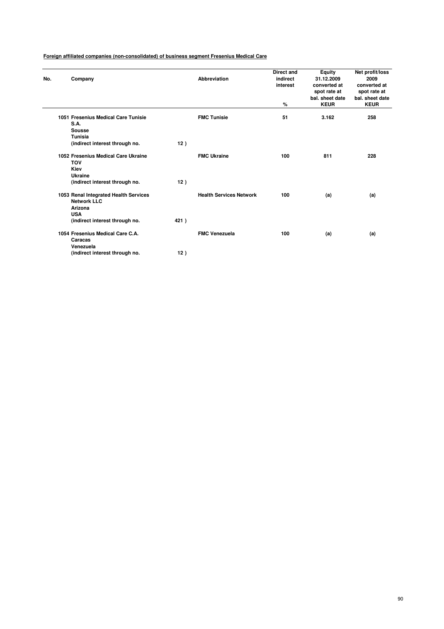| No. | Company                                                                                                                                  |            | <b>Abbreviation</b>            | <b>Direct and</b><br>indirect<br>interest<br>% | <b>Equity</b><br>31.12.2009<br>converted at<br>spot rate at<br>bal. sheet date<br><b>KEUR</b> | Net profit/loss<br>2009<br>converted at<br>spot rate at<br>bal. sheet date<br><b>KEUR</b> |
|-----|------------------------------------------------------------------------------------------------------------------------------------------|------------|--------------------------------|------------------------------------------------|-----------------------------------------------------------------------------------------------|-------------------------------------------------------------------------------------------|
|     | 1051 Fresenius Medical Care Tunisie<br>S.A.<br>Sousse<br><b>Tunisia</b>                                                                  |            | <b>FMC Tunisie</b>             | 51                                             | 3.162                                                                                         | 258                                                                                       |
|     | (indirect interest through no.<br>1052 Fresenius Medical Care Ukraine<br><b>TOV</b><br>Kiev<br>Ukraine<br>(indirect interest through no. | 12)<br>12) | <b>FMC Ukraine</b>             | 100                                            | 811                                                                                           | 228                                                                                       |
|     | 1053 Renal Integrated Health Services<br><b>Network LLC</b><br>Arizona<br><b>USA</b><br>(indirect interest through no.                   | 421)       | <b>Health Services Network</b> | 100                                            | (a)                                                                                           | (a)                                                                                       |
|     | 1054 Fresenius Medical Care C.A.<br>Caracas<br>Venezuela<br>(indirect interest through no.                                               | 12)        | <b>FMC Venezuela</b>           | 100                                            | (a)                                                                                           | (a)                                                                                       |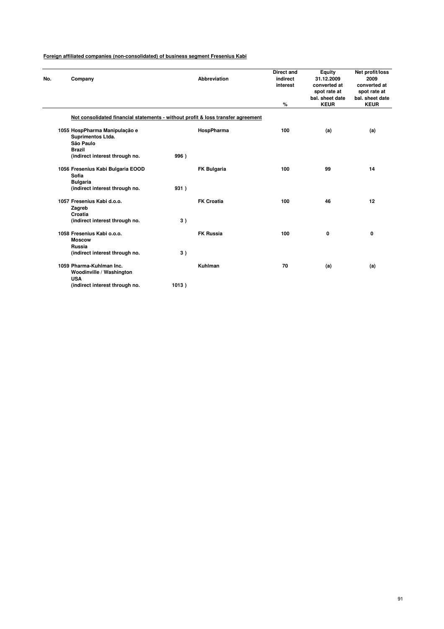| No. | Company                                                                          | Abbreviation                                                                     | <b>Direct and</b><br>indirect<br>interest | Equity<br>31.12.2009<br>converted at<br>spot rate at | Net profit/loss<br>2009<br>converted at<br>spot rate at |
|-----|----------------------------------------------------------------------------------|----------------------------------------------------------------------------------|-------------------------------------------|------------------------------------------------------|---------------------------------------------------------|
|     |                                                                                  |                                                                                  | %                                         | bal. sheet date<br><b>KEUR</b>                       | bal. sheet date<br><b>KEUR</b>                          |
|     |                                                                                  | Not consolidated financial statements - without profit & loss transfer agreement |                                           |                                                      |                                                         |
|     | 1055 HospPharma Manipulação e<br>Suprimentos Ltda.<br>São Paulo<br><b>Brazil</b> | HospPharma                                                                       | 100                                       | (a)                                                  | (a)                                                     |
|     | (indirect interest through no.                                                   | 996)                                                                             |                                           |                                                      |                                                         |
|     | 1056 Fresenius Kabi Bulgaria EOOD<br>Sofia<br><b>Bulgaria</b>                    | <b>FK Bulgaria</b>                                                               | 100                                       | 99                                                   | 14                                                      |
|     | (indirect interest through no.                                                   | 931)                                                                             |                                           |                                                      |                                                         |
|     | 1057 Fresenius Kabi d.o.o.<br>Zagreb<br>Croatia                                  | <b>FK Croatia</b>                                                                | 100                                       | 46                                                   | 12                                                      |
|     | (indirect interest through no.                                                   | 3)                                                                               |                                           |                                                      |                                                         |
|     | 1058 Fresenius Kabi o.o.o.<br><b>Moscow</b><br>Russia                            | <b>FK Russia</b>                                                                 | 100                                       | 0                                                    | 0                                                       |
|     | (indirect interest through no.                                                   | 3)                                                                               |                                           |                                                      |                                                         |
|     | 1059 Pharma-Kuhlman Inc.<br>Woodinville / Washington<br><b>USA</b>               | Kuhlman                                                                          | 70                                        | (a)                                                  | (a)                                                     |
|     | (indirect interest through no.                                                   | 1013)                                                                            |                                           |                                                      |                                                         |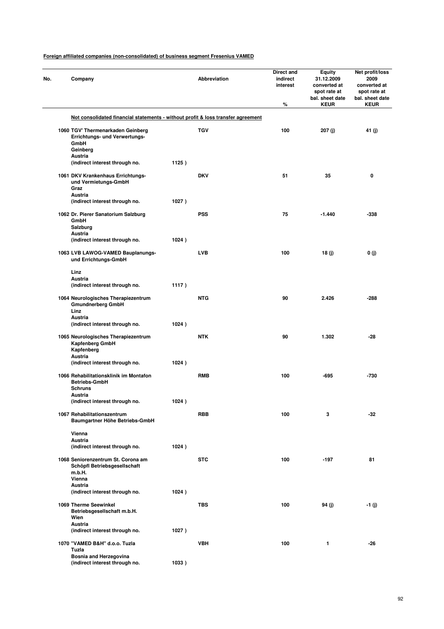| No. | Company                                                                                           |       | Abbreviation | <b>Direct and</b><br>indirect<br>interest<br>% | Equity<br>31.12.2009<br>converted at<br>spot rate at<br>bal. sheet date<br><b>KEUR</b> | Net profit/loss<br>2009<br>converted at<br>spot rate at<br>bal. sheet date<br><b>KEUR</b> |
|-----|---------------------------------------------------------------------------------------------------|-------|--------------|------------------------------------------------|----------------------------------------------------------------------------------------|-------------------------------------------------------------------------------------------|
|     | Not consolidated financial statements - without profit & loss transfer agreement                  |       |              |                                                |                                                                                        |                                                                                           |
|     | 1060 TGV' Thermenarkaden Geinberg<br>Errichtungs- und Verwertungs-<br>GmbH<br>Geinberg<br>Austria |       | <b>TGV</b>   | 100                                            | 207 (j)                                                                                | 41 (j)                                                                                    |
|     | (indirect interest through no.                                                                    | 1125) |              |                                                |                                                                                        |                                                                                           |
|     | 1061 DKV Krankenhaus Errichtungs-<br>und Vermietungs-GmbH<br>Graz<br>Austria                      |       | <b>DKV</b>   | 51                                             | 35                                                                                     | 0                                                                                         |
|     | (indirect interest through no.                                                                    | 1027) |              |                                                |                                                                                        |                                                                                           |
|     | 1062 Dr. Pierer Sanatorium Salzburg<br><b>GmbH</b><br>Salzburg<br>Austria                         |       | <b>PSS</b>   | 75                                             | $-1.440$                                                                               | -338                                                                                      |
|     | (indirect interest through no.                                                                    | 1024) |              |                                                |                                                                                        |                                                                                           |
|     | 1063 LVB LAWOG-VAMED Bauplanungs-<br>und Errichtungs-GmbH                                         |       | <b>LVB</b>   | 100                                            | 18 (j)                                                                                 | 0(j)                                                                                      |
|     | Linz<br>Austria                                                                                   |       |              |                                                |                                                                                        |                                                                                           |
|     | (indirect interest through no.                                                                    | 1117) |              |                                                |                                                                                        |                                                                                           |
|     | 1064 Neurologisches Therapiezentrum<br><b>Gmundnerberg GmbH</b><br>Linz                           |       | <b>NTG</b>   | 90                                             | 2.426                                                                                  | $-288$                                                                                    |
|     | Austria<br>(indirect interest through no.                                                         | 1024) |              |                                                |                                                                                        |                                                                                           |
|     | 1065 Neurologisches Therapiezentrum<br>Kapfenberg GmbH<br>Kapfenberg<br>Austria                   |       | <b>NTK</b>   | 90                                             | 1.302                                                                                  | -28                                                                                       |
|     | (indirect interest through no.                                                                    | 1024) |              |                                                |                                                                                        |                                                                                           |
|     | 1066 Rehabilitationsklinik im Montafon<br><b>Betriebs-GmbH</b><br><b>Schruns</b>                  |       | <b>RMB</b>   | 100                                            | -695                                                                                   | -730                                                                                      |
|     | Austria<br>(indirect interest through no.                                                         | 1024) |              |                                                |                                                                                        |                                                                                           |
|     |                                                                                                   |       |              |                                                |                                                                                        |                                                                                           |
|     | 1067 Rehabilitationszentrum<br>Baumgartner Höhe Betriebs-GmbH                                     |       | <b>RBB</b>   | 100                                            | 3                                                                                      | $-32$                                                                                     |
|     | Vienna<br>Austria                                                                                 |       |              |                                                |                                                                                        |                                                                                           |
|     | (indirect interest through no.                                                                    | 1024) |              |                                                |                                                                                        |                                                                                           |
|     | 1068 Seniorenzentrum St. Corona am<br>Schöpfl Betriebsgesellschaft<br>m.b.H.<br>Vienna            |       | <b>STC</b>   | 100                                            | $-197$                                                                                 | 81                                                                                        |
|     | Austria<br>(indirect interest through no.                                                         | 1024) |              |                                                |                                                                                        |                                                                                           |
|     | 1069 Therme Seewinkel<br>Betriebsgesellschaft m.b.H.<br>Wien                                      |       | <b>TBS</b>   | 100                                            | 94 (j)                                                                                 | -1 (j)                                                                                    |
|     | <b>Austria</b><br>(indirect interest through no.                                                  | 1027) |              |                                                |                                                                                        |                                                                                           |
|     | 1070 "VAMED B&H" d.o.o. Tuzla<br>Tuzla                                                            |       | <b>VBH</b>   | 100                                            | 1                                                                                      | -26                                                                                       |
|     | Bosnia and Herzegovina<br>(indirect interest through no.                                          | 1033) |              |                                                |                                                                                        |                                                                                           |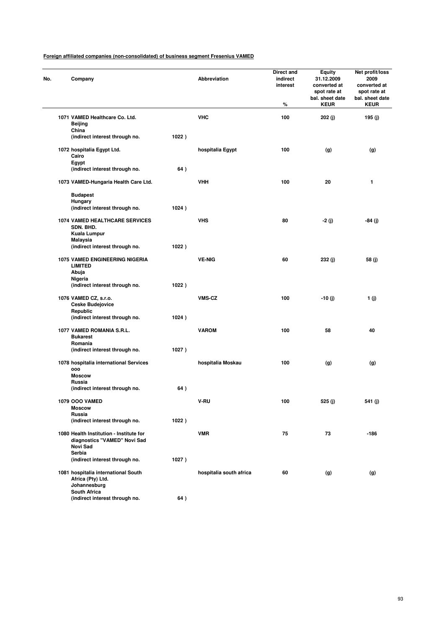| No. | Company                                                                             |       | Abbreviation            | <b>Direct and</b><br>indirect<br>interest<br>% | <b>Equity</b><br>31.12.2009<br>converted at<br>spot rate at<br>bal. sheet date<br><b>KEUR</b> | Net profit/loss<br>2009<br>converted at<br>spot rate at<br>bal. sheet date<br><b>KEUR</b> |
|-----|-------------------------------------------------------------------------------------|-------|-------------------------|------------------------------------------------|-----------------------------------------------------------------------------------------------|-------------------------------------------------------------------------------------------|
|     | 1071 VAMED Healthcare Co. Ltd.                                                      |       | <b>VHC</b>              | 100                                            | 202 (j)                                                                                       | 195 (j)                                                                                   |
|     | Beijing<br>China                                                                    |       |                         |                                                |                                                                                               |                                                                                           |
|     | (indirect interest through no.                                                      | 1022) |                         |                                                |                                                                                               |                                                                                           |
|     | 1072 hospitalia Egypt Ltd.<br>Cairo<br>Egypt                                        |       | hospitalia Egypt        | 100                                            | (g)                                                                                           | (g)                                                                                       |
|     | (indirect interest through no.                                                      | 64)   |                         |                                                |                                                                                               |                                                                                           |
|     | 1073 VAMED-Hungaria Health Care Ltd.                                                |       | <b>VHH</b>              | 100                                            | 20                                                                                            | 1                                                                                         |
|     | <b>Budapest</b>                                                                     |       |                         |                                                |                                                                                               |                                                                                           |
|     | Hungary<br>(indirect interest through no.                                           | 1024) |                         |                                                |                                                                                               |                                                                                           |
|     | <b>1074 VAMED HEALTHCARE SERVICES</b><br>SDN. BHD.                                  |       | <b>VHS</b>              | 80                                             | $-2(j)$                                                                                       | $-84(j)$                                                                                  |
|     | Kuala Lumpur<br>Malaysia<br>(indirect interest through no.                          | 1022) |                         |                                                |                                                                                               |                                                                                           |
|     | 1075 VAMED ENGINEERING NIGERIA<br><b>LIMITED</b>                                    |       | <b>VE-NIG</b>           | 60                                             | 232 (j)                                                                                       | 58 (j)                                                                                    |
|     | Abuja<br>Nigeria                                                                    |       |                         |                                                |                                                                                               |                                                                                           |
|     | (indirect interest through no.                                                      | 1022) |                         |                                                |                                                                                               |                                                                                           |
|     | 1076 VAMED CZ, s.r.o.<br><b>Ceske Budejovice</b><br>Republic                        |       | VMS-CZ                  | 100                                            | $-10(j)$                                                                                      | 1(j)                                                                                      |
|     | (indirect interest through no.                                                      | 1024) |                         |                                                |                                                                                               |                                                                                           |
|     | 1077 VAMED ROMANIA S.R.L.<br><b>Bukarest</b>                                        |       | <b>VAROM</b>            | 100                                            | 58                                                                                            | 40                                                                                        |
|     | Romania<br>(indirect interest through no.                                           | 1027) |                         |                                                |                                                                                               |                                                                                           |
|     | 1078 hospitalia international Services<br>000                                       |       | hospitalia Moskau       | 100                                            | (g)                                                                                           | (g)                                                                                       |
|     | <b>Moscow</b>                                                                       |       |                         |                                                |                                                                                               |                                                                                           |
|     | <b>Russia</b><br>(indirect interest through no.                                     | 64)   |                         |                                                |                                                                                               |                                                                                           |
|     | 1079 OOO VAMED                                                                      |       | V-RU                    | 100                                            | 525 (j)                                                                                       | 541 (j)                                                                                   |
|     | <b>Moscow</b><br>Russia                                                             |       |                         |                                                |                                                                                               |                                                                                           |
|     | (indirect interest through no.                                                      | 1022) |                         |                                                |                                                                                               |                                                                                           |
|     | 1080 Health Institution - Institute for<br>diagnostics "VAMED" Novi Sad<br>Novi Sad |       | <b>VMR</b>              | 75                                             | 73                                                                                            | -186                                                                                      |
|     | Serbia<br>(indirect interest through no.                                            | 1027) |                         |                                                |                                                                                               |                                                                                           |
|     | 1081 hospitalia international South<br>Africa (Pty) Ltd.<br>Johannesburg            |       | hospitalia south africa | 60                                             | (g)                                                                                           | (g)                                                                                       |
|     | <b>South Africa</b><br>(indirect interest through no.                               | 64)   |                         |                                                |                                                                                               |                                                                                           |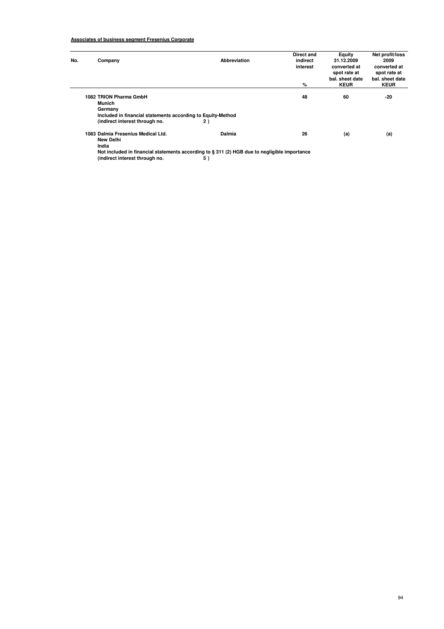# **Associates of business segment Fresenius Corporate**

| No. | Company                                                                                                                                      | Abbreviation | Direct and<br>indirect<br>interest | Equity<br>31.12.2009<br>converted at           | Net profit/loss<br>2009<br>converted at        |
|-----|----------------------------------------------------------------------------------------------------------------------------------------------|--------------|------------------------------------|------------------------------------------------|------------------------------------------------|
|     |                                                                                                                                              |              | %                                  | spot rate at<br>bal, sheet date<br><b>KEUR</b> | spot rate at<br>bal. sheet date<br><b>KEUR</b> |
|     | 1082 TRION Pharma GmbH<br>Munich<br>Germany<br>Included in financial statements according to Equity-Method<br>(indirect interest through no. | 2)           | 48                                 | 60                                             | $-20$                                          |
|     | 1083 Dalmia Fresenius Medical Ltd.<br>New Delhi<br>India                                                                                     | Dalmia       | 26                                 | (a)                                            | (a)                                            |

**Not included in financial statements according to § 311 (2) HGB due to negligible importance (indirect interest through no. 5 )**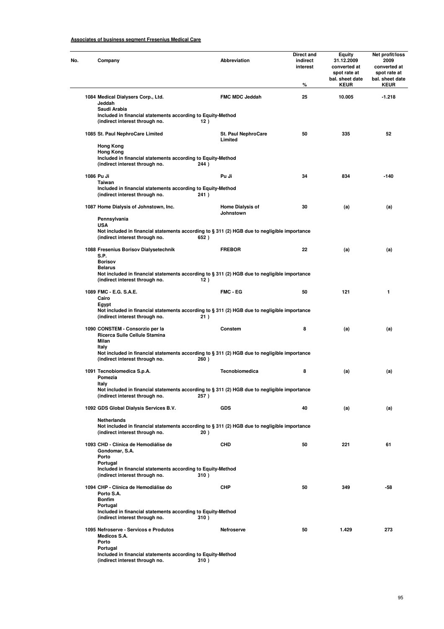# **Associates of business segment Fresenius Medical Care**

| Company                                                                                                                                                              | <b>Abbreviation</b>                   | Direct and<br>indirect<br>interest<br>% | Equity<br>31.12.2009<br>converted at<br>spot rate at<br>bal. sheet date<br><b>KEUR</b> | Net profit/loss<br>2009<br>converted at<br>spot rate at<br>bal. sheet date<br><b>KEUR</b> |
|----------------------------------------------------------------------------------------------------------------------------------------------------------------------|---------------------------------------|-----------------------------------------|----------------------------------------------------------------------------------------|-------------------------------------------------------------------------------------------|
| 1084 Medical Dialysers Corp., Ltd.<br>Jeddah<br>Saudi Arabia<br>Included in financial statements according to Equity-Method                                          | <b>FMC MDC Jeddah</b>                 | 25                                      | 10.005                                                                                 | $-1.218$                                                                                  |
| (indirect interest through no.                                                                                                                                       | 12)                                   |                                         |                                                                                        |                                                                                           |
| 1085 St. Paul NephroCare Limited<br><b>Hong Kong</b>                                                                                                                 | <b>St. Paul NephroCare</b><br>Limited | 50                                      | 335                                                                                    | 52                                                                                        |
| <b>Hong Kong</b><br>Included in financial statements according to Equity-Method<br>(indirect interest through no.<br>244)                                            |                                       |                                         |                                                                                        |                                                                                           |
| 1086 Pu Ji<br>Taiwan                                                                                                                                                 | Pu Ji                                 | 34                                      | 834                                                                                    | $-140$                                                                                    |
| Included in financial statements according to Equity-Method<br>(indirect interest through no.<br>241)                                                                |                                       |                                         |                                                                                        |                                                                                           |
| 1087 Home Dialysis of Johnstown, Inc.                                                                                                                                | <b>Home Dialysis of</b><br>Johnstown  | 30                                      | (a)                                                                                    | (a)                                                                                       |
| Pennsylvania<br><b>USA</b><br>Not included in financial statements according to § 311 (2) HGB due to negligible importance<br>(indirect interest through no.<br>652) |                                       |                                         |                                                                                        |                                                                                           |
| 1088 Fresenius Borisov Dialysetechnik<br>S.P.<br><b>Borisov</b>                                                                                                      | <b>FREBOR</b>                         | 22                                      | (a)                                                                                    | (a)                                                                                       |
| <b>Belarus</b><br>Not included in financial statements according to § 311 (2) HGB due to negligible importance<br>(indirect interest through no.                     | 12)                                   |                                         |                                                                                        |                                                                                           |
| 1089 FMC - E.G. S.A.E.<br>Cairo<br>Egypt                                                                                                                             | <b>FMC - EG</b>                       | 50                                      | 121                                                                                    | 1                                                                                         |
| Not included in financial statements according to § 311 (2) HGB due to negligible importance<br>(indirect interest through no.                                       | 21)                                   |                                         |                                                                                        |                                                                                           |
| 1090 CONSTEM - Consorzio per la<br>Ricerca Sulle Cellule Stamina<br>Milan<br><b>Italy</b>                                                                            | Constem                               | 8                                       | (a)                                                                                    | (a)                                                                                       |
| Not included in financial statements according to § 311 (2) HGB due to negligible importance<br>(indirect interest through no.<br>260)                               |                                       |                                         |                                                                                        |                                                                                           |
| 1091 Tecnobiomedica S.p.A.<br>Pomezia<br>Italy                                                                                                                       | Tecnobiomedica                        | 8                                       | (a)                                                                                    | (a)                                                                                       |
| Not included in financial statements according to § 311 (2) HGB due to negligible importance<br>(indirect interest through no.<br>257)                               |                                       |                                         |                                                                                        |                                                                                           |
| 1092 GDS Global Dialysis Services B.V.                                                                                                                               | <b>GDS</b>                            | 40                                      | (a)                                                                                    | (a)                                                                                       |
| <b>Netherlands</b><br>Not included in financial statements according to § 311 (2) HGB due to negligible importance<br>(indirect interest through no.                 | 20)                                   |                                         |                                                                                        |                                                                                           |
| 1093 CHD - Clínica de Hemodiálise de<br>Gondomar, S.A.<br>Porto                                                                                                      | CHD                                   | 50                                      | 221                                                                                    | 61                                                                                        |
| Portugal<br>Included in financial statements according to Equity-Method<br>(indirect interest through no.<br>310)                                                    |                                       |                                         |                                                                                        |                                                                                           |
| 1094 CHP - Clínica de Hemodiálise do<br>Porto S.A.<br><b>Bonfim</b>                                                                                                  | CHP                                   | 50                                      | 349                                                                                    | -58                                                                                       |
| Portugal<br>Included in financial statements according to Equity-Method<br>(indirect interest through no.<br>310)                                                    |                                       |                                         |                                                                                        |                                                                                           |
| 1095 Nefroserve - Servicos e Produtos<br>Medicos S.A.<br>Porto                                                                                                       | Nefroserve                            | 50                                      | 1.429                                                                                  | 273                                                                                       |
| Portugal<br>Included in financial statements according to Equity-Method<br>(indirect interest through no.<br>310)                                                    |                                       |                                         |                                                                                        |                                                                                           |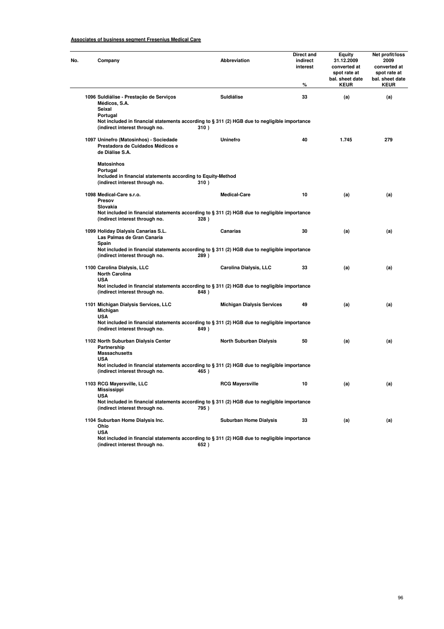# **Associates of business segment Fresenius Medical Care**

| Company                                                                                       | Abbreviation                                                                                            | Direct and<br>indirect<br>interest<br>% | Equity<br>31.12.2009<br>converted at<br>spot rate at<br>bal. sheet date<br><b>KEUR</b> | Net profit/loss<br>2009<br>converted at<br>spot rate at<br>bal. sheet date<br><b>KEUR</b> |
|-----------------------------------------------------------------------------------------------|---------------------------------------------------------------------------------------------------------|-----------------------------------------|----------------------------------------------------------------------------------------|-------------------------------------------------------------------------------------------|
| 1096 Suldiálise - Prestação de Serviços<br>Médicos, S.A.                                      | Suldiálise                                                                                              | 33                                      | (a)                                                                                    | (a)                                                                                       |
| Seixal<br>Portugal<br>(indirect interest through no.                                          | Not included in financial statements according to $\S 311 (2)$ HGB due to negligible importance<br>310) |                                         |                                                                                        |                                                                                           |
| 1097 Uninefro (Matosinhos) - Sociedade<br>Prestadora de Cuidados Médicos e<br>de Diálise S.A. | Uninefro                                                                                                | 40                                      | 1.745                                                                                  | 279                                                                                       |
| <b>Matosinhos</b><br>Portugal<br>Included in financial statements according to Equity-Method  |                                                                                                         |                                         |                                                                                        |                                                                                           |
| (indirect interest through no.                                                                | 310)                                                                                                    |                                         |                                                                                        |                                                                                           |
| 1098 Medical-Care s.r.o.<br>Presov<br>Slovakia                                                | <b>Medical-Care</b>                                                                                     | 10                                      | (a)                                                                                    | (a)                                                                                       |
| (indirect interest through no.                                                                | Not included in financial statements according to § 311 (2) HGB due to negligible importance<br>328)    |                                         |                                                                                        |                                                                                           |
| 1099 Holiday Dialysis Canarias S.L.<br>Las Palmas de Gran Canaria<br>Spain                    | Canarias                                                                                                | 30                                      | (a)                                                                                    | (a)                                                                                       |
| (indirect interest through no.                                                                | Not included in financial statements according to $\S 311 (2)$ HGB due to negligible importance<br>289) |                                         |                                                                                        |                                                                                           |
| 1100 Carolina Dialysis, LLC<br><b>North Carolina</b><br><b>USA</b>                            | Carolina Dialysis, LLC                                                                                  | 33                                      | (a)                                                                                    | (a)                                                                                       |
| (indirect interest through no.                                                                | Not included in financial statements according to $\S 311 (2)$ HGB due to negligible importance<br>848) |                                         |                                                                                        |                                                                                           |
| 1101 Michigan Dialysis Services, LLC<br>Michigan                                              | <b>Michigan Dialysis Services</b>                                                                       | 49                                      | (a)                                                                                    | (a)                                                                                       |
| <b>USA</b><br>(indirect interest through no.                                                  | Not included in financial statements according to $\S 311 (2)$ HGB due to negligible importance<br>849) |                                         |                                                                                        |                                                                                           |
| 1102 North Suburban Dialysis Center<br>Partnership<br><b>Massachusetts</b>                    | <b>North Suburban Dialysis</b>                                                                          | 50                                      | (a)                                                                                    | (a)                                                                                       |
| <b>USA</b><br>(indirect interest through no.                                                  | Not included in financial statements according to § 311 (2) HGB due to negligible importance<br>465)    |                                         |                                                                                        |                                                                                           |
| 1103 RCG Mayersville, LLC<br><b>Mississippi</b>                                               | <b>RCG Mayersville</b>                                                                                  | 10                                      | (a)                                                                                    | (a)                                                                                       |
| <b>USA</b><br>(indirect interest through no.                                                  | Not included in financial statements according to $\S 311$ (2) HGB due to negligible importance<br>795) |                                         |                                                                                        |                                                                                           |
| 1104 Suburban Home Dialysis Inc.<br>Ohio<br><b>USA</b>                                        | <b>Suburban Home Dialysis</b>                                                                           | 33                                      | (a)                                                                                    | (a)                                                                                       |
| (indirect interest through no.                                                                | Not included in financial statements according to § 311 (2) HGB due to negligible importance<br>652)    |                                         |                                                                                        |                                                                                           |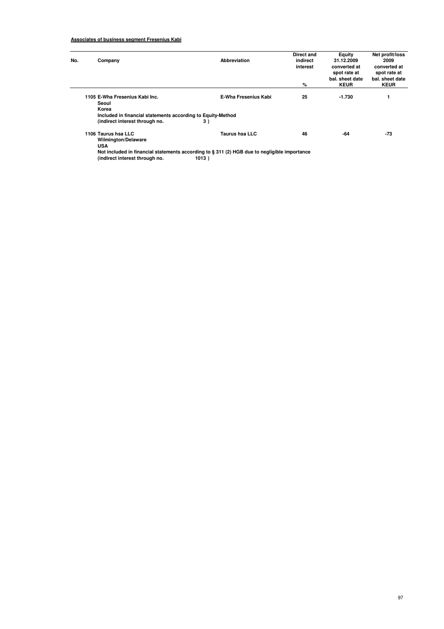| No. | Company                                                     | Abbreviation                                                                                                   | Direct and<br>indirect<br>interest | Equity<br>31.12.2009<br>converted at           | Net profit/loss<br>2009<br>converted at        |
|-----|-------------------------------------------------------------|----------------------------------------------------------------------------------------------------------------|------------------------------------|------------------------------------------------|------------------------------------------------|
|     |                                                             |                                                                                                                | %                                  | spot rate at<br>bal, sheet date<br><b>KEUR</b> | spot rate at<br>bal. sheet date<br><b>KEUR</b> |
|     | 1105 E-Wha Fresenius Kabi Inc.<br>Seoul<br>Korea            | <b>E-Wha Fresenius Kabi</b>                                                                                    | 25                                 | -1.730                                         |                                                |
|     | Included in financial statements according to Equity-Method |                                                                                                                |                                    |                                                |                                                |
|     | (indirect interest through no.                              | 3)                                                                                                             |                                    |                                                |                                                |
|     | 1106 Taurus hsa LLC<br><b>Wilmington/Delaware</b>           | <b>Taurus hsa LLC</b>                                                                                          | 46                                 | -64                                            | $-73$                                          |
|     | <b>USA</b>                                                  |                                                                                                                |                                    |                                                |                                                |
|     |                                                             | Also besteads at the March of all concerning the condition of a Add 7A) LLAM about a constant also become a co |                                    |                                                |                                                |

**Not included in financial statements according to § 311 (2) HGB due to negligible importance (indirect interest through no. 1013 )**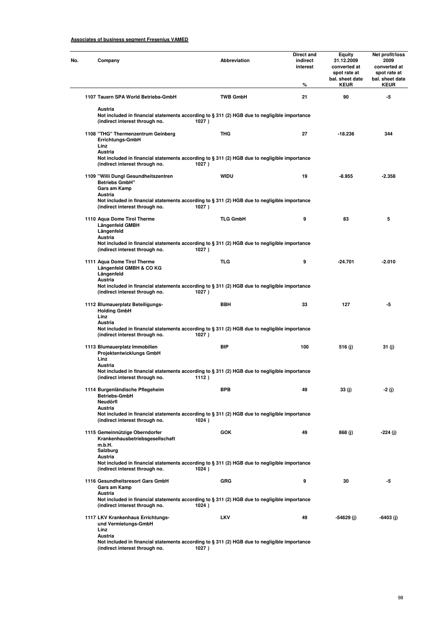| 1107 Tauern SPA World Betriebs-GmbH<br><b>TWB GmbH</b><br>Austria<br>Not included in financial statements according to $\S 311 (2)$ HGB due to negligible importance<br>(indirect interest through no.<br>1027)<br>THG<br>1108 "THG" Thermenzentrum Geinberg<br>Errichtungs-GmbH<br>Linz<br>Austria<br>Not included in financial statements according to $\S 311 (2)$ HGB due to negligible importance<br>(indirect interest through no.<br>1027)<br>WIDU<br>1109 "Willi Dungl Gesundheitszentren<br><b>Betriebs GmbH"</b><br>Gars am Kamp<br>Austria<br>Not included in financial statements according to § 311 (2) HGB due to negligible importance<br>(indirect interest through no.<br>1027)<br><b>TLG GmbH</b><br>1110 Aqua Dome Tirol Therme<br>Längenfeld GMBH<br>Längenfeld<br>Austria<br>Not included in financial statements according to § 311 (2) HGB due to negligible importance<br>(indirect interest through no.<br>1027)<br><b>TLG</b><br>1111 Aqua Dome Tirol Therme<br>Längenfeld GMBH & CO KG<br>Längenfeld<br>Austria<br>Not included in financial statements according to $\S 311 (2)$ HGB due to negligible importance<br>(indirect interest through no.<br>1027)<br><b>BBH</b><br>1112 Blumauerplatz Beteiligungs-<br><b>Holding GmbH</b><br>Linz | interest<br>% | 31.12.2009<br>converted at<br>spot rate at<br>bal. sheet date<br><b>KEUR</b> | 2009<br>converted at<br>spot rate at<br>bal. sheet date<br><b>KEUR</b> |
|---------------------------------------------------------------------------------------------------------------------------------------------------------------------------------------------------------------------------------------------------------------------------------------------------------------------------------------------------------------------------------------------------------------------------------------------------------------------------------------------------------------------------------------------------------------------------------------------------------------------------------------------------------------------------------------------------------------------------------------------------------------------------------------------------------------------------------------------------------------------------------------------------------------------------------------------------------------------------------------------------------------------------------------------------------------------------------------------------------------------------------------------------------------------------------------------------------------------------------------------------------------------------|---------------|------------------------------------------------------------------------------|------------------------------------------------------------------------|
|                                                                                                                                                                                                                                                                                                                                                                                                                                                                                                                                                                                                                                                                                                                                                                                                                                                                                                                                                                                                                                                                                                                                                                                                                                                                           | 21            | 90                                                                           | -5                                                                     |
|                                                                                                                                                                                                                                                                                                                                                                                                                                                                                                                                                                                                                                                                                                                                                                                                                                                                                                                                                                                                                                                                                                                                                                                                                                                                           |               |                                                                              |                                                                        |
|                                                                                                                                                                                                                                                                                                                                                                                                                                                                                                                                                                                                                                                                                                                                                                                                                                                                                                                                                                                                                                                                                                                                                                                                                                                                           | 27            | $-18.236$                                                                    | 344                                                                    |
|                                                                                                                                                                                                                                                                                                                                                                                                                                                                                                                                                                                                                                                                                                                                                                                                                                                                                                                                                                                                                                                                                                                                                                                                                                                                           |               |                                                                              |                                                                        |
|                                                                                                                                                                                                                                                                                                                                                                                                                                                                                                                                                                                                                                                                                                                                                                                                                                                                                                                                                                                                                                                                                                                                                                                                                                                                           | 19            | $-8.955$                                                                     | -2.358                                                                 |
|                                                                                                                                                                                                                                                                                                                                                                                                                                                                                                                                                                                                                                                                                                                                                                                                                                                                                                                                                                                                                                                                                                                                                                                                                                                                           |               |                                                                              |                                                                        |
|                                                                                                                                                                                                                                                                                                                                                                                                                                                                                                                                                                                                                                                                                                                                                                                                                                                                                                                                                                                                                                                                                                                                                                                                                                                                           | 9             | 83                                                                           | 5                                                                      |
|                                                                                                                                                                                                                                                                                                                                                                                                                                                                                                                                                                                                                                                                                                                                                                                                                                                                                                                                                                                                                                                                                                                                                                                                                                                                           |               |                                                                              |                                                                        |
|                                                                                                                                                                                                                                                                                                                                                                                                                                                                                                                                                                                                                                                                                                                                                                                                                                                                                                                                                                                                                                                                                                                                                                                                                                                                           | 9             | $-24.701$                                                                    | $-2.010$                                                               |
|                                                                                                                                                                                                                                                                                                                                                                                                                                                                                                                                                                                                                                                                                                                                                                                                                                                                                                                                                                                                                                                                                                                                                                                                                                                                           |               |                                                                              |                                                                        |
|                                                                                                                                                                                                                                                                                                                                                                                                                                                                                                                                                                                                                                                                                                                                                                                                                                                                                                                                                                                                                                                                                                                                                                                                                                                                           | 33            | 127                                                                          | -5                                                                     |
| Austria<br>Not included in financial statements according to $\S 311 (2)$ HGB due to negligible importance<br>(indirect interest through no.<br>1027)                                                                                                                                                                                                                                                                                                                                                                                                                                                                                                                                                                                                                                                                                                                                                                                                                                                                                                                                                                                                                                                                                                                     |               |                                                                              |                                                                        |
| <b>BIP</b><br>1113 Blumauerplatz Immobilien<br>Projektentwicklungs GmbH<br>Linz                                                                                                                                                                                                                                                                                                                                                                                                                                                                                                                                                                                                                                                                                                                                                                                                                                                                                                                                                                                                                                                                                                                                                                                           | 100           | 516 (j)                                                                      | 31 (j)                                                                 |
| Austria<br>Not included in financial statements according to $\S 311$ (2) HGB due to negligible importance<br>(indirect interest through no.<br>1112)                                                                                                                                                                                                                                                                                                                                                                                                                                                                                                                                                                                                                                                                                                                                                                                                                                                                                                                                                                                                                                                                                                                     |               |                                                                              |                                                                        |
| 1114 Burgenländische Pflegeheim<br><b>BPB</b><br><b>Betriebs-GmbH</b><br>Neudörfl                                                                                                                                                                                                                                                                                                                                                                                                                                                                                                                                                                                                                                                                                                                                                                                                                                                                                                                                                                                                                                                                                                                                                                                         | 49            | 33 (j)                                                                       | -2 (j)                                                                 |
| Austria<br>Not included in financial statements according to $\S 311 (2)$ HGB due to negligible importance<br>(indirect interest through no.<br>1024)                                                                                                                                                                                                                                                                                                                                                                                                                                                                                                                                                                                                                                                                                                                                                                                                                                                                                                                                                                                                                                                                                                                     |               |                                                                              |                                                                        |
| <b>GOK</b><br>1115 Gemeinnützige Oberndorfer<br>Krankenhausbetriebsgesellschaft<br>m.b.H.                                                                                                                                                                                                                                                                                                                                                                                                                                                                                                                                                                                                                                                                                                                                                                                                                                                                                                                                                                                                                                                                                                                                                                                 | 49            | 868 (j)                                                                      | -224 (j)                                                               |
| Salzburg<br>Austria<br>Not included in financial statements according to $\S 311 (2)$ HGB due to negligible importance<br>(indirect interest through no.<br>1024)                                                                                                                                                                                                                                                                                                                                                                                                                                                                                                                                                                                                                                                                                                                                                                                                                                                                                                                                                                                                                                                                                                         |               |                                                                              |                                                                        |
| 1116 Gesundheitsresort Gars GmbH<br><b>GRG</b><br>Gars am Kamp<br>Austria                                                                                                                                                                                                                                                                                                                                                                                                                                                                                                                                                                                                                                                                                                                                                                                                                                                                                                                                                                                                                                                                                                                                                                                                 | 9             | 30                                                                           | -5                                                                     |
| Not included in financial statements according to $\S 311 (2)$ HGB due to negligible importance<br>(indirect interest through no.<br>1024)                                                                                                                                                                                                                                                                                                                                                                                                                                                                                                                                                                                                                                                                                                                                                                                                                                                                                                                                                                                                                                                                                                                                |               |                                                                              |                                                                        |
| 1117 LKV Krankenhaus Errichtungs-<br><b>LKV</b><br>und Vermietungs-GmbH<br>Linz<br>Austria                                                                                                                                                                                                                                                                                                                                                                                                                                                                                                                                                                                                                                                                                                                                                                                                                                                                                                                                                                                                                                                                                                                                                                                | 49            | -54629 (j)                                                                   | -6403 (j)                                                              |

**(indirect interest through no. 1027 )**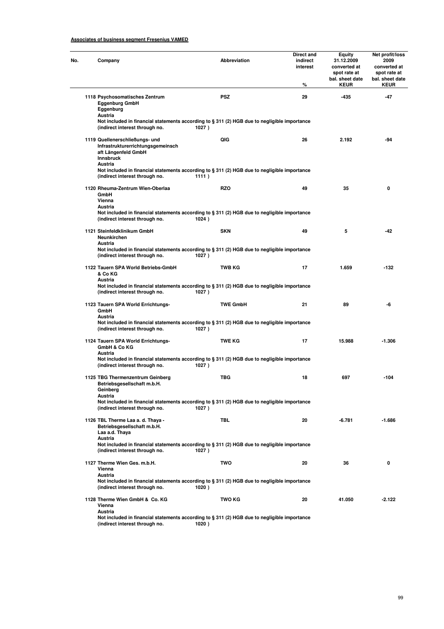| Company                                                                                                                                                   | <b>Abbreviation</b>      | Direct and<br>indirect<br>interest<br>% | Equity<br>31.12.2009<br>converted at<br>spot rate at<br>bal. sheet date<br><b>KEUR</b> | Net profit/loss<br>2009<br>converted at<br>spot rate at<br>bal. sheet date<br><b>KEUR</b> |
|-----------------------------------------------------------------------------------------------------------------------------------------------------------|--------------------------|-----------------------------------------|----------------------------------------------------------------------------------------|-------------------------------------------------------------------------------------------|
| 1118 Psychosomatisches Zentrum<br><b>Eggenburg GmbH</b><br>Eggenburg<br>Austria                                                                           | <b>PSZ</b>               | 29                                      | -435                                                                                   | $-47$                                                                                     |
| Not included in financial statements according to § 311 (2) HGB due to negligible importance<br>(indirect interest through no.                            | 1027)                    |                                         |                                                                                        |                                                                                           |
| 1119 Quellenerschließungs- und<br>Infrastrukturerrichtungsgemeinsch<br>aft Längenfeld GmbH<br><b>Innsbruck</b><br>Austria                                 | QIG                      | 26                                      | 2.192                                                                                  | -94                                                                                       |
| Not included in financial statements according to § 311 (2) HGB due to negligible importance<br>(indirect interest through no.                            | 1111)                    |                                         |                                                                                        |                                                                                           |
| 1120 Rheuma-Zentrum Wien-Oberlaa<br>GmbH<br>Vienna<br>Austria                                                                                             | <b>RZO</b>               | 49                                      | 35                                                                                     | 0                                                                                         |
| Not included in financial statements according to § 311 (2) HGB due to negligible importance<br>(indirect interest through no.                            | 1024)                    |                                         |                                                                                        |                                                                                           |
| 1121 Steinfeldklinikum GmbH<br><b>Neunkirchen</b><br>Austria                                                                                              | <b>SKN</b>               | 49                                      | 5                                                                                      | -42                                                                                       |
| Not included in financial statements according to § 311 (2) HGB due to negligible importance<br>(indirect interest through no.                            | 1027)                    |                                         |                                                                                        |                                                                                           |
| 1122 Tauern SPA World Betriebs-GmbH<br>& Co KG<br>Austria<br>Not included in financial statements according to § 311 (2) HGB due to negligible importance | TWB KG                   | 17                                      | 1.659                                                                                  | -132                                                                                      |
| (indirect interest through no.<br>1123 Tauern SPA World Errichtungs-                                                                                      | 1027)<br><b>TWE GmbH</b> | 21                                      | 89                                                                                     | -6                                                                                        |
| GmbH<br>Austria<br>Not included in financial statements according to § 311 (2) HGB due to negligible importance<br>(indirect interest through no.         | 1027)                    |                                         |                                                                                        |                                                                                           |
| 1124 Tauern SPA World Errichtungs-<br>GmbH & Co KG                                                                                                        | <b>TWE KG</b>            | 17                                      | 15.988                                                                                 | $-1.306$                                                                                  |
| Austria<br>Not included in financial statements according to § 311 (2) HGB due to negligible importance<br>(indirect interest through no.                 | 1027)                    |                                         |                                                                                        |                                                                                           |
| 1125 TBG Thermenzentrum Geinberg<br>Betriebsgesellschaft m.b.H.<br>Geinberg<br>Austria                                                                    | <b>TBG</b>               | 18                                      | 697                                                                                    | $-104$                                                                                    |
| Not included in financial statements according to § 311 (2) HGB due to negligible importance<br>(indirect interest through no.                            | 1027)                    |                                         |                                                                                        |                                                                                           |
| 1126 TBL Therme Laa a. d. Thaya -<br>Betriebsgesellschaft m.b.H.<br>Laa a.d. Thaya<br>Austria                                                             | TBL                      | 20                                      | -6.781                                                                                 | $-1.686$                                                                                  |
| Not included in financial statements according to § 311 (2) HGB due to negligible importance<br>(indirect interest through no.                            | 1027)                    |                                         |                                                                                        |                                                                                           |
| 1127 Therme Wien Ges. m.b.H.<br>Vienna<br>Austria                                                                                                         | <b>TWO</b>               | 20                                      | 36                                                                                     | 0                                                                                         |
| Not included in financial statements according to § 311 (2) HGB due to negligible importance<br>(indirect interest through no.                            | 1020)                    |                                         |                                                                                        |                                                                                           |
| 1128 Therme Wien GmbH & Co. KG<br>Vienna<br>Austria                                                                                                       | <b>TWO KG</b>            | 20                                      | 41.050                                                                                 | $-2.122$                                                                                  |
| Not included in financial statements according to § 311 (2) HGB due to negligible importance<br>(indirect interest through no.                            | 1020)                    |                                         |                                                                                        |                                                                                           |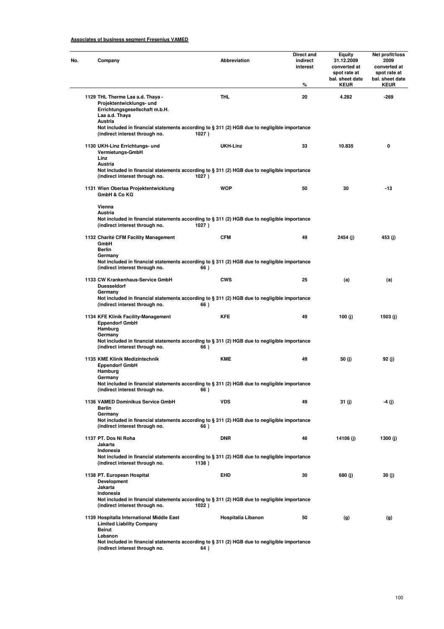| Company                                                                                                                                             | Abbreviation       | Direct and<br>indirect<br>interest<br>% | Equity<br>31.12.2009<br>converted at<br>spot rate at<br>bal. sheet date<br><b>KEUR</b> | Net profit/loss<br>2009<br>converted at<br>spot rate at<br>bal. sheet date<br><b>KEUR</b> |
|-----------------------------------------------------------------------------------------------------------------------------------------------------|--------------------|-----------------------------------------|----------------------------------------------------------------------------------------|-------------------------------------------------------------------------------------------|
| 1129 THL Therme Laa a.d. Thaya -<br>Projektentwicklungs- und<br>Errichtungsgesellschaft m.b.H.<br>Laa a.d. Thaya<br>Austria                         | <b>THL</b>         | 20                                      | 4.282                                                                                  | -269                                                                                      |
| Not included in financial statements according to § 311 (2) HGB due to negligible importance<br>(indirect interest through no.                      | 1027)              |                                         |                                                                                        |                                                                                           |
| 1130 UKH-Linz Errichtungs- und<br>Vermietungs-GmbH<br>Linz<br>Austria                                                                               | UKH-Linz           | 33                                      | 10.835                                                                                 | 0                                                                                         |
| Not included in financial statements according to § 311 (2) HGB due to negligible importance<br>(indirect interest through no.                      | 1027)              |                                         |                                                                                        |                                                                                           |
| 1131 Wien Oberlaa Projektentwicklung<br>GmbH & Co KG                                                                                                | <b>WOP</b>         | 50                                      | 30                                                                                     | -13                                                                                       |
| Vienna<br>Austria<br>Not included in financial statements according to § 311 (2) HGB due to negligible importance<br>(indirect interest through no. | 1027)              |                                         |                                                                                        |                                                                                           |
| 1132 Charité CFM Facility Management<br>GmbH<br><b>Berlin</b>                                                                                       | <b>CFM</b>         | 49                                      | 2454 (j)                                                                               | 453 (j)                                                                                   |
| Germany<br>Not included in financial statements according to § 311 (2) HGB due to negligible importance<br>(indirect interest through no.           | 66)                |                                         |                                                                                        |                                                                                           |
| 1133 CW Krankenhaus-Service GmbH<br><b>Duesseldorf</b><br>Germany                                                                                   | <b>CWS</b>         | 25                                      | (a)                                                                                    | (a)                                                                                       |
| Not included in financial statements according to § 311 (2) HGB due to negligible importance<br>(indirect interest through no.                      | 66)                |                                         |                                                                                        |                                                                                           |
| 1134 KFE Klinik Facility-Management<br><b>Eppendorf GmbH</b><br>Hamburg                                                                             | <b>KFE</b>         | 49                                      | 100 (j)                                                                                | 1503 (j)                                                                                  |
| Germany<br>Not included in financial statements according to § 311 (2) HGB due to negligible importance<br>(indirect interest through no.           | 66)                |                                         |                                                                                        |                                                                                           |
| 1135 KME Klinik Medizintechnik<br><b>Eppendorf GmbH</b><br>Hamburg                                                                                  | <b>KME</b>         | 49                                      | 50 (j)                                                                                 | 92 (j)                                                                                    |
| Germany<br>Not included in financial statements according to § 311 (2) HGB due to negligible importance<br>(indirect interest through no.           | 66)                |                                         |                                                                                        |                                                                                           |
| 1136 VAMED Dominikus Service GmbH<br>Berlin<br>Germany                                                                                              | <b>VDS</b>         | 49                                      | 31 (j)                                                                                 | -4 (j)                                                                                    |
| Not included in financial statements according to § 311 (2) HGB due to negligible importance<br>(indirect interest through no.                      | 66)                |                                         |                                                                                        |                                                                                           |
| 1137 PT. Dos Ni Roha<br>Jakarta                                                                                                                     | <b>DNR</b>         | 46                                      | 14106 (j)                                                                              | 1300 (j)                                                                                  |
| Indonesia<br>Not included in financial statements according to § 311 (2) HGB due to negligible importance<br>(indirect interest through no.         | 1138)              |                                         |                                                                                        |                                                                                           |
| 1138 PT. European Hospital<br>Development<br>Jakarta                                                                                                | <b>EHD</b>         | 30                                      | 680 (j)                                                                                | 30 (j)                                                                                    |
| Indonesia<br>Not included in financial statements according to § 311 (2) HGB due to negligible importance<br>(indirect interest through no.         | 1022)              |                                         |                                                                                        |                                                                                           |
| 1139 Hospitalia International Middle East<br><b>Limited Liability Company</b><br><b>Beirut</b>                                                      | Hospitalia Libanon | 50                                      | (g)                                                                                    | (g)                                                                                       |
| Lebanon<br>Not included in financial statements according to $\S 311 (2)$ HGB due to negligible importance                                          |                    |                                         |                                                                                        |                                                                                           |

**(indirect interest through no. 64 )**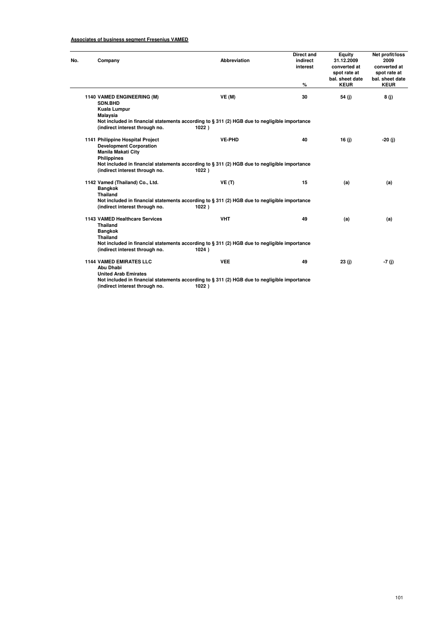| Company                                                                                                                                 | Abbreviation                                                                                          | Direct and<br>indirect<br>interest<br>$\%$ | Equity<br>31.12.2009<br>converted at<br>spot rate at<br>bal. sheet date<br><b>KEUR</b> | Net profit/loss<br>2009<br>converted at<br>spot rate at<br>bal. sheet date<br><b>KEUR</b> |  |  |
|-----------------------------------------------------------------------------------------------------------------------------------------|-------------------------------------------------------------------------------------------------------|--------------------------------------------|----------------------------------------------------------------------------------------|-------------------------------------------------------------------------------------------|--|--|
| 1140 VAMED ENGINEERING (M)<br>SDN.BHD<br>Kuala Lumpur                                                                                   | VE(M)                                                                                                 | 30                                         | 54 (j)                                                                                 | 8(j)                                                                                      |  |  |
| <b>Malaysia</b>                                                                                                                         |                                                                                                       |                                            |                                                                                        |                                                                                           |  |  |
| (indirect interest through no.                                                                                                          | Not included in financial statements according to § 311 (2) HGB due to negligible importance<br>1022) |                                            |                                                                                        |                                                                                           |  |  |
| 1141 Philippine Hospital Project<br><b>Development Corporation</b><br><b>Manila Makati City</b>                                         | <b>VE-PHD</b>                                                                                         | 40                                         | 16(j)                                                                                  | -20 (j)                                                                                   |  |  |
| <b>Philippines</b><br>(indirect interest through no.                                                                                    | Not included in financial statements according to § 311 (2) HGB due to negligible importance<br>1022) |                                            |                                                                                        |                                                                                           |  |  |
| 1142 Vamed (Thailand) Co., Ltd.<br><b>Bangkok</b><br><b>Thailand</b>                                                                    | VE(T)                                                                                                 | 15                                         | (a)                                                                                    | (a)                                                                                       |  |  |
| Not included in financial statements according to § 311 (2) HGB due to negligible importance<br>(indirect interest through no.<br>1022) |                                                                                                       |                                            |                                                                                        |                                                                                           |  |  |
| 1143 VAMED Healthcare Services<br><b>Thailand</b><br><b>Bangkok</b>                                                                     | <b>VHT</b>                                                                                            | 49                                         | (a)                                                                                    | (a)                                                                                       |  |  |
| <b>Thailand</b><br>(indirect interest through no.                                                                                       | Not included in financial statements according to § 311 (2) HGB due to negligible importance<br>1024) |                                            |                                                                                        |                                                                                           |  |  |
| <b>1144 VAMED EMIRATES LLC</b><br>Abu Dhabi<br><b>United Arab Emirates</b>                                                              | <b>VEE</b>                                                                                            | 49                                         | 23(j)                                                                                  | -7 (j)                                                                                    |  |  |

**(indirect interest through no. 1022 )**